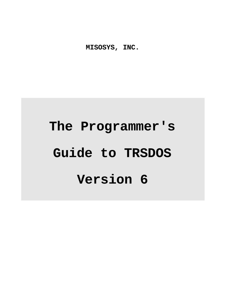**MISOSYS, INC.**

# **The Programmer's Guide to TRSDOS Version 6**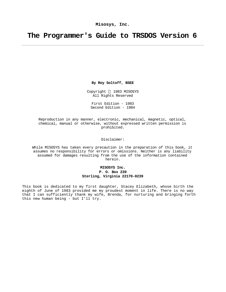# **The Programmer's Guide to TRSDOS Version 6**

**By Roy Soltoff, BSEE**

Copyright © 1983 MISOSYS All Rights Reserved

First Edition - 1983 Second Edition - 1984

Reproduction in any manner, electronic, mechanical, magnetic, optical, chemical, manual or otherwise, without expressed written permission is prohibited.

Disclaimer:

While MISOSYS has taken every precaution in the preparation of this book, it assumes no responsibility for errors or omissions. Neither is any liability assumed for damages resulting from the use of the information contained herein.

> **MISOSYS Inc. P. O. Box 239 Sterling, Virginia 22170-0239**

This book is dedicated to my first daughter, Stacey Elizabeth, whose birth the eighth of June of 1983 provided me my proudest moment in life. There is no way that I can sufficiently thank my wife, Brenda, for nurturing and bringing forth this new human being - but I'll try.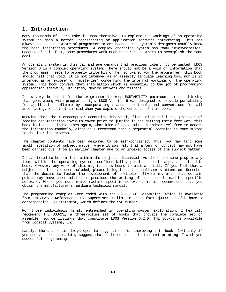# **1. Introduction**

Many thousands of users take it upon themselves to explore the workings of an operating system to gain a better understanding of application software interfacing. This has always been such a waste of programmer talent because the system's designers usually know the best interfacing procedures. A complex operating system has many idiosyncrasies. Because of this fact, some procedures work much better than others to accomplish the same goal.

An operating system in this day and age demands that precious talent not be wasted. LDOS Version 6 is a complex operating system. There should not be a void of information that the programmer needs to properly write his or her software. For the programmer, this book should fill that void. It is not intended as an assembly language learning tool nor is it intended as an expose' of "mysteries" concerning the internal workings of the operating system. This book conveys that information which is essential to the job of programming application software, utilities, device drivers and filters.

It is very important for the programmer to keep PORTABILITY paramount in the thinking that goes along with program design. LDOS Version 6 was designed to provide portability for application software by incorporating standard protocols and conventions for all interfacing. Keep that in mind when you explore the contents of this book.

Knowing that the microcomputer community inherently finds distasteful the prospect of reading documentation cover-to-cover prior to jumping in and getting their feet wet, this book includes an index. Then again, what kind of book omits an index? Feel free to access the information randomly, although I recommend that a sequential scanning is more suited to the learning process.

The chapter contents have been designed to be self-contained. Thus, you may find some small repetition of subject matter where it was felt that a term or concept may not have been carried over from an earlier chapter due to an indexed access of the subject matter.

I have tried to be complete within the subjects discussed. As there are some proprietary items within the operating system, confidentiality precludes their appearance in this book. However, any work of this magnitude is bound to omit a detail. If you feel that a subject should have been included, please bring it to the publisher's attention. Remember that the desire to foster the development of portable software may mean that certain points may have been omitted to preclude the writing of non-portable machine specific software. Where you must write machine specific software, it is recommended that you obtain the manufacturer's hardware technical manual.

The programming examples were coded with the PRO-CREATE assembler, which is available from MISOSYS. References to SuperVisor Calls in the form @XXXX should have a corresponding EQU statement, which defines the SVC number.

For those individuals firmly entrenched in operating system exploration, I heartily recommend THE SOURCE, a three-volume set of books that provide the complete set of assembler source listings that constitute LDOS Version 6.2.0. THE SOURCE is available from Logical Systems, Inc.

Lastly, the author is always open to suggestions for improving this book. Certainly if you uncover erroneous data, suggest that it be corrected in the next printing. I wish you successful programming.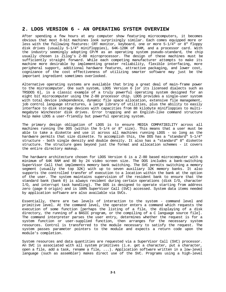# **2. LDOS VERSION 6 - AN OPERATING SYSTEM OVERVIEW**

After spending a few hours at any computer show featuring microcomputers, it becomes obvious that most 8-bit machines look surprisingly similar. Each comes equipped more or less with the following features: CRT monitor, keyboard, one or more 5-1/4" or 8" floppy disk drives (usually 5-1/4" minifloppies), 64K-128K of RAM, and a processor card. With the industry seemingly adopting CP/M as an operating system pseudo-standard, the chip usually chosen is Zilog's Z-80 microprocessor. The design of these machines must be sufficiently straight forward. While each competing manufacturer attempts to make its machine more desirable by implementing greater reliability, flexible interfacing, more peripheral support, additional hardware features, attractive packaging, and lower cost, cognizance of the cost effectiveness of utilizing smarter software may just be the important ingredient sometimes overlooked.

Alternative operating systems are available that bring a great deal of main-frame power to the microcomputer. One such system, LDOS Version 6 [or its licensed dialects such as TRSDOS 6], is a classic example of a truly powerful operating system designed for an eight bit microcomputer using the Z-80 processor chip. LDOS provides a single-user system with total device independence, dynamic file space allocation, extensive file management, job control language structures, a large library of utilities, plus the ability to easily interface to disk storage devices with capacities from 88 kilobyte minifloppies to multimegabyte Winchester disk drives. Error trapping and an English-like command structure help make LDOS a user-friendly but powerful operating system.

The primary design obligation of LDOS is to ensure MEDIA COMPATIBILITY across all machines running the DOS (within the  $5-1/4$  or  $8$ " size). This means that a user must be able to take a diskette and use it across all machines running LDOS - so long as the hardware permits that size diskette. To accomplish this, the DOS has a "standard" 5-1/4" structure - both single density and double density. It also has a "standard" 8" diskette structure. The structure goes beyond just the format and allocation schemes - it covers the entire directory makeup.

The hardware architecture chosen for LDOS Version 6 is a Z-80 based microcomputer with a minimum of 64K RAM and 80 by 24 video screen size. The DOS includes a bank-switching SuperVisor Call that implements memory bank switching. The SVC permits switching a memory segment (usually the top 32K) with up to seven auxiliary 32K memory banks. It also supports the controlled transfer of execution to a location within the bank at the option of the user. The system maintains supervision of the resident bank to ensure that the standard bank (bank 0) is always resident during certain operations (disk I/O, character I/O, and interrupt task handling). The DOS is designed to operate starting from address zero (page 0 origin) and is 100% SuperVisor Call (SVC) accessed. System data items needed by application software are also available via SVCs.

Essentially, there are two levels of interaction to the system - command level and primitive level. At the command level, the operator enters a command which requests the execution of some function [perhaps the listing of a file, the displaying of a disk directory, the running of a BASIC program, or the compiling of a C language source file]. The command interpreter parses the user entry, determines whether the request is for a system function or user-supplied function, then arranges for the necessary system resources. Control is transferred to the module necessary to satisfy the request. The system passes parameter pointers to the module and expects a return code upon the module's completion.

System resources and data quantities are requested via a SuperVisor Call (SVC) processor. An SVC is associated with all system primitives (i.e. get a character, put a character, open a file, add a task, rename a file, ...). Application software written in a low-level language (such as assembler) makes direct use of the SVC. Programs using a high-level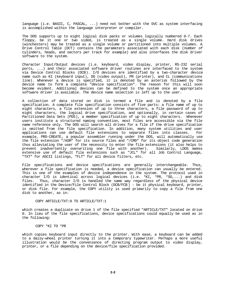language (i.e. BASIC, C, PASCAL, ...) need not bother with the SVC as system interfacing is accomplished within the language interpreter or compiler.

The DOS supports up to eight logical disk packs or volumes logically numbered 0-7. Each floppy, be it one or two sided, is treated as a single volume. Hard disk drives (winchesters) may be treated as a single volume or partitioned into multiple volumes. A Drive Control Table (DCT) contains the parameters associated with each disk (number of cylinders, heads, and sectors per track for example) and also interfaces the disk driver software to the system.

Character Input/Output devices (i.e. keyboard, video display, printer, RS-232 serial ports, ...) and their associated software driver routines are interfaced to the system via Device Control Blocks (DCB). I/O devices are identified by a two-character device name such as KI (keyboard input), DO (video output), PR (printer), and CL (communications line). Whenever a device is specified, it is denoted by an asterisk followed by the device name to form a complete "device specification". The reason for this will soon become evident. Additional devices can be defined to the system once an appropriate software driver is available. The device name selection is left up to the user.

A collection of data stored on disk is termed a file and is denoted by a file specification. A complete file specification consists of five parts: a file name of up to eight characters, a file extension of up to three characters, a file password of up to eight characters, the logical drive specification, and optionally, in certain cases of Partitioned Data Sets (PDS), a member specification of up to eight characters. Whenever users institute a structured naming convention, most files are accessible via the file name reference only. The DOS will search all drives for a file if the drive specification is omitted from the file specification. In addition, many system utilities and user applications can use default file extensions to separate files into classes. For example, PRO-CREATE, a popular assembler running under the DOS, will automatically use the file extension "/ASM" for its source files and "/CMD" for its object code generation thus alleviating the user of the necessity to enter the file extensions (it also helps to prevent inadvertently overwriting one file with another). Similarly, LDOS makes extensive use of default file extensions such as "JCL" for all Job Control Language, "TXT" for ASCII listings, "FLT" for all device filters, etc.

File specifications and device specifications are generally interchangeable. Thus, wherever a file specification is needed, a device specification can usually be entered. This is one of the examples of device independence in the system. The protocol used in character I/O is identical across logical devices (i.e. \*KI, \*PR, \*SO,...) and disk files. Thus, character I/O is handled the same way regardless of the physical device identified in the Device/File Control Block (DCB/FCB ) - be it physical keyboard, printer, or disk file. For example, the COPY utility is used primarily to copy a file from one disk to another, as in:

#### COPY ARTICLE/TXT:0 TO ARTICLE/TXT:1

which creates a duplicate on drive 1 of the file specified "ARTICLE/TXT" located on drive 0. In lieu of the file specifications, device specifications could equally be used as in the following:

#### COPY \*KI TO \*PR

which copies keyboard input directly to the printer. With ease, a keyboard can be added to a daisy-wheel printer turning it into a temporary typewriter. Perhaps a more useful illustration would be the convenience of directing program output to video display, printer, or a file depending on the device/file specification provided.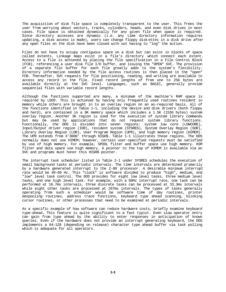The acquisition of disk file space is completely transparent to the user. This frees the user from worrying about sectors, tracks, cylinders, heads, and even disk drives in most cases. File space is obtained dynamically for any given file when space is required. Since directory accesses are dynamic (i.e. any time directory information requires updating, a disk access is made), users can change floppy disk ettes in a disk drive after any open files on the disk have been closed with out having to "log" the action.

Files do not have to occupy contiguous space on a disk but can exist in blocks of space called extents. Linkage maps exist in a file's directory which connect each extent. Access to a file is achieved by placing the file specification in a File Control Block (FCB), referencing a user disk file I/O buffer, and issuing the "OPEN" SVC. The provision of a separate file buffer for each file greatly adds to the system's flexibility. Directory information needed by the file access routines is then placed in the "open" FCB. Thereafter, SVC requests for file positioning, reading, and writing are available to access any record in the file. Fixed record lengths of from one to 256 bytes are available directly at the SVC level. Languages, such as BASIC, generally provide sequential files with variable record lengths.

Although the functions supported are many, a minimum of the machine's RAM space is required by LDOS. This is achieved by having only frequently used routines resident in memory while others are brought in to an overlay region on an as-required basis. All of the functions identified in Table 1-1, including the device and disk drivers (both floppy and hard), are contained in a 9K memory space which includes a 1.5K (1536 bytes) system overlay region. Another 3K region is used for the execution of system library commands but may be used by applications that do not request system library functions. Functionally, the DOS is divided into seven regions: system low core (LOWCORE), Input/Output driver region (IOR), resident system (SYSRES), System Overlay Region (SOR), Library Overlay Region (LOR), User Program Region (UPR), and high memory region (HIMEM). The UPR extends from X'3000' through HIGH\$. Table 1-1 illustrates these regions. The DOS normally does not use HIMEM; however, certain user-specified requests must be satisfied by use of high memory. For example, SPOOL filter and buffer space use high memory. KSM filter and data space use high memory. A pointer to the top of HIMEM is available via an SVC and programs must honor this HIGH\$ pointer.

The interrupt task scheduler listed in Table 2-1 under SYSRES schedules the execution of small background tasks at periodic intervals. The time intervals are determined primarily by a hardware generated interrupt to the Z-80 processor. A desirable minimum interrupt rate would be 40-60 Hz. This "clock" is software divided to produce "high", medium, and "low" level task control. The DOS provides for eight low level tasks, three medium level tasks, and one high level task. For example, with a 60Hz interrupt rate, one task can be performed at 16.7ms intervals, three discrete tasks can be processed at 33.3ms intervals while eight other tasks are processed at 267ms intervals. The types of tasks generally operating from such a scheduler would be software time of day routines, printer despooling routines, address trace functions, keyboard type ahead scanning, blinking cursor routines, or other processes that need to be examined at periodic intervals.

As a specific example of how software can reduce hardware costs, briefly examine keyboard type-ahead. This feature is quite significant to a fast typist. Even slow operator entry can gain from type ahead by the ability to enter responses in anticipation of known queries. Even if the hardware does not provide an interrupt generating keyboard, the DOS implements a 64-128 (depending on release) character type ahead buffer via task polling which is adequate for all operators.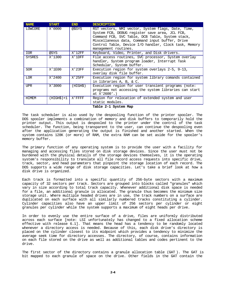| <b>NAME</b>   | <b>START</b> | END.      | <b>DESCRIPTION</b>                                                                                                                                                                                                                                                                           |
|---------------|--------------|-----------|----------------------------------------------------------------------------------------------------------------------------------------------------------------------------------------------------------------------------------------------------------------------------------------------|
| LOWCORE       | X'0000       | @\$SYS    | RST vectors, NMI vector, System flags, Date, Time,<br>System FCB, DEBUG register save area, JCL FCB,<br>Command FCB, SVC Table, DCB Table, System stack,<br>Miscellaneous data, Command input buffer, Drive<br>Control Table, Device I/O handler, Clock task, Memory<br>management routines. |
| IOR           | @SYS         | X'12FF    | Keyboard, Video, Printer, and Disk drivers.                                                                                                                                                                                                                                                  |
| <b>SYSRES</b> | X'1300       | X'1DFF    | File access routines, SVC processor, System overlay<br>handler, System program loader, Interrupt Task<br>Schedular, System buffer.                                                                                                                                                           |
| <b>SOR</b>    | X'1E00       | $X'$ 23FF | Execution region for system overlays 2-5, 9-13,<br>overlay disk file buffer.                                                                                                                                                                                                                 |
| <b>LOR</b>    | X'2400       | $X'$ 25FF | Execution region for system library comands contained<br>in libraries A, B, & C.                                                                                                                                                                                                             |
| <b>UPR</b>    | X'3000       | (HIGH\$)  | Execution region for user transient programs (note:<br>programs not accessing the system libraries can start<br>at $X'2600'.$                                                                                                                                                                |
| <b>HIMEM</b>  | (HIGH\$)+1   | X'FFFF    | Region for relocation of extended system and user<br>static modules.                                                                                                                                                                                                                         |

**Table 2-1 System Map**

The task scheduler is also used by the despooling function of the printer spooler. The DOS spooler implements a combination of memory and disk buffers to temporarily hold the printer output. This output is despooled to the printer under the control of the task scheduler. The function, being transparent to the user, can continue the despooling even after the application generating the output is finished and another started. When the system contains 128K (or more) of RAM, the extra RAM can be set aside for the spooler's memory buffer.

The primary function of any operating system is to provide the user with a facility for managing and accessing files stored on disk storage devices. Since the user must not be burdened with the physical details of the storage devices themselves, it is the operating system's responsibility to translate all file record access requests into specific drive, track, sector, and head parameters that pinpoint the storage location of each record. The DOS supports a wide range of disk storage capacities. Let's take a brief look at how a disk drive is organized.

Each track is formatted into a specific quantity of 256-byte sectors with a maximum capacity of 32 sectors per track. Sectors are grouped into blocks called "granules" which vary in size according to total track capacity. Whenever additional disk space is needed for a file, an additional granule is allocated. The granule thus becomes the minimum size storage unit. Where multiple headed drives are in use, the track numbers on a surface are duplicated on each surface with all similarly numbered tracks constituting a cylinder. Cylinder capacities also have an upper limit of 256 sectors per cylinder or eight granules per cylinder while the system supports a maximum of eight heads per drive.

In order to evenly use the entire surface of a drive, files are uniformly distributed across each surface [note: LSI unfortunately has changed to a fixed allocation scheme effective with release 6.1]. That means the head has a tendency to be randomly located whenever a directory access is needed. Because of this, each disk drive's directory is placed on the cylinder closest to its midpoint which provides a tendency to minimize the average seek time for directory accesses. The directory, of course, contains information on each file stored on the drive as well as additional tables and codes pertinent to the drive.

The first sector of the directory contains a granule allocation table (GAT ). The GAT is bit mapped to each granule of space on the drive. Other fields in the GAT contain the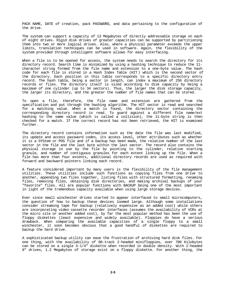PACK NAME, DATE of creation, pack PASSWORD, and data pertaining to the configuration of the drive.

The system can support a capacity of 13 Megabytes of directly addressable storage on each of eight drives. Rigid disk drives of greater capacities can be supported by partitioning them into two or more logical drives. Also, where a physical parameter exceeds the upper limits, translation techniques can be used in software. Again, the flexibility of the system provided through intelligent software allows for easy interfacing.

When a file is to be opened for access, the system needs to search the directory for its directory record. Search time is minimized by using a hashing technique to reduce the 11 character string formed from the file name and extension to a one-byte value. The hash code for each file is stored in a Hash Index Table (HIT ) which is the second sector of the directory. Each position in this table corresponds to a specific directory entry record. The hash table, being a sector in length, can index a maximum of 256 directory records or files. The directory itself is sized according to disk capacity by being a maximum of one cylinder (up to 34 sectors). Thus, the larger the disk storage capacity, the larger its directory, and the greater the number of file names that can be stored.

To open a file, therefore, the file name and extension are gathered from the specification and put through the hashing algorithm. The HIT sector is read and searched for a matching value. When a match is found, the directory sector containing the corresponding directory record is read. To guard against a different file name/ext hashing to the same value (which is called a collision), the 11-byte string is then checked for a match. If the correct record has not been retrieved, the HIT is examined further.

The directory record contains information such as the date the file was last modified, its update and access password codes, its access level, other attributes such as whether it is a SYStem or PDS file and if a backup has been made, the relative number of the last sector in the file and the last byte within the last sector. The record also contains the physical storage in use by the file by pointing to the cylinder, relative starting granule, and number of contiguous granules for each extent linking up the file. When a file has more than four extents, additional directory records are used as required with forward and backward pointers linking each record.

A feature considered important by many users is the flexibility of the file management utilities. These utilities include such functions as copying files from one drive to another, appending two files together, listing files with structured formatting, renaming files, removing files, obtaining disk directories, and making archival backups of your "favorite" files. All are popular functions with BACKUP being one of the most important in light of the tremendous capacity available when using large storage devices.

Ever since small winchester drives started to appear interfaced to small microcomputers, the question of how to backup these devices loomed large. Although some installations consider streaming tape for backup (relatively expensive as an added cost) while others are incorporating video cassette recorder interfaces (assumes the availability of VCRs at the micro site or another added cost), by far the most popular method has been the use of floppy diskettes (least expensive and widely available). Floppies do have a serious drawback. When comparing the available capacities of a single floppy to a small winchester, it soon becomes obvious that a good handful of diskettes are required to backup the hard drive.

A sophisticated backup utility can ease the frustration of archiving hard disk files. For one thing, with the availability of 80-track 2-headed minifloppies, over 700 Kilobytes can be stored on a single 5-1/4" diskette when recorded in double density. With 2-headed 8" drives, 1.2 Megabytes of storage exist on a floppy diskette. For another thing, the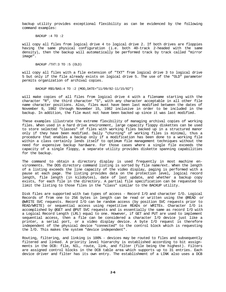backup utility provides exceptional flexibility as can be evidenced by the following command examples:

BACKUP :4 TO :2

will copy all files from logical drive 4 to logical drive 2. If both drives are floppies having the same physical configuration (i.e. both 40-track 2-headed with the same density), then the backup will automatically be performed track by track called "mirror image".

BACKUP /TXT:3 TO :5 (OLD)

will copy all files with a file extension of "TXT" from logical drive 3 to logical drive 5 but only if the file already exists on logical drive 5. The use of the "OLD" parameter permits organization of archival copies.

BACKUP R\$S/BAS:4 TO :2 (MOD,DATE="11/09/82-11/15/82")

will make copies of all files from logical drive 4 with a filename starting with the character "R", the third character "S", with any character acceptable in all other file name character positions. Also, files must have been last modified between the dates of November 9, 1982 through November 15, 1982 inclusive in order to be included in the backup. In addition, the file must not have been backed up since it was last modified.

These examples illustrate the extreme flexibility of managing archival copies of working files. When used in a hard drive environment, large capacity floppy diskettes can be used to store selected "classes" of files with working files backed up in a structured manor only if they have been modified. Daily "churning" of working files is minimal, thus a procedure that enables a backup only if a modification has been done to a working file within a class certainly lends itself to optimum file management techniques without the need for expensive backup hardware. For those cases where a single file exceeds the capacity of a single floppy, a separate utility provides diskette spanning capabilities for the backup.

The command to obtain a directory display is used frequently in most machine environments. The DOS directory command listing is sorted by file name/ext. When the length of a listing exceeds the line capacity of the video display, paging is performed with a pause at each page. The listing provides data on the protection level, logical record length, file length (in kilobytes), date of last update, and whether a backup copy exists, for each file in the directory. A partial file specification can be requested to limit the listing to those files in the "class" similar to the BACKUP utility.

Disk files are supported with two types of access - Record I/O and character I/O. Logical Records of from one to 256 bytes in length can be read or written using the @READ or @WRITE SVC requests. Record I/O can be random access (by position SVC requests prior to READ/WRITE) or sequential access using repetitive READs or WRITEs. Character I/O is accomplished by @GET and @PUT SVC requests and is essentially the same as record I/O with a Logical Record Length (LRL) equal to one. However, if GET and PUT are used to implement sequential access, then a file can be considered a character I/O device just like a printer, a serial port, or a video display device. A byte I/O request is therefore independent of the physical device "connected" to the control block which is requesting the I/O. This makes the system "device independent".

Routing, filtering, and linking is 100% - devices may be routed to files and subsequently filtered and linked. A priority level hierarchy is established according to bit assignments in the DCB: file, NIL, route, link, and filter (file being the highest). Filters are assigned control blocks in the DCB table area which supports up to 31 entries. Each device driver and filter has its own entry. The establishment of a LINK also uses a DCB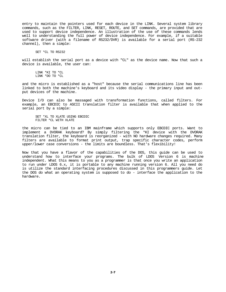entry to maintain the pointers used for each device in the LINK. Several system library commands, such as the FILTER, LINK, RESET, ROUTE, and SET commands, are provided that are used to support device independence. An illustration of the use of these commands lends well to understanding the full power of device independence. For example, if a suitable software driver (with a filename of RS232/DVR) is available for a serial port (RS-232 channel), then a simple:

SET \*CL TO RS232

will establish the serial port as a device with "CL" as the device name. Now that such a device is available, the user can:

LINK \*KI TO \*CL LINK \*DO TO \*CL

and the micro is established as a "host" because the serial communications line has been linked to both the machine's keyboard and its video display - the primary input and output devices of the machine.

Device I/O can also be massaged with transformation functions, called filters. For example, an EBCDIC to ASCII translation filter is available that when applied to the serial port by a simple:

SET \*XL TO XLATE USING EBCDIC FILTER \*CL WITH XLATE

the micro can be tied to an IBM mainframe which supports only EBCDIC ports. Want to implement a DVORAK keyboard? By simply filtering the \*KI device with the DVORAK translation filter, the keyboard is reorganized - with NO hardware changes required. Many filters are available to format print output, trap specific character codes, perform upper/lower case conversions - the limits are boundless. That's flexibility!

Now that you have a flavor of the capabilities of the DOS, this guide can be used to understand how to interface your programs. The bulk of LDOS Version 6 is machine independent. What this means to you as a programmer is that once you write an application to run under LDOS 6.x, it is portable to any machine running version 6. All you need do is utilize the standard interfacing procedures discussed in this programmers guide. Let the DOS do what an operating system is supposed to do - interface the application to the hardware.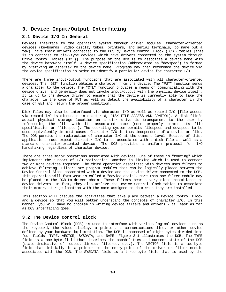# **3. Device Input/Output Interfacing**

# **3.1 Device I/O In General**

Devices interface to the operating system through driver modules. Character-oriented devices (keyboards, video display tubes, printers, and serial terminals, to name but a few), have their drivers connected to the DOS by Device Control Block (DCB ) tables [this is in contrast to disk-type devices which have drivers connected to the system through Drive Control Tables (DCT)]. The purpose of the DCB is to associate a device name with the device hardware itself. A device specification (abbreviated as "devspec") is formed by prefixing an asterisk to the device name. Programs may then reference the device via the device specification in order to identify a particular device for character I/O.

There are three input/output functions that are associated with all character-oriented devices. The "GET" function obtains a character from the device. The "PUT" function sends a character to the device. The "CTL" function provides a means of communicating with the device driver and generally does not invoke input/output with the physical device itself. It is up to the device driver to ensure that the device is currently able to take the character in the case of PUT as well as detect the availability of a character in the case of GET and return the proper condition.

Disk files may also be interfaced via character I/O as well as record I/O [file access via record I/O is discussed in chapter 6, DISK FILE ACCESS AND CONTROL]. A disk file's actual physical storage location on a disk drive is transparent to the user by referencing the file with its associated name (more properly termed its file specification or "filespec"). The operating system permits filespecs and devspecs to be used equivalently in most cases. Character I/O is thus independent of a device or file. The DOS permits the redirection of character I/O at the command level. Because of this, applications must expect character I/O to be associated with a disk file as well as a standard character-oriented device. The DOS provides a uniform protocol for I/O handshaking regardless of character device.

There are three major operations associated with devices. One of these is "routing" which implements the support of I/O redirection. Another is linking which is used to connect two or more devices together. The third operation associated with devices uses filters to achieve filtering. Filters are program modules that can be logically placed between the Device Control Block associated with a device and the device driver connected to the DCB. This operation will form what is called a "device chain". More than one filter module may be placed in the DCB-to-driver chain. These filters bear a very close resemblance to device drivers. In fact, they also utilize the Device Control Block tables to associate their memory storage location with the name assigned to them when they are installed.

This section will discuss the activities that take place between a Device Control Block and a device so that you will better understand the concepts of character I/O. In this manner, you will have no problem in writing device filters and drivers - at least as far as DOS interfacing goes.

# **3.2 The Device Control Block**

The Device Control Block (DCB) is used to interface with various logical devices such as the keyboard, the video display, a printer, a communications line, or other device defined by your hardware implementation. The DCB is composed of eight bytes divided into four fields: TYPE, VECTOR, SYSDATA, and NAME. Figure 3-1 illustrates the DCB. The TYPE field is a one-byte field that describes the capabilities and current state of the DCB (state indicative of routed, linked, filtered, etc.). The VECTOR field is a two-byte field that initially is a pointer to the entry-point of the driver or filter module associated with the DCB. The SYSDATA field is a three-byte field that is used by the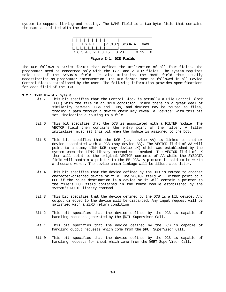system to support linking and routing. The NAME field is a two-byte field that contains the name associated with the device.

| 1 1 1 1 1 1 1        |                        |  |
|----------------------|------------------------|--|
| T Y P F.             | VECTOR  SYSDATA   NAME |  |
| ._ _ _ _ _ _ _ _ _ _ |                        |  |
| 7 6 5 4 3 2 1 0 15   | U 23                   |  |

**Figure 3-1: DCB Fields**

The DCB follows a strict format that defines the utilization of all four fields. The programmer need be concerned only with the TYPE and VECTOR fields. The system requires sole use of the SYSDATA field. It also maintains the NAME field thus usually necessitating no programmer intervention. The DCB format must be followed in all Device Control Blocks established by the user. The following information provides specifications for each field of the DCB.

# **3.2.1 TYPE Field - Byte 0**

- This bit specifies that the Control Block is actually a File Control Block (FCB) with the file in an OPEN condition. Since there is a great deal of similarity between DCBs and FCBs, and devices may be routed to files, tracing a path through a device chain may reveal a "device" with this bit set, indicating a routing to a file.
- Bit 6 This bit specifies that the DCB is associated with a FILTER module. The VECTOR field then contains the entry point of the filter. A filter initializer must set this bit when the module is assigned to the DCB.
- Bit 5 This bit specifies that the DCB (say device AA) is linked to another device associated with a DCB (say device BB). The VECTOR field of AA will point to a dummy LINK DCB (say device LK) which was established by the system when the LINK library command was invoked. The VECTOR field of LK then will point to the original VECTOR contents of AA while the SYSDATA field will contain a pointer to the BB DCB. A picture is said to be worth a thousand words. The device chain linkage will be illustrated later.
- Bit 4 This bit specifies that the device defined by the DCB is routed to another character-oriented device or file. The VECTOR field will either point to a DCB if the route destination is a device or it will contain a pointer to the file's FCB field contained in the route module established by the system's ROUTE library command.
- Bit 3 This bit specifies that the device defined by the DCB is a NIL device. Any output directed to the device will be discarded. Any input request will be satisfied with a ZERO return condition.
- Bit 2 This bit specifies that the device defined by the DCB is capable of handling requests generated by the @CTL SuperVisor Call.
- Bit 1 This bit specifies that the device defined by the DCB is capable of handling output requests which come from the @PUT SuperVisor Call.
- Bit 0 This bit specifies that the device defined by the DCB is capable of handling requests for input which come from the @GET SuperVisor Call.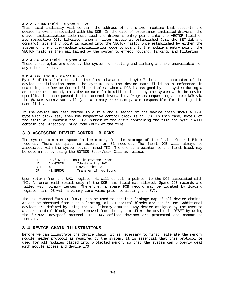#### **3.2.2 VECTOR Field - <Bytes 1 - 2>**

This field initially will contain the address of the driver routine that supports the device hardware associated with the DCB. In the case of programmer-installed drivers, the driver initialization code must load the driver's entry point into the VECTOR field of its respective DCB. Likewise, when a filter module is established (via the SET library command), its entry point is placed into the VECTOR field. Once established by either the system or the driver/module initialization code to point to the module's entry point, the VECTOR field is then maintained by the system to effect routing, linking, and filtering.

#### **3.2.3 SYSDATA Field - <Bytes 3-5>**

These three bytes are used by the system for routing and linking and are unavailable for any other purpose.

#### **3.2.4 NAME Field - <Bytes 6 - 7>**

Byte 6 of this field contains the first character and byte 7 the second character of the device specification name. The system uses the device name field as a reference in searching the Device Control Block tables. When a DCB is assigned by the system during a SET or ROUTE command, this device name field will be loaded by the system with the device specification name passed in the command invocation. Programs requesting a spare DCB via the @GTDCB SuperVisor Call (and a binary ZERO name), are responsible for loading this name field.

If the device has been routed to a file and a search of the device chain shows a TYPE byte with bit-7 set, then the respective control block is an FCB. In this case, byte 6 of the field will contain the DRIVE number of the drive containing the file and byte 7 will contain the Directory Entry Code (DEC) of the file.

#### **3.3 ACCESSING DEVICE CONTROL BLOCKS**

The system maintains space in low memory for the storage of the Device Control Block records. There is space sufficient for 31 records. The first DCB will always be associated with the system device named \*KI. Therefore, a pointer to the first block may be determined by using the @GTDCB SuperVisor Call as follows:

| ת ד |          | DE, 'IK';Load name in reverse order |
|-----|----------|-------------------------------------|
| ת ד | A.@GTDCB | ;Identify the SVC                   |
| RST | 40.      | ; Invoke the SVC                    |
| TP. | NZ.ERROR | Transfer if not found               |

Upon return from the SVC, register HL will contain a pointer to the DCB associated with \*KI. An error will result only if the DCB name field was altered. Spare DCB records are filled with binary zeroes. Therefore, a spare DCB record may be located by loading register pair DE with a binary zero value prior to issuing the SVC.

The DOS command "DEVICE (B=Y)" can be used to obtain a linkage map of all device chains. As can be observed from such a listing, all 31 control blocks are not in use. Additional devices are defined by using the SET library command. Any device assigned by the user to a spare control block, may be removed from the system after the device is RESET by using the "REMOVE devspec" command. The DOS defined devices are protected and cannot be removed.

#### **3.4 DEVICE CHAIN ILLUSTRATIONS**

Before we can illustrate the device chain, it is necessary to first reiterate the memory module header protocol as required by the system. It is essential that this protocol be used for all modules placed into protected memory so that the system can properly deal with module access and device I/O.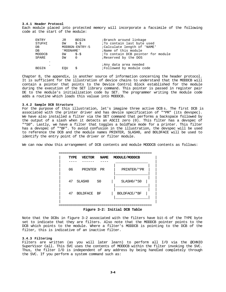#### **3.4.1 Header Protocol**

Each module placed into protected memory will incorporate a facsimile of the following code at the start of the module:

| ENTRY<br>STUFHI<br>DB<br>DB<br>MODDCB<br>SPARE | JR<br>DW<br>' MODNAME '<br>$DW$ $S-S$<br>DW | BEGIN<br>$S-S$<br>MODBGN-ENTRY-5<br>$\Omega$ | Branch around linkage<br><i>i</i> To contain last byte used<br>; Calculate length of 'NAME'<br>;Name of this module<br>To contain DCB pointer for module<br>Reserved by the DOS |
|------------------------------------------------|---------------------------------------------|----------------------------------------------|---------------------------------------------------------------------------------------------------------------------------------------------------------------------------------|
| ٠<br>BEGIN                                     | EOU                                         | Ŝ                                            | ;Any data area needed<br>Followed by module code                                                                                                                                |

Chapter 8, the appendix, is another source of information concerning the header protocol. It is sufficient for the illustration of device chains to understand that the MODDCB will contain a pointer that points to the Device Control Block established for the module during the execution of the SET library command. This pointer is passed in register pair DE to the module's initialization code by SET. The programmer writing the module code adds a routine which loads this valuue into MODDCB.

#### **3.4.2 Sample DCB Structure**

For the purpose of this illustration, let's imagine three active DCB s. The first DCB is associated with the printer driver and has device specification of "\*PR" (its devspec). We have also installed a filter via the SET command that performs a backspace followed by the output of a slash when it detects an ASCII zero (0). This filter has a devspec of "\*S0". Lastly, we have a filter that toggles a boldface mode for a printer. This filter has a devspec of "\*BF". To avoid confusion in the illustration, the devspec will be used to reference the DCB and the module names PRINTER, SLASH0, and BOLDFACE will be used to identify the entry point of the driver or filter module.

We can now show this arrangement of DCB contents and module MODDCB contents as follows:



**Figure 3-2: Initial DCB Table**

Note that the DCBs in figure 3-2 associated with the filters have bit-6 of the TYPE byte set to indicate that they are filters. Also note that the MODDCB pointer points to the DCB which points to the module. Where a filter's MODDCB is pointing to the DCB of the filter, this is indicative of an inactive filter.

#### **3.4.3 Filtering**

Filters are written (as you will later learn) to perform all I/O via the @CHNIO SuperVisor Call. This SVC uses the contents of MODDCB within the filter invoking the SVC. Thus, the filter I/O is independent of any address by being handled completely through the SVC. If you perform a system command such as: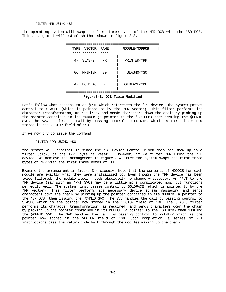#### FILTER \*PR USING \*S0

the operating system will swap the first three bytes of the \*PR DCB with the \*S0 DCB. This arrangement will establish that shown in figure 3-3.



Let's follow what happens to an @PUT which references the \*PR device. The system passes control to SLASH0 (which is pointed to by the \*PR vector). This filter performs its character transformation, as required, and sends characters down the chain by picking up the pointer contained in its MODDCB (a pointer to the \*S0 DCB) then issuing the @CHNIO SVC. The SVC handles the call by passing control to PRINTER which is the pointer now stored in the VECTOR field of \*S0.

If we now try to issue the command:

#### FILTER \*PR USING \*S0

the system will prohibit it since the \*S0 Device Control Block does not show up as a filter (bit-6 of the TYPE byte is reset!). However, if we filter \*PR using the \*BF device, we achieve the arrangement in figure 3-4 after the system swaps the first three bytes of \*PR with the first three bytes of \*BF.

Examine the arrangement in figure 3-4 closely. Note that the contents of MODDCB for each module are exactly what they were initialized to. Even though the \*PR device has been twice filtered, the module itself needs absolutely no change whatsoever. An \*PUT to the \*PR device (say with an \*PRT SVC) may be a little more complicated now, but functions perfectly well. The system first passes control to BOLDFACE (which is pointed to by the \*PR vector). This filter performs its necessary device stream massaging and sends characters down the chain by picking up the pointer contained in its MODDCB (a pointer to the \*BF DCB) then issuing the @CHNIO SVC. The SVC handles the call by passing control to SLASH0 which is the pointer now stored in the VECTOR field of \*BF. The SLASH0 filter performs its character transformation, as required, and sends characters down the chain by picking up the pointer contained in its MODDCB (a pointer to the \*S0 DCB) then issuing the @CHNIO SVC. The SVC handles the call by passing control to PRINTER which is the pointer now stored in the VECTOR field of \*S0. Upon completion, a series of RET instructions pass the return code back through the modules making up the chain.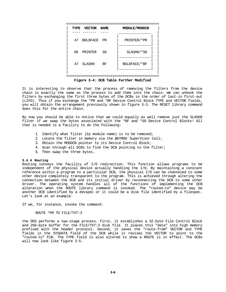

**Figure 3-4: DCB Table Further Modified**

It is interesting to observe that the process of removing the filters from the device chain is exactly the same as the process to add them into the chain. We can unhook the filters by exchanging the first three bytes of the DCBs in the order of last-in first-out (LIFO). Thus if you exchange the \*PR and \*BF Device Control Block TYPE and VECTOR fields, you will obtain the arrangement previously shown in figure 3-3. The RESET library command does this for the entire chain.

By now you should be able to notice that we could equally as well remove just the SLASH0 filter if we swap the bytes associated with the \*BF and \*S0 Device Control Blocks! All that is needed is a facility to do the following:

- 1. Identify what filter (by module name) is to be removed;
- 2. Locate the filter in memory via the @GTMOD SuperVisor Call;
- 3. Obtain the MODDCB pointer to its Device Control Block;
- 4. Scan through all DCBs to find the DCB pointing to the filter;
- 5. Then swap the three bytes.

#### **3.4.4 Routing**

Routing conveys the facility of I/O redirection. This function allows programs to be independent of the physical device actually handling the I/O. By maintaining a constant reference within a program to a particular DCB, the physical I/O can be channeled to some other device completely transparent to the program. This is achieved through altering the connection between the DCB and its initial driver by reconnecting the DCB to some other driver. The operating system handles all of the functions of implementing the DCB alteration when the ROUTE library command is invoked. The "routed-to" device may be another DCB identified by a devspec or it could be a disk file identified by a filespec. Let's look at an example.

If we, for instance, invoke the command:

ROUTE \*PR TO FILE/TXT:3

the DOS performs a two-stage process. First, it establishes a 32-byte File Control Block and 256-byte buffer for the FILE/TXT:3 disk file. It places this "data" into high memory prefixed with the header protocol. Second, it saves the "route-from" VECTOR and TYPE fields in the SYSDATA field of the DCB while it revises the VECTOR to point to the "routed-to" FCB. The TYPE field is also altered to show a ROUTE is in effect. The DCBs will now look like figure 3-5.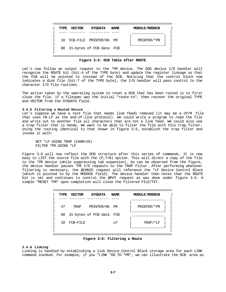| TYPE | <b>VECTOR</b> | <b>SYSDATA</b>              | <b>NAME</b> | MODULE/MODDCB |  |
|------|---------------|-----------------------------|-------------|---------------|--|
|      |               |                             |             |               |  |
|      |               | 10 FCB-FILE PRINTER/06 PR   |             | PRINTER/*PR   |  |
|      |               | 80 31-bytes of FCB data FCB |             |               |  |
|      |               |                             |             |               |  |

**Figure 3-5: DCB Table After ROUTE**

Let's now follow an output request to the \*PR device. The DOS device I/O handler will recognize the ROUTE bit (bit-4 of the TYPE byte) and update the register linkage so that the FCB will be pointed to instead of the DCB. Noticing that the control block now indicates a disk file (bit-7 of the TYPE byte), the I/O handler will pass control to the character I/O file routines.

The action taken by the operating system to reset a DCB that has been routed is to first close the file, if a filespec was the initial "route-to", then recover the original TYPE and VECTOR from the SYSDATA field.

#### **3.4.5 Filtering a Routed Device**

Let's suppose we have a text file that needs line feeds removed (it may be a CP/M file that uses CR-LF as the end-of-line protocol). We could write a program to read the file and write out to another file all characters that are not a line feed. We could also use a trap filter that is handy. We want to be able to filter the file with this trap filter. Using the routing identical to that shown in figure 3-5, establish the trap filter and invoke it with:

SET \*LF USING TRAP (CHAR=10) FILTER \*PR USING \*LF

Figure 3-6 will now reflect the DCB structure after this series of commands. It is now easy to LIST the source file with the (P,T=N) option. This will direct a copy of the file to the \*PR device (while suppressing tab expansion). As can be observed from the figure, the device handler passes \*PR I/O requests to the TRAP filter. After performing whatever filtering is necessary, the @CHNIO request will reference the \*LF Device Control Block (which is pointed to by the MODDCB field). The device handler then notes that the ROUTE bit is set and continues to control the @PUT request as was done under figure 3-5. A simple "RESET \*PR" upon completion will close the filtered FILE/TXT.

| TYPE | <b>VECTOR</b> | <b>SYSDATA</b>           | <b>NAME</b> | MODULE/MODDCB |
|------|---------------|--------------------------|-------------|---------------|
| 47   | TRAP          | PRINTER/06 PR            |             | PRINTER/*PR   |
| 80   |               | 31-bytes of FCB data FCB |             |               |
| 10   | FCB-FILE      |                          | T.F         | TRAP/*LF      |
|      |               |                          |             |               |

#### **Figure 3-6: Filtering a Route**

#### **3.4.6 Linking**

Linking is handled by establishing a link Device Control Block storage area for each LINK command invoked. For example, if you "LINK \*DO TO \*PR", we can illustrate the DCB area as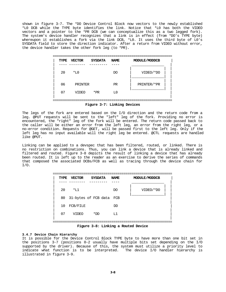shown in figure 3-7. The \*DO Device Control Block now vectors to the newly established \*L0 DCB while the TYPE byte identifies the link. Notice that \*L0 has both the VIDEO vectors and a pointer to the \*PR DCB (we can conceptualize this as a two legged fork). The system's device handler recognizes that a link is in effect (from \*DO's TYPE byte) whereupon it establishes a fork via the link DCB, \*L0. It uses the third byte of L0's SYSDATA field to store the direction indicator. After a return from VIDEO without error, the device handler takes the other fork leg (to \*PR).

| TYPE | <b>VECTOR</b> | <b>SYSDATA</b> | <b>NAME</b>       | MODULE/MODDCB |
|------|---------------|----------------|-------------------|---------------|
| 20   | $*L0$         |                | DO                | VIDEO/*DO     |
| 06   | PRINTER       |                | <b>PR</b>         | PRINTER/*PR   |
| 07   | <b>VIDEO</b>  | $*_{PR}$       | T <sub>1</sub> () |               |

**Figure 3-7: Linking Devices**

The legs of the fork are entered based on the I/O direction and the return code from a leg. @PUT requests will be sent to the "left" leg of the fork. Providing no error is encountered, the "right" leg of the fork will be entered. The return code passed back to the caller will be either an error from the left leg, an error from the right leg, or a no-error condition. Requests for @GET, will be passed first to the left leg. Only if the left leg has no input available will the right leg be entered. @CTL requests are handled like @PUT.

Linking can be applied to a devspec that has been filtered, routed, or linked. There is no restriction on combinations. Thus, you can link a device that is already linked and filtered and routed. Figure 3-8 depicts the result of linking a device that has already been routed. It is left up to the reader as an exercise to derive the series of commands that composed the associated DCBs/FCB as well as tracing through the device chain for I/O.

| <b>TYPE</b> | VECTOR       | SYSDATA                               | <b>NAME</b> | MODULE/MODDCB |  |
|-------------|--------------|---------------------------------------|-------------|---------------|--|
| 20          | $*T.1$       |                                       | DO          | VIDEO/*DO     |  |
|             |              | 80 31-bytes of FCB data               | FCB         |               |  |
| 10          | FCB/FILE     |                                       | DD          |               |  |
| 07          | <b>VIDEO</b> | *DD                                   | T.1         |               |  |
|             |              | milano a Al Ministra y mysteri mystig |             |               |  |

**Figure 3-8: Linking a Routed Device**

#### **3.4.7 Device Chain Hierarchy**

It is possible for the Device Control Block TYPE byte to have more than one bit set in the positions 3-7 (positions 0-2 usually have multiple bits set depending on the I/O supported by the driver). Because of this, the system must utilize a priority level to indicate what function is to be interpreted. The device I/O handler hierarchy is illustrated in figure 3-9.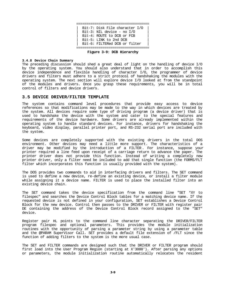

**Figure 3-9: DCB Hierarchy**

#### **3.4.8 Device Chain Summary**

The preceding discussion should shed a great deal of light on the handling of device I/O by the operating system. You should also understand that in order to accomplish this device independence and flexible handling of character I/O, the programmer of device drivers and filters must adhere to a strict protocol of handshaking the modules with the operating system. The next section will explore device I/O looked at from the standpoint of the modules and drivers. Once you grasp these requirements, you will be in total control of filters and device drivers.

#### **3.5 DEVICE DRIVER/FILTER TEMPLATE**

The system contains command level procedures that provide easy access to device references so that modifications may be made to the way in which devices are treated by the system. All devices require some type of driving program (a device driver) that is used to handshake the device with the system and cater to the special features and requirements of the device hardware. Some drivers are already implemented within the operating system to handle standard devices. For instance, drivers for handshaking the keyboard, video display, parallel printer port, and RS-232 serial port are included with the system.

Some devices are completely supported with the existing drivers in the total DOS environment. Other devices may need a little more support. The characteristics of a driver may be modified by the introduction of a FILTER . For instance, suppose your printer required a line feed upon receipt of a carriage return to advance the paper. The printer driver does not provide this function. Instead of writing a completely new printer driver, only a filter need be included to add that single function (the FORMS/FLT filter which incorporates this function is usually provided with the system).

The DOS provides two commands to aid in interfacing drivers and filters. The SET command is used to define a new device, re-define an existing device, or install a filter module while assigning it a device name. FILTER is used to place the installed filter into an existing device chain.

The SET command takes the device specification from the command line "SET \*XY to filespec" and searches the Device Control Block tables for a matching device name. If the requested device is not defined in your configuration, SET establishes a Device Control Block for the new device. Control then passes to the DRIVER or FILTER with register pair DE containing the address of the Device Control Block record assigned to the "SET" device.

Register pair HL points to the command line character separating the DRIVER/FILTER program filespec and optional parameters. This provides the module initialization routines with the opportunity of parsing a parameter string by using a parameter table and the @PARAM SuperVisor Call. SET provides a default file extension of /FLT since the function of adding filters to the system is the more usual case.

The SET and FILTER commands are designed such that the DRIVER or FILTER program should first load into the User Program Region (starting at X'3000'). After parsing any options or parameters, the module initialization routine automatically relocates the resident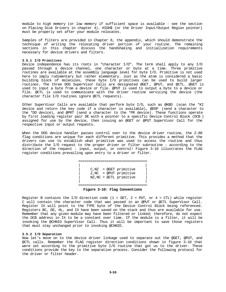module to high memory (or low memory if sufficient space is available - see the section on Placing Disk Drivers in chapter 4). HIGH\$ (or the Driver Input/Output Region pointer) must be properly set after your module relocates.

Samples of filters are provided in Chapter 8, the appendix, which should demonstrate the technique of writing the relocating driver portion of your routine. The remaining sections in this chapter discuss the handshaking and initialization requirements necessary for device drivers and filters.

#### **3.5.1 I/O Primitives**

Device independence has its roots in "character I/O". The term shall apply to any I/O passed through a device channel, one character or byte at a time. Three primitive routines are available at the assembly language level for byte I/O. Primitive is not used here to imply rudimentary but rather elementary. Just as the atom is considered a basic building block of molecules, these byte I/O primitives can be used to build larger routines. The three DOS SuperVisor Calls are designated @GET , @PUT, and @CTL. @GET is used to input a byte from a device or file. @PUT is used to output a byte to a device or file. @CTL is used to communicate with the driver routine servicing the device (the character file I/O routines ignore @CTL requests).

Other SuperVisor Calls are available that perform byte I/O, such as @KBD (scan the \*KI device and return the key code if a character is available), @DSP (send a character to the \*DO device), and @PRT (send a character to the \*PR device). These functions operate by first loading register pair DE with a pointer to a specific Device Control Block (DCB ) assigned for use by the device, then issuing an @GET or @PUT SuperVisor Call for the respective input or output requests.

When the DOS device handler passes control over to the device driver routine, the Z-80 flag conditions are unique for each different primitive. This provides a method that the drivers can use to establish what primitive was used to access the routine and thus distribute the I/O request to the proper driver or filter subroutine - according to the direction of the request - input, output, or control! Figure 3-10 illustrates the FLAG register conditions prevailing upon entry to a driver or filter.

> ================================== | |  $C.NZ = @GET$  primitive  $Z$ , NC = @PUT primitive NZ, NC = @CTL primitive | | ==================================

**Figure 3-10: Flag Conventions**

Register B contains the I/O direction code (1 = GET, 2 = PUT, or 4 = CTL) while register C will contain the character code that was passed in an @PUT or @CTL SuperVisor Call. Register IX will point to the TYPE byte of the Device Control Block being referenced. Registers BC, DE, HL, and IX have been saved on the stack and thus are available for use. Remember that any given module may have been filtered or linked; therefore, do not expect the DCB address in IX to be a constant over time. If the module is a filter, it will be invoking the @CHNIO SuperVisor Call. Thus it will be important to save those registers that must stay unchanged prior to invoking @CHNIO.

#### **3.5.2 I/O Separation**

Now let's move on to the device driver linkage used to separate out the @GET, @PUT, and @CTL calls. Remember the FLAG register direction conditions shown in figure 3-10 that were set according to the primitive byte I/O routine that got us to the driver. These conditions provide the key to the separation process. Consider the following protocol for the driver or filter header.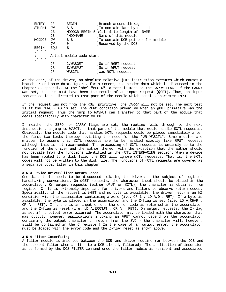| ENTRY         | JR   | <b>BEGIN</b>             | ;Branch around linkage                     |
|---------------|------|--------------------------|--------------------------------------------|
| STUFHI        | DW   | $$-$$                    | To contain last byte used                  |
|               | $DB$ |                          | MODDCB-BEGIN-5 ;Calculate length of 'NAME' |
|               | $DB$ | ' MODNAME'               | ;Name of this module                       |
| <b>MODDCB</b> | DM   | $$-$$                    | To contain DCB pointer for module          |
|               | DW   | $\Omega$                 | Reserved by the DOS                        |
| <b>BEGIN</b>  | EOU  | \$                       |                                            |
| $;* = * = *$  |      |                          |                                            |
|               |      | Actual module code start |                                            |
| $: * = * = *$ |      |                          |                                            |
|               | JR   | C, WASGET                | <i>;</i> Go if @GET request                |
|               | JR   | Z,WASPUT                 | <i>G</i> o if @PUT request                 |
|               | JR   | WASCTL                   | <i>;Was @CTL request</i>                   |
|               |      |                          |                                            |

At the entry of the driver, an absolute relative jump instruction executes which causes a branch around some data. Ignore, for a moment, the header data which is discussed in the Chapter 8, appendix. At the label "BEGIN", a test is made on the CARRY FLAG. If the CARRY was set, then it must have been the result of an input request (@GET). Thus, an input request could be directed to that part of the module which handles character INPUT.

If the request was not from the @GET primitive, the CARRY will not be set. The next test is if the ZERO FLAG is set. The ZERO condition prevailed when an @PUT primitive was the initial request. Thus the jump to WASPUT can transfer to that part of the module that deals specifically with character OUTPUT.

If neither the ZERO nor CARRY flags are set, the routine falls through to the next instruction, a jump to WASCTL - that part of the module that would handle @CTL requests. Obviously, the module code that handles @CTL requests could be placed immediately after the first two tests thereby obviating the need for the "JR WASCTL". Some modules are written to assume that @CTL requests are to be handled exactly like @PUT requests although this is not recommended. The processing of @CTL requests is entirely up to the function of the driver and the author thereof with the exception that the author should not deviate from the functions identified in the @CTL INTERFACING section. When a device has been routed to a disk file, the DOS will ignore @CTL requests. That is, the @CTL codes will not be written to the disk file. The functions of @CTL requests are covered as a separate topic later in this chapter.

#### **3.5.3 Device Driver/Filter Return Codes**

One last topic needs to be discussed relating to drivers - the subject of register handshaking conventions. On @GET requests, the character input should be placed in the accumulator. On output requests (either @PUT or @CTL), the character is obtained from register C. It is extremely important for drivers and filters to observe return codes. Specifically, if the request is @GET and no byte is available, the driver returns an NZ condition with the accumulator containing a zero (i.e. OR  $1 :$  LD A,  $0 :$  RET). If a byte is available, the byte is placed in the accumulator and the Z-flag is set (i.e. LD A,CHAR : CP A : RET). If there is an input error, the error code is returned in the accumulator and the Z-flag is reset (i.e. LD A,ERRNUM : OR A : RET). On output requests, the Z-flag is set if no output error occurred. The accumulator may be loaded with the character that was output; however, applications invoking an @PUT cannot depend on the accumulator containing the output character on return from the SVC - the character will, however, still be contained in the C register! In the case of an output error, the accumulator must be loaded with the error code and the Z-flag reset as shown above.

## **3.5.4 Filter Interfacing**

A filter module is inserted between the DCB and driver routine (or between the DCB and the current filter when applied to a DCB already filtered). The application of insertion is performed by the DOS FILTER command once the filter module is resident and associated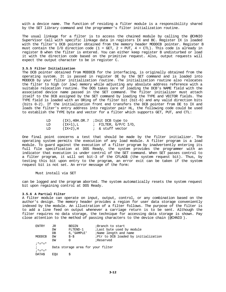with a device name. The function of residing a filter module is a responsibility shared by the SET library command and the programmer's filter initialization routine.

The usual linkage for a filter is to access the chained module by calling the @CHNIO SuperVisor Call with specific linkage data in registers IX and BC. Register IX is loaded with the filter's DCB pointer obtained from the memory header MODDCB pointer. Register B must contain the I/O direction code (1 = GET, 2 = PUT, 4 = CTL). This code is already in register B when the filter is entered. You can either keep register B undisturbed or load it with the direction code based on the primitive request. Also, output requests will expect the output character to be in register C.

#### **3.5.5 Filter Initialization**

The DCB pointer obtained from MODDCB for the interfacing, is originally obtained from the operating system. It is passed in register DE by the SET command and is loaded into MODDCB by your filter initialization routine. The initialization routine also relocates the filter to high (or low) memory while adjusting any absolute address reference with a suitable relocation routine. The DOS takes care of loading the DCB's NAME field with the associated device name passed in the SET command. The filter initializer must attach itself to the DCB assigned by the SET command by loading the TYPE and VECTOR fields. The TYPE field is loaded with an ORing of the filter bit (bit-6) and any valid direction bits (bits 0-2). If the initialization front end transfers the DCB pointer from DE to IX and loads the filter's entry address into register pair HL, the following code could be used to establish the TYPE byte and vector for a filter which supports GET, PUT, and CTL:

| T D |          | $(IX)$ ,40H.OR.7 ;Init DCB type to |
|-----|----------|------------------------------------|
| T D | (IX+1),L | ; FILTER, G/P/C I/O,               |
| LD  | (IX+2),H | ; & stuff vector                   |

One final point concerns a test that should be made by the filter initializer. The operating system permits the execution of any load module. A filter program is a load module. To guard against the execution of a filter program by inadvertently entering its full file specification at DOS Ready, the system provides the programmer with an indicator that execution is under control of the SET command. When SET passes control to a filter program, it will set bit-3 of the CFLAG\$ (the system request bit). Thus, by testing this bit upon entry to the program, an error exit can be taken if the system request bit is not set. An error message of the form:

Must install via SET

can be logged and the program aborted. The system automatically resets the system request bit upon regaining control at DOS Ready.

#### **3.5.6 A Partial Filter**

A filter module can operate on input, output, control, or any combination based on the author's design. The memory header provides a region for user data storage conveniently indexed by the module. An illustration of a filter follows. The purpose of the filter is to add a line feed on output whenever a carriage return is to be sent. Although the filter requires no data storage, the technique for accessing data storage is shown. Pay close attention to the method of passing characters to the device chain (@CHNIO ).

| ENTRY         | JR  | <b>BEGIN</b>                      | ;Branch to start                     |
|---------------|-----|-----------------------------------|--------------------------------------|
|               | DW  | FLTEND-1                          | <i>i</i> Last byte used by module    |
|               | DB  | 6, 'SAMPLE'                       | ;Name length and name                |
| MODDCB        | DW  | $S-S$                             | iPtr to DCB loaded by initialization |
|               | DW  | 0                                 | ;Reserved                            |
| $: * = * = *$ |     |                                   |                                      |
| $\ddot{i}$    |     | Data storage area for your filter |                                      |
| $: * = * = *$ |     |                                   |                                      |
| DATAS.        | EOU |                                   |                                      |
|               |     |                                   |                                      |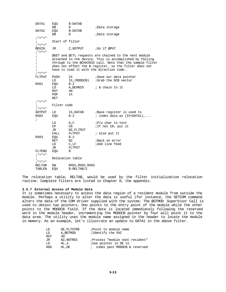DATA1 EQU \$-DATA\$ DB 0 ;Data storage DATA2 EQU \$-DATA\$ ;Data storage  $; * = * = *$ ; Start of filter ;\*=\*=\* JR Z,GOTPUT ;Go if @PUT ;\*=\*=\* ; @GET and @CTL requests are chained to the next module ; attached to the device. This is accomplished by falling ; through to the @CHAINIO call. Note that the sample filter ; does not effect the B register, so the filter does not ; have to load it with the direction code.  $;*_=*=*$ <br>FLTPUT FUSH IX ; Save our data pointer<br>
LD IX, (MODDCB) ; Grab the DCB vector LD IX, (MODDCB) ;Grab the DCB vector EQU  $$-2$ RX01 EQU \$-2<br>LD A,@CHNIO  $A, @CHNIO$  ; & chain to it  $40$ RST 40<br>POP IX POP RET  $; * = * = *$ ; Filter code ;\*=\*=\* GOTPUT LD IX, DATA\$ ; Base register is used to<br>RX02 EOU \$-2 ; index data as (IX+DATA1)  $\ddot{i}$  index data as  $(IX+DATA)$ ,... ; LD  $A,C$  ;  $P/u$  char to test<br>CP CR ; If not CR, put if ; If not CR, put it JR NZ, FLTPUT<br>CALL FLTPUT  $i$  else put it RX03 EQU \$-2 RET NZ <br>
LD C, LF <br>
RAdd line feed LD C, LF ;Add line feed<br>JR FLTPUT FLTPUT FLTEND EQU \$ ; \*=\*=\* ; Relocation table ;\*=\*=\* RELTAB DW RX01, RX02, RX03<br>TABLEN EOU \$-RELTAB/2  $$-RELTAB/2$ 

The relocation table, RELTAB, would be used by the filter initialization relocation routine. Complete filters are listed in Chapter 8, the appendix.

#### **3.5.7 External Access of Module Data**

It is sometimes necessary to access the data region of a resident module from outside the module. Perhaps a utility to alter the data is useful (for instance, the SETCOM command alters the data of the COM driver supplied with the system. The @GTMOD SuperVisor Call is used to obtain two pointers. One points to the entry point of the module while the other points to the MODDCB field. If the data is located immediately following the reserved word in the module header, incrementing the MODDCB pointer by four will point it to the data area. The utility uses the module name assigned in the header to locate the module in memory. As an example, let's illustrate an update to DATA1 in the above filter.

| LD         | DE. FLTSTRS | ; Point to module name          |
|------------|-------------|---------------------------------|
| LD         | A,@GTMOD    | ;Identify the SVC               |
| <b>RST</b> | 40          |                                 |
| JR         | NZ.NOTRES   | ;Process "module noot resident" |
| LD         | HL.4        | ;Use pointer in DE to           |
| ADD        | HL.DE       | ; index past MODDCB & reserved  |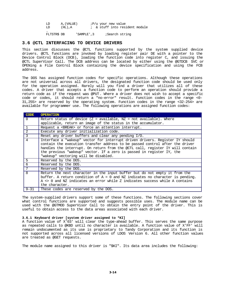| LD | A. (VALUE) |  | iP/u your new value |                                |  |
|----|------------|--|---------------------|--------------------------------|--|
| LD | $(HL)$ . A |  |                     | ; & stuff into resident module |  |
|    |            |  |                     |                                |  |

FLTSTR\$ DB 'SAMPLE',3 ;Search string

#### **3.6 @CTL INTERFACING TO DEVICE DRIVERS**

This section discusses the @CTL functions supported by the system supplied device drivers. @CTL functions are invoked by loading register pair DE with a pointer to the Device Control Block (DCB), loading the function code into register C, and issuing the @CTL SuperVisor Call. The DCB address can be located by either using the @GTDCB SVC or OPENing a File Control Block containing the device specification and using the FCB address.

The DOS has assigned function codes for specific operations. Although these operations are not universal across all drivers, the designated function code should be used only for the operation assigned. Rarely will you find a driver that utilizes all of these codes. A driver that accepts a function code to perform an operation should provide a return code as if the request was @PUT. Where a driver does not wish to accept a specific code or codes, it should return a "no-error" result. Function codes in the range <0- 31,255> are reserved by the operating system. Function codes in the range <32-254> are available for programmer use. The following operations are assigned function codes:

| <b>CODE</b>  | <b>OPERATION</b>                                                                                                                                                                                                                                                                                                                                               |
|--------------|----------------------------------------------------------------------------------------------------------------------------------------------------------------------------------------------------------------------------------------------------------------------------------------------------------------------------------------------------------------|
| $\Omega$     | Return status of device ( $Z = \alpha$ available, $NZ = \text{not available}$ ). Where                                                                                                                                                                                                                                                                         |
|              | applicable, return an image of the status in the accumulator.                                                                                                                                                                                                                                                                                                  |
| $\mathbf{1}$ | Request a <break> or force an attention interrupt.</break>                                                                                                                                                                                                                                                                                                     |
| 2            | Execute any driver initialization code.                                                                                                                                                                                                                                                                                                                        |
| 3            | Reset any driver buffers and clear any pending I/O.                                                                                                                                                                                                                                                                                                            |
| 4            | Interface a "wakeup" vector for interrupt driven drivers. Register IY should<br>contain the execution transfer address to be passed control after the driver<br>handles the interrupt. On return from the @CTL call, register IY will contain<br>the previous "wakeup" vector. If a zero is passed in register IY, the<br>"wakeup" vectoring will be disabled. |
| 5            | Reserved by the DOS.                                                                                                                                                                                                                                                                                                                                           |
| $\epsilon$   | Reserved by the DOS.                                                                                                                                                                                                                                                                                                                                           |
|              | Reserved by the DOS.                                                                                                                                                                                                                                                                                                                                           |
| 8            | Return the next character in the input buffer but do not empty it from the<br>buffer. A return condition of $A = 0$ and NZ indicates no character is pending.<br>A <> 0 and NZ indicates an error while Z indicates success while A contains<br>the character.                                                                                                 |
| $9 - 31$     | These codes are reserved by the DOS.                                                                                                                                                                                                                                                                                                                           |

The system-supplied drivers support some of these functions. The following sections cover what control functions are supported and suggests possible uses. The module name can be used with the @GTMOD SuperVisor Call to obtain the entry point of the driver. This is useful to obtain access to the data areas associated with each driver.

#### **3.6.1 Keyboard driver [system driver assigned to \*KI]**

A function value of X'03' will clear the type-ahead buffer. This serves the same purpose as repeated calls to @KBD until no character is available. A function value of X'FF' will remain undocumented as its use is proprietary to Tandy Corporation and its function is not supported across all licensed versions of LDOS Version 6. All other function values are treated as @GET requests.

The module name assigned to this driver is "\$KI". Its data area includes the following: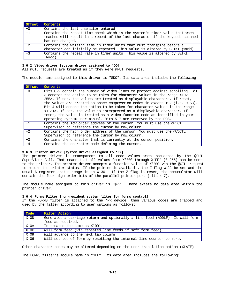| Offset | Contents                                                                     |
|--------|------------------------------------------------------------------------------|
| $+0$   | Contains the last character entered.                                         |
| $+1$   | Contains the repeat time check which is the system's timer value that when   |
|        | reached will result in a repeat of the last character if the keycode scanned |
|        | has not changed.                                                             |
| $+2$   | Contains the waiting time in timer units that must transpire before a        |
|        | character can initially be repeated. This value is altered by SETKI (W=dd).  |
| $+3$   | Contains the repeat rate in timer units. This value is altered by SETKI      |
|        | (R=dd).                                                                      |

#### **3.6.2 Video driver [system driver assigned to \*DO]**

All @CTL requests are treated as if they were @PUT requests.

The module name assigned to this driver is "\$DO". Its data area includes the following:

| Offset | Contents                                                                          |
|--------|-----------------------------------------------------------------------------------|
| $+0$   | Bits 0-2 contain the number of video lines to protect against scrolling. Bit      |
|        | 3 denotes the action to be taken for character values in the range <192-          |
|        | 255>. If set, the values are treated as displayable characters. If reset,         |
|        | the values are treated as space compression codes in excess $192$ (i.e. $0-63$ ). |
|        | Bit 4 will denote the action to be taken for character values in the range        |
|        | <1-31>. If set, the value is interpreted as a displayable character. If           |
|        | reset, the value is treated as a video function code as identified in your        |
|        | operating system user manual. Bits 5-7 are reserved by the DOS.                   |
| $+1$   | Contains the low order address of the cursor. You must use the @VDCTL             |
|        | SuperVisor to reference the cursor by row, column.                                |
| $+2$   | Contains the high order address of the cursor. You must use the @VDCTL            |
|        | SuperVisor to reference the cursor by row, column.                                |
| $+3$   | Contains the character that is currently at the cursor position.                  |
| $+4$   | Contains the character code defining the cursor.                                  |

#### **3.6.3 Printer driver [system driver assigned to \*PR]**

The printer driver is transparent to all code values when requested by the @PUT SuperVisor Call. That means that all values from X'00' through X'FF' (0-255) can be sent to the printer. The printer driver accepts a function value of X'00' via the @CTL request to return the printer status. If the printer is available, the Z-flag will be set and the usual A register status image is an X'30'. If the Z-flag is reset, the accumulator will contain the four high-order bits of the parallel printer port (bits 4-7).

The module name assigned to this driver is "\$PR". There exists no data area within the printer driver.

#### **3.6.4 Forms Filter [non-resident system filter for forms control]**

If the FORMS filter is attached to the \*PR device, then various codes are trapped and used by the filter according to user options as follows:

| Code  | Filter Action                                                                |
|-------|------------------------------------------------------------------------------|
| X'0D' | Generates a carriage return and optionally a line feed (ADDLF). It will form |
|       | feed as required.                                                            |
| X'OA' | Is treated the same as X'OD'.                                                |
| X'0C' | Will form feed (via repeated line feeds if soft form feed).                  |
| X'09' | Will advance to the next tab column.                                         |
| X'06' | Will set top-of-form by resetting the internal line counter to zero.         |

Other character codes may be altered depending on the user translation option (XLATE).

The FORMS filter's module name is "\$FF". Its data area includes the following: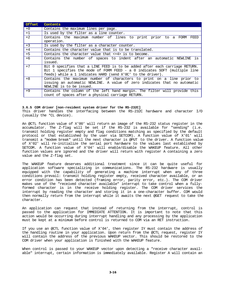| <b>Offset</b> | Contents                                                                                                                                                                                                                |  |  |  |  |
|---------------|-------------------------------------------------------------------------------------------------------------------------------------------------------------------------------------------------------------------------|--|--|--|--|
| $+0$          | Contains the maximum lines per page.                                                                                                                                                                                    |  |  |  |  |
| $+1$          | Is used by the filter as a line counter.                                                                                                                                                                                |  |  |  |  |
| $+2$          | Contains the maximum number of lines to print prior to a FORM<br>FEED<br>operation.                                                                                                                                     |  |  |  |  |
| $+3$          | Is used by the filter as a character counter.                                                                                                                                                                           |  |  |  |  |
| $+4$          | Contains the character value that is to be translated.                                                                                                                                                                  |  |  |  |  |
| $+5$          | Contains the character value that $\langle +4 \rangle$ is to become.                                                                                                                                                    |  |  |  |  |
| $+6$          | Contains the number of spaces to indent after an automatic NEWLINE is<br>issued.                                                                                                                                        |  |  |  |  |
| $+7$          | Bit 0 specifies that a LINE FEED is to be added after each carriage RETURN.<br>Bit 1 specifies the mode of FORM FEED - a 0 indicates SOFT (multiple line<br>feeds) while a 1 indicates HARD (send X'OC' to the driver). |  |  |  |  |
| $+8$          | Contains the maximum number of characters to print on a line prior to<br>issuing an automatic NEWLINE. A value of zero indicates that no automatic<br>NEWLINE is to be issued.                                          |  |  |  |  |
| $+9$          | Contains the column of the left hand margin. The filter will provide this<br>count of spaces after a physical carriage RETURN.                                                                                          |  |  |  |  |

#### **3.6.5 COM driver [non-resident system driver for the RS-232C]**

This driver handles the interfacing between the RS-232C hardware and character I/O (usually the \*CL device).

An @CTL function value of X'00' will return an image of the RS-232 status register in the accumulator. The Z-flag will be set if the RS-232 is available for "sending" (i.e. transmit holding register empty and flag conditions matching as specified by the default protocol or that established by the user via SETCOM). A function value of X'01' will transmit a "modem break" until the next character is @PUT to the driver. A function value of X'02' will re-initialize the serial port hardware to the values last established by SETCOM. A function value of X'04' will enable/disable the WAKEUP feature. All other function values are ignored and the driver will return with register A containing a zero value and the Z-flag set.

The WAKEUP feature deserves additional treatment since it can be quite useful for application software specializing in communications. The RS-232 hardware is usually equipped with the capability of generating a machine interrupt when any of three conditions prevail: transmit holding register empty, received character available, or an error condition has been detected (framing error, parity error, etc.). The COM driver makes use of the "received character available" interrupt to take control when a fullyformed character is in the receive holding register. The COM driver services the interrupt by reading the character and storing it in a one-character buffer. COM would then normally return from the interrupt while it awaits the next @GET request to take the character.

An application can request that instead of returning from the interrupt, control is passed to the application for IMMEDIATE ATTENTION. It is important to note that this action would be occurring during interrupt handling and any processing by the application must be kept at a minimum before control is returned to COM via an RET instruction.

If you use an @CTL function value of X'04', then register IY must contain the address of the handling routine in your application. Upon return from the @CTL request, register IY will contain the address of the previous WAKEUP vector. This should be restored to the COM driver when your application is finished with the WAKEUP feature.

When control is passed to your WAKEUP vector upon detecting a "receive character available" interrupt, certain information is immediately available. Register A will contain an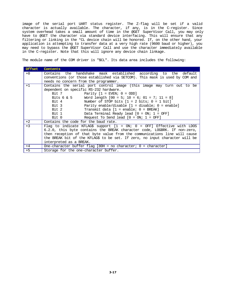image of the serial port UART status register. The Z-flag will be set if a valid character is actually available. The character, if any, is in the C-register. Since system overhead takes a small amount of time in the @GET SuperVisor Call, you may only have to @GET the character via standard device interfacing. This will ensure that any filtering or linking in the \*CL device chain will be honored. If, on the other hand, your application is attempting to transfer data at a very high rate (9600 baud or higher), you may need to bypass the @GET SuperVisor Call and use the character immediately available in the C-register. Note that this will ignore any device chain linkage.

The module name of the COM driver is "\$CL". Its data area includes the following:

| Offset | Contents                                                                    |  |  |  |  |  |  |
|--------|-----------------------------------------------------------------------------|--|--|--|--|--|--|
| $+0$   | Contains the handshake mask established according to the default            |  |  |  |  |  |  |
|        | conventions (or those established via SETCOM). This mask is used by COM and |  |  |  |  |  |  |
|        | needs no concern from the programmer.                                       |  |  |  |  |  |  |
| $+1$   | Contains the serial port control image (this image may turn out to be       |  |  |  |  |  |  |
|        | dependent on specific RS-232 hardware.                                      |  |  |  |  |  |  |
|        | Bit 7 Parity $[1 = EVEN; 0 = ODD]$                                          |  |  |  |  |  |  |
|        | Bits $6 \& 5$ Word length $[00 = 5; 10 = 6; 01 = 7; 11 = 8]$                |  |  |  |  |  |  |
|        | Bit 4<br>Number of STOP bits $[1 = 2 \text{ bits}; 0 = 1 \text{ bit}]$      |  |  |  |  |  |  |
|        | Bit 3<br>Parity enable/disable $[1 = \text{disable}; 0 = \text{enable}]$    |  |  |  |  |  |  |
|        | Bit 2<br>Transmit data $1 =$ enable; $0 =$ BREAK]                           |  |  |  |  |  |  |
|        | Bit 1 $Data Terminal Read [0 = ON; 1 = OFF]$                                |  |  |  |  |  |  |
|        | Request To Send lead $[0 = ON; 1 = OFF]$<br>Bit 0                           |  |  |  |  |  |  |
| $+2$   | Contains the code for the baud rate.                                        |  |  |  |  |  |  |
| $+3$   | Flag to indicate KFLAG\$ support [1 = ON; 0 = OFF] Effective with LDOS      |  |  |  |  |  |  |
|        | 6.2.0, this byte contains the BREAK character code, LOGBRK. If non-zero,    |  |  |  |  |  |  |
|        | then reception of that byte value from the communications line will cause   |  |  |  |  |  |  |
|        | the BREAK bit of the KFLAG\$ to be set. If zero, no input character will be |  |  |  |  |  |  |
|        | interpreted as a BREAK.                                                     |  |  |  |  |  |  |
| $+4$   | One-character buffer flag [80H = no character; 0 = character]               |  |  |  |  |  |  |
| $+5$   | Storage for the one-character buffer.                                       |  |  |  |  |  |  |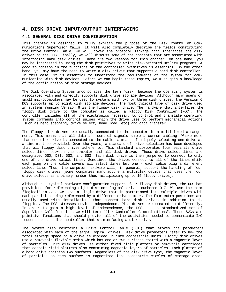# **4. DISK DRIVE INPUT/OUTPUT INTERFACING**

# **4.1 GENERAL DISK DRIVE CONFIGURATION**

This chapter is designed to fully explain the purpose of the Disk Controller Communications SuperVisor Calls. It will also completely describe the fields constituting the Drive Control Table. We will cover the protocol linkage that interfaces the disk driver to the DOS. Finally, we will discuss some of the concepts that are associated with interfacing hard disk drives. There are two reasons for this chapter. On one hand, you may be interested in using the disk primitives to write disk-oriented utility programs. A good foundation in the functions of the controller primitives is essential. On the other hand, you may have the need to write a disk driver that supports a hard disk controller. In this case, it is essential to understand the requirements of the system for communicating with disk devices. Before we can begin these topics, we must gain a knowledge of the configuration of disk storage devices.

The Disk Operating System incorporates the term "disk" because the operating system is associated with and directly supports disk drive storage devices. Although many users of small microcomputers may be used to systems with two or three disk drives, the Version 6 DOS supports up to eight disk storage devices. The most typical type of disk drive used in systems running Version 6 is the floppy disk drive. The hardware that interfaces the floppy disk drive to the computer is called a Floppy Disk Controller (FDC). The controller includes all of the electronics necessary to control and translate operating system commands into control pulses which the drive uses to perform mechanical actions (such as head stepping, drive select, head load, etc) and data transfer.

The floppy disk drives are usually connected to the computer in a multiplexed arrangement. This means that all data and control signals share a common cabling. Where more than one disk drive is connected to the cable, a means of uniquely selecting one drive at a time must be provided. Over the years, a standard of drive selection has been developed that all floppy disk drives adhere to. This standard incorporates four separate drive select lines between the computer and all disk drives. These drive select lines are designated DS0, DS1, DS2, and DS3. Each disk drive is then jumpered to connect to only one of the drive select lines. Sometimes the drives connect to all of the lines while each plug on the cable severs all select lines but one - each cable plug a different select line. Thus, the computer hardware will, in general, support the handling of four floppy disk drives [some companies manufacture a multiplex device that uses the four drive selects as a binary number thus multiplexing up to 15 floppy drives].

Although the typical hardware configuration supports four floppy disk drives, the DOS has provisions for referencing eight distinct logical drives numbered 0-7. We use the term "logical" in case we have a single drive that is partitioned into multiple drives with each partition being referenced by a different drive number. The four extra positions are usually used with installations that connect hard disk drives in addition to the floppies. The DOS stresses device independence. Disk drives are treated no differently. In order to gain a high level of independence, the DOS uses a standardized set of SuperVisor Call functions we will term "Disk Controller Communications". These SVCs are primitive functions that should provide all of the activities needed to communicate I/O requests to the disk controller that's interfacing a disk drive.

The system also maintains a Drive Control Table (DCT ) that stores the parameters associated with each of the eight logical drives. Disk drive parameters refer to how the total storage space on a drive is divided up into addressable units. Floppy disk drives use a removable flexible media which has one or two surfaces coated with a magnetic layer of particles. Hard disk drives use either fixed rigid platters or removable cartridges that contain rigid platters also containing magnetic layers of particles. Each platter of a hard drive contains two surfaces. Regardless of the disk drive type, the magnetic layer of particles on each surface is magnetized into concentric circles of storage areas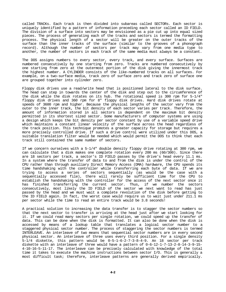called TRACKs. Each track is then divided into subareas called SECTORs. Each sector is uniquely identified by a pattern of information preceding each sector called an ID FIELD. The division of a surface into sectors may be envisioned as a pie cut up into equal sized pieces. The process of generating each of the tracks and sectors is termed the formatting process. The physical length of a sector will be greater on the outer tracks of the surface than the inner tracks of the surface (similar to the grooves of a phonograph record). Although the number of sectors per track may vary from one media type to another, the number of sectors in each track of the same media must always be a constant.

The DOS assigns numbers to every sector, every track, and every surface. Surfaces are numbered consecutively by one starting from zero. Tracks are numbered consecutively by one starting from zero at the outermost portion of the disk giving the innermost track the highest number. A CYLINDER consists of the like-numbered tracks on all surfaces. For example, on a two-surface media, track zero of surface zero and track zero of surface one are grouped together into cylinder zero.

Floppy disk drives use a read/write head that is positioned lateral to the disk surface. The head can step in towards the center of the disk and step out to the circumference of the disk while the disk rotates on its hub. The rotational speed is 300 rpm for 5-1/4" floppy disk drives and 360 rpm for 8" floppy disk drives. Hard disk drives rotate at speeds of 3600 rpm and higher. Because the physical lengths of the sector vary from the outer to the inner track, the bit density of each sector varies per track. Therefore, the amount of information stored in all sectors is dependent on the maximum bit density permitted in its shortest sized sector. Some manufacturers of computer systems are using a design which keeps the bit density per sector constant by use of a variable speed drive which maintains a constant linear velocity of the surface across the head regardless of the track position. This technique promotes a greater capacity for storage but requires a more precisely controlled drive. If such a drive control were utilized under this DOS, a suitable translation filter would be needed which would permit the DOS to think that each track still contained the same number of sectors.

If we concern ourselves with a  $5-1/4$ " double density floppy drive rotating at 300 rpm, we can calculate that a disk makes one complete rotation every 200 ms (60/300). Since there are 18 sectors per track, a sector's ID FIELD passes by the drive's head every 11.1 ms. In a system where the transfer of data to and from the disk is under the control of the CPU rather than through auxiliary Direct Memory Access (DMA) hardware, the CPU spends its time handshaking with the controller while transferring each byte of data. If we are trying to access a series of sectors sequentially (as would be the case with a sequentially accessed file), there will rarely be sufficient time for the CPU to establish the handshaking with the controller for the access of the next sector once it has finished transferring the current sector. Thus, if we number the sectors consecutively, most likely the ID FIELD of the sector we next want to read has just passed by the head and we must wait a complete revolution of the disk before getting to the ID FIELD again. In fact, the worst case would require us to wait just under 211.1 ms per sector while the time to read an entire track would be 3.8 seconds!

A practical solution to increasing the data transfer is to stagger the sector numbers so that the next sector to transfer is arriving at the head just after we start looking for it. If we could read many sectors per single rotation, we could speed up the transfer of data. This can be done when the disk is formatted. It can also be done when the disk is accessed by means of a lookup table that translates a logical sector number to a staggered physical sector number. The process of staggering the sector numbers is termed INTERLEAVE. An interleave of two means that sequential sector numbers are in every second physical sector. An interleave of three uses every third position. For a single density 5-1/4 diskette, this pattern would be 0-5-1-6-2-7-3-8-4-9. An 18 sector per track diskette with an interleave of three would have a pattern of 0-6-12-1-7-13-2-8-14-3-9-15- 4-10-16-5-11-17. The interleave can be precisely calculated with knowledge of the total time it takes to execute the machine instructions between sector I/O. This is generally a most difficult task; therefore, interleave patterns are generally derived empirically.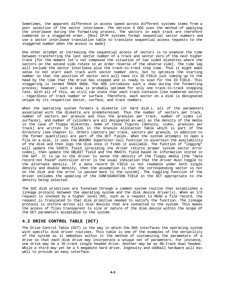Sometimes, the apparent difference in access speed across different systems stems from a poor selection of the sector interleave. The Version 6 DOS uses the method of applying the interleave during the formatting process. The sectors in each track are therefore numbered in a staggered order. [Most CP/M systems format sequential sector numbers and use a sector interleave translation table to translate sequential access requests to the staggered number when the access is made].

One other attempt at increasing the sequential access of sectors is to examine the time between transferring the last sector number of a track and sector zero of the next higher track [for the moment let's not compound the situation of two sided diskettes where the sectors on the second side rotate in an order reverse of the obverse side]. The time lag will include the sector interleave plus the track-to-track step time. Thus it might make sense to not start each track with sector number zero, but to optimize the starting number so that the position of sector zero will have its ID FIELD just coming up to the head by the time that the drive has stepped and is ready to scan for the ID FIELD. This staggering is termed TRACK SKEW. The DOS introduces such a skew during the formatting process; however, such a skew is probably optimum for only one track-to-track stepping rate. With all of this, we still can state that each track contains like numbered sectors - regardless of track number or surface. Therefore, each sector on a disk is designated unique by its respective sector, surface, and track numbers.

When the operating system formats a diskette (or hard disk ), all of the parameters associated with the diskette are predetermined. Thus the number of sectors per track, number of sectors per granule and thus the granules per track, number of sides (or surfaces), and number of cylinders are all designated as well as the density of the media in the case of floppy diskettes. Some of these figures (density, sides, granules per track) are written to fields in the Granule Allocation Table which is part of the directory (see chapter 5). Others (sectors per track, sectors per granule, in addition to the former quantities) are part of the DCT fields. When the system attempts to open a file on a disk, it uses the @CKDRV SuperVisor Call function to ascertain the availability of the disk and then logs the disk once it finds it available. The function of "logging" will update the DIRCYL field (providing the driver returns proper system sector error codes), then update the DBLBIT field and the MAXCYL field based on information stored in the GAT. It is up to the driver to sense the density of the floppy media [the "data record not found" controller error is the usual indication that the driver must toggle to the alternate density. If a data record ID FIELD is not readable under both single density and double density, then the assumption is that the corresponding sector is not on the disk and the error is passed back to the system]. The toggling function of the driver includes the updating of the CONFIGURATION FIELD in the DCT appropriate to the density being selected.

The SVC disk primitives are funneled through a common system routine that establishes a linkage protocol between the operating system and the disk device driver(s). When an I/O request is invoked by a higher level SVC, such as a request to READ a file record, the request is translated to that disk primitive needed to satisfy the function. The linkage protocol is uniform across all disk devices that are connected to the system. This makes the access of files transparent to size or nature of the disk device within the scope of the DCT parameters acceptable to the system.

# **4.2 DRIVE CONTROL TABLE (DCT)**

The Drive Control Table (DCT) is the way in which the DOS interfaces the operating system with specific disk driver routines. This table is one of the examples of the versatility of the system as it embodies within it the method of customizing the parameters of a drive so that each disk drive may incorporate a unique set of parameters. For instance, one drive may be a 35-track single headed drive. Another may be an 80-track dual headed. While a third may yet be a 5 megabyte hard drive. Ingenuity and oddball hardware will mix well to provide an easy interface.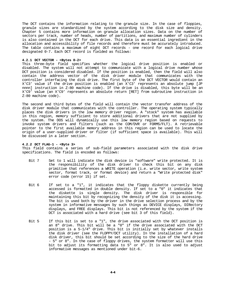The DCT contains the information relating to the granule size. In the case of floppies, granule sizes are standardized by the system according to the disk size and density. Chapter 5 contains more information on granule allocation sizes. Data on the number of sectors per track, number of heads, number of partitions, and maximum number of cylinders is also contained in the DCT for each drive. This data is an essential ingredient in the allocation and accessibility of file records and therefore must be accurately introduced. The table contains a maximum of eight DCT records - one record for each logical drive designated 0-7. Each DCT record is fielded as follows:

### **4.2.1 DCT VECTOR - <Bytes 0-2>**

This three-byte field specifies whether the logical drive position is enabled or disabled. The system will not attempt to communicate with a logical drive number whose DCT position is considered disabled. If the position is enabled, then the field will also contain the address vector of the disk driver module that communicates with the controller interfacing the disk drive. The first byte of the DCT VECTOR would contain an X'C3' value if the drive position is enabled (an X'C3' represents an absolute jump [JP nnnn] instruction in Z-80 machine code). If the drive is disabled, this byte will be an X'C9' value (an X'C9' represents an absolute return [RET] from subroutine instruction in Z-80 machine code).

The second and third bytes of the field will contain the vector transfer address of the disk driver module that communicates with the controller. The operating system typically places the disk drivers in the low memory driver region. A "stock" system has available in this region, memory sufficient to store additional drivers that are not supplied by the system. The DOS will dynamically use this low memory region based on requests to invoke system drivers and filters (such as the COM/DVR or FORMS/FLT). A retrievable pointer to the first available memory address in this region can be used to locate the origin of a user-supplied driver or filter (if sufficient space is available). This will be discussed in a later section.

#### **4.2.2 DCT FLAG-1 - <Byte 3>**

This field contains a series of sub-field parameters associated with the disk drive specifications. The field is encoded as follows:

- Bit 7 Set to 1 will indicate the disk device is "software" write protected. It is the responsibility of the disk driver to check this bit on any disk primitive that references a WRITE operation (i.e. write sector, write system sector, format track, or format device) and return a "Write protected disk" error code (error 15) if set.
- Bit 6 If set to a "1", it indicates that the floppy diskette currently being accessed is formatted in double density. If set to a "0" it indicates that the diskette is single density. The disk driver is responsible for maintaining this bit by recognizing the density of the disk it is accessing. The bit is used both by the driver in the drive selection process and by the system in informative messages by such things as DEVICE displays, DIRectory displays, and FREE displays. This bit is not referenced by the system if the DCT is associated with a hard drive (see bit 3 of this field).
- Bit 5 If this bit is set to a "1", the drive associated with the DCT position is an 8" drive. This bit will be a "0" if the drive associated with the DCT position is a 5-1/4" drive. This bit is initially set by whatever installs the disk driver (see the FLOPPY/DCT utility). In the installation of a hard disk driver, this bit should be set according to the size of the hard drive - 5" or 8". In the case of floppy drives, the system formatter will use this bit to adjust its formatting data to 5" or 8". It is also used to adjust informative messages as mentioned under bit-6.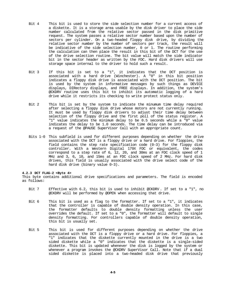- Bit 4 This bit is used to store the side selection number for a current access of a diskette. It is a storage area usable by the disk driver to place the side number calculated from the relative sector passed in the disk primitive request. The system passes a relative sector number based upon the number of sectors per cylinder. On a two-headed floppy disk drive, by dividing the relative sector number by the number of sectors per track, the result will be indicative of the side selection number, 0 or 1. The routine performing the calculation can then place the result in this bit of the DCT for the use of the drive selection routine. The bit value will match the side indicator bit in the sector header as written by the FDC. Hard disk drivers will use storage space internal to the driver to hold such a result.
- Bit 3 If this bit is set to a "1", it indicates that the DCT position is associated with a hard drive (Winchester). A "0" in this bit position indicates a floppy disk drive is associated with the DCT position. The bit is used by the system in informative messages by such things as DEVICE displays, DIRectory displays, and FREE displays. In addition, the system's @CKDRV routine uses this bit to inhibit its automatic logging of a hard drive while it restricts its checking to write protect status only.
- Bit 2 This bit is set by the system to indicate the minumum time delay required after selecting a floppy disk drive whose motors are not currently running. It must be used by floppy disk drivers to adjust their time delay between selection of the floppy drive and the first poll of the status register. A "1" value indicates the minimum delay to be 0.5 seconds while a "0" value indicates the delay to be 1.0 seconds. The time delay can be introduced via a request of the @PAUSE SuperVisor Call with an appropriate count.
- Bits 1-0 This subfield is used for different purposes depending on whether the drive associated with the DCT is a floppy drive or a hard drive. For floppies, the field contains the step rate specification code (0-3) for the floppy disk controller. With a Western Digital 179X FDC or equivalent, the codes correspond to a step rate of 6, 12, 20, and 30ms at an FDC clock speed of 1 MHz and 3, 6, 10, and 15ms at an FDC clock speed of 2 MHz. For hard disk drives, this field is usually associated with the drive select code of the hard disk drive (binary value  $0-3$ ).

#### **4.2.3 DCT FLAG-2 <Byte 4>**

This byte contains additional drive specifications and parameters. The field is encoded as follows:

- Bit 7 Effective with 6.2, this bit is used to inhibit @CKDRV . If set to a "1", no @CKDRV will be performed by @OPEN when accessing that drive.
- Bit 6 This bit is used as a flag to the formatter. If set to a "1", it indicates that the controller is capable of double density operation. In this case, the formatter defaults to double density formatting unless the user overrides the default. If set to a "0", the formatter will default to single density formatting. For controllers capable of double density operation, this bit is usually set.
- Bit 5 This bit is used for different purposes depending on whether the drive associated with the DCT is a floppy drive or a hard drive. For floppies, a "1" indicates that the diskette currently mounted in the drive is a two sided diskette while a "0" indicates that the diskette is a single-sided diskette. This bit is updated whenever the disk is logged by the system or whenever a program invokes the @CKDRV SuperVisor Call. Note that if a dual sided diskette is placed into a two-headed disk drive that previously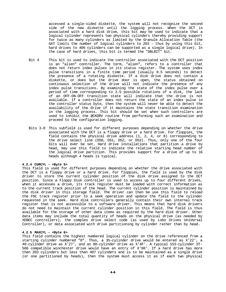accessed a single-sided diskette, the system will not recognize the second side of the new diskette until the logging process. When the DCT is associated with a hard disk drive, this bit may be used to indicate that a logical cylinder represents two physical cylinders thereby providing support for twice as many cylinders as limited by the Granule Allocation Table (the GAT limits the number of logical cylinders to 203 - thus by using this bit, hard drives to 406 cylinders can be supported as a single logical drive). In the case of hard drives, this bit is termed the "DBLBIT" bit.

- Bit 4 This bit is used to indicate the controller associated with the DCT position is an "alien" controller. The term, "alien", refers to a controller that does not return index pulses in its status register. The system uses index pulse transitions in a finite time period (usually 0.5 seconds) to detect the presence of a rotating diskette. If a disk drive does not contain a diskette, or does but the drive door is open, the status obtained on continuous selection of the drive will not indicate the presence of any index pulse transitions. By examining the state of the index pulse over a period of time corresponding to 2.5 possible rotations of a disk, the lack of an OFF-ON-OFF transition state will indicate that the drive is not available. If a controller does not return the state of an index pulse in the controller status byte, then the system will never be able to detect the availability of the drive if it maintains the state transition examination in the logging process. This bit should be set when such controllers are used to inhibit the @CKDRV routine from performing such an examination and proceed to the configuration logging.
- Bits 3-0 This subfield is used for different purposes depending on whether the drive associated with the DCT is a floppy drive or a hard drive. For floppies, the field contains the physical drive address (1, 2, 4, or 8) corresponding to the drive select line (DS0, DS1, DS2, or DS3). Thus, only one of the four bits will ever be set. Hard drive installations that partition a drive by head, may use this field to indicate the relative starting head number of the logical drive partition. This provides support for a drive of up to 16 heads although 4 heads is typical.

#### **4.2.4 CURCYL - <Byte 5>**

This field is used for different purposes depending on whether the drive associated with the DCT is a floppy drive or a hard drive. For floppies, the field is used by the disk driver to store the current cylinder position of the disk drive assigned to the DCT position. Since a Floppy Disk controller is used to access up to four different drives, when it accesses a drive, its track register must be loaded with correct information as to the current track position of the head. The current cylinder position is maintained by the disk driver in this storage field. The driver can then be use this field to reload the FDC track register prior to a seek operation and update the field to the cylinder requested in the seek. Hard disk controllers generally contain their own internal track register that is not accessible to a software driver. This means that hard disk drivers do not need to maintain the current cylinder position in this field. The field is thus available for the storage of other data items as required by the hard disk driver. Other data items may include the total quantity of heads on the physical drive (as needed by XEBEC controllers), the complex drive select code (as used by Lobo Drives UniVersal Controller), or data associated with drive partitioning by cylinder rather than by head.

#### **4.2.5 MAXCYL - <Byte 6>**

This field contains the highest numbered logical cylinder on the drive referenced from a starting cylinder numbered "0". Thus, a 35-cylinder drive would be entered as X'22', a 40-cylinder drive as X'27', and an 80-cylinder drive as X'4F'. A typical 153-cylinder ST-506 compatible winchester drive would have an entry of X'98'. If a hard drive has more than 203 cylinders but less than 407 cylinders and is to be maintained as a single drive (or one partitioned by heads), then the system must access it as if each two physical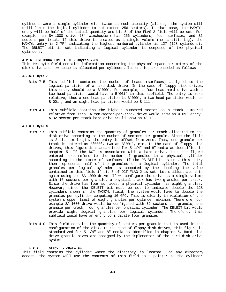cylinders were a single cylinder with twice as much capacity (although the system will still limit the logical cylinder to not exceed 256 sectors). In that case, the MAXCYL entry will be half of the actual quantity and bit-5 of the FLAG-2 field will be set. For example, an SA-1000 drive (8" winchester) has 256 cylinders, four surfaces, and 32 sectors per track. If this drive is treated as a single volume (no partitioning), the MAXCYL entry is X'7F' indicating the highest numbered cylinder is 127 (128 cylinders). The DBLBIT bit is set indicating a logical cylinder is composed of two physical cylinders.

#### **4.2.6 CONFIGURATION FIELD - <Bytes 7-8>**

This two-byte field contains information concerning the physical space parameters of the disk drive and how space is allocated per cylinder. Its entries are encoded as follows:

#### **4.2.6.1 Byte 7**

- Bits 7-5 This subfield contains the number of heads (surfaces) assigned to the logical partition of a hard disk drive. In the case of floppy disk drives, this entry should be a B'000'. For example, a four-head hard drive with a two-head partition would have a B'001' in this subfield. The entry is zero relative, thus a one-head partition is B'000', a two-head partition would be B'001', and an eight-head partition would be B'111'.
- Bits 4-0 This subfield contains the highest numbered sector on a track numbered relative from zero. A ten-sector-per-track drive would show an X'09' entry. A 32-sector-per-track hard drive would show an X'1F'.

#### **4.2.6.2 Byte 8**

- Bits 7-5 This subfield contains the quantity of granules per track allocated to the disk drive according to the number of sectors per granule. Since the field is 3-bits in length, the entry is offset from zero. Thus, one granule per track is entered as B'000', two as B'001', etc. In the case of floppy disk drives, this figure is standardized for 5-1/4" and 8" media as identified in chapter 5. If the DCT is associated with a hard drive, then the figure entered here refers to the number of granules in a physical cylinder according to the number of surfaces. If the DBLBIT bit is set, this entry then represents half of the granules on a logical cylinder. The total granules per logical cylinder is computed by the doubling the value contained in this field if bit-5 of DCT FLAG-2 is set. Let's illustrate this again using the SA-1000 drive. If we configure the drive as a single volume with 16 sectors per granule, a physical track has two granules per track. Since the drive has four surfaces, a physical cylinder has eight granules. However, since the DBLBIT bit must be set to indicate double the 128 cylinders shown in the MAXCYL field, the system would have to double the granules per cylinder computing 16 GPC. This is clearly in violation of the system's upper limit of eight granules per cylinder maximum. Therefore, our example SA-1000 drive would be configured with 32 sectors per granule, one granule per track, four granules per physical cylinder. The DBLBIT bit would provide eight logical granules per logical cylinder. Therefore, this subfield would have an entry to indicate four granules.
- Bits 4-0 This field contains the quantity of sectors per granule that is used in the configuration of the disk. In the case of floppy disk drives, this figure is standardized for 5-1/4" and 8" media as identified in chapter 5. Hard disk drive granule sizes are assigned by the implementor of the hard disk drive system.

#### **4.2.7 DIRCYL - <Byte 9>**

This field contains the cylinder where the directory is located. For any directory access, the system will use the contents of this field as a pointer to the cylinder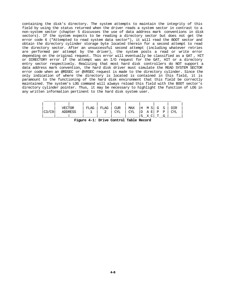containing the disk's directory. The system attempts to maintain the integrity of this field by using the status returned when the driver reads a system sector in contrast to a non-system sector (chapter 5 discusses the use of data address mark conventions in disk sectors). If the system expects to be reading a directory sector but does not get the error code 6 ("Attempted to read system data sector"), it will read the BOOT sector and obtain the directory cylinder storage byte located therein for a second attempt to read the directory sector. After an unsuccessful second attempt (including whatever retries are performed per attempt by the driver), the system posts a read or write error depending on the original request. This error will eventually be classified as a GAT , HIT or DIRECTORY error if the attempt was an I/O request for the GAT, HIT or a directory entry sector respectively. Realizing that most hard disk controllers do NOT support a data address mark convention, the hard disk driver must simulate the READ SYSTEM SECTOR error code when an @RDSEC or @VRSEC request is made to the directory cylinder. Since the only indication of where the directory is located is contained in this field, it is paramount to the functioning of the hard disk environment that this field be correctly maintained. The system's LOG command will always reload this field with the BOOT sector's directory cylinder pointer. Thus, it may be necessary to highlight the function of LOG in any written information pertinent to the hard disk system user.

|       | VECTOR         | FLAG | FLAG | <b>CUR</b> | MAX        | IH M SI G S |   |              | DIR |
|-------|----------------|------|------|------------|------------|-------------|---|--------------|-----|
| C3/C9 | <b>ADDRESS</b> |      |      | CYL        | <b>CYL</b> | D A E P     |   | $\mathbb{P}$ | CYL |
|       |                |      |      |            |            | X CI        | m | G            |     |

**Figure 4-1: Drive Control Table Record**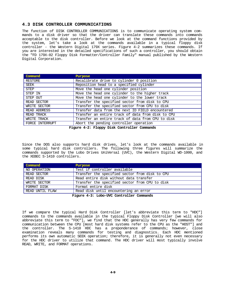# **4.3 DISK CONTROLLER COMMUNICATIONS**

The function of DISK CONTROLLER COMMUNICATIONS is to communicate operating system commands to a disk driver so that the driver can translate these commands into commands acceptable to the disk controller. Before we look at the command functions provided by the system, let's take a look at the commands available in a typical floppy disk controller - the Western Digital 179X series. Figure 4-2 summarizes these commands. If you are interested in the detailed specifications of such a controller, you should obtain the "FD 179X-02 Floppy Disk Formatter/Controller Family" manual published by the Western Digital Corporation.

| Command         | <b>Purpose</b>                                    |
|-----------------|---------------------------------------------------|
| RESTORE         | Recalibrate drive to cylinder 0 position          |
| SEEK            | Reposition head to a specified cylinder           |
| <b>STEP</b>     | Move the head one cylinder position               |
| STEP IN         | Move the head one cylinder to the higher track    |
| STEP OUT        | Move the head one cylinder to the lower track     |
| READ SECTOR     | Transfer the specified sector from disk to CPU    |
| WRITE SECTOR    | Transfer the specified sector from CPU to disk    |
| READ ADDRESS    | Transfer data from the next ID FIELD encountered  |
| READ TRACK      | Transfer an entire track of data from disk to CPU |
| WRITE TRACK     | Transfer an entire track of data from CPU to disk |
| FORCE INTERRUPT | Abort the pending controller operation            |

**Figure 4-2: Floppy Disk Controller Commands**

Since the DOS also supports hard disk drives, let's look at the commands available in some typical hard disk controllers. The following three figures will summarize the commands supported by the Lobo Drives UniVersal (UVC), the Western Digital WD-1000, and the XEBEC S-1410 controllers.

| Command                                  | Purpose                                        |  |  |
|------------------------------------------|------------------------------------------------|--|--|
| NO OPERATION                             | Test if controller available                   |  |  |
| READ SECTOR                              | Transfer the specified sector from disk to CPU |  |  |
| READ DISK                                | Read entire disk without data transfer         |  |  |
| WRITE SECTOR                             | Transfer the specified sector from CPU to disk |  |  |
| FORMAT DISK                              | Format entire disk                             |  |  |
| READ UNTIL FLAW                          | Read disk until encountering an error          |  |  |
| Figure 4-3: Lobo-UVC Controller Commands |                                                |  |  |

If we compare the typical Hard Disk Controller [let's abbreviate this term to "HDC"] commands to the commands available in the typical Floppy Disk Controller [we will also abbreviate this term to "FDC"], we find that the HDC generally has very few commands for communication between the CPU [most hard disk systems refer to the CPU as the "HOST"] and the controller. The S-1410 HDC has a preponderance of commands; however, close examination reveals many commands for testing and diagnostics. Each HDC mentioned performs its own automatic SEEK operation; therefore, it is generally not even necessary for the HDC driver to utilize that command. The HDC driver will most typically involve READ, WRITE, and FORMAT operations.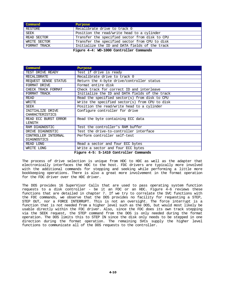| Command      | Purpose                                        |  |  |  |  |  |  |  |
|--------------|------------------------------------------------|--|--|--|--|--|--|--|
| RESTORE      | Recalibrate drive to track 0                   |  |  |  |  |  |  |  |
| SEEK         | Position the read/write head to a cylinder     |  |  |  |  |  |  |  |
| READ SECTOR  | Transfer the specified sector from disk to CPU |  |  |  |  |  |  |  |
| WRITE SECTOR | Transfer the specified sector from CPU to disk |  |  |  |  |  |  |  |
| FORMAT TRACK | Initialize the ID and DATA fields of the track |  |  |  |  |  |  |  |
|              | Figure 4-4: WD-1000 Controller Commands        |  |  |  |  |  |  |  |

**Command Purpose** TEST DRIVE READY | Test if drive is ready RECALIBRATE Recalibrate drive to track 0 REQUEST SENSE STATUS Return the 4-byte drive/controller status<br>FORMAT DRIVE Format entire disk FORMAT DRIVE Format entire disk<br>CHECK TRACK FORMAT Check track for com Check track for correct ID and interleave FORMAT TRACK Initialize the ID and DATA fields of the track<br>READ Read the specified sector(s) from disk to CPU Read the specified sector(s) from disk to CPU WRITE Write the specified sector(s) from CPU to disk SEEK Position the read/write head to a cylinder INITIALIZE DRIVE CHARACTERISTICS Configure controller for drive READ ECC BURST ERROR LENGTH Read the byte containing ECC data RAM DIAGNOSTIC Test the controller's RAM buffer DRIVE DIAGNOSTIC Test the drive-to-controller interface CONTROLLER INTERNAL DIAGNOSTICS<br>READ LONG Perform controller self-test Read a sector and four ECC bytes WRITE LONG Write a sector and four ECC bytes

**Figure 4-5: S-1410 Controller Commands**

The process of drive selection is unique from HDC to HDC as well as the adapter that electronically interfaces the HDC to the host. FDC drivers are typically more involved with the additional commands for stepping and seeking while performing a little more bookkeeping operations. There is also a great more involvement in the format operation for the FDC driver over the HDC driver.

The DOS provides 16 SuperVisor Calls that are used to pass operating system function requests to a disk controller - be it an FDC or an HDC. Figure 4-6 reviews these functions that are detailed in chapter 7. If we try to correlate the SVC functions with the FDC commands, we observe that the DOS provides no facility for requesting a STEP, STEP OUT, nor a FORCE INTERRUPT. This is not an oversight. The force interrupt is a function that is not needed from a higher level such as the DOS, but would most likely be usable directly within the FDC driver. Also, since the FDC does its own track stepping via the SEEK request, the STEP command from the DOS is only needed during the format operation. The DOS limits this to STEP IN since the disk only needs to be stepped in one direction during the format operation. The remaining SVCs supply the higher level functions to communicate all of the DOS requests to the controller.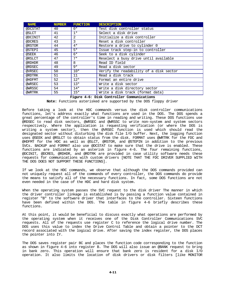| <b>NAME</b> | <b>NUMBER</b> | <b>FUNCTION</b> | <b>DESCRIPTION</b>                      |
|-------------|---------------|-----------------|-----------------------------------------|
| @DCSTAT     | 40            | $0*$            | Test disk controller status             |
| @SLCT       | 41            | $1*$            | Select a disk drive                     |
| @DCINIT     | 42            | 2               | Initialize a disk controller            |
| @DCRES      | 43            | 3               | Reset a disk controller                 |
| @RSTOR      | 44            | $4*$            | Restore a drive to cylinder 0           |
| @STEPI      | 45            | $5*$            | Issue track step-in to controller       |
| @SEEK       | 46            | $6*$            | Seek to a disk cylinder                 |
| @RSLCT      | 47            | $7*$            | Reselect a busy drive until available   |
| @RDHDR      | 48            | 8               | Read ID field                           |
| @RDSEC      | 49            | $9*$            | Read a disk sector                      |
| @VRSEC      | 50            | $10*$           | Verify the readability of a disk sector |
| @RDTRK      | 51            | 11              | Read a disk track                       |
| @HDFMT      | 52            | $12*$           | Format an entire drive                  |
| @WRSEC      | 53            | $13*$           | Write a disk sector                     |
| @WRSSC      | 54            | $14*$           | Write a disk directory sector           |
| @WRTRK      | 55            | $15*$           | Write a disk track (format data)        |

# **Figure 4-6: Disk Controller Communications**

**Note:** Functions asterisked are supported by the DOS floppy driver

Before taking a look at the HDC commands versus the disk controller communications functions, let's address exactly what functions are used in the DOS. The DOS spends a great percentage of the controller's time in reading and writing. These DOS functions use @RDSEC to read disk sectors, @WRSEC and @WRSSC to write non-system and system sectors respectively. Where the application is requesting verification (or where the DOS is writing a system sector), then the @VRSEC function is used which should read the designated sector without disturbing the disk file I/O buffer. Next, the logging function uses @SEEK and @RSLCT to obtain status from the disk. FORMAT uses @WRTRK for the FDC and @HDFMT for the HDC as well as @SLCT, @RSTOR, and @STEPIN in addition to the previous SVCs. BACKUP and FORMAT also use @DCSTAT to make sure that the drive is enabled. These functions are indicated by an asterisk in figure 4-6. The four remaining functions, @DCINIT, @DCRES, @RDHDR, and @RDTRK are provided in case utility software needs these requests for communications with custom drivers [NOTE THAT THE FDC DRIVER SUPPLIED WITH THE DOS DOES NOT SUPPORT THESE FUNCTIONS].

If we look at the HDC commands, we observe that although the DOS commands provided can not uniquely request all of the commands of every controller, the DOS commands do provide the means to satisfy all of the necessary functions. In fact, some DOS functions are not even needed in the case of the HDC and hard disk system.

When the operating system passes the SVC request to the disk driver The manner in which the driver controller linkage is established is by passing a function value contained in register "B" to the software driver that interfaces to the controller. Sixteen functions have been defined within the DOS. The table in figure 4-6 briefly describes these functions.

At this point, it would be beneficial to discuss exactly what operations are performed by the operating system when it receives one of the Disk Controller Communications SVC requests. All of the requests use register C to reference the logical drive number. The DOS uses this value to index the Drive Control Table and obtain a pointer to the DCT record associated with the logical drive. After saving the index register, the DOS places the pointer into IY.

The DOS saves register pair BC and places the function code corresponding to the function as shown in figure 4-6 into register B. The DOS will also issue an @BANK request to bring in bank zero. This operation will ensure that bank zero is resident for a disk I/O operation. It also limits the location of disk drivers or disk filters [like MONITOR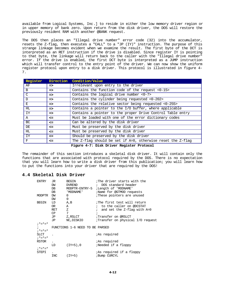available from Logical Systems, Inc.] to reside in either the low memory driver region or in upper memory of bank zero. Upon return from the disk driver, the DOS will restore the previously resident RAM with another @BANK request.

The DOS then places an "Illegal drive number" error code (32) into the accumulator, resets the Z-flag, then executes a "CALL" to a "JP (IY)" instruction. The purpose of this strange linkage becomes evident when we examine the result. The first byte of the DCT is interpreted as an RET instruction if the drive is disabled. Since register IY is pointing to that byte, the linkage will return back to the caller with the "Illegal drive number" error. If the drive is enabled, the first DCT byte is interpreted as a JUMP instruction which will transfer control to the entry point of the driver. We can now show the uniform register protocol upon entry to a disk driver. This protocol is illustrated in figure 4- 7.

| Register | Direction     | Condition/Value                                             |  |  |  |  |  |  |
|----------|---------------|-------------------------------------------------------------|--|--|--|--|--|--|
| ΑF       | $\Rightarrow$ | Irrelevant upon entry to the driver                         |  |  |  |  |  |  |
| B        | $\Rightarrow$ | Contains the function code of the request <0-15>            |  |  |  |  |  |  |
| C        | $\Rightarrow$ | Contains the logical drive number $<0-7>$                   |  |  |  |  |  |  |
| D        | $\Rightarrow$ | Contains the cylinder being requested <0-202>               |  |  |  |  |  |  |
| E        | $\Rightarrow$ | Contains the relative sector being requested <0-255>        |  |  |  |  |  |  |
| HL.      | $\Rightarrow$ | Contains a pointer to the I/O buffer, where applicable      |  |  |  |  |  |  |
| IY       | $\Rightarrow$ | Contains a pointer to the proper Drive Control Table entry  |  |  |  |  |  |  |
| Α        | <=            | Must be loaded with one of the error dictionary codes       |  |  |  |  |  |  |
| BC.      | <=            | Can be altered by the disk driver                           |  |  |  |  |  |  |
| DE       | <=            | Must be preserved by the disk driver                        |  |  |  |  |  |  |
| HL.      | $\leq$        | Must be preserved by the disk driver                        |  |  |  |  |  |  |
| IY       | <=            | Should be preserved by the disk driver                      |  |  |  |  |  |  |
| F        | $\leq$        | The Z-flag should be set if A=0, otherwise reset the Z-flag |  |  |  |  |  |  |
|          |               | $Ficmno A-7. Data Division Postation Problem$               |  |  |  |  |  |  |

**Figure 4-7: Disk Driver Register Protocol**

The remainder of this section introduces a skeletal disk driver. It will contain only the functions that are associated with protocol required by the DOS. There is no expectation that you will learn how to write a disk driver from this publication; you will learn how to put the functions into your driver that are required by the DOS!

# **4.4 Skeletal Disk Driver**

| The driver starts with the           |
|--------------------------------------|
| ; DOS standard header                |
| MODPTR-ENTRY-5 ; Length of 'MODNAME' |
| ;Name for @GTMOD requests            |
| These pointers are unused            |
|                                      |
| The first test will return           |
| ; to the caller on @DCSTAT           |
| and set the Z-flag with A=0          |
|                                      |
| Transfer on @RSLCT                   |
| Transfer on physical I/O request     |
|                                      |
|                                      |
|                                      |
|                                      |
|                                      |
|                                      |
| Needed if a floppy                   |
|                                      |
| <i>i</i> As required if a floppy     |
|                                      |
|                                      |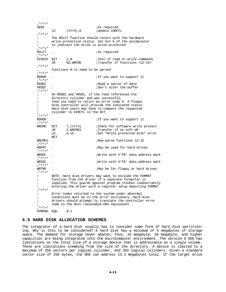; \*=\*=\*<br>SEEK SEEK . ;As required ; Update CURCYL  $; * = * = *$ <br>; The RSLCT function should return with the hardware ; write protection status. Set bit 6 of the accumulator ; to indicate the drive is write-protected  $; * = * = *$ <br>RSLCT *iAs* required ;\*=\*=\* DISKIO BIT 2,B ;Test if read or write commands JR NZ,WRCMD ;Transfer if functions <12-15>  $; * = * = *$  ; Functions 8-11 need to be parsed  $; * = * = *$ <br>RDHDR ; If you want to support it  $; * = * = *$ <br>RDSEC RDSEC .  $\begin{array}{ccc} \cdot \text{Red} & \text{sector of data} \\ \text{VRSEC} & \cdot \text{Ried} & \text{JDon to the buffer.} \end{array}$ ;Don't alter the buffer  $; * = * = *$ <br>; On RDSEC and VRSEC, if the read referenced the ; directory cylinder and was successful, ; then you need to return an error code 6. A floppy ; disk controller will provide the indicated status. ; Hard disk users may have to compare the requested ; cylinder to DIRCYL in the DCT.  $; * = * = *$ <br>RDHDR ; If you want to support it  $; * = * = *$ <br>WRCMD BIT 7,(IY+3) :Check for software write protect<br>JR 2,WRCMD1 :Transfer if no soft WP JR Z,WRCMD1 ;Transfer if no soft WP<br>
LD A,15 ;Set "Write protected d ;Set "Write protected disk" error RET<br>WRCMD1 . .  $\frac{12-15}{ }$  $;*_=*=*$  HDFMT ;May be used for hard drives ;\*=\*=\* ;Write with X'FB' data address mark  $; * = * = *$ <br>WRSSC ;Write with X'F8' data address mark  $; * = * = *$ <br>WRTRK ;May be for floppy or hard drives ;\*=\*=\* NOTE: Hard disk drivers may want to exclude the FORMAT ; function from the driver if a separate formatter is ; supplied. This guards against program crashes inadvertantly ; entering the driver with a register setup depicting FORMAT  $; * = * = *$  ; Error codes returned to the system under abnormal ; conditions must be in the error dictionary. Hard disk ; drivers should attempt to translate the controller error ; code to the most reasonable DOS equivalent.  $; * = * = *$ DVREND EQU \$-1

## **4.5 HARD DISK ALLOCATION SCHEMES**

The integrator of a hard disk usually has to consider some form of hard disk partitioning. Why is this to be considered? A hard disk has a minimum of 5 megabytes of storage space. The demand for storage never abates; thus, 10 megabyte, 20 megabyte, and higher capacities are being integrated into the microcomputer environment. The version 6 DOS has limitations on the total size of a storage device that is addressable as a single volume. These are limitations stemming from the size of the directory. A device is limited to a maximum of 256 sectors per logical cylinder, and 203 logical cylinders. Given a standard sector size of 256 bytes, the DOS can address 13.3 megabytes total. If the target drive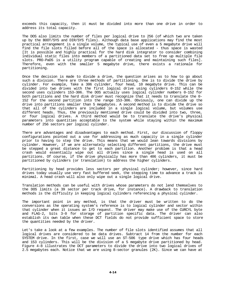exceeds this capacity, then it must be divided into more than one drive in order to address its total capacity.

The DOS also limits the number of files per logical drive to 256 (of which two are taken up by the BOOT/SYS and DIR/SYS files). Although data base applications may find the most practical arrangement is a single volume, the typical use of even a 5 megabyte drive will find the file slots filled before all of the space is allocated - thus space is wasted [It is possible and highly practical for the hard disk integrator to consider combining individual static files into members of a partitioned data set to free up multiple file slots. PRO-PaDS is a utility program capable of creating and maintaining such files]. Therefore, even with the smaller 5 megabyte drive, there exists a rationale for partitioning.

Once the decision is made to divide a drive, the question arises as to how to go about such a division. There are three methods of partitioning. One is to divide the drive by cylinder. For example, Take a 306 cylinder, four head, 10 megabyte drive. This can be divided into two drives with the first logical drive using cylinders 0-152 while the second uses cylinders 153-306. The DOS actually uses logical cylinder numbers 0-152 for both partitions and the hard disk driver must recognize that it needs to translate the 0- 152 for the second partition into the range 153-306. Obviously, one can divide up the drive into partitions smaller than 5 megabytes. A second method is to divide the drive so that all of the cylinders are included in a single logical volume, but volumes use different heads. Thus, the previously mentioned drive could be divided into two, three, or four logical drives. A third method would be to translate the drive's physical parameters into quantities acceptable to the system while staying within the maximum number of 256 sectors per logical cylinder.

There are advantages and disadvantages to each method. First, our discussion of floppy configurations pointed out a use for addressing as much capacity in a single cylinder prior to having to step the drive. This means that we would lean towards divisions by cylinder. However, if we are alternately selecting different partitions, the drive must be stepped a great distance to get to each partition. Another problem is that a head crash would essentially wipe out all drives since a single head is used on all partitions. Of course, if the drive physically has more than 406 cylinders, it must be partitioned by cylinders (or translation) to address the higher cylinders.

Partitioning by head provides less sectors per physical cylinder; however, since hard drives today usually use very fast buffered seek, the stepping time to advance a track is minimal. A head crash will also only wipe out a single logical drive.

Translation methods can be useful with drives whose parameters do not lend themselves to the DOS limits (a 39 sector per track drive, for instance). A drawback to translation methods is the difficulty in keeping logical cylinders referencing a physical cylinder.

The important point in any method, is that the driver must be written to do the conversions as the operating system's reference is to logical cylinder and sector within that cylinder when it issues an I/O request. The driver may make use of the CURCYL byte and FLAG-2, bits 3-0 for storage of partition specific data. The driver can also establish its own table when these DCT fields do not provide sufficient space to store the quantities needed by the driver.

Let's take a look at a few examples. The number of file slots identified assumes that all logical drives are considered to be data drives. Subtract 14 from the number for each SYSTEM drive. In the first, case we will use an ST-506 type drive which has four heads and 153 cylinders. This will be the division of a 5 megabyte drive partitioned by head. Figure 4-8 illustrates the DCT parameters to divide the drive into two logical drives of 2.5 megabytes each. Notice that we are using 8-sector granules (2K). Since we can have at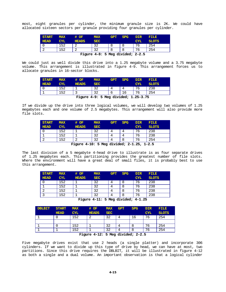most, eight granules per cylinder, the minimum granule size is 2K. We could have allocated sixteen sectors per granule providing four granules per cylinder.

| <b>START</b> | <b>MAX</b> | # OF         | <b>MAX</b>                       | <b>GPT</b> | <b>SPG</b> | <b>DIR</b> | <b>FILE</b>  |
|--------------|------------|--------------|----------------------------------|------------|------------|------------|--------------|
| <b>HEAD</b>  | CYL        | <b>HEADS</b> | <b>SEC</b>                       |            |            | <b>CYL</b> | <b>SLOTS</b> |
|              | 152        | $\sqrt{2}$   | 32                               | 8          |            | 76         | 254          |
|              | .52        | $\sim$       | 32                               | 8          |            | 76         | 254          |
|              |            |              | Figure 4-8: 5 Meg divided; 2-2.5 |            |            |            |              |

We could just as well divide this drive into a 1.25 megabyte volume and a 3.75 megabyte volume. This arrangement is illustrated in figure 4-9. This arrangement forces us to allocate granules in 16-sector blocks.

| <b>START</b>                            | <b>MAX</b> | # OF         | <b>MAX</b> | <b>GPT</b> | <b>SPG</b> | <b>DIR</b> | FILE.        |  |  |  |
|-----------------------------------------|------------|--------------|------------|------------|------------|------------|--------------|--|--|--|
| <b>HEAD</b>                             | <b>CYL</b> | <b>HEADS</b> | <b>SEC</b> |            |            | CYL.       | <b>SLOTS</b> |  |  |  |
|                                         | 152        |              | 32         |            | 4          | 76         | 238          |  |  |  |
|                                         | .52        |              | 32         |            | 16         | 76         | 254          |  |  |  |
| Figure $4-9:5$ Meg divided; $1.25-3.75$ |            |              |            |            |            |            |              |  |  |  |

If we divide up the drive into three logical volumes, we will develop two volumes of 1.25 megabytes each and one volume of 2.5 megabytes. This arrangement will also provide more file slots.

| <b>START</b> | <b>MAX</b> | # OF                                        | <b>MAX</b> | <b>GPT</b> | <b>SPG</b> | <b>DIR</b> | FILE.          |
|--------------|------------|---------------------------------------------|------------|------------|------------|------------|----------------|
| <b>HEAD</b>  | <b>CYL</b> | <b>HEADS</b>                                | <b>SEC</b> |            |            | <b>CYL</b> | <b>SLOTS</b>   |
|              | 152        |                                             | 32         |            |            | 76         | 238            |
|              | 152        |                                             | 32         |            |            | 76         | 238            |
| $\sim$       | 152        | $\overline{ }$                              | 32         |            |            | 76         | 254            |
|              |            | Figure $4-10 \cdot$ 5 Meg divided: $2-1.25$ |            |            |            |            | ำ <u>-</u> ว แ |

**Figure 4-10: 5 Meg divided; 2-1.25, 1-2.5**

The last division of a 5 megabyte 4-head drive to illustrate is as four separate drives of 1.25 megabytes each. This partitioning provides the greatest number of file slots. Where the environment will have a great deal of small files, it is probably best to use this arrangement.

| <b>MAX</b> | # OF         | <b>MAX</b> | <b>GPT</b> | <b>SPG</b> | <b>DIR</b> | <b>FILE</b>  |
|------------|--------------|------------|------------|------------|------------|--------------|
| <b>CYL</b> | <b>HEADS</b> | <b>SEC</b> |            |            | <b>CYL</b> | <b>SLOTS</b> |
| 152        |              | 32         |            |            | 76         | 238          |
| 152        |              | 32         |            |            | 76         | 238          |
| 152        |              | 32         |            |            | 76         | 238          |
| L52        |              | 32         |            |            | 76         | 238          |
|            |              | - -        | .          |            | -- - - -   |              |

**Figure 4-11: 5 Meg divided; 4-1.25**

| <b>DBLBIT</b> | <b>START</b> | <b>MAX</b> | # OF         | <b>MAX</b>                                  | <b>GPT</b> | <b>SPG</b>      | <b>DIR</b> | FILE.        |
|---------------|--------------|------------|--------------|---------------------------------------------|------------|-----------------|------------|--------------|
|               | <b>HEAD</b>  | <b>CYL</b> | <b>HEADS</b> | <b>SEC</b>                                  |            |                 | <b>CYL</b> | <b>SLOTS</b> |
|               |              | 152        |              | 32                                          |            | 16              | 76         | 254          |
|               |              |            |              |                                             |            |                 |            |              |
|               |              | 152        |              | 32                                          |            | 8               | 76         | 254          |
|               |              | 152        |              | 32                                          |            | 8               | 76         | 254          |
|               |              |            | .            | the company's company's company's company's |            | _ _ _ _ _ _ _ _ |            |              |

**Figure 4-12: 5 Meg divided; 2-2.5**

Five megabyte drives exist that use 2 heads (a single platter) and incorporate 306 cylinders. If we want to divide up this type of drive by head, we can have at most, two partitions. Since this drive requires the DBLBIT, it will be illustrated in figure 4-12 as both a single and a dual volume. An important observation is that a logical cylinder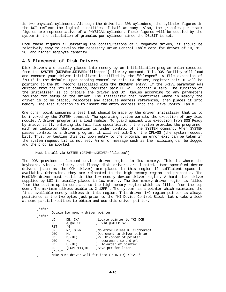is two physical cylinders. Although the drive has 306 cylinders, the cylinder figures in the DCT reflect the logical quantities of half as many. Also, the granules per track figures are representative of a PHYSICAL cylinder. These figures will be doubled by the system in the calculation of granules per cylinder since the DBLBIT is set.

From these figures illustrating the configurations of 5 megabyte drives, it should be relatively easy to develop the necessary Drive Control Table data for drives of 10, 15, 20, and higher megabyte capacity.

# **4.6 Placement of Disk Drivers**

Disk drivers are usually placed into memory by an initialization program which executes from the **SYSTEM (DRIVE=n,DRIVER="filespec")** library command. This DOS facility will load and execute your driver initializer identified by the "filespec". A file extension of "/DCT" is the default. Upon passing control to this DCT driver, register pair DE will be pointing to the DCT record associated with the **DRIVE=n** entry. If the DRIVE parameter was omitted from the SYSTEM command, register pair DE will contain a zero. The function of the initializer is to prepare the driver and DCT tables according to any parameters required for setup of the driver. The initializer then identifies where in memory the driver is to be placed, relocates any absolute address references, then places it into memory. The last function is to insert the entry address into the Drive Control Table.

One other point concerns a test that should be made by the driver initializer that is to be invoked by the SYSTEM command. The operating system permits the execution of any load module. A driver program is a load module. To guard against its execution from DOS Ready by inadvertently entering its full file specification, the system provides the programmer with an indicator that execution is under control of the SYSTEM command. When SYSTEM passes control to a driver program, it will set bit-3 of the CFLAG\$ (the system request bit). Thus, by testing this bit upon entry to the program, an error exit can be taken if the system request bit is not set. An error message such as the following can be logged and the program aborted.

#### Must install via SYSTEM (DRIVE=n, DRIVER="filespec")

The DOS provides a limited device driver region in low memory. This is where the keyboard, video, printer, and floppy disk drivers are located. User specified device drivers (such as the COM driver) are placed in this region if sufficient space is available. Otherwise, they are relocated to the high memory region and protected. The MemDISK driver must reside in the low memory device driver region. A hard disk driver supplied by LSI is usually placed in low memory. The low memory driver region is filled from the bottom up in contrast to the high memory region which is filled from the top down. The maximum address usable is X'12FF'. The system has a pointer which maintains the first available memory address in this region. This driver I/O region pointer is always positioned as the two bytes just prior to the \*KI Device Control Block. Let's take a look at some partial routines to obtain and use this driver pointer.

 $; * = * = *$  ; Obtain low memory driver pointer ; \*=\*=\* LD DE, 'IK' ;Locate pointer to \*KI DCB<br>
LD A,@GTDCB ; via @GTDCB SVC LD  $A, @GIDCB$  ; via @GTDCB SVC RST 40 RST 40 JP NZ, IOERR ;No error unless KI clobbered!<br>DEC HL :Decrement to driver pointer DEC HL ;Decrement to driver pointer<br>
LD D, (HL)  $iP/u$  hi-order of pointer, LD  $D$ ,  $(HL)$   $iP/u$  hi-order of pointer,<br>DEC  $HL$ ,  $iP/v$  decrement to and  $D/u$ DEC  $H<sub>L</sub>$  ; decrement to and p/u<br>  $L<sub>D</sub>$  E, (HL) ; lo-order of pointer  $E$ ,(HL)  $i$  lo-order of pointer<br>(LCPTR+1),HL  $i$ Save ptr for later LD (LCPTR+1),HL ;Save ptr for later ;  $*="z" = *$ <br>; Make s Make sure driver will fit into (POINTER)-X'12FF'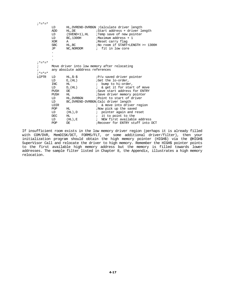| $;* = * = *$  |                                                  |                                                                 |                                                                                                                                                                                                                   |  |  |  |  |  |  |  |
|---------------|--------------------------------------------------|-----------------------------------------------------------------|-------------------------------------------------------------------------------------------------------------------------------------------------------------------------------------------------------------------|--|--|--|--|--|--|--|
|               | LD<br>ADD<br>LD<br>LD<br>XOR<br><b>SBC</b><br>JP | HL, DE<br>(SVEND+1),HL<br>BC,1300H<br>A<br>HL, BC<br>NC, NOROOM | HL, DVREND-DVRBGN ; Calculate driver length<br>;Start address + driver length<br>Temp save of new pointer<br>$i$ Maximum address + 1<br>Reset carry flag<br>No room if START+LENGTH >= 1300H<br>; fit in low core |  |  |  |  |  |  |  |
|               |                                                  |                                                                 |                                                                                                                                                                                                                   |  |  |  |  |  |  |  |
| $;* = * = *$  |                                                  |                                                                 |                                                                                                                                                                                                                   |  |  |  |  |  |  |  |
|               |                                                  | Move driver into low memory after relocating                    |                                                                                                                                                                                                                   |  |  |  |  |  |  |  |
|               |                                                  | any absolute adddress references                                |                                                                                                                                                                                                                   |  |  |  |  |  |  |  |
| $; * = * = *$ |                                                  |                                                                 |                                                                                                                                                                                                                   |  |  |  |  |  |  |  |
| LCPTR         | LD                                               | HL,\$-\$                                                        | $iP/u$ saved driver pointer                                                                                                                                                                                       |  |  |  |  |  |  |  |
|               | LD                                               | $E$ , $(HL)$                                                    | ;Get the lo-order,                                                                                                                                                                                                |  |  |  |  |  |  |  |
|               | INC.                                             | HL                                                              | ; bump to hi-order,                                                                                                                                                                                               |  |  |  |  |  |  |  |
|               | LD                                               | D, (HL)                                                         | ; & get it for start of move                                                                                                                                                                                      |  |  |  |  |  |  |  |
|               | PUSH                                             | DE                                                              | ; Save start address for ENTRY                                                                                                                                                                                    |  |  |  |  |  |  |  |
|               | PUSH                                             | HL                                                              | Save driver memory pointer                                                                                                                                                                                        |  |  |  |  |  |  |  |
|               | LD                                               | HL , DVRBGN                                                     | Point to start of driver                                                                                                                                                                                          |  |  |  |  |  |  |  |
|               | LD                                               |                                                                 | BC, DVREND-DVRBGN; Calc driver length                                                                                                                                                                             |  |  |  |  |  |  |  |
|               | LDIR                                             |                                                                 | & move into driver region<br>$\mathbf{r}$                                                                                                                                                                         |  |  |  |  |  |  |  |
|               | POP                                              | HL                                                              | Now pick up the saved                                                                                                                                                                                             |  |  |  |  |  |  |  |
|               | LD                                               | (HL),D                                                          | <i>i</i> pointer again and reset                                                                                                                                                                                  |  |  |  |  |  |  |  |
|               | DEC                                              | HL.                                                             | $:$ it to point to the                                                                                                                                                                                            |  |  |  |  |  |  |  |
|               | LD                                               | $(HL)$ , $E$                                                    | NEW first available address<br>$\ddot{i}$                                                                                                                                                                         |  |  |  |  |  |  |  |
|               | POP                                              | DE                                                              | Recover for ENTRY stuff into DCT                                                                                                                                                                                  |  |  |  |  |  |  |  |

If insufficient room exists in the low memory driver region (perhaps it is already filled with COM/DVR, MemDISK/DCT, FORMS/FLT, or some additional driver/filter), then your initialization program should obtain the high memory pointer (HIGH\$) via the @HIGH\$ SuperVisor Call and relocate the driver to high memory. Remember the HIGH\$ pointer points to the first available high memory address but the memory is filled towards lower addresses. The sample filter listed in Chapter 8, the Appendix, illustrates a high memory relocation.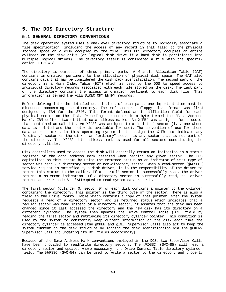# **5. The DOS Directory Structure**

# **5.1 GENERAL DIRECTORY CONVENTIONS**

The disk operating system uses a one-level directory structure to logically associate a file specification (including the access of any record in that file) to the physical storage space on a disk occupied by the file. This DOS directory occupies an entire cylinder on the disk drive (or logical disk drive if a hard disk is partitioned into multiple logical drives). The directory itself is considered a file with the specification "DIR/SYS".

The directory is composed of three primary parts: A Granule Allocation Table (GAT) contains information pertinent to the allocation of physical disk space. The GAT also contains data that may be considered the disk pack identification. The second part of the directory is a Hash Index Table (HIT) which is used by the DOS to speed access to individual directory records associated with each file stored on the disk. The last part of the directory contains the access information pertinent to each disk file. This information is termed the FILE DIRECTORY ENTRY records.

Before delving into the detailed descriptions of each part, one important item must be discussed concerning the directory. The soft-sectored floppy disk format was first designed by IBM for the 3740. This format defined an identification field for each physical sector on the disk. Preceding the sector is a byte termed the "Data Address Mark". IBM defined two distinct data address marks: An X'FB' was assigned for a sector that contained actual data. An X'F8' was assigned to a "deleted" sector (i.e. one whose data is deleted and the sector is available for use). The convention of use for these data address marks in this operating system is to assign the X'FB' to indicate any "ordinary" sector on the disk - an "ordinary" sector is any sector that is not part of the directory. The X'F8' data address mark is used for all sectors constituting the directory cylinder.

Disk controllers used to access the disk will generally return an indication in a status register of the data address mark detected when reading any given sector. The DOS capitalizes on this scheme by using the returned status as an indicator of what type of sector was read - a directory sector or non-directory sector. When a read-sector (@RDSEC ) service request is satisfied by a disk driver, it is the responsibility of the driver to return this status to the caller. If a "normal" sector is successfully read, the driver returns a no-error indication. If a directory sector is successfully read, the driver returns an error code 6 - "Attempted to read system data record".

The first sector (cylinder 0, sector 0) of each disk contains a pointer to the cylinder containing the directory. This pointer is the third byte of the sector. There is also a field in the Drive Control Table which contains a copy of that pointer. When the system requests a read of a directory sector and is returned status which indicates that a regular sector was read instead of a directory sector, it assumes that the disk has been changed since it last accessed the directory and the new disk has its directory on a different cylinder. The system then updates the Drive Control Table (DCT) field by reading the first sector and retrieving its directory cylinder pointer. This condition is used by the system to constantly keep current information on the disk each time the directory cylinder is accessed [the @OPEN and @INIT SuperVisor Calls also act to keep the system current on the disk structure by logging the disk identification via the @CKDRV SuperVisor Call and updating its DCT fields accordingly].

Because of the Data Address Mark conventions employed in the DOS, two SuperVisor Calls have been provided to read/write directory sectors. The @RDSSC (SVC-85) will read a directory sector and update, where necessary, the Drive Control Table directory cylinder field. The @WRSSC (SVC-54) can be used to write a sector to the directory and properly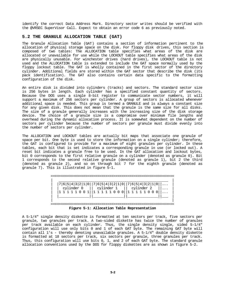identify the correct Data Address Mark. Directory sector writes should be verified with the @VRSEC SuperVisor Call. Expect to obtain an error code 6 as previously noted.

# **5.2 THE GRANULE ALLOCATION TABLE (GAT)**

The Granule Allocation Table (GAT) contains a section of information pertinent to the allocation of physical storage space on the disk. For floppy disk drives, this section is composed of two tables: The ALLOCATION table specifies what areas of the disk are allocated or unavailable for use while the LOCKOUT table specifies what areas of the disk are physically unusable. For winchester drives (hard drives), the LOCKOUT table is not used and the ALLOCATION table is extended to include the GAT space normally used by the floppy lockout table. The GAT is wholly contained in the first sector of the directory cylinder. Additional fields are stored within the GAT sector that describe the disk (its pack identification). The GAT also contains certain data specific to the formatting configuration of the disk.

An entire disk is divided into cylinders (tracks) and sectors. The standard sector size is 256 bytes in length. Each cylinder has a specified constant quantity of sectors. Because the DOS uses a single 8-bit register to communicate sector numbers, it will support a maximum of 256 sectors per cylinder. A group of sectors is allocated whenever additional space is needed. This group is termed a GRANULE and is always a constant size for any given disk. This does not mean that the granule is the same size for all disks. The size of a granule generally increases with the increasing size of the disk storage device. The choice of a granule size is a compromise over minimum file lengths and overhead during the dynamic allocation process. It is somewhat dependent on the number of sectors per cylinder because the number of sectors per granule must divide evenly into the number of sectors per cylinder.

The ALLOCATION and LOCKOUT tables are actually bit maps that associate one granule of space per bit. One byte is used to store the information on a single cylinder; therefore, the GAT is configured to provide for a maximum of eight granules per cylinder. In these tables, each bit that is set indicates a corresponding granule in use (or locked out). A reset bit indicates a granule free to be used. In the GAT allocation and lockout bytes, bit 0 corresponds to the first relative granule on a cylinder (denoted as granule 0). Bit 1 corresponds to the second relative granule (denoted as granule 1), bit 2 the third (denoted as granule 2), and so on through bit 7 for the eighth granule (denoted as granule 7). This is illustrated in figure 5-1.

|  | 7 6 5 4 3 2 1 0  7 6 5 4 3 2 1 0  7 6 5 4 3 2 1 0 |  |  |            |  |  |  |            |  |  |  |  |  |
|--|---------------------------------------------------|--|--|------------|--|--|--|------------|--|--|--|--|--|
|  | cylinder 0                                        |  |  | cylinder 1 |  |  |  | cylinder 2 |  |  |  |  |  |
|  | 11111001                                          |  |  | 11111000   |  |  |  |            |  |  |  |  |  |
|  |                                                   |  |  |            |  |  |  |            |  |  |  |  |  |
|  |                                                   |  |  |            |  |  |  |            |  |  |  |  |  |

**Figure 5-1: Allocation Table Representation**

A 5-1/4" single density diskette is formatted at ten sectors per track, five sectors per granule, two granules per track. A two-sided diskette has twice the number of granules per track available on each cylinder. Thus, the single density single, sided 5-1/4" configuration will use only bits 0 and 1 of each GAT byte. The remaining GAT byte will contain all 1's - thereby denoting unavailable granules. A 5-1/4" double density diskette is formatted at 18 sectors per track, six sectors per granule, three granules per track. Thus, this configuration will use bits 0, 1, and 2 of each GAT byte. The standard granule allocation conventions used by the DOS for floppy diskettes are as shown in figure 5-2.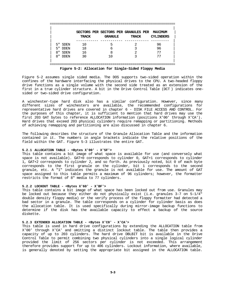|                    |       |                | SECTORS PER SECTORS PER GRANULES PER MAXIMUM         |                  |
|--------------------|-------|----------------|------------------------------------------------------|------------------|
|                    | TRACK | <b>GRANULE</b> | TRACK                                                | <b>CYLINDERS</b> |
|                    |       |                |                                                      |                  |
| 5" SDEN            | 10    |                |                                                      | 96               |
| <b>DDEN</b><br>5 " | 18    | 6              | ς                                                    | 96               |
| 8"<br>SDEN         | 16    | 8              | $\mathfrak{D}$                                       | 77               |
| R''<br>אתרת T      | 30    | 10             |                                                      | 77               |
|                    |       |                |                                                      |                  |
|                    |       |                |                                                      |                  |
|                    |       |                | Figure 5-2: Allocation for Single-Sided Floppy Media |                  |

Figure 5-2 assumes single sided media. The DOS supports two-sided operation within the confines of the hardware interfacing the physical drives to the CPU. A two-headed floppy drive functions as a single volume with the second side treated as an extension of the first in a true cylinder structure. A bit in the Drive Control Table (DCT ) indicates onesided or two-sided drive configuration.

A winchester-type hard disk also has a similar configuration. However, since many different sizes of winchesters are available, the recommended configurations for representative hard drives are covered in chapter 6 - DISK FILE ACCESS AND CONTROL. For the purposes of this chapter, it is sufficient to mention that hard drives may use the first 203 GAT bytes to reference ALLOCATION information (positions X'00' through X'CA'). Hard drives that exceed 203 physical cylinders require remapping or partitioning. Methods of achieving remapping and partitioning are also discussed in chapter 6.

The following describes the structure of the Granule Allocation Table and the information contained in it. The numbers in angle brackets indicate the relative positions of the field within the GAT. Figure 5-3 illustrates the entire GAT.

## **5.2.1 ALLOCATION TABLE - <Bytes X'00' - X'5F'>**

This table contains a bit image of what space is available for use (and conversely what space is not available). GAT+0 corresponds to cylinder 0, GAT+1 corresponds to cylinder 1, GAT+2 corresponds to cylinder 2, and so forth. As previously noted, bit 0 of each byte corresponds to the first granule on the cylinder, bit 1 corresponds to the second granule, etc. A "1" indicates the granule is not available for use. The amount of GAT space assigned to this table permits a maximum of 96 cylinders; however, the formatter restricts the format of 8" media to 77 cylinders.

## **5.2.2 LOCKOUT TABLE - <Bytes X'60' - X'BF'>**

This table contains a bit image of what space has been locked out from use. Granules may be locked out because they either do not physically exist (i.e. granules 3-7 on 5-1/4" double density floppy media) or the verify process of the floppy formatter had detected a bad sector in a granule. The table corresponds on a cylinder for cylinder basis as does the allocation table. It is used specifically during mirror-image backup functions to determine if the disk has the available capacity to effect a backup of the source diskette.

## **5.2.3 EXTENDED ALLOCATION TABLE - <Bytes X'C0' - X'CA'>**

This table is used in hard drive configurations by extending the ALLOCATION table from X'00' through X'CA' and omitting a distinct lockout table. The table then provides a capacity of up to 203 cylinders. The hard drive DBLBIT bit is available in the Drive Control Table to permit combining two physical cylinders into a single logical cylinder provided the limit of 256 sectors per cylinder is not exceeded. This arrangement therefore provides support for up to 406 cylinders. Lockout information, where available, is generally denoted by setting the appropriate bit assigned in the ALLOCATION table.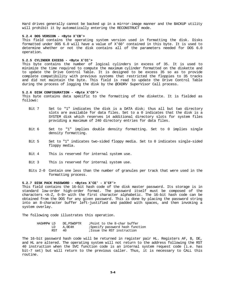Hard drives generally cannot be backed up in a mirror-image manner and the BACKUP utility will prohibit it by automatically entering the RECONSTRUCT mode.

#### **5.2.4 DOS VERSION - <Byte X'CB'>**

This field contains the operating system version used in formatting the disk. Disks formatted under DOS 6.0 will have a value of X'60' contained in this byte. It is used to determine whether or not the disk contains all of the parameters needed for DOS 6.0 operation.

#### **5.2.5 CYLINDER EXCESS - <Byte X'CC'>**

This byte contains the number of logical cylinders in excess of 35. It is used to minimize the time required to compute the maximum cylinder formatted on the diskette and to update the Drive Control Table. It is designed to be excess 35 so as to provide complete compatibility with previous systems that restricted the floppies to 35 tracks and did not maintain the byte. This field is read to update the Drive Control Table during the process of logging the disk by the @CKDRV SuperVisor Call process.

#### **5.2.6 DISK CONFIGURATION - <Byte X'CD'>**

This byte contains data specific to the formatting of the diskette. It is fielded as follows:

- Bit 7 Set to "1" indicates the disk is a DATA disk; thus all but two directory slots are available for data files. Set to a 0 indicates that the disk is a SYSTEM disk which reserves 14 additional directory slots for system files providing a maximum of 240 directory entries for data files.
- Bit 6 Set to "1" implies double density formatting. Set to 0 implies single density formatting.
- Bit 5 Set to "1" indicates two-sided floppy media. Set to 0 indicates single-sided floppy media.
- Bit 4 This is reserved for internal system use.
- Bit 3 This is reserved for internal system use.
- Bits 2-0 Contain one less than the number of granules per track that were used in the formatting process.

#### **5.2.7 DISK PACK PASSWORD - <Bytes X'CE' - X'CF'>**

This field contains the 16-bit hash code of the disk master password. Its storage is in standard low-order high-order format. The password itself must be composed of the characters <A-Z, 0-9> with the first character alphabetic. The 16-bit hash code can be obtained from the DOS for any given password. This is done by placing the password string into an 8-character buffer left-justified and padded with spaces, and then invoking a system overlay.

The following code illustrates this operation.

| HASHMPW LD |     | DE.PSWDPTR | Point to the 8-char buffer;    |
|------------|-----|------------|--------------------------------|
|            | LD  | A.OE4H     | Specify password hash function |
|            | RST | 40.        | ;Issue the RST instruction     |

The 16-bit password hash code will be returned in register pair HL. Registers AF, B, DE, and HL are altered. The operating system will not return to the address following the RST 40 instruction when the SVC function code is an internal system request code (i.e. has bit-7 set) but will return to the previous caller. Thus, it is necessary to CALL this routine.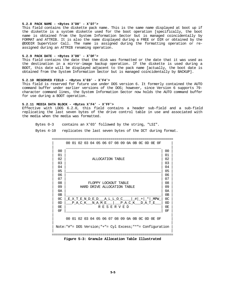## **5.2.8 PACK NAME - <Bytes X'D0' - X'D7'>**

This field contains the diskette pack name. This is the same name displayed at boot up if the diskette is a system diskette used for the boot operation [specifically, the boot name is obtained from the System Information Sector but is managed coincidentally by FORMAT and ATTRIB. It is also the name displayed during a FREE or DIR or obtained by the @DODIR SuperVisor Call. The name is assigned during the formatting operation or reassigned during an ATTRIB renaming operation.

#### **5.2.9 PACK DATE - <Bytes X'D8' - X'DF'>**

This field contains the date that the disk was formatted or the date that it was used as the destination in a mirror-image backup operation. If the diskette is used during a BOOT, this date will be displayed adjacent to the pack name [actually, the boot date is obtained from the System Information Sector but is managed coincidentally by BACKUP].

## **5.2.10 RESERVED FIELD - <Bytes X'E0' - X'F4'>**

This field is reserved for future use under DOS version 6. It formerly contained the AUTO command buffer under earlier versions of the DOS; however, since Version 6 supports 79 character command lines, the System Information Sector now holds the AUTO command buffer for use during a BOOT operation.

#### **5.2.11 MEDIA DATA BLOCK - <Bytes X'F4' - X'FF'>**

Effective with LDOS 6.2.0, this field contains a header sub-field and a sub-field replicating the last seven bytes of the drive control table in use and associated with the media when the media was formatted.

Bytes 0-3 contains an X'03' followed by the string, "LSI".

Bytes 4-10 replicates the last seven bytes of the DCT during format.

|                | 00 01 02 03 04 05 06 07 08 09 0A 0B 0C 0D 0E 0F                                                                |                |
|----------------|----------------------------------------------------------------------------------------------------------------|----------------|
| 00             |                                                                                                                | 00             |
| 01             |                                                                                                                | 01             |
| 02             | ALLOCATION TABLE                                                                                               | 02             |
| 03             |                                                                                                                | 03             |
| 04             |                                                                                                                | 04             |
| 05             |                                                                                                                | 05             |
| 06             |                                                                                                                | 06             |
| 07             |                                                                                                                | 07             |
| 08             | FLOPPY LOCKOUT TABLE                                                                                           | 08             |
| 09<br>0A       | HARD DRIVE ALLOCATION TABLE                                                                                    | 09<br>0A       |
| 0B             |                                                                                                                | 0B             |
| 0 <sup>C</sup> | EXTENDED ALLOC   #  +  *  MPW                                                                                  | 0 <sup>C</sup> |
| 0 <sub>D</sub> | PACK NAME   PACK DATE                                                                                          | 0 <sub>D</sub> |
| 0E             | RESERVED                                                                                                       | 0E             |
| 0F             |                                                                                                                | 0F             |
|                | 00 01 02 03 04 05 06 07 08 09 0A 0B 0C 0D 0E 0F<br>Note: "#"= DOS Version; "+"= Cyl Excess; "*"= Configuration |                |
|                |                                                                                                                |                |

============================================================

**Figure 5-3: Granule Allocation Table Illustrated**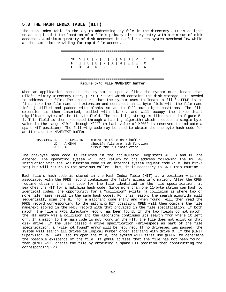# **5.3 THE HASH INDEX TABLE (HIT )**

The Hash Index Table is the key to addressing any file in the directory . It is designed so as to pinpoint the location of a file's primary directory entry with a minimum of disk accesses. A minimum quantity of disk accesses is useful to keep system overhead low while at the same time providing for rapid file access.



**Figure 5-4: File NAME/EXT buffer**

When an application requests the system to open a file, the system must locate that File's Primary Directory Entry (FPDE) record which contains the disk storage data needed to address the file. The procedure that the system uses to locate a file's FPDE is to first take the file name and extension and construct an 11-byte field with the file name left justified and padded with blanks so as to fill out eight positions. The file extension is then inserted, padded with blanks, and will occupy the three least significant bytes of the 11-byte field. The resulting string is illustrated in figure 5- 4. This field is then processed through a hashing algorithm which produces a single byte value in the range X'01' through X'FF' (a hash value of X'00' is reserved to indicate a spare HIT position). The following code may be used to obtain the one-byte hash code for an 11-character NAME/EXT buffer.

| HASHSPEC LD |     | HL.SPECPTR | Point to the 8-char buffer;    |
|-------------|-----|------------|--------------------------------|
|             | LD  | A,0D4H     | Specify filename hash function |
|             | RST | 40.        | ;Issue the RST instruction     |

The one-byte hash code is returned in the accumulator. Registers AF, B and HL are altered. The operating system will not return to the address following the RST 40 instruction when the SVC function code is an internal system request code (i.e. has bit-7 set) but will return to the previous caller. Thus, it is necessary to CALL this routine.

Each file's hash code is stored in the Hash Index Table (HIT) at a position which is associated with the FPDE record containing the file's access information. After the OPEN routine obtains the hash code for the file identified in the file specification, it searches the HIT for a matching hash code. Since more than one 11-byte string can hash to identical codes, the opportunity for a "collision" exists (a collision is where two or more file names result in the same hash code). For this reason, the search algorithm will sequentially scan the HIT for a matching code entry and when found, will then read the FPDE record corresponding to the matching HIT position. OPEN will then compare the file name/ext stored in the FPDE record with that provided in the file specification. If both match, the file's FPDE directory record has been found. If the two fields do not match, the HIT entry was a collision and the algorithm continues its search from where it left off. If a match to the hash code is not found in the HIT, the file does not exist on that disk drive. If the user passed a drive specification (drivespec) as part of the file specification, a "File not found" error will be returned. If no drivespec was passed, the system will search all drives in logical number order starting with drive 0. If the @INIT SuperVisor Call was used to open the file, the system will first use @OPEN to determine the possible existence of the file. If @OPEN advises that the file has not been found, then @INIT will create the file by obtaining a spare HIT position then constructing the corresponding FPDE.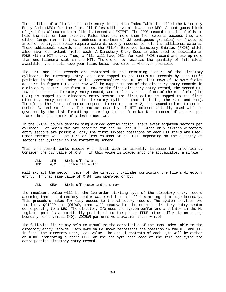The position of a file's hash code entry in the Hash Index Table is called the Directory Entry Code (DEC) for the file. All files will have at least one DEC. A contiguous block of granules allocated to a file is termed an EXTENT. The FPDE record contains fields to hold the data on four extents. Files that use more than four extents because they are either large (an extent can address a maximum of 32 contiguous granules) or fractured into non-contiguous space require extra directory records to hold the additional extents. These additional records are termed the File's Extended Directory Entries (FXDE) which also have four extent fields each. A Directory Entry Code is also used to associate an FXDE with a HIT entry. Thus, a file will have DECs for each FXDE record and use up more than one filename slot in the HIT. Therefore, to maximize the quantity of file slots available, you should keep your files below five extents wherever possible.

The FPDE and FXDE records are contained in the remaining sectors of the directory cylinder. The Directory Entry Codes are mapped to the FPDE/FXDE records by each DEC's position in the Hash Index Table. Conceptualize the HIT as eight rows of 32-byte fields as shown in figure 5-5. Each row will be mapped to one of the directory entry records in a directory sector. The first HIT row to the first directory entry record, the second HIT row to the second directory entry record, and so forth. Each column of the HIT field (the 0-31) is mapped to a directory entry sector. The first column is mapped to the first directory entry sector in the directory cylinder (not including the GAT and HIT). Therefore, the first column corresponds to sector number 2, the second column to sector number 3, and so forth. The maximum quantity of HIT columns actually used will be governed by the disk formatting according to the formula: N = (number of sectors per track times the number of sides) minus two.

In the 5-1/4" double density single-sided configuration, there exist eighteen sectors per cylinder - of which two are reserved for the GAT and HIT. Since only sixteen directory entry sectors are possible, only the first sixteen positions of each HIT field are used. Other formats will use more or less columns of the HIT, depending on the quantity of sectors per cylinder in the formatting scheme.

This arrangement works nicely when dealt with in assembly language for interfacing. Consider the DEC value of X'84'. If this value is loaded into the accumulator, a simple:

| AND | 1FH  | ;Strip off row and |
|-----|------|--------------------|
| ADD | A, 2 | calculate sector   |

will extract the sector number of the directory cylinder containing the file's directory entry. If that same value of X'84' was operated on by:

AND 0E0H ;Strip off sector and keep row

the resultant value will be the low-order starting byte of the directory entry record assuming that the directory sector was read into a buffer starting at a page boundary. This procedure makes for easy access to the directory record. The system provides two routines, @DIRRD and @DIRWR, that will read/write the correct directory entry sector corresponding to a DEC. The directory I/O uses the system buffer and a pointer in the HL register pair is automatically positioned to the proper FPDE (the buffer is on a page boundary for physical I/O). @DIRWR performs verification after write!

The following figure may help to visualize the correlation of the Hash Index Table to the directory entry records. Each byte value shown represents the position in the HIT and is, in fact, the Directory Entry Code value. The actual contents of each byte will be either an X'00' indicating a spare DEC, or the one-byte hash code of the file occupying the corresponding directory entry record.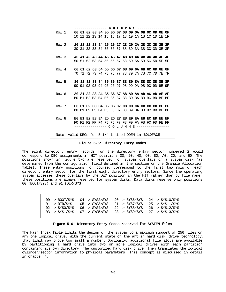============================================================== | ---------------- **C O L U M N S** ---------------- | | Row 1 **00 01 02 03 04 05 06 07 08 09 0A 0B 0C 0D 0E 0F** | | 10 11 12 13 14 15 16 17 18 19 1A 1B 1C 1D 1E 1F | | | | Row 2 **20 21 22 23 24 25 26 27 28 29 2A 2B 2C 2D 2E 2F** | | 30 31 32 33 34 35 36 37 38 39 3A 3B 3C 3D 3E 3F | | | | Row 3 **40 41 42 43 44 45 46 47 48 49 4A 4B 4C 4D 4E 4F** | | 50 51 52 53 54 55 56 57 58 59 5A 5B 5C 5D 5E 5F | | | | Row 4 **60 61 62 63 64 65 66 67 68 69 6A 6B 6C 6D 6E 6F** | | 70 71 72 73 74 75 76 77 78 79 7A 7B 7C 7D 7E 7F | | | | Row 5 **80 81 82 83 84 85 86 87 88 89 8A 8B 8C 8D 8E 8F** | | 90 91 92 93 94 95 96 97 98 99 9A 9B 9C 9D 9E 9F | | | | Row 6 **A0 A1 A2 A3 A4 A5 A6 A7 A8 A9 AA AB AC AD AE AF** | | B0 B1 B2 B3 B4 B5 B6 B7 B8 B9 BA BB BC BD BE BF | | | | Row 7 **C0 C1 C2 C3 C4 C5 C6 C7 C8 C9 CA CB CC CD CE CF** | | D0 D1 D2 D3 D4 D5 D6 D7 D8 D9 DA DB DC DD DE DF | | | | Row 8 **E0 E1 E2 E3 E4 E5 E6 E7 E8 E9 EA EB EC ED EE EF** | | F0 F1 F2 FF F4 F5 F6 F7 F8 F9 FA FB FC FD FE FF | | ---------------- C O L U M N S ---------------- | | | Note: Valid DECs for 5-1/4 1-sided DDEN in **BOLDFACE** ============================================================== **Figure 5-5: Directory Entry Codes**

The eight directory entry records for the directory entry sector numbered 2 would correspond to DEC assignments in HIT positions 00, 20, 40, 60, 80, A0, C0, and E0. The positions shown in figure 5-6 are reserved for system overlays on a system disk (as determined from the configuration field defined in the section on the Granule Allocation Table). These entry positions, of course, correspond to the first two rows of each directory entry sector for the first eight directory entry sectors. Since the operating system accesses these overlays by the DEC position in the HIT rather than by file name, these positions are always reserved for system disks. Data disks reserve only positions 00 (BOOT/SYS) and 01 (DIR/SYS).

======================================================================== | | | 00 -> BOOT/SYS 04 -> SYS2/SYS 20 -> SYS6/SYS 24 -> SYS10/SYS | | 01 -> DIR/SYS 05 -> SYS3/SYS 21 -> SYS7/SYS 25 -> SYS11/SYS | | 02 -> SYS0/SYS 06 -> SYS4/SYS 22 -> SYS8/SYS 26 -> SYS12/SYS | | 03 -> SYS1/SYS 07 -> SYS5/SYS 23 -> SYS9/SYS 27 -> SYS13/SYS | | | ======================================================================== **Figure 5-6: Directory Entry Codes reserved for SYSTEM files**

The Hash Index Table limits the design of the system to a maximum support of 256 files on any one logical drive. With the current state of the art in hard disk drive technology, that limit may prove too small a number. Obviously, additional file slots are available by partitioning a hard drive into two or more logical drives with each partition containing its own directory. The customized hard disk driver then translates the logical cylinder/sector information to physical parameters. This concept is discussed in detail in chapter 4.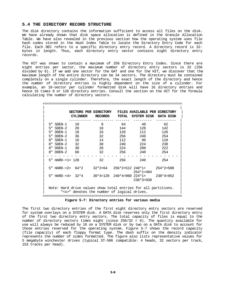# **5.4 THE DIRECTORY RECORD STRUCTURE**

The disk directory contains the information sufficient to access all files on the disk. We have already shown that disk space allocation is defined in the Granule Allocation Table. We have also revealed in the previous section how the operating system uses file hash codes stored in the Hash Index Table to locate the Directory Entry Code for each file. Each DEC refers to a specific directory entry record. A directory record is 32 bytes in length. Thus, each directory entry sector contains eight directory entry records.

The HIT was shown to contain a maximum of 256 Directory Entry Codes. Since there are eight entries per sector, the maximum number of directory entry sectors is 32 (256 divided by 8). If we add one sector for the GAT and one for the HIT, we discover that the maximum length of the entire directory can be 34 sectors. The directory must be contained completely on a single cylinder. Therefore, the exact length of the directory and hence the number of directory entries is highly dependent on the size of a cylinder. For example, an 18-sector per cylinder formatted disk will have 16 directory entries and hence 16 times 8 or 128 directory entries. Consult the section on the HIT for the formula calculating the number of directory sectors.

|                         | SECTORS PER DIRECTORY<br><b>CYLINDER</b>                       | <b>RECORDS</b> | <b>TOTAL</b> | FILES AVAILABLE PER DIRECTORY<br>SYSTEM DISK | DATA DISK   |
|-------------------------|----------------------------------------------------------------|----------------|--------------|----------------------------------------------|-------------|
| 5" SDEN-1               | 10                                                             | $\mathsf{B}$   | 64           | 48                                           | 62          |
| $5"$ SDEN-2             | 20                                                             | 18             | 144          | 128                                          | 142         |
| 5"<br>DDEN-1            | 18                                                             | 16             | 128          | 112                                          | 126         |
| $5"$ DDEN $-2$          | 36                                                             | 32             | 256          | 240                                          | 254         |
| 8"<br>$S$ DEN $-1$      | 16                                                             | 14             | 112          | 96                                           | 110         |
| $S$ DEN-2<br>8"         | $\overline{32}$                                                | 30             | 240          | 224                                          | 238         |
| DDEN-1<br>8"            | 30                                                             | 28             | 224          | 208                                          | 222         |
| $R''$ DDEN $-2$         | 60                                                             | 32             | 256          | 240                                          | 254         |
|                         |                                                                |                |              |                                              |             |
| $5"$ HARD- $<$ 1> 128   |                                                                | 32             | 256          | 240                                          | 254         |
|                         |                                                                |                |              |                                              |             |
| $5"$ HARD- $22$ 64 $*2$ |                                                                |                |              | $32*2=64$ $256*2=512$ $240*1+$ $254*2=508$   |             |
|                         |                                                                |                |              | $254*1=494$                                  |             |
|                         | 5" HARD-<4> 32*4                                               |                |              | 30*4=120 240*4=960 224*1+                    | $238*4=952$ |
|                         |                                                                |                |              | $238*3=938$                                  |             |
|                         |                                                                |                |              |                                              |             |
|                         | Note: Hard drive values show total entries for all partitions. |                |              |                                              |             |
|                         | " <x>" denotes the number of logical drives.</x>               |                |              |                                              |             |
|                         |                                                                |                |              |                                              |             |

## **Figure 5-7: Directory entries for various media**

The first two directory entries of the first eight directory entry sectors are reserved for system overlays on a SYSTEM disk. A DATA disk reserves only the first directory entry of the first two directory entry sectors. The total capacity of files is equal to the number of directory sectors times eight (since 256/32 = 8). The quantity available for use will always be reduced by 16 on a SYSTEM disk or by two on a DATA disk to account for those entries reserved for the operating system. Figure 5-7 shows the record capacity (file capacity) of each floppy format type. The dash suffix on the density indicator represents the number of sides formatted. The figure also lists representative values for 5 megabyte winchester drives (typical ST-506 compatible: 4 heads, 32 sectors per track, 153 tracks per head).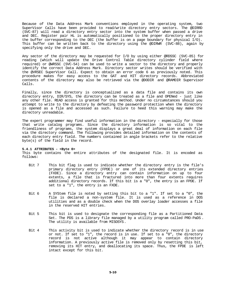Because of the Data Address Mark conventions employed in the operating system, two SuperVisor Calls have been provided to read/write directory entry sectors. The @DIRRD (SVC-87) will read a directory entry sector into the system buffer when passed a drive and DEC. Register pair HL is automatically positioned to the proper directory entry in the buffer corresponding to the DEC (the buffer is on a page boundary for physical I/O). This buffer can be written back to the directory using the @DIRWR (SVC-88), again by specifying only the drive and DEC.

Any sector of the directory may be requested for I/O by using either @RDSSC (SVC-85) for reading (which will update the Drive Control Table directory cylinder field where required) or @WRSSC (SVC-54) can be used to write a sector to the directory and properly identify the correct Data Address Mark. Directory sector writes should be verified with the @VRSEC SuperVisor Call. Expect to obtain an error code 6 as previously noted. This procedure makes for easy access to the GAT and HIT directory records. Abbreviated contents of the directory may also be retrieved via the @DODIR and @RAMDIR Supervisor Calls.

Finally, since the directory is conceptualized as a data file and contains its own directory entry, DIR/SYS, the directory can be treated as a file and OPENed - just like any other file. READ access is granted for this method. Under no circumstances should you attempt to write to the directory by defeating the password protection when the directory is opened as a file and accessed as such. Failure to heed this warning may make the directory unreadable.

The expert programmer may find useful information in the directory - especially for those that write catalog programs. Since the directory information is so vital to the friendliness of programs, the system displays a great deal of information on each file via the directory command. The following provides detailed information on the contents of each directory entry field. The numbers contained in angle brackets refer to the relative byte(s) of the field in the record.

## **5.4.1 ATTRIBUTES - <Byte 0>**

This byte contains the entire attributes of the designated file. It is encoded as follows:

- Bit 7 This bit flag is used to indicate whether the directory entry is the file's primary directory entry (FPDE) or one of its extended directory entries (FXDE). Since a directory entry can contain information on up to four extents, a file that is fractured into more than four extents requires additional directory records. If this bit is a "0", the entry is an FPDE. If set to a "1", the entry is an FXDE.
- Bit 6 A SYStem file is noted by setting this bit to a "1". If set to a "0", the file is declared a non-system file. It is used as a reference in DOS utilities and as a double check when the DOS overlay loader accesses a file in the reserved HIT entries.
- Bit 5 This bit is used to designate the corresponding file as a Partitioned Data Set. The PDS is a library file managed by a utility program called PRO-PaDS . The utility is available from MISOSYS.
- Bit 4 This activity bit is used to indicate whether the directory record is in use or not. If set to "1", the record is in use. If set to a "0", the directory record is not active although it may appear to contain directory information. A previously active file is removed only by resetting this bit, removing its HIT entry, and deallocating its space. Thus, the FPDE is left intact except for this bit.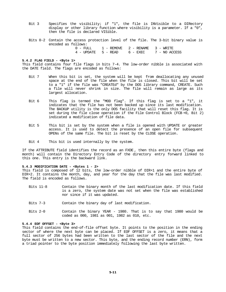- Bit 3 Specifies the visibility; if "1", the file is INVisible to a DIRectory display or other library function where visibility is a parameter. If a "0", then the file is declared VISible.
- Bits 0-2 Contain the access protection level of the file. The 3-bit binary value is encoded as follows:

| 0 - FULL | 1 - REMOVE 2 - RENAME 3 - WRITE |                                            |
|----------|---------------------------------|--------------------------------------------|
|          |                                 | 4 - UPDATE 5 - READ 6 - EXEC 7 - NO ACCESS |

#### **5.4.2 FLAG FIELD - <Byte 1>**

This field contains four file flags in bits 7-4. The low-order nibble is associated with the DATE field. The flags are encoded as follows:

- Bit 7 When this bit is set, the system will be kept from deallocating any unused space at the end of the file when the file is closed. This bit will be set to a "1" if the file was "CREATEd" by the DOS library command, CREATE. Such a file will never shrink in size. The file will remain as large as its largest allocation.
- Bit 6 This flag is termed the "MOD flag". If this flag is set to a "1", it indicates that the file has not been backed up since its last modification. The BACKUP utility is the only DOS facility that will reset this flag. It is set during the file close operation if the File Control Block (FCB +0, Bit 2) indicated a modification of file data.
- Bit 5 This bit is set by the system when a file is opened with UPDATE or greater access. It is used to detect the presence of an open file for subsequent OPENs of the same file. The bit is reset by the CLOSE operation.
- Bit 4 This bit is used internally by the system.

If the ATTRIBUTE field identifies the record as an FXDE , then this entire byte (flags and month) will contain the Directory Entry Code of the directory entry forward linked to this one. This entry is the backward link.

#### **5.4.3 MODIFICATION DATE - <Bytes 1 - 2>**

This field is composed of 12 bits, the low-order nibble of DIR+1 and the entire byte of DIR+2. It contains the month, day, and year for the day that the file was last modified. The field is encoded as follows.

- Bits 11-8 Contain the binary month of the last modification date. If this field is a zero, the system date was not set when the file was established nor since if it was updated.
- Bits 7-3 Contain the binary day of last modification.
- Bits 2-0 Contain the binary YEAR 1980. That is to say that 1980 would be coded as 000, 1981 as 001, 1982 as 010, etc.

#### **5.4.4 EOF OFFSET - <Byte 3>**

This field contains the end-of-file offset byte. It points to the position in the ending sector of where the next byte can be placed. If EOF OFFSET is a zero, it means that a full sector of 256 bytes had been written to the last sector of the file and the next byte must be written to a new sector. This byte, and the ending record number (ERN), form a triad pointer to the byte position immediately following the last byte written.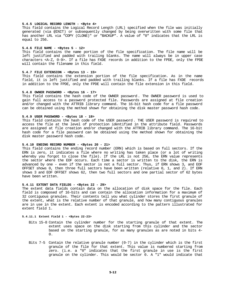### **5.4.5 LOGICAL RECORD LENGTH - <Byte 4>**

This field contains the Logical Record Length (LRL) specified when the file was initially generated (via @INIT) or subsequently changed by being overwritten with some file that has another LRL via "COPY (CLONE)" or "BACKUP". A value of "0" indicates that the LRL is equal to 256.

#### **5.4.6 FILE NAME - <Bytes 5 - 12>**

This field contains the name portion of the file specification. The file name will be left justified and padded with trailing blanks. The name will always be in upper case characters <A-Z, 0-9>. If a file has FXDE records in addition to the FPDE, only the FPDE will contain the filename in this field.

## **5.4.7 FILE EXTENSION - <Bytes 13 - 15>**

This field contains the extension portion of the file specification. As in the name field, it is left justified and padded with trailing blanks. If a file has FXDE records in addition to the FPDE, only the FPDE will contain the file extension in this field.

#### **5.4.8 OWNER PASSWORD - <Bytes 16 - 17>**

This field contains the hash code of the OWNER password . The OWNER password is used to gain full access to a password protected file. Passwords are assigned at file creation and/or changed with the ATTRIB library command. The 16-bit hash code for a file password can be obtained using the method shown for obtaining the disk master password hash code.

#### **5.4.9 USER PASSWORD - <Bytes 18 - 19>**

This field contains the hash code of the USER password . THE USER password is required to access the file at the level of protection identified in the attribute field. Passwords are assigned at file creation and/or changed with the ATTRIB library command. The 16-bit hash code for a file password can be obtained using the method shown for obtaining the disk master password hash code.

## **5.4.10 ENDING RECORD NUMBER - <Bytes 20 - 21>**

This field contains the ending record number (ERN) which is based on full sectors. If the ERN is zero, it indicates a file where no writing has taken place (or a lot of writing whereby you forgot to close the file). If the LRL is not 256, the ERN value represents the sector where the EOF occurs. Each time a sector is written to the disk, the ERN is advanced by one - even if the sector is not a full sector. Thus, if ERN shows 3, and EOF OFFSET shows 0, then three full sectors have been written (relative 0, 1, and 2). If ERN shows 3 and EOF OFFSET shows 62, then two full sectors and one partial sector of 62 bytes have been written.

## **5.4.11 EXTENT DATA FIELDS - <Bytes 22 - 29>**

The extent data fields contain data on the allocation of disk space for the file. Each field is composed of 16-bits and can contain the allocation information for a maximum of 32 contiguous granules. Their contents tell you what cylinder stores the first granule of the extent, what is the relative number of that granule, and how many contiguous granules are in use in the extent. Each extent is encoded according to the pattern illustrated for extent field 1.

# **5.4.11.1 Extent Field 1 - <Bytes 22-23>**

- Bits 15-8 Contain the cylinder number for the starting granule of that extent. The extent uses space on the disk starting from this cylinder and the sector based on the starting granule, for as many granules as are noted in bits 4- 0.
- Bits 7-5 Contain the relative granule number  $(0-7)$  in the cylinder which is the first granule of the file for that extent. This value is numbered starting from zero. (i.e. a "0" indicates that the first granule in use is the first granule on the cylinder. This would be sector 0. A "1" would indicate that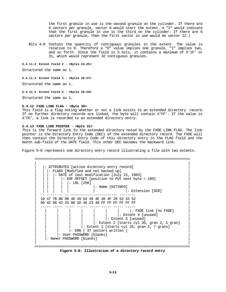the first granule in use is the second granule on the cylinder. If there are 6 sectors per granule, sector 6 would start the extent. A "2" would indicate that the first granule in use is the third on the cylinder. If there are 6 sectors per granule, then the first sector in use would be sector 12.)

Bits 4-0 Contain the quantity of contiguous granules in the extent. The value is relative to 0. Therefore a "0" value implies one granule, "1" implies two, and so forth. Since the field is 5 bits, it contains a maximum of X'1F' or 31, which would represent 32 contiguous granules.

### **5.4.11.2 Extent Field 2 - <Bytes 24-25>**

Structured the same as 1.

#### **5.4.11.3 Extent Field 3 - <Bytes 26-27>**

Structured the same as 1.

## **5.4.11.4 Extent Field 4 - <Bytes 28-29>**

Structured the same as 1.

## **5.4.12 FXDE LINK FLAG - <Byte 30>**

This field is a flag noting whether or not a link exists to an extended directory record. If no further directory records are linked, the byte will contain X'FF'. If the value is X'FE', a link is recorded to an extended directory entry.

#### **5.4.13 FXDE LINK POINTER - <Byte 31>**

This is the forward link to the extended directory noted by the FXDE LINK FLAG. The link pointer is the Directory Entry Code (DEC) of the extended directory record. The FXDE will then contain the Directory Entry Code of this directory entry in the FLAG field and the month sub-field of the DATE field. This other DEC becomes the backward link.

=============================================================================

Figure 5-8 represents one directory entry record illustrating a file with two extents.

| | | |- ATTRIBUTES [active directory entry record] | | | |- FLAGS [Modified and not backed up] | |- DATE of last modification [July 15, 1983] |- EOF OFFSET [position to PUT next byte = 189]  $|-$  LRL  $[256]$ |- Name [HITINFO] |- Extension [SCR] | -- ----- -- -- ----------------------- -------- | | 10 47 7B BD 00 48 49 54 49 4E 46 4F 20 53 43 52 | | 96 42 96 42 25 00 1D 46 23 40 FF FF FF FF FF FF | | ----- ----- ----- ----- ----- ----- ----- ----- | | | | | | | | | |- FXDE link [no FXDE] | |- Extent 4 [unused]  $\vert$  - Extent 3 [unused]  $|-$  Extent 2 [starts cyl 35, gran 2, 1 gran]  $|-$  Extent 1 [starts cyl 29, gran 2, 7 grans]  $|-$  ERN  $[$  37 sectors written  $]$ | | |- User PASSWORD [blanks] | | |- Owner PASSWORD [blanks] | | | =============================================================================

**Figure 5-8: Illustration of a directory record entry**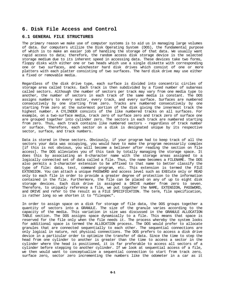# **6. Disk File Access and Control**

# **6.1 GENERAL FILE STRUCTURES**

The primary reason we make use of computer systems is to aid us in managing large volumes of data. Our computers utilize the Disk Operating System (DOS), the fundamental purpose of which is to make an easier job of handling the storage of that data. We usually want rapid access to data; therefore, the random access disk storage device is the selected storage medium due to its inherent speed in accessing data. These devices take two forms, floppy disks with either one or two heads which use a single diskette with corresponding one or two surfaces, and winchester hard disk drives which consist of one or more platters with each platter consisting of two surfaces. The hard disk drive may use either a fixed or removable media.

Regardless of the disk drive type, each surface is divided into concentric circles of storage area called tracks. Each track is then subdivided by a fixed number of subareas called sectors. Although the number of sectors per track may vary from one media type to another, the number of sectors in each track of the same media is constant. The DOS assigns numbers to every sector, every track, and every surface. Surfaces are numbered consecutively by one starting from zero. Tracks are numbered consecutively by one starting from zero at the outermost portion of the disk giving the innermost track the highest number. A CYLINDER consists of the like numbered tracks on all surfaces. For example, on a two-surface media, track zero of surface zero and track zero of surface one are grouped together into cylinder zero. The sectors in each track are numbered starting from zero. Thus, each track contains like numbered sectors - regardless of track number or surface. Therefore, each sector on a disk is designated unique by its respective sector, surface, and track numbers.

Data is stored in these sectors. Obviously, if your program had to keep track of all the sectors your data was occupying, you would have to make the program necessarily complex [if this is not obvious, you will become a believer after reading the section on file access]. The DOS alleviates you of this task by totally managing the storage space. It does this by associating an 8-character name with the storage areas assigned to a logically connected set of data called a file. Thus, the name becomes a FILENAME. The DOS also permits a 3-character extension to be affixed to that name to better classify the type of file: data, text, command program, etc. This extension is termed the FILE EXTENSION. You can attach a unique PASSWORD and access level such as EXECute only or READ only to each file in order to provide a greater degree of protection to the information contained in the file. Furthermore, the file can be placed on any of up to eight disk storage devices. Each disk drive is assigned a DRIVE number from zero to seven. Therefore, to uniquely reference a file, we put together the NAME, EXTENSION, PASSWORD, and DRIVE and refer to the result as a FILE SPECIFICATION. The term, file specification, is rather long so we shorten it to "filespec".

In order to assign space on a disk for storage of file data, the DOS groups together a quantity of sectors into a GRANULE. The size of the granule varies according to the capacity of the media. This variation in size was discussed in the GRANULE ALLOCATION TABLE section. The DOS assigns space dynamically to a file. This means that space is reserved for the file only when the file needs it. The process whereby the system looks for additional space is termed the ALLOCATION process. The DOS would prefer to allocate granules that are connected sequentially to each other. The sequential connections are only logical in nature, not physical connections. The DOS prefers to access a disk drive device in a particular order to optimize the transfer of data. Since the time to step the head from one cylinder to another is greater than the time to access a sector in the cylinder where the head is positioned, it is far preferable to access all sectors of a cylinder before stepping to another cylinder. If we look at sequential access of a file, we then would want to conceptualize a sequential connection to start from track zero, surface zero, sector zero incrementing the numbers like the odometer in a car as it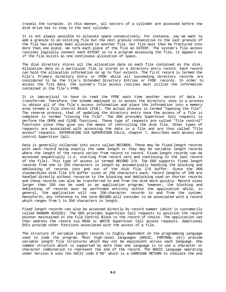travels the turnpike. In this manner, all sectors of a cylinder are accessed before the disk drive has to step to the next cylinder.

It is not always possible to allocate space consecutively. For instance, say we want to add a granule to an existing file but the next granule consecutive to the last granule of the file has already been allocated to another file. Our file must then be fractured into more than one piece. We term each piece of the file an EXTENT. The system's file access routines logically connect each EXTENT so to a program accessing the file, it appears as if the file exists as one continuous allocation of space.

The disk directory stores all the allocation data on each file contained on the disk. Allocation data on a particular file is stored in a directory entry record. Each record can hold the allocation information on up to four extents. The first record is termed the File's Primary Directory Entry or FPDE while all succeeding directory records are considered to be the File's Extended Directory Entries or FXDE records. In order to access the file data, the system's file access routines must utilize the information contained in the file's FPDE.

It is impractical to have to read the FPDE each time another sector of data is transferred. Therefore, the scheme employed is to access the directory once in a process to obtain all of the file's access information and place the information into a memory area termed a File Control Block (FCB). The actual process is termed "opening the file". The reverse process, that of updating the directory entry once the access of a file is complete is termed "closing the file". The DOS provides SuperVisor Call requests to perform the OPEN and CLOSE functions. These type of requests are called "file control" functions since they give you the means of controlling the disk file. Other types of requests are associated with accessing the data in a file and are thus called "file access" requests. INTERFACING VIA SUPERVISOR CALLS, chapter 7, describes each access and control SuperVisor Call.

Data is generally collected into units called RECORDS. These may be fixed-length records with each record being exactly the same length or they may be variable length records where the length of the record varies from record to record. Fixed-length records can be accessed sequentially (i.e. starting from record zero and continuing to the last record of the file). This type of access is termed RECORD I/O. The DOS supports fixed length records from one to 255 characters in length by automatically handling the blocking and deblocking of records into and out of the disk file I/O buffer. Since the DOS standardizes disk file I/O buffer sizes at 256 characters each, record lengths of 256 are handled directly without recourse to the blocking and deblocking used on shorter records and these records can also be transferred to and from the disk more quickly. Record sizes larger than 256 can be used in an application program; however, the blocking and deblocking of records must be performed entirely within the application while, in general, the application will use 256-character records to and from the system. Henceforth, any reference to the term RECORD will consider to be associated with a record which ranges from 1 to 256 characters in length.

Fixed length records can also be accessed directly by record number (which is customarily called RANDOM ACCESS). The DOS provides SuperVisor Call requests to position the record pointer maintained in the File Control Block to the record of choice. The application can then address the record via READ or WRITE SuperVisor Call access requests. Additional SVCs provide other functions associated with the access of a file.

The structure of variable length records is highly dependent on the programming language used to code the program. Most high-level languages (BASIC, FORTRAN, etc) provide variable length file structures which may not be equivalent across each language. One common structure which is supported by more than one language is to use a character or character combination to represent the end of the record. The BASIC language operating under Version 6 uses the ASCII code X'0D' which is a CARRIAGE RETURN to indicate the end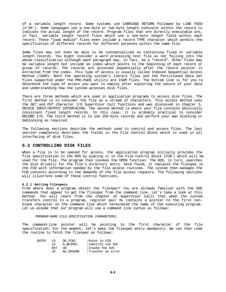of a variable length record. Some systems use CARRIAGE RETURN followed by LINE FEED (X'0A'). Some languages use a one-byte or two-byte length indicator within the record to indicate the actual length of the record. Program files that are directly executable are, in fact, variable length record files which use a one-byte length field within each record. These "load module" files even include a record TYPE character which permits the specification of different records for different purposes within the same file.

Some files may not even be able to be conceptualized as containing fixed or variable length records. You might consider a word processing text file as not falling into the above classification although each paragraph may, in fact, be a "record". Other files may be variable length but include an index which points to the beginning of each record or group of records. The records are accessed sequentially after the record pointer is extracted from the index. This type of access is usually called Indexed Sequential Access Method (ISAM). Both the operating system's library files and the Partitioned Data Set files supported under the PRO-PaDS utility are ISAM files. The bottom line is for you to determine the type of access you want to employ after exploring the nature of your data and understanding how the system accesses disk files.

There are three methods which are used in application programs to access disk files. The first method is to consider the file as a stream of characters. This access method uses the GET and PUT character I/O SuperVisor Call functions and was discussed in chapter 3, DEVICE INPUT/OUTPUT INTERFACING. The second method is where your file contains physically consistent fixed length records. In this case, it is probably practical to consider RECORD I/O. The third method is to use 256-byte records and perform your own blocking or deblocking as required.

The following sections describe the methods used to control and access files. The last section completely describes the fields in the File Control Block which is used in all interfacing of disk files.

# **6.2 CONTROLLING DISK FILES**

When a file is to be opened for access, the application program initially provides the file specification to the DOS by placing it in the File Control Block (FCB ) which will be used for the file. The program then invokes the OPEN function. The DOS, in turn, searches the disk drive(s) for the file's directory entry. Once found, it replaces the filespec in the FCB with information needed by the file access routines. The system then manages the FCB contents according to the demands of the file access requests. The following sections will illustrate some of these control functions.

## **6.2.1 Getting Filespecs**

From where does a program obtain the filespec? You are already familiar with the DOS commands that appear to get the filespec from the command line. Let's take a look at this method. You will learn from the chapter on SuperVisor Calls that when the system transfers control to a program, register pair HL contains a pointer to the first nonblank character on the command line which terminated the name of the executing program. Let us assume that our program will use a command line syntax as follows:

PROGRAM-NAME FILE-SPECIFICATION (PARAMETERS)

The command-line pointer will be pointing to the first character of the file specification. For the moment, let's make the filespec entry mandatory. We can then code the routine to fetch the filespec as follows:

| <b>ENTRY</b> | T.D. | DE.FCB1   | ;Point to FCB      |
|--------------|------|-----------|--------------------|
|              | LD   | A,@FSPEC  | ;Identify the SVC  |
|              | RST  | 40.       | ;Invoke the SVC    |
|              | .TP  | NZ.SPCERR | Transfer on error, |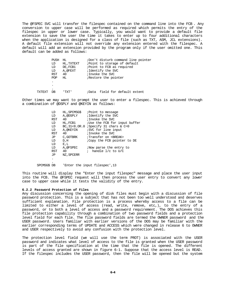The @FSPEC SVC will transfer the filespec contained on the command line into the FCB . Any conversion to upper case will be performed as required which permits the entry of the filespec in upper or lower case. Typically, you would want to provide a default file extension to save the user the time it takes to enter up to four additional characters when the application is designed for a class of file (such as TXT, ASM, JCL extensions). A default file extension will not override any extension entered with the filespec. A default will add an extension provided by the program only if the user omitted one. This default can be added as follows:

|  | PUSH       | HL.         | ;Don't disturb command line pointer |
|--|------------|-------------|-------------------------------------|
|  | LD         | HL , TXTEXT | ; Point to storage of default       |
|  | LD         | DE, FCB1    | ; Point to FCB as required          |
|  | LD         | A, @FEXT    | ;Identify the SVC                   |
|  | <b>RST</b> | 40          | ; Invoke the SVC                    |
|  | <b>POP</b> | HL.         | Restore the pointer                 |
|  | $\bullet$  |             |                                     |
|  | $\bullet$  |             |                                     |
|  | ٠          |             |                                     |
|  | DB         |             | field for default extent<br>iData   |

Other times we may want to prompt the user to enter a filespec. This is achieved through a combination of @DSPLY and @KEYIN as follows:

| LD         | HL,SPCMSG\$ | ; Point to message                         |
|------------|-------------|--------------------------------------------|
| LD         | A,@DSPLY    | ; Identify the SVC                         |
| <b>RST</b> | 40          | ; Invoke the SVC                           |
| LD         | HL, FCB1    | ;Use the FCB for input buffer              |
| LD         |             | BC, $31 < 8.0R.0$ ; Specify 31 chars & C=0 |
| LD         | A,@KEYIN    | <i>S</i> VC for line input                 |
| RST        | 40          | ; Invoke the SVC                           |
| JP         | C,GOTBRK    | ;Transfer on <break></break>               |
| LD         | D,H         | Copy the FCB pointer to DE                 |
| LD         | E,L         |                                            |
| LD         | A.@FSPEC    | Now parse the entry to                     |
| RST        | 40          | handle 1/c to U/C<br>$\mathbf{r}$          |
| JP.        | NZ.SPCERR   |                                            |
|            |             |                                            |
|            |             |                                            |
|            |             |                                            |

SPCMSG\$ DB 'Enter the input filespec',13

This routine will display the "Enter the input filespec" message and place the user input into the FCB. The @FSPEC request will then process the user entry to convert any lower case to upper case while it tests the validity of the entry.

#### **6.2.2 Password Protection of Files**

Any discussion concerning the opening of disk files must begin with a discussion of file password protection. This is a subject that has not been too well understood and deserves sufficient explanation. File protection is a process whereby access to a file can be limited to either a level of access (read, write, remove, etc,), to the entry of a password, or to both a level of access and a password requirement. The DOS achieves this file protection capability through a combination of two password fields and a protection level field for each file. The file password fields are termed the OWNER password and the USER password. Users familiar with earlier versions of the DOS may be familiar with the earlier corresponding terms of UPDATE and ACCESS which were changed in release 6 to OWNER and USER respectively to avoid any confusion with the protection level.

The protection level field (we will use the term PROT) is associated with the USER password and indicates what level of access to the file is granted when the USER password is part of the file specification at the time that the file is opened. The different levels of access granted are shown in figure 6-1. Suppose that the access level is READ. If the filespec includes the USER password, then the file will be opened but the system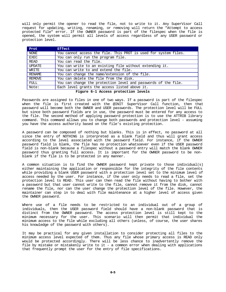will only permit the opener to read the file, not to write to it. Any SuperVisor Call request for updating, writing, renaming, or removing will return the "Attempt to access protected file" error. If the OWNER password is part of the filespec when the file is opened, the system will permit all levels of access regardless of any USER password or protection level.

| Prot          | <b>Effect</b>                                                   |
|---------------|-----------------------------------------------------------------|
| <b>NONE</b>   | You cannot access the file. This PROT is used for system files. |
| <b>EXEC</b>   | You can only run the program file.                              |
| <b>READ</b>   | You can read the file.                                          |
| UPDATE        | You can write to an existing file without extending it.         |
| WRITE         | You can write to and extend the file.                           |
| RENAME        | You can change the name/extension of the file.                  |
| <b>REMOVE</b> | You can delete the file from the disk.                          |
| FULL          | You can change the protection level and passwords of the file.  |
| Note:         | Each level grants the access listed above it.                   |

**Figure 6-1 Access protection levels**

Passwords are assigned to files in one of two ways. If a password is part of the filespec when the file is first created with the @INIT SuperVisor Call function, then that password will become both the OWNER and USER passwords. The protection level will be FULL but since both password fields are in use, the password must be entered for any access to the file. The second method of applying password protection is to use the ATTRIB library command. This command allows you to change both passwords and protection level - assuming you have the access authority based on the file's existing protection.

A password can be composed of nothing but blanks. This is in effect, no password at all since the entry of NOTHING is interpreted as a blank field and thus will grant access according to the level associated with the password field. For instance, if the OWNER password field is blank, the file has no protection whatsoever even if the USER password field is non-blank because a filespec without a password entry will match the blank OWNER password thus granting full access. It is important for the OWNER password to be nonblank if the file is to be protected in any manner.

A common situation is to find the OWNER password kept private to those individual(s) either maintaining the application or responsible for the integrity of the file contents while providing a blank USER password with a protection level set to the minimum level of access needed by the user. For instance, if the user only needs to read a file, set the protection level to READ. This user can then read the file without having to bother with a password but that user cannot write to the file, cannot remove it from the disk, cannot rename the file, nor can the user change the protection level of the file. However, the maintainer can step in to deal with file maintenance at a higher level of access given the OWNER password.

Where use of a file needs to be restricted to an individual out of a group of individuals, then the USER password field should have a non-blank password that is distinct from the OWNER password. The access protection level is still kept to the minimum necessary for the user. This scenario will then permit that individual the minimum access to the file while excluding all others (unless, of course, the user shares his knowledge of the password with others).

It may be practical for any given installation to consider protecting all files to the minimum access level expected of them. Thus any file whose primary access is READ only would be protected accordingly. There will be less chance to inadvertently remove the file by mistake or mistakenly write to it - a common error when dealing with applications that frequently prompt the user for the entry of file specifications.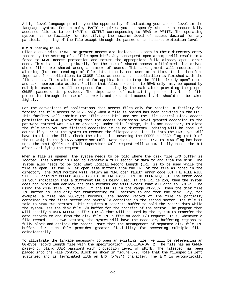A high level language permits you the opportunity of indicating your access level in the language syntax. For example, BASIC requires you to specify whether a sequentially accessed file is to be INPUT or OUTPUT corresponding to READ or WRITE. The operating system has no facility for identifying the maximum level of access desired for any particular opening of the file except through the passwords and access protection level.

## **6.2.3 Opening Files**

Files opened with UPDATE or greater access are indicated as open in their directory entry record by the setting of a "file open bit". Any subsequent open attempt will result in a force to READ access protection and return the appropriate "File already open" error code. This is designed primarily for the use of shared access multiplexed disk drives where files are shared among a number of users. This arrangement will restrict the altering (but not reading) of file data to only one user at a time. It is therefore important for applications to CLOSE files as soon as the application is finished with the file access. It is also important for applications to trap the "File already open" error and take appropriate action. Realize that files protected to READ only, may be opened by multiple users and still be opened for updating by the maintainer providing the proper OWNER password is provided. The importance of maintaining proper levels of file protection through the use of passwords and protected access levels should not be taken lightly.

For the convenience of applications that access files only for reading, a facility for forcing the file access to READ only when a file is opened has been provided in the DOS. This facility will inhibit the "file open bit" and set the File Control Block access permission to READ (providing that the access permission level granted according to the password entered was READ or greater). Under this linkage, it is not necessary to close the file when you are finished accessing it as no directory updating will be done. Of course if you want the system to recover the filespec and place it into the FCB , you will have to close the file. Check the discussion covering the FORCE-to-READ flag (bit-0 of the SFLAG\$) in the @FLAGS SuperVisor Call. Note that once the FORCE-to-READ flag has been set, the next @OPEN or @INIT SuperVisor Call request will automatically reset the bit after satisfying the request.

When a file is opened, the system needs to be told where the disk file I/O buffer is located. This buffer is used to transfer a full sector of data to and from the disk. The system also needs to be told what Logical Record Length (LRL) is to be used while the file is open. If the LRL at open time differs from the LRL of the file as noted in the directory, the OPEN routine will return an "LRL open fault" error code BUT THE FILE WILL STILL BE PROPERLY OPENED ACCORDING TO THE LRL PASSED IN THE OPEN REQUEST. The error code is your indication that a different LRL is being used. If the LRL is 256, then the system does not block and deblock the data records and will expect that all data to I/O will be using the disk file I/O buffer. If the LRL is in the range <1-255>, then the disk file I/O buffer is used only for transferring full sectors to and from the disk. Say, for example, a file has 200-byte records, the second record of the file is partially contained in the first sector and partially contained in the second sector. The file is said to SPAN two sectors. This requires a separate buffer to hold the record data while the system uses the disk file I/O buffer for the transfer of the sector. The program then will specify a USER RECORD buffer (UREC) that will be used by the system to transfer the data records to and from the disk file I/O buffer on each I/O request. Thus, whenever a file record spans two sectors, the system will have the necessary buffering regions to fully block and deblock the record. Note that the arrangement of separate disk file I/O buffers for each file provides greater flexibility for accessing multiple files coincidentally.

To illustrate the linkage necessary to open an existing file, we will be referencing an 80-byte record length file with the specification, BULKLOAD/DAT:2. The file has an OWNER password, blank USER password with protection level of WRITE. The filespec has been placed into the File Control Block as shown in figure 6-2. Note that the filespec is left justified and is terminated with an ETX (X'03') character. The ETX is automatically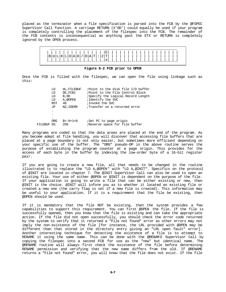placed as the terminator when a file specification is parsed into the FCB by the @FSPEC SuperVisor Call function. A carriage RETURN (X'0D') could equally be used if your program is completely controlling the placement of the filespec into the FCB. The remainder of the FCB contents is inconsequential as anything past the ETX or RETURN is completely ignored by the OPEN process.



**Figure 6-2 FCB prior to OPEN**

Once the FCB is filled with the filespec, we can open the file using linkage such as this:

|            | LD         | HL, FILEBUF | ;Point to the disk file I/O buffer |
|------------|------------|-------------|------------------------------------|
|            | LD         | DE, FCB1    | Point to the File Control Block    |
|            | LD         | B,80        | ;Specify the Logical Record Length |
|            | LD         | A, @OPEN    | ;Identify the SVC                  |
|            | <b>RST</b> | 40          | ; Invoke the SVC                   |
|            | JP         | NZ, IOERR   | Transfer on a returned error       |
|            |            |             |                                    |
|            |            |             |                                    |
|            |            |             |                                    |
|            | <b>ORG</b> | $$<-8+1<8$  | <i>Set PC</i> to page origin       |
| FILEBUF DS |            | 256         | Reserve space for file buffer      |

Many programs are coded so that the data areas are placed at the end of the program. As you become adept at file handling, you will discover that accessing file buffers that are placed at a page boundary is not only easier, but sometimes more efficient depending on your specific use of the buffer. The "ORG" pseudo-OP in the above routine serves the purpose of establishing the program counter at a page origin. This provides for the access of each byte in the buffer by indexing the low-order byte of a 16-bit register pair.

If you are going to create a new file, all that needs to be changed in the routine illustrated is to replace the "LD A,@OPEN" with "LD A,@INIT". Specifics on the protocol of @INIT are located in chapter 7. The @INIT SuperVisor Call can also be used to open an existing file. Your use of either @OPEN or @INIT is dependent on the purpose of the file. If your application is going to write a file that can be either existing or new, then @INIT is the choice. @INIT will inform you as to whether it located an existing file or created a new one (the carry flag is set if a new file is created). This information may be useful to your application. If it is a requirement that the file be existing, then @OPEN should be used.

If it is mandatory that the file NOT be existing, then the system provides a few capabilities to support this requirement. You can first @OPEN the file. If the file is successfully opened, then you know that the file is existing and can take the appropriate action. If the file did not open successfully, you should check the error code returned by the system to verify that it returned a "File not found" error as other errors may not imply the non-existence of the file [for instance, the LRL provided with @OPEN may be different than that stored in the directory entry giving an "LRL open fault" error]. Another interesting technique for detecting the existence of a file is to attempt to RENAME it using the same name. This can be done with the @RENAM E SuperVisor Call by copying the filespec into a second FCB for use as the "new" but identical name. The @RENAME routine will always first check the existence of the file before determining RENAME permission and verifying that the new name differs from the old. If @RENAME returns a "File not found" error, you will know that the file does not exist. If the file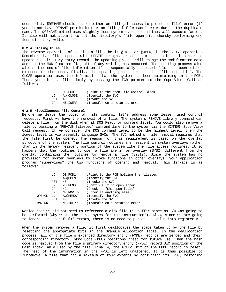does exist, @RENAME should return either an "Illegal access to protected file" error (if you do not have RENAME permission) or an "Illegal file name" error due to the duplicate name. The @RENAME method uses slightly less system overhead and thus will execute faster. It also will not attempt to set the directory's "file open bit" thereby performing one less directory write.

## **6.2.4 Closing Files**

The reverse operation of opening a file, be it @INIT or @OPEN, is the CLOSE operation. Remember that files opened with UPDATE or greater access must be closed in order to update the directory entry record. The updating process will change the modification date and set the MODification flag bit if any writing has occurred. The updating process also alters the end-of-file information if a sequentially accessed file has been either extended or shortened. Finally, the updating process resets the "file open bit". The CLOSE operation uses the information that the system has been maintaining in the FCB . Thus, you close a file simply by passing the FCB pointer to the SuperVisor Call as follows:

| LD        | DE.FCB1  |                               |  |  | ; Point to the open File Control Block |  |
|-----------|----------|-------------------------------|--|--|----------------------------------------|--|
| LD        | A.@CLOSE | iIdentify the SVC             |  |  |                                        |  |
| RST<br>40 |          | iInvoke the SVC               |  |  |                                        |  |
| .TP       | NZ.IOERR | Transfer on a returned error, |  |  |                                        |  |

#### **6.2.5 Miscellaneous File Control**

Before we leave the topic of file control let's address some lesser used control requests. First we have the removal of a file. The system's REMOVE library command can delete a file from the disk when at DOS Ready or command level. You could also remove a file by passing a "REMOVE filespec" command line to the system via the @CMNDR SuperVisor Call request. If we consider the DOS command level to be the highest level, then the lowest level is via assembly language SVCs. The SVC method of file removal requires that the file first be opened. The reason for this requirement is based on the overlay structure of the system. The file control routines are resident in system overlays rather than in the memory resident portion of the system like the file access routines. It so happens that the routines to open a file are in an overlay (SYS2) different from the overlay containing the routines to remove a file (SYS10). Since the system has no provision for system overlays to invoke functions in other overlays, your application program "supervises" the two functions of opening and removal. This linkage is as follows:

|        | LD  | DE, FCB1   | ; Point to the FCB holding the filespec |
|--------|-----|------------|-----------------------------------------|
|        | LD  | A,@OPEN    | ;Identify the SVC                       |
|        | RST | 40         | ; Invoke the SVC                        |
|        | JR  | Z, OPENOK  | :Continue if no open error              |
|        | CP  | 42         | :Check on "LRL open fault"              |
|        | JR  | NZ, RMVERR | Error if anything else                  |
| OPENOK | LD  | A.@REMOV   | ;Identify the SVC                       |
|        | RST | 40         | ; Invoke the SVC                        |
| RMVERR | JP  | NZ.IOERR   | Transfer on a returned error            |
|        |     |            |                                         |

Notice that we did not need to reference a disk file I/O buffer since no I/O was going to be performed (why waste the three bytes for the instruction?). Also, since we are going to ignore "LRL open fault" errors, there is no need to put an LRL value into register B.

When the system removes a file, it first deallocates the space taken up by the file by resetting the appropriate bits in the Granule Allocation Table. In the deallocation process, all of the file's extended directory entry (FXDE) records are zeroed and their corresponding Directory Entry Code (DEC) positions freed for future use. Then the hash code is removed from the file's primary directory entry (FPDE) record DEC position of the Hash Index Table used by the file. Finally, the ACTIVE bit of the FPDE record is reset. The rest of the information in the FPDE is left unaltered. It is thus possible to "unremove" a file that had a maximum of four extents by activating its FPDE, restoring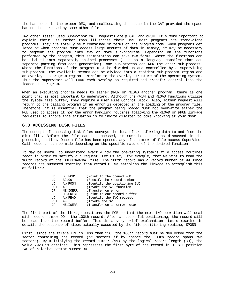the hash code in the proper DEC, and reallocating the space in the GAT provided the space has not been reused by some other file.

Two other lesser used SuperVisor Call requests are @LOAD and @RUN. It's more important to explain their use rather than illustrate their use. Most programs are stand-alone programs. They are totally self contained in terms of the program code. When programs get large or when programs must access large amounts of data in memory, it may be necessary to segment the program into two or more sub-programs. Depending on the functions performed by the program, this segmentation can take two forms. Where the functions can be divided into separately chained processes (such as a language compiler that can separate parsing from code generation), one sub-process can RUN the other sub-process. Where the functions of the program must be divided up and controlled by a supervising sub-program, the available memory can be divided into a resident sub-program region and an overlay sub-program region - similar to the overlay structure of the operating system. Thus the supervisor will LOAD each overlay as required and transfer control into the loaded sub-program.

When an executing program needs to either @RUN or @LOAD another program, there is one point that is most important to understand. Although the @RUN and @LOAD functions utilize the system file buffer, they require a user File Control Block. Also, either request will return to the calling program if an error is detected in the loading of the program file. Therefore, it is essential that the program being loaded must not overwrite either the FCB used to access it nor the error handling routines following the @LOAD or @RUN linkage requests! To ignore this situation is to invite disaster to come knocking at your door.

#### **6.3 ACCESSING DISK FILES**

The concept of accessing disk files conveys the idea of transferring data to and from the disk file. Before the file can be accessed, it must be opened as discussed in the preceding section. Once a file has been opened, any of a number of file access SuperVisor Call requests can be made depending on the specific nature of the desired function.

It may be useful to understand exactly how the operating system's file access routines react in order to satisfy our request. Let us say, for example, that we want to read the 100th record of the BULKLOAD/DAT file. The 100th record has a record number of 99 since records are numbered starting from record 0. We establish the linkage to accomplish this as follows:

| DE, FCB1  | ; Point to the opened FCB      |
|-----------|--------------------------------|
| BC, 99    | Specify the record number      |
| A, @POSN  | ; Identify the positioning SVC |
| 40        | ; Invoke the SVC function      |
| NZ, IOERR | Transfer on error              |
| HL.UREC1  | Point to our record buffer     |
| A.@READ   | ; Identify the SVC request     |
| 40        | ; Invoke the SVC               |
| NZ.IOERR  | ;Transfer on an error return   |
|           |                                |

The first part of the linkage positions the FCB so that the next I/O operation will deal with record number 99 - the 100th record. After a successful positioning, the record will be read into the record buffer. This is a very brief explanation. Let's examine in detail, the sequence of steps actually executed by the file positioning routine, @POSN.

First, since the file's LRL is less than 256, the 100th record must be deblocked from the sector containing the record (or sectors if by chance the 100th record spans two sectors). By multiplying the record number (99) by the logical record length (80), the value 7920 is obtained. This represents the first byte of the record in OFFSET position 240 of relative sector number 30.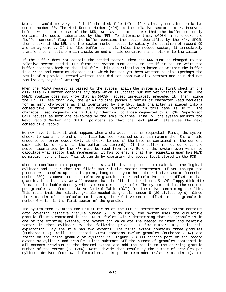Next, it would be very useful if the disk file I/O buffer already contained relative sector number 30. The Next Record Number (NRN) is the relative sector number. However, before we can make use of the NRN, we have to make sure that the buffer currently contains the sector identified by the NRN. To determine this, @POSN first checks the "buffer current" flag. If the buffer contains the sector identified by the NRN, @POSN then checks if the NRN and the sector number needed to satisfy the position of record 99 are in agreement. If the file buffer currently holds the needed sector, it immediately transfers to a routine which checks on end-of-file conditions and returns to the caller.

If the buffer does not contain the needed sector, then the NRN must be changed to the relative sector needed. But first the system must check to see if it has to write the buffer contents back to the disk file. This determination is based on whether the buffer is current and contains changed data which has not yet been written to disk (perhaps the result of a previous record written that did not span two disk sectors and thus did not require any physical writing).

When the @READ request is passed to the system, again the system must first check if the disk file I/O buffer contains any data which is updated but not yet written to disk. The @READ routine does not know that an @POSN request immediately preceded it. Then, since the LRL is less than 256, the @READ routine passes a series of character read requests for as many characters as that identified by the LRL. Each character is placed into a consecutive location of the user record buffer, which in this case is UREC1. The character read requests are virtually identical to those requested by an @GET SuperVisor Call request as both are performed by the same routines. Finally, the system adjusts the Next Record Number and OFFSET pointers so that the next @READ references the next consecutive record.

We now have to look at what happens when a character read is requested. First, the system checks to see if the end of the file has been reached so it can return the "End of file encountered" error code. Next, it checks to see if the byte is contained in the current disk file buffer (i.e. if the buffer is current). If the buffer is not current, the sector identified by the NRN must be read from disk. Before the system even wants to calculate what sector that represents, it has to ensure that the requesting user has READ permission to the file. This it can do by examining the access level stored in the FCB.

When it concludes that proper access is available, it proceeds to calculate the logical cylinder and sector that the file's NRN relative sector represents. If you thought the process was complex up to this point, hang on to your hat! The relative sector (remember number 30?) is converted to a relative granule number and relative sector offset in that granule. In this case, we will assume that the file is stored on a 5-1/4" floppy disk ette formatted in double density with six sectors per granule. The system obtains the sectors per granule data from the Drive Control Table (DCT ) for the drive containing the file. This means that the relative granule needed is granule number 5 (30 divided by 6). Since the remainder of the calculation is zero, the relative sector offset in that granule is number 0 which is the first sector of the granule.

The system then examines the EXTENT fields of the FCB to determine what extent contains data covering relative granule number 5. To do this, the system uses the cumulative granule figures contained in the EXTENT fields. After determining that the granule is in one of the existing extents, the system can calculate the needed cylinder and relative sector in that cylinder by the following process. A few numbers may help this explanation. Say the file has two extents. The first extent contains three granules (numbered 0-2), while the second extent contains twelve granules (numbered 3-14) and starts on the third granule of cylinder 25. Figure 6-3 illustrates part of the second extent by cylinder and granule. First subtract off the number of granules contained in all extents previous to the desired extent and add the result to the starting granule number of the extent (5-3+2=4). Next, divide that result by the number of granules per cylinder derived from DCT information and keep the remainder (4/3=1 remainder 1). The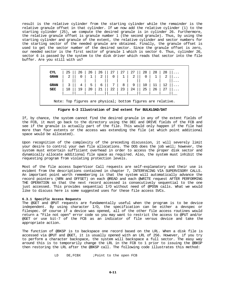result is the relative cylinder from the starting cylinder while the remainder is the relative granule offset in that cylinder. If we now add the relative cylinder (1) to the starting cylinder (25), we compute the desired granule is in cylinder 26. Furthermore, the relative granule offset is granule number 1 (the second granule). Thus, by using the starting cylinder and granule of the extent, the relative cylinder and sector numbers for the starting sector of the needed granule are obtained. Finally, the granule offset is used to get the sector number of the desired sector. Since the granule offset is zero, our needed sector is the first sector of granule 1 which is sector 6. Thus, cylinder 26, sector 6 is passed by the system to the disk driver which reads that sector into the file buffer. Are you still with us?

| CYL                                                          | 25 | 26 | 26    | 26 | 27             | 27 | 27 | 28 | 28 | 28 |          |
|--------------------------------------------------------------|----|----|-------|----|----------------|----|----|----|----|----|----------|
| <b>GRAN</b>                                                  |    |    |       | 2  | 0              |    | 2  | 0  |    |    |          |
| <b>GRAN</b>                                                  | 3  | 4  | $5-1$ | 6  | $7\phantom{0}$ | 8  | 9  | 10 |    | 12 | $\cdots$ |
| <b>SEC</b>                                                   | 18 |    | 20    | 21 | 22             | 23 | 24 | 25 | 26 |    |          |
|                                                              |    |    |       |    |                |    |    |    |    |    |          |
| Note: Top figures are physical; bottom figures are relative. |    |    |       |    |                |    |    |    |    |    |          |

**Figure 6-3 Illustration of 2nd extent for BULKLOAD/DAT**

If, by chance, the system cannot find the desired granule in any of the extent fields of the FCB, it must go back to the directory using the DEC and DRIVE fields of the FCB and see if the granule is actually part of the file. This would only happen if the file had more than four extents or the access was extending the file (at which point additional space would be allocated).

Upon recognition of the complexity of the preceding discussion, it will severely limit your desire to control your own file allocations. The DOS does the job well; however, the system must entertain sufficient overhead in order to access the proper disk sector and dynamically allocate additional file space as required. Also, the system must inhibit the requesting program from violating protection levels.

Most of the file access SuperVisor Call requests are self-explanatory and their use is evident from the descriptions contained in chapter 7, INTERFACING VIA SUPERVISORY CALLS. An important point worth remembering is that the system will automatically advance the record pointers (NRN and OFFSET) on each @READ and each @WRITE request AFTER PERFORMING THE OPERATION so that the next record accessed is consecutively sequential to the one just accessed. This provides sequential I/O without need of @POSN calls. What we would like to discuss here is some suggested uses for these file access SVCs.

## **6.3.1 Specific Access Requests**

The @GET and @PUT requests are fundamentally useful when the program is to be device independent. By using character I/O, the specification can be either a devspec or filespec. Of course if a device was opened, all of the other file access routines would return a "File not open" error code so you may want to restrict the access to @PUT and/or @GET or use bit-7 of the FCB as an indicator of file versus device and take the appropriate action.

The function of @BKSP is to backspace one record based on the LRL. When a disk file is accessed via @PUT and @GET, it is usually opened with an LRL of 256. However, if you try to perform a character backspace, the system will backspace a full sector. The easy way around this is to temporarily change the LRL in the FCB to 1 prior to issuing the @BKSP then restoring the LRL after the @BKSP call. The following code illustrates this method:

LD DE,FCBX ;Point to the open FCB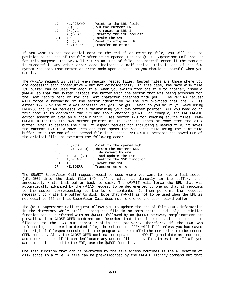| LD  | HL, FCBX+9   | ; Point to the LRL field    |
|-----|--------------|-----------------------------|
| LD  | $B$ , $(HL)$ | <i>iP/u</i> the current LRL |
| LD  | $(HL)$ .1    | ; & reset to LRL=1          |
| LD  | A,@BKSP      | ; Identify the SVC request  |
| RST | 40           | ;Invoke the SVC             |
| LD  | $(HL)$ , $B$ | ; Reset to original LRL     |
| JP. | NZ, IOERR    | Transfer on error           |
|     |              |                             |

If you want to add sequential data to the end of an existing file, you will need to position to the end of the file after it is opened. Use the @PEOF SuperVisor Call request for this purpose. The SVC will return an "End of file encountered" error if the request is successful. Any other error code indicates a malfunction. This is one of the few system requests that return an error code upon success so you should be careful when you use it.

The @RREAD request is useful when reading nested files. Nested files are those where you are accessing each consecutively but not coincidentally. In this case, the same disk file I/O buffer can be used for each file. When you switch from one file to another, issue a @RREAD so that the system reloads the buffer with the sector that was being accessed for the last record read or for the last character obtained from @GET . The @RREAD request will force a rereading of the sector identified by the NRN provided that the LRL is either 1-255 or the file was accessed via @PUT or @GET. What do you do if you were using LRL=256 and @READ requests while maintaining your own offset pointer. All you need do in this case is to decrement the NRN and issue another @READ. For example, the PRO-CREATE editor assembler available from MISOSYS uses sector I/O for reading source files. PRO-CREATE maintains its own offset pointer as it extracts lines of code from the disk buffer. When it detects the "\*GET filespec" request for including a nested file, it saves the current FCB in a save area and then opens the requested file using the same file buffer. When the end of the second file is reached, PRO-CREATE restores the saved FCB of the original file and executes the following code:

| LD         | DE.FCB   | Point to the opened FCB                   |
|------------|----------|-------------------------------------------|
| LD         |          | $HL$ , $FCB+10$ ; Obtain the current NRN, |
| <b>DEC</b> | HL       | ; decrement by one                        |
| LD         |          | $(FCB+10)$ , HL ; and update the FCB      |
| LD         | A,@READ  | ; Identify the SVC function               |
| RST        | 4 N      | ;Invoke the SVC                           |
| JP.        | NZ,IOERR | ;Transfer on error                        |

The @RWRIT SuperVisor Call request would be used where you want to read a full sector (LRL=256) into the disk file I/O buffer, alter it directly in the buffer, then immediately write that buffer back to disk. The @RWRIT will force the NRN that was automatically advanced by the @READ request to be decremented by one so that it repoints to the sector corresponding to the buffer contents. It then performs the requests necessary to write the buffer to disk. Note that @RWRIT is not to be used when the LRL is not equal to 256 as this SuperVisor Call does not reference the user record buffer.

The @WEOF SuperVisor Call request allows you to update the end-of-file (EOF) information in the directory while still keeping the file in an open state. Obviously, a similar function can be performed with an @CLOSE followed by an @OPEN; however, complications can prevail with a CLOSE-OPEN combination. Remember that the close operation restores the filespec to the FCB but cannot reclaim the password. Therefore, if the FCB was referencing a password protected file, the subsequent OPEN will fail unless you had saved the original filespec somewhere in the program and restuffed the FCB prior to the second OPEN request. Also, the CLOSE-OPEN combination updates the MOD flag and date as required, and checks to see if it can deallocate any unused file space. This takes time. If all you want to do is to update the EOF, use the @WEOF function.

One last function that can be performed by the file access routines is the allocation of disk space to a file. A file can be pre-allocated by the CREATE library command but that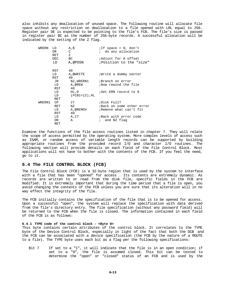also inhibits any deallocation of unused space. The following routine will allocate file space without any restriction on deallocation to a file opened with LRL equal to 256. Register pair DE is expected to be pointing to the file's FCB. The file's size is passed in register pair BC as the number of 256-byte records. A successful allocation will be indicated by the setting of the Z flag.

| WRERN  | LD<br>OR<br><b>RET</b> | A, B<br>C<br>Ζ                 | ; If space = $0$ , don't<br>; do any allocation |
|--------|------------------------|--------------------------------|-------------------------------------------------|
|        | <b>DEC</b>             | BC.                            | Adjust for 0 offset                             |
|        | LD                     | A,@POSN                        | Position to the "size"                          |
|        | RST                    | 40                             |                                                 |
|        | LD<br>RST              | A,@WRITE<br>40                 | Write a dummy sector                            |
|        | JR                     | NZ,WRERN1                      | ;Branch on error                                |
|        | LD<br>RST              | A,@REW<br>40                   | Now rewind the file                             |
|        | LD<br>LD               | $HL$ , $0$<br>$(FCH1+12)$ , HL | ;Set ERN record to 0                            |
|        | RET                    |                                |                                                 |
| WRERN1 | CP                     | 27                             | Disk Full?                                      |
|        | RET                    | ΝZ                             | Back on some other error                        |
|        | LD                     | A,@REMOV                       | Remove what can't fit                           |
|        | RST                    | 40                             |                                                 |
|        | LD                     | A, 27                          | Back with error code                            |
|        | OR<br>RET              | Α                              | ; and NZ flaq                                   |

Examine the functions of the file access routines listed in chapter 7. They will relate the scope of access permitted by the operating system. More complex levels of access such as ISAM, or random access of variable length records can be supported by building appropriate routines from the provided record I/O and character I/O routines. The following section will provide details on each field of the File Control Block. Most applications will not have to bother with the contents of the FCB. If you feel the need, go to it.

## **6.4 The FILE CONTROL BLOCK (FCB)**

The File Control Block (FCB) is a 32-byte region that is used by the system to interface with a file that has been "opened" for access . Its contents are extremely dynamic. As records are written to or read from the disk file, specific fields in the FCB are modified. It is extremely important that during the time period that a file is open, you avoid changing the contents of the FCB unless you are sure that its alteration will in no way effect the integrity of the file.

The FCB initially contains the specification of the file that is to be opened for access. Upon a successful "open", the system will replace the specification with data derived from the file's directory entry. The file specification (without any password field) will be returned to the FCB when the file is closed. The information contained in each field of the FCB is as follows:

# **6.4.1 TYPE code of the control block - <Byte 0>**

This byte contains certain attributes of the control block. It correlates to the TYPE byte of the Device Control Block, especially in light of the fact that both the DCB and the FCB can be associated with a device specification (the FCB by the nature of a ROUTE to a file). The TYPE byte uses each bit as a flag per the following specifications:

Bit 7 If set to a "1", it will indicate that the file is in an open condition; if set to a "0", the file is assumed closed. This bit can be tested to determine the "open" or "closed" status of an FCB and is used by the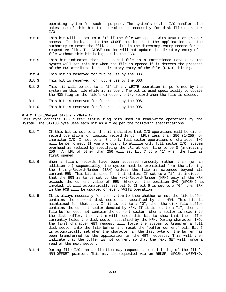operating system for such a purpose. The system's device I/O handler also makes use of this bit to determine the necessity for disk file character I/O.

- Bit 6 This bit will be set to a "1" if the file was opened with UPDATE or greater access. It indicates to the CLOSE routine that the application has the authority to reset the "file open bit" in the directory entry record for the respective file. The CLOSE routine will not update the directory entry of a file without this bit being set in the FCB.
- Bit 5 This bit indicates that the opened file is a Partitioned Data Set. The system will set this bit when the file is opened if it detects the presence of the PDS attribute in the directory entry of the file (DIR+0, bit 5).
- Bit 4 This bit is reserved for future use by the DOS.
- Bit 3 This bit is reserved for future use by the DOS.
- Bit 2 This bit will be set to a "1" if any WRITE operation is performed by the system on this file while it is open. The bit is used specifically to update the MOD flag in the file's directory entry record when the file is closed.
- Bit 1 This bit is reserved for future use by the DOS.
- Bit 0 This bit is reserved for future use by the DOS.

# **6.4.2 Input/Output Status - <Byte 1>**

This byte contains I/O buffer status flag bits used in read/write operations by the system. The STATUS byte uses each bit as a flag per the following specifications:

- Bit  $7$  If this bit is set to a "1", it indicates that  $I/O$  operations will be either record operations of logical record length (LRL) less than 256 (1-255) or character I/O. If set to a "0", only full sector operations or character I/O will be performed. If you are going to utilize only full sector I/O, system overhead is reduced by specifying the LRL at open time to be 0 (indicating 256). An LRL of other than 256 will set bit 7 to a "1" when the file is first opened.
- Bit 6 When a file's records have been accessed randomly rather than (or in addition to) sequentially, the system must be prohibited from the altering the Ending-Record-Number (ERN) unless the file is extended beyond its current ERN. This bit is used for that status. If set to a "1", it indicates that the ERN is to be set to the Next-Record-Number (NRN) only if the NRN exceeds the current value of ERN. Whenever the position SVC (@POSN ) is invoked, it will automatically set bit 6. If bit 6 is set to a "0", then ERN in the FCB will be updated on every WRITE operation.
- Bit 5 It is always necessary for the system to know whether or not the file buffer contains the current disk sector as specified by the NRN. This bit is maintained for that use. If it is set to a "0", then the disk file buffer contains the current sector denoted by NRN. If it is set to a "1", then the file buffer does not contain the current sector. When a sector is read into the disk buffer, the system will reset this bit to show that the buffer currently holds the disk sector specified by the NRN. During character I/O, the first character GET request will force the system to transfer a full disk sector into the file buffer and reset the "buffer current" bit. Bit 5 is automatically set when the character in the last byte of the buffer has been transferred to the application in the GET requests. This will then indicate that the buffer is not current so that the next GET will force a read of the next sector.
- Bit 4 During file I/O, an application may request a repositioning of the file's NRN-OFFSET pointer. This may be requested via an @BKSP, @POSN, @REWIND,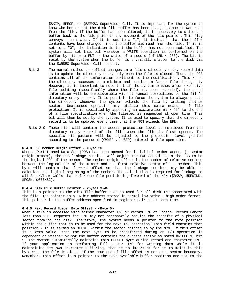@SKIP, @PEOF, or @SEEKSC SuperVisor Call. It is important for the system to know whether or not the disk file buffer has been changed since it was read from the file. If the buffer has been altered, it is necessary to write the buffer back to the file prior to any movement of the file pointer. This flag conveys such status. If it is set to a "1", it indicates that the buffer contents have been changed since the buffer was read from the file. If it is set to a "0", the indication is that the buffer has not been modified. The system will set this bit whenever a WRITE operation is performed on the buffer by either a PUT or the write of a record (of LRL < 256). The bit is reset by the system when the buffer is physically written to the disk via the @WRSEC SuperVisor Call request.

- Bit 3 The normal method to reflect changes in a file's directory entry record data is to update the directory entry only when the file is closed. Thus, the FCB contains all of the information pertinent to the modifications. This keeps the directory accesses to a minimum and results in faster file throughput. However, it is important to note that if the system crashes after extensive file updating (specifically where the file has been extended), the added information will be unrecoverable without manual corrections to the file's directory entry record. It is possible to force the system to always update the directory whenever the system extends the file by writing another sector. Unattended operation may utilize this extra measure of file protection. It is specified by appending an exclamation mark "!" to the end of a file specification when the filespec is requested at open time. This bit will then be set by the system. It is used to specify that the directory record is to be updated every time that the NRN exceeds the ERN.
- Bits 2-0 These bits will contain the access protection level as retrieved from the directory entry record of the file when the file is first opened. The specific bit pattern will be adjusted to the protection level granted according to the password (OWNER vs USER) entered at file open time.

# **6.4.3 PDS Member Origin Offset - <Byte 2>**

When a Partitioned Data Set (PDS) has been opened for individual member access (a sector origin member), the PDS linkage routines will adjust the EOF contained in the FCB to be the logical EOF of the member. The member origin offset is the number of relative sectors between the logical ERN of the member and the first relative sector of the member. This byte will contain that forward offset so that the linkage routines may be able to calculate the logical beginning of the member. The calculation is required for linkage to all SuperVisor Calls that reference file positioning forward of the NRN (@BKSP, @REWIND, @POSN, @SEEKSC).

## **6.4.4 Disk File Buffer Pointer - <Bytes 3-4>**

This is a pointer to the disk file buffer that is used for all disk I/O associated with the file. The pointer is a 16-bit address stored in normal low-order - high-order format. This pointer is the buffer address specified in register pair HL at open time.

## **6.4.5 Next Record Number Byte Offset - <Byte 5>**

When a file is accessed with either character I/O or record I/O of Logical Record Length less than 256, requests for I/O may not necessarily require the transfer of a physical sector from/to the disk. Therefore, the system needs a pointer to the byte position within the buffer that is to be used for the next I/O operation. This field contains that position - it is termed an OFFSET within the sector pointed to by the NRN. If this offset is a zero value, then the next byte to be transferred during an I/O operation is dependent on whether or not the buffer contains the current sector as noted by FCB+1, bit 5. The system automatically maintains this OFFSET byte during record and character I/O. If your application is performing full sector I/O for writing data while it is maintaining its own character buffering, then it is important for it to maintain this byte when the file is closed if the true end-of-file offset is not at a sector boundary. Remember, this offset is a pointer to the next available buffer position and not to the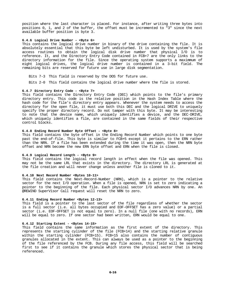position where the last character is placed. For instance, after writing three bytes into positions 0, 1, and 2 of the buffer, the offset must be incremented to "3" since the next available buffer position is byte 3.

# **6.4.6 Logical Drive Number - <Byte 6>**

This contains the logical drive number in binary of the drive containing the file. It is absolutely essential that this byte be left undisturbed. It is used by the system's file access routines to obtain the logical disk drive number that physical I/O is to reference. It, and the Directory Entry Code contained in FCB+7 are the only links to the directory information for the file. Since the operating system supports a maximmum of eight logical drives, the logical drive number is contained in a 3-bit field. The remaining bits are reserved for future use in large disk segmentation.

Bits 7-3 This field is reserved by the DOS for future use.

Bits 2-0 This field contains the logical drive number where the file is stored.

# **6.4.7 Directory Entry Code - <Byte 7>**

This field contains the Directory Entry Code (DEC) which points to the file's primary directory entry. This code is the relative position in the Hash Index Table where the hash code for the file's directory entry appears. Whenever the system needs to access the directory for the open file, it must use both this DEC and the logical DRIVE to uniquely specify the proper directory record. Do not tamper with this byte. It may be interesting to note that the device name, which uniquely identifies a device, and the DEC-DRIVE, which uniquely identifies a file, are contained in the same fields of their respective control blocks.

#### **6.4.8 Ending Record Number Byte Offset - <Byte 8>**

This field contains the byte offset in the Ending Record Number which points to one byte past the end-of-file. This byte is similar to FCB+5 except it pertains to the ERN rather than the NRN. If a file has been extended during the time it was open, then the NRN byte offset and NRN become the new ERN byte offset and ERN when the file is closed.

#### **6.4.9 Logical Record Length - <Byte 9>**

This field contains the logical record length in effect when the file was opened. This may not be the same LRL that exists in the directory. The directory LRL is generated at the file creation and will never change unless another file is cloned to it.

#### **6.4.10 Next Record Number <Bytes 10-11>**

This field contains the Next-Record-Number (NRN), which is a pointer to the relative sector for the next I/O operation. When a file is opened, NRN is set to zero indicating a pointer to the beginning of the file. Each physical sector I/O advances NRN by one. An @REWIND SuperVisor Call request will reset the NRN to zero.

#### **6.4.11 Ending Record Number <Bytes 12-13>**

This field is a pointer to the last sector of the file regardless of whether the sector is a full sector (i.e. all bytes occupied and EOF-OFFSET has a zero value) or a partial sector (i.e. EOF-OFFSET is not equal to zero). In a null file (one with no records), ERN will be equal to zero. If one sector had been written, ERN would be equal to one.

# **6.4.12 Starting Extent - <Bytes 14-15>**

This field contains the same information as the first extent of the directory. This represents the starting cylinder of the file (FCB+14) and the starting relative granule within the starting cylinder (FCB+15). FCB+15 also contains the number of contiguous granules allocated in the extent. This can always be used as a pointer to the beginning of the file referenced by the FCB. During any file access, this field will be searched first to see if it contains the granule which stores the physical sector that is being referenced.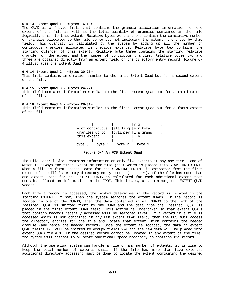# **6.4.13 Extent Quad 1 - <Bytes 16-19>**

The QUAD is a 4-byte field that contains the granule allocation information for one extent of the file as well as the total quantity of granules contained in the file logically prior to this extent. Relative bytes zero and one contain the cumulative number of granules allocated to the file up to but not including the extent referenced by this field. This quantity is calculated by the system by adding up all the number of contiguous granules allocated in previous extents. Relative byte two contains the starting cylinder of this extent. Relative byte three contains the starting relative granule for the extent and the number of contiguous granules. Relative bytes two and three are obtained directly from an extent field of the directory entry record. Figure 6- 4 illustrates the Extent Quad.

#### **6.4.14 Extent Quad 2 - <Bytes 20-23>**

This field contains information similar to the first Extent Quad but for a second extent of the file.

#### **6.4.15 Extent Quad 3 - <Bytes 24-27>**

This field contains information similar to the first Extent Quad but for a third extent of the file.

# **6.4.16 Extent Quad 4 - <Bytes 28-31>**

This field contains information similar to the first Extent Quad but for a forth extent of the file.

| $\ddotsc$<br>$\cdots$<br>$\cdots$<br>$\cdots$ | # of contiguous<br>granules up to<br>this extent |        | starting<br>cylinder | lr q<br> a <br>n | e r total <br>grans |  |
|-----------------------------------------------|--------------------------------------------------|--------|----------------------|------------------|---------------------|--|
|                                               | byte 0                                           | byte 1 | byte 2               |                  | byte 3              |  |

**Figure 6-4 An FCB Extent Quad**

The File Control Block contains information on only five extents at any one time - one of which is always the first extent of the file (that which is placed into STARTING EXTENT. When a file is first opened, data for the STARTING EXTENT is extracted from the first extent of the file's primary directory entry record (the FPDE). If the file has more than one extent, data for the EXTENT QUADS is calculated for each additional extent that contains allocation information in the FPDE. This leaves, at a minimum, one EXTENT QUAD vacant.

Each time a record is accessed, the system determines if the record is located in the starting EXTENT. If not, then the system searches the extent QUADs. If the record is located in one of the QUADS, then the data contained in all QUADS to the left of the "desired" QUAD is shifted right by one QUAD and the data from the "desired" QUAD is placed in the first extent QUAD field. This action is undertaken so that extent QUADs that contain records recently accessed will be searched first. If a record in a file is accessed which is not contained in any FCB extent QUAD field, then the DOS must access the directory entries for the file and locate that extent which contains the needed granule (and hence the needed record). Once the extent is located, the data in extent QUAD fields 1-3 will be shifted to occupy fields 2-4 and the new data will be placed into extent QUAD field 1. If the desired record cannot be located in any extent of the file, the system will attempt to allocate additional space necessary to position the record.

Although the operating system can handle a file of any number of extents, it is wise to keep the total number of extents small. If the file has more than five extents, additional directory accessing must be done to locate the extent containing the desired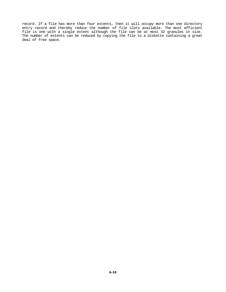record. If a file has more than four extents, then it will occupy more than one directory entry record and thereby reduce the number of file slots available. The most efficient file is one with a single extent although the file can be at most 32 granules in size. The number of extents can be reduced by copying the file to a diskette containing a great deal of free space.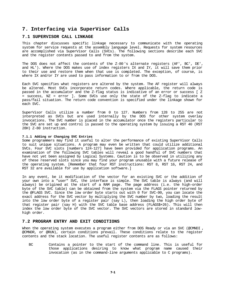# **7. Interfacing via SuperVisor Calls**

# **7.1 SUPERVISOR CALL LINKAGE**

This chapter discusses specific linkage necessary to communicate with the operating system for service requests at the assembly language level. Requests for system resources are accomplished via SuperVisor Calls (SVCs). The following sections describe each SVC and the register contents passed to and from the system.

The DOS does not affect the contents of the Z-80's alternate registers (AF', BC', DE', and HL'). Where the DOS makes use of index registers IX and IY, it will save them prior to their use and restore them when that use is completed. The exception, of course, is where IX and/or IY are used to pass information to or from the DOS.

Each SVC specifies what registers are altered by the system. The AF register will always be altered. Most SVCs incorporate return codes. Where applicable, the return code is passed in the accumulator and the Z-flag status is indicative of an error or success [ Z = success, NZ = error ]. Some SVCs use only the state of the Z-flag to indicate a pass/fail situation. The return code convention is specified under the linkage shown for each SVC.

SuperVisor Calls utilize a number from 0 to 127. Numbers from 128 to 255 are not interpreted as SVCs but are used internally by the DOS for other system overlay invocations. The SVC number is placed in the accumulator once the registers particular to the SVC are set up and control is passed to the operating system by issuing a RST 40 (RST 28H) Z-80 instruction.

# **7.1.1 Adding or Changing SVC Entries**

Some programmers may find it useful to alter the performance of existing SuperVisor Calls to suit unique situations. A program may even be written that could utilize additional SVCs. Four SVC slots [numbers 124-127] have been provided for application programs. An examination of the following SVC tables will reveal a good handful of SVC numbers that have not yet been assigned by Logical Systems. Caution is to be observed in utilizing any of these reserved slots since you may find your program unusable with a future release of the operating system. [Remember that four RST instructions: RST 8, RST 16, RST 24, and RST 32 are available for use by application software.]

In any event, be it modification of the vector for an existing SVC or the addition of your own into a "user" SVC, the interface is simple. The SVC table is always (and will always) be origined at the start of a RAM page. The page address (i.e. the high-order byte of the SVC table) can be obtained from the system via the FLAGS pointer returned by the @FLAGS SVC. Since the low order byte starts out with 0 for SVC-00, you can locate the exact address for the SVC vector by multiplying the SVC number by two, loading the result into the low order byte of a register pair (say L), then loading the high order byte of that register pair (say H) with the SVC table base address (FLAGS\$+26). This will then index the low order byte of the SVC vector. The SVC vectors are stored in standard lowhigh order.

# **7.2 PROGRAM ENTRY AND EXIT CONDITIONS**

When the operating system executes a program either from DOS Ready or via an SVC (@CMNDI, @CMNDR, or @RUN), certain conditions prevail. These conditions relate to the register contents and the stack location. The useful register contents are as follows:

BC Contains a pointer to the start of the command line. This is useful for those applications desiring to know what program name caused their invocation (as in the command-line arguments applicable to C programs).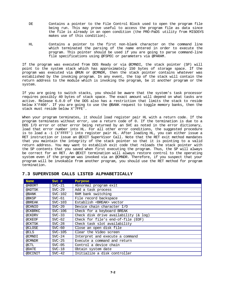- DE Contains a pointer to the File Control Block used to open the program file being run. This may prove useful to access the program file as data since the file is already in an open condition (the PRO-PaDS utility from MISOSYS makes use of this condition).
- HL Contains a pointer to the first non-blank character on the command line which terminated the parsing of the name entered in order to execute the program. This pointer should be used if you are going to parse command-line file specifications using @FSPEC or parameters via @PARAM.

If the program was executed from DOS Ready or via @CMNDI, the stack pointer (SP) will point to the system stack which has approximately 150 bytes of storage space. If the program was executed via @RUN or @CMNDR, then the stack pointer contains whatever was established by the invoking program. In any event, the top of the stack will contain the return address to the module which is invoking the program, be it another program or the system.

If you are going to switch stacks, you should be aware that the system's task processor requires possibly 40 bytes of stack space. The exact amount will depend on what tasks are active. Release 6.0.0 of the DOS also has a restriction that limits the stack to reside below X'F400'. If you are going to use the @BANK request to toggle memory banks, then the stack must reside below X'7FFE'.

When your program terminates, it should load register pair HL with a return code. If the program terminates without error, use a return code of 0. If the termination is due to a DOS I/O error or other error being returned by an SVC as noted in the error dictionary, load that error number into HL. For all other error conditions, the suggested procedure is to load a -1 (X'FFFF') into register pair HL. After loading HL, you can either issue a RET instruction or issue an @EXIT SuperVisor Call. Note that the RET exit method mandates that you maintain the integrity of the stack pointer so that it is pointing to a valid return address. You may want to establish exit code that reloads the stack pointer with the SP contents that you saved when first executing the program. Thus, the SP will always be correct for an RET. An @EXIT termination will always restore control to the operating system even if the program was invoked via an @CMNDR. Therefore, if you suspect that your program will be invokable from another program, you should use the RET method for program termination.

| <b>Name</b> | $Svc$ #   | Purpose                                    |
|-------------|-----------|--------------------------------------------|
| @ABORT      | $SVC-21$  | Abnormal program exit                      |
| @ADTSK      | $SVC-29$  | Add a task process                         |
| @BANK       | $SVC-102$ | RAM bank switching                         |
| @BKSP       | $SVC-61$  | File record backspace                      |
| @BREAK      | $SVC-103$ | Establish <break> vector</break>           |
| @CHNIO      | $SVC-20$  | Device chain character I/O                 |
| @CKBRKC     | $SVC-106$ | Check for a keyboard BREAK                 |
| @CKDRV      | $SVC-33$  | Check disk drive availability $(x \log x)$ |
| @CKEOF      | $SVC-62$  | Check for file's end-of-file (EOF)         |
| @CKTSK      | $SVC-28$  | Check task slot availability               |
| @CLOSE      | $SVC-60$  | Close an open disk file                    |
| @CLS        | $SVC-105$ | Clear the Video screen                     |
| @CMNDI      | $SVC-24$  | Interpret and execute a command            |
| @CMNDR      | $SVC-25$  | Execute a command and return               |
| @CTL        | $SVC-05$  | Control a device chain                     |
| @DATE       | $SVC-18$  | Obtain system date                         |
| @DCINIT     | $SVC-42$  | Initialize a disk controller               |

# **7.3 SUPERVISOR CALLS LISTED ALPHABETICALLY**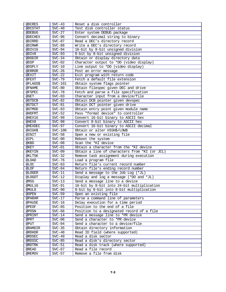| @DCRES   | $SVC-43$  | Reset a disk controller                       |
|----------|-----------|-----------------------------------------------|
| @DCSTAT  | $SVC-40$  | Test disk controller status                   |
| @DEBUG   | $SVC-27$  | Enter system DEBUG package                    |
| @DECHEX  | $SVC-96$  | Convert decimal string to binary              |
| @DIRRD   | $SVC-87$  | Read a DEC's directory record                 |
| @DIRWR   | $SVC-88$  | Write a DEC's directory record                |
| @DIV16   | $SVC-94$  | 16-bit by 8-bit unsigned division             |
| @DIV8    | $SVC-93$  | 8-bit by 8-bit unsigned division              |
| @DODIR   | $SVC-34$  | Obtain or display directory data              |
| @DSP     | $SVC-02$  | Character output to *DO (video display)       |
| @DSPLY   | $SVC-10$  | Line output to *DO (video display)            |
| @ERROR   | $SVC-26$  | Post an error message                         |
| @EXIT    | $SVC-22$  | Exit program with return code                 |
| @FEXT    | $SVC-79$  | Fetch a default file extension                |
| @FLAGS\$ | $SVC-101$ | Obtain system flags pointer                   |
| @FNAME   | $SVC-80$  | Obtain filespec given DEC and drive           |
| @FSPEC   | $SVC-78$  | Fetch and parse a file specification          |
| @GET     | $SVC-03$  | Character input from a device/file            |
| @GTDCB   | $SVC-82$  | Obtain DCB pointer given devspec              |
| @GTDCT   | $SVC-81$  | Obtain DCT pointer given drive                |
| @GTMOD   | $SVC-83$  | Obtain entry point given module name          |
| @HDFMT   | $SVC-52$  | Pass "format device" to controller            |
| @HEX16   | $SVC-99$  | Convert 16-bit binary to ASCII hex            |
| @HEX8    | $SVC-98$  | Convert 8-bit binary to ASCII hex             |
| @HEXDEC  | $SVC-97$  | Convert 16-bit binary to ASCII decimal        |
| @HIGH\$  | $SVC-100$ | Obtain or alter HIGH\$/LOW\$                  |
| @INIT    | $SVC-58$  | Open a new or existing file                   |
| @IPL     | $SVC-00$  | Reboot the system                             |
| @KBD     | $SVC-08$  | Scan the *KI device                           |
| @KEY     | $SVC-01$  | Obtain a character from the *KI device        |
| @KEYIN   | $SVC-09$  | Obtain a line of characters from *KI (or JCL) |
| @KLTSK   | $SVC-32$  | Remove task assignment during execution       |
| @LOAD    | $SVC-76$  | Load a program file                           |
| @LOC     | $SVC-63$  | Return file's current record number           |
| @LOF     | $SVC-64$  | Return file's ending record number            |
| @LOGER   | $SVC-11$  | Send a message to the Job Log (*JL)           |
| @LOGOT   | $SVC-12$  | Display and log a message (*DO and *JL)       |
| @MSG     | $SVC-13$  | Send a message line to a device               |
| @MUL16   | $SVC-91$  | 16-bit by 8-bit into 24-bit multiplication    |
| @MUL8    | $SVC-90$  | 8-bit by 8-bit into 8-bit multiplication      |
| @OPEN    | $SVC-59$  | Open an existing file                         |
| @PARAM   | $SVC-17$  | Parse a command line of parameters            |
| @PAUSE   | $SVC-16$  | Delay execution for a time period             |
| @PEOF    | $SVC-65$  | Position to the end of a file                 |
| @POSN    | $SVC-66$  | Position to a designated record of a file     |
| @PRINT   | $SVC-14$  | Send a message line to *PR device             |
| @PRT     | $SVC-06$  | Send a character to *PR device                |
| @PUT     | $SVC-04$  | Send a character to a device/file             |
| @RAMDIR  | $SVC-35$  | Obtain directory information                  |
| @RDHDR   | $SVC-48$  | Read ID field (where supported)               |
| @RDSEC   | $SVC-49$  | Read a disk sector                            |
| @RDSSC   | $SVC-85$  | Read a disk's directory sector                |
| @RDTRK   | $SVC-51$  | Read a disk track (where supported)           |
| @READ    | $SVC-67$  | Read a file record                            |
| @REMOV   | $SVC-57$  | Remove a file from disk                       |
|          |           |                                               |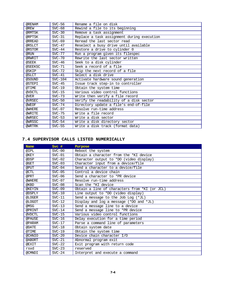| @RENAM  | $SVC-56$  | Rename a file on disk                      |
|---------|-----------|--------------------------------------------|
| @REW    | $SVC-68$  | Rewind a file to its beginning             |
| @RMTSK  | $SVC-30$  | Remove a task assignment                   |
| @RPTSK  | $SVC-31$  | Replace a task assignment during execution |
| @RREAD  | $SVC-69$  | Reread the last sector read                |
| @RSLCT  | $SVC-47$  | Reselect a busy drive until available      |
| @RSTOR  | $SVC-44$  | Restore a drive to cylinder 0              |
| @RUN    | $SVC-77$  | Run a program given its filespec           |
| @RWRIT  | $SVC-70$  | Rewrite the last sector written            |
| @SEEK   | $SVC-46$  | Seek to a disk cylinder                    |
| @SEEKSC | $SVC-71$  | Seek a record of a file                    |
| @SKIP   | $SVC-72$  | Skip the next record of a file             |
| @SLCT   | $SVC-41$  | Select a disk drive                        |
| @SOUND  | $SVC-104$ | Activate hardware sound generation         |
| @STEPI  | $SVC-45$  | Issue track step-in to controller          |
| @TIME   | $SVC-19$  | Obtain the system time                     |
| @VDCTL  | $SVC-15$  | Various video control functions            |
| @VER    | $SVC-73$  | Write then verify a file record            |
| @VRSEC  | $SVC-50$  | Verify the readability of a disk sector    |
| @WEOF   | $SVC-74$  | Directory update a file's end-of-file      |
| @WHERE  | $SVC-07$  | Resolve run-time address                   |
| @WRITE  | $SVC-75$  | Write a file record                        |
| @WRSEC  | $SVC-53$  | Write a disk sector                        |
| @WRSSC  | $SVC-54$  | Write a disk directory sector              |
| @WRTRK  | $SVC-55$  | Write a disk track (format data)           |

# **7.4 SUPERVISOR CALLS LISTED NUMERICALLY**

| <b>Name</b> | $Svc$ #  | Purpose                                       |
|-------------|----------|-----------------------------------------------|
| @IPL        | $SVC-00$ | Reboot the system                             |
| @KEY        | $SVC-01$ | Obtain a character from the *KI device        |
| @DSP        | $SVC-02$ | Character output to *DO (video display)       |
| @GET        | $SVC-03$ | Character input from a device/file            |
| @PUT        | $SVC-04$ | Send a character to a device/file             |
| @CTL        | $SVC-05$ | Control a device chain                        |
| @PRT        | $SVC-06$ | Send a character to *PR device                |
| @WHERE      | $SVC-07$ | Resolve run-time address                      |
| @KBD        | $SVC-08$ | Scan the *KI device                           |
| @KEYIN      | $SVC-09$ | Obtain a line of characters from *KI (or JCL) |
| @DSPLY      | $SVC-10$ | Line output to *DO (video display)            |
| @LOGER      | $SVC-11$ | Send a message to the Job Log (*JL)           |
| @LOGOT      | $SVC-12$ | Display and log a message (*DO and *JL)       |
| @MSG        | $SVC-13$ | Send a message line to a device               |
| @PRINT      | $SVC-14$ | Send a message line to *PR device             |
| @VDCTL      | $SVC-15$ | Various video control functions               |
| @PAUSE      | $SVC-16$ | Delay execution for a time period             |
| @PARAM      | $SVC-17$ | Parse a command line of parameters            |
| @DATE       | $SVC-18$ | Obtain system date                            |
| @TIME       | $SVC-19$ | Obtain the system time                        |
| @CHNIO      | $SVC-20$ | Device chain character I/O                    |
| @ABORT      | $SVC-21$ | Abnormal program exit                         |
| @EXIT       | $SVC-22$ | Exit program with return code                 |
| rsvd        | $SVC-23$ | reserved                                      |
| @CMNDI      | $SVC-24$ | Interpret and execute a command               |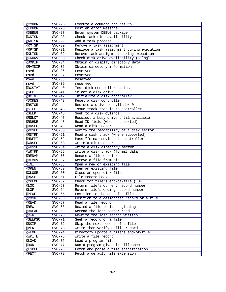| @CMNDR  | $SVC-25$             | Execute a command and return                                    |
|---------|----------------------|-----------------------------------------------------------------|
| @ERROR  | $SVC-26$             | Post an error message                                           |
| @DEBUG  | $SVC-27$             | Enter system DEBUG package                                      |
| @CKTSK  | $SVC-28$             | Check task slot availability                                    |
| @ADTSK  | $SVC-29$             | Add a task process                                              |
| @RMTSK  | $SVC-30$             | Remove a task assignment                                        |
| @RPTSK  | $SVC-31$             | Replace a task assignment during execution                      |
| @KLTSK  | $SVC-32$             | Remove task assignment during execution                         |
| @CKDRV  | $SVC-33$             | Check disk drive availability $(x \log x)$                      |
| @DODIR  | $SVC-34$             | Obtain or display directory data                                |
| @RAMDIR | $SVC-35$             | Obtain directory information                                    |
| rsvd    | $SVC-36$             | reserved                                                        |
| rsvd    | $SVC-37$             | reserved                                                        |
| rsvd    | $SVC-38$             | reserved                                                        |
| rsvd    | $SVC-39$             | reserved                                                        |
| @DCSTAT | $SVC-40$             | Test disk controller status                                     |
| @SLCT   | $SVC-41$             | Select a disk drive                                             |
| @DCINIT | $SVC-42$             | Initialize a disk controller                                    |
| @DCRES  | $SVC-43$             | Reset a disk controller                                         |
| @RSTOR  | $SVC-44$             | Restore a drive to cylinder 0                                   |
| @STEPI  | $SVC-45$             | Issue track step-in to controller                               |
| @SEEK   | $SVC-46$             | Seek to a disk cylinder                                         |
| @RSLCT  | $SVC-47$             | Reselect a busy drive until available                           |
| @RDHDR  | $SVC-48$             | Read ID field (where supported)                                 |
| @RDSEC  | $SVC-49$             | Read a disk sector                                              |
| @VRSEC  | $SVC-50$             | Verify the readability of a disk sector                         |
| @RDTRK  | $SVC-51$             | Read a disk track (where supported)                             |
| @HDFMT  | $SVC-52$             | Pass "format device" to controller                              |
| @WRSEC  | $SVC-53$             | Write a disk sector                                             |
| @WRSSC  | $SVC-54$             | Write a disk directory sector                                   |
| @WRTRK  | $SVC-55$             | Write a disk track (format data)                                |
| @RENAM  | $SVC-56$             | Rename a file on disk                                           |
| @REMOV  | $SVC-57$             | Remove a file from disk                                         |
| @INIT   | $SVC-58$             | Open a new or existing file                                     |
| @OPEN   | $SVC-59$             | Open an existing file                                           |
| @CLOSE  | $SVC-60$             | Close an open disk file                                         |
| @BKSP   | $SVC-61$             | File record backspace                                           |
| @CKEOF  | $SVC-62$             | Check for file's end-of-file (EOF)                              |
| @LOC    | $SVC-63$             | Return file's current record number                             |
|         | $SVC-64$             | Return file's ending record number                              |
| @LOF    |                      | Position to the end of a file                                   |
| @PEOF   | $SVC-65$             |                                                                 |
| @POSN   | $SVC-66$<br>$SVC-67$ | Position to a designated record of a file<br>Read a file record |
| @READ   |                      |                                                                 |
| @REW    | $SVC-68$             | Rewind a file to its beginning                                  |
| @RREAD  | $SVC-69$             | Reread the last sector read<br>Rewrite the last sector written  |
| @RWRIT  | $SVC-70$             |                                                                 |
| @SEEKSC | $SVC-71$             | Seek a record of a file                                         |
| @SKIP   | $SVC-72$             | Skip the next record of a file                                  |
| @VER    | $SVC-73$             | Write then verify a file record                                 |
| @WEOF   | $SVC-74$             | Directory update a file's end-of-file                           |
| @WRITE  | $SVC-75$             | Write a file record                                             |
| @LOAD   | $SVC-76$             | Load a program file                                             |
| @RUN    | $SVC-77$             | Run a program given its filespec                                |
| @FSPEC  | $SVC-78$             | Fetch and parse a file specification                            |
| @FEXT   | $SVC-79$             | Fetch a default file extension                                  |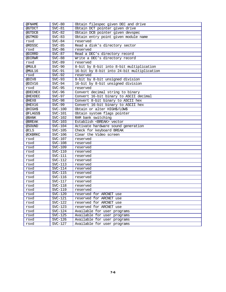| @FNAME   | $SVC-80$  | Obtain filespec given DEC and drive        |
|----------|-----------|--------------------------------------------|
| @GTDCT   | $SVC-81$  | Obtain DCT pointer given drive             |
| @GTDCB   | $SVC-82$  | Obtain DCB pointer given devspec           |
| @GTMOD   | $SVC-83$  | Obtain entry point given module name       |
| rsvd     | $SVC-84$  | reserved                                   |
| @RDSSC   | $SVC-85$  | Read a disk's directory sector             |
| rsvd     | $SVC-86$  | reserved                                   |
| @DIRRD   | $SVC-87$  | Read a DEC's directory record              |
| @DIRWR   | $SVC-88$  | Write a DEC's directory record             |
| rsvd     | $SVC-89$  | reserved                                   |
| @MUL8    | $SVC-90$  | 8-bit by 8-bit into 8-bit multiplication   |
| @MUL16   | $SVC-91$  | 16-bit by 8-bit into 24-bit multiplication |
| rsvd     | $SVC-92$  | reserved                                   |
| @DIV8    | $SVC-93$  | 8-bit by 8-bit unsigned division           |
| @DIV16   | $SVC-94$  | 16-bit by 8-bit unsigned division          |
| rsvd     | $SVC-95$  | reserved                                   |
| @DECHEX  | $SVC-96$  | Convert decimal string to binary           |
| @HEXDEC  | $SVC-97$  | Convert 16-bit binary to ASCII decimal     |
| @HEX8    | $SVC-98$  | Convert 8-bit binary to ASCII hex          |
| @HEX16   | $SVC-99$  | Convert 16-bit binary to ASCII hex         |
| @HIGH\$  | $SVC-100$ | Obtain or alter HIGH\$/LOW\$               |
| @FLAGS\$ | $SVC-101$ | Obtain system flags pointer                |
| @BANK    | $SVC-102$ | RAM bank switching                         |
| @BREAK   | $SVC-103$ | Establish <break> vector</break>           |
| @SOUND   | $SVC-104$ | Activate hardware sound generation         |
| @CLS     | $SVC-105$ | Check for keyboard BREAK                   |
| @CKBRKC  | $SVC-106$ | Clear the Video screen                     |
| rsvd     | $SVC-107$ | reserved                                   |
| rsvd     | $SVC-108$ | reserved                                   |
| rsvd     | SVC-109   | reserved                                   |
| rsvd     | $SVC-110$ | reserved                                   |
| rsvd     | $SVC-111$ | reserved                                   |
| rsvd     | $SVC-112$ | reserved                                   |
| rsvd     | $SVC-113$ | reserved                                   |
| rsvd     | $SVC-114$ | reserved                                   |
| rsvd     | $SVC-115$ | reserved                                   |
| rsvd     | $SVC-116$ | reserved                                   |
| rsvd     | $SVC-117$ | reserved                                   |
| rsvd     | $SVC-118$ | reserved                                   |
| rsvd     | SVC-119   | reserved                                   |
| rsvd     | $SVC-120$ | reserved for ARCNET use                    |
| rsvd     | $SVC-121$ | reserved for ARCNET use                    |
| rsvd     | $SVC-122$ | reserved for ARCNET use                    |
| rsvd     | $SVC-123$ | reserved for ARCNET use                    |
| rsvd     | $SVC-124$ | Available for user programs                |
| rsvd     | $SVC-125$ | Available for user programs                |
| rsvd     | $SVC-126$ | Available for user programs                |
| rsvd     | $SVC-127$ | Available for user programs                |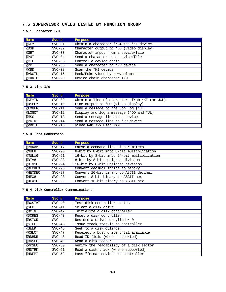# **7.5 SUPERVISOR CALLS LISTED BY FUNCTION GROUP**

# **7.5.1 Character I/O**

| <b>Name</b> | $Svc$ #  | Purpose                                 |
|-------------|----------|-----------------------------------------|
| @KEY        | $SVC-01$ | Obtain a character from the *KI device  |
| @DSP        | $SVC-02$ | Character output to *DO (video display) |
| @GET        | $SVC-03$ | Character input from a device/file      |
| @PUT        | $SVC-04$ | Send a character to a device/file       |
| @CTL        | $SVC-05$ | Control a device chain                  |
| @PRT        | $SVC-06$ | Send a character to *PR device          |
| @KBD        | $SVC-08$ | Scan the *KI device                     |
| @VDCTL      | $SVC-15$ | Peek/Poke video by row, column          |
| @CHNIO      | $SVC-20$ | Device chain character I/O              |

# **7.5.2 Line I/O**

| <b>Name</b> | $Svc$ #  | Purpose                                       |
|-------------|----------|-----------------------------------------------|
| @KEYIN      | $SVC-09$ | Obtain a line of characters from *KI (or JCL) |
| @DSPLY      | $SVC-10$ | Line output to *DO (video display)            |
| @LOGER      | $SVC-11$ | Send a message to the Job Log (*JL)           |
| @LOGOT      | $SVC-12$ | Display and log a message $(*$ DO and $*$ JL) |
| @MSG        | $SVC-13$ | Send a message line to a device               |
| @PRINT      | $SVC-14$ | Send a message line to *PR device             |
| @VDCTL      | $SVC-15$ | Video RAM <-> User RAM                        |

# **7.5.3 Data Conversion**

| <b>Name</b> | $Svc$ #  | Purpose                                    |
|-------------|----------|--------------------------------------------|
| @PARAM      | $SVC-17$ | Parse a command line of parameters         |
| @MUL8       | $SVC-90$ | 8-bit by 8-bit into 8-bit multiplication   |
| @MUL16      | $SVC-91$ | 16-bit by 8-bit into 24-bit multiplication |
| @DIV8       | $SVC-93$ | 8-bit by 8-bit unsigned division           |
| @DIV16      | $SVC-94$ | 16-bit by 8-bit unsigned division          |
| @DECHEX     | $SVC-96$ | Convert decimal string to binary           |
| @HEXDEC     | $SVC-97$ | Convert 16-bit binary to ASCII decimal     |
| @HEX8       | $SVC-98$ | Convert 8-bit binary to ASCII hex          |
| @HEX16      | $SVC-99$ | Convert 16-bit binary to ASCII hex         |

# **7.5.4 Disk Controller Communications**

| <b>Name</b> | $Svc$ #  | Purpose                                 |
|-------------|----------|-----------------------------------------|
| @DCSTAT     | $SVC-40$ | Test disk controller status             |
| @SLCT       | $SVC-41$ | Select a disk drive                     |
| @DCINIT     | $SVC-42$ | Initialize a disk controller            |
| @DCRES      | $SVC-43$ | Reset a disk controller                 |
| @RSTOR      | $SVC-44$ | Restore a drive to cylinder 0           |
| @STEPI      | $SVC-45$ | Issue track step-in to controller       |
| @SEEK       | $SVC-46$ | Seek to a disk cylinder                 |
| @RSLCT      | $SVC-47$ | Reselect a busy drive until available   |
| @RDHDR      | $SVC-48$ | Read ID field (where supported)         |
| @RDSEC      | $SVC-49$ | Read a disk sector                      |
| @VRSEC      | $SVC-50$ | Verify the readability of a disk sector |
| @RDTRK      | $SVC-51$ | Read a disk track (where supported)     |
| @HDFMT      | $SVC-52$ | Pass "format device" to controller      |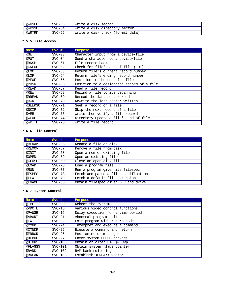| @WRSEC | $SVC-53$ | Write a disk sector              |
|--------|----------|----------------------------------|
| @WRSSC | $SVC-54$ | Write a disk directory sector    |
| @WRTRK | $SVC-55$ | Write a disk track (format data) |

# **7.5.5 File Access**

| <b>Name</b> | $Svc$ #  | Purpose                                   |
|-------------|----------|-------------------------------------------|
| @GET        | $SVC-03$ | Character input from a device/file        |
| @PUT        | $SVC-04$ | Send a character to a device/file         |
| @BKSP       | $SVC-61$ | File record backspace                     |
| @CKEOF      | $SVC-62$ | Check for file's end-of-file (EOF)        |
| @LOC        | $SVC-63$ | Return file's current record number       |
| @LOF        | $SVC-64$ | Return file's ending record number        |
| @PEOF       | $SVC-65$ | Position to the end of a file             |
| @POSN       | $SVC-66$ | Position to a designated record of a file |
| @READ       | $SVC-67$ | Read a file record                        |
| @REW        | $SVC-68$ | Rewind a file to its beginning            |
| @RREAD      | $SVC-69$ | Reread the last sector read               |
| @RWRIT      | $SVC-70$ | Rewrite the last sector written           |
| @SEEKSC     | $SVC-71$ | Seek a record of a file                   |
| @SKIP       | $SVC-72$ | Skip the next record of a file            |
| @VER        | $SVC-73$ | Write then verify a file record           |
| @WEOF       | $SVC-74$ | Directory update a file's end-of-file     |
| @WRITE      | $SVC-75$ | Write a file record                       |

# **7.5.6 File Control**

| <b>Name</b> | $Svc$ #  | Purpose                              |
|-------------|----------|--------------------------------------|
| @RENAM      | $SVC-56$ | Rename a file on disk                |
| @REMOV      | $SVC-57$ | Remove a file from disk              |
| @INIT       | $SVC-58$ | Open a new or existing file          |
| @OPEN       | $SVC-59$ | Open an existing file                |
| @CLOSE      | $SVC-60$ | Close an open disk file              |
| @LOAD       | $SVC-76$ | Load a program file                  |
| @RUN        | $SVC-77$ | Run a program given its filespec     |
| @FSPEC      | $SVC-78$ | Fetch and parse a file specification |
| @FEXT       | $SVC-79$ | Fetch a default file extension       |
| @FNAME      | $SVC-80$ | Obtain filespec given DEC and drive  |

# **7.5.7 System Control**

| <b>Name</b> | $Svc$ #   | Purpose                           |
|-------------|-----------|-----------------------------------|
| @IPL        | $SVC-00$  | Reboot the system                 |
| @VDCTL      | $SVC-15$  | Various video control functions   |
| @PAUSE      | $SVC-16$  | Delay execution for a time period |
| @ABORT      | $SVC-21$  | Abnormal program exit             |
| @EXIT       | $SVC-22$  | Exit program with return code     |
| @CMNDI      | $SVC-24$  | Interpret and execute a command   |
| @CMNDR      | $SVC-25$  | Execute a command and return      |
| @ERROR      | $SVC-26$  | Post an error message             |
| @DEBUG      | $SVC-27$  | Enter system DEBUG package        |
| @HIGHS      | $SVC-100$ | Obtain or alter HIGH\$/LOW\$      |
| @FLAGS\$    | $SVC-101$ | Obtain system flags pointer       |
| @BANK       | $SVC-102$ | RAM bank switching                |
| @BREAK      | $SVC-103$ | Establish <break> vector</break>  |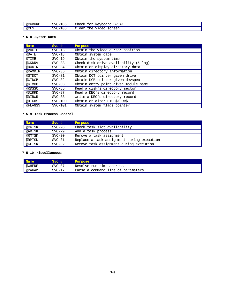| -----<br>. @CF<br><b>GRKC</b> | 106<br><b>SVC</b><br><u>—</u>                                              | Check<br><b>BREAK</b><br>∙n<br>$r$ nooro<br>، ۲٫۶۱–<br>wudi<br>∸∽<br>. <u>.</u><br>◡ |
|-------------------------------|----------------------------------------------------------------------------|--------------------------------------------------------------------------------------|
| @CLS                          | $\sim$ $\sim$ $\sim$<br>SVC<br>. .<br><u>—</u><br>.U.<br>. .<br>. .<br>. . | $T$ .<br>the<br>GOTAAN<br>Clear<br>1 dec<br>SULCCII<br>__<br>_____                   |

# **7.5.8 System Data**

| <b>Name</b> | $Svc$ #   | Purpose                                    |
|-------------|-----------|--------------------------------------------|
| @VDCTL      | $SVC-15$  | Obtain the video cursor position           |
| @DATE       | $SVC-18$  | Obtain system date                         |
| @TIME       | $SVC-19$  | Obtain the system time                     |
| @CKDRV      | $SVC-33$  | Check disk drive availability $(x \log x)$ |
| @DODIR      | $SVC-34$  | Obtain or display directory data           |
| @RAMDIR     | $SVC-35$  | Obtain directory information               |
| @GTDCT      | $SVC-81$  | Obtain DCT pointer given drive             |
| @GTDCB      | $SVC-82$  | Obtain DCB pointer given devspec           |
| @GTMOD      | $SVC-83$  | Obtain entry point given module name       |
| @RDSSC      | $SVC-85$  | Read a disk's directory sector             |
| @DIRRD      | $SVC-87$  | Read a DEC's directory record              |
| @DIRWR      | $SVC-88$  | Write a DEC's directory record             |
| @HIGH\$     | $SVC-100$ | Obtain or alter HIGH\$/LOW\$               |
| @FLAGS\$    | $SVC-101$ | Obtain system flags pointer                |

# **7.5.9 Task Process Control**

| <b>Name</b> | $Svc$ #  | Purpose                                    |
|-------------|----------|--------------------------------------------|
| @CKTSK      | $SVC-28$ | Check task slot availability               |
| @ADTSK      | $SVC-29$ | Add a task process                         |
| @RMTSK      | $SVC-30$ | Remove a task assignment                   |
| @RPTSK      | $SVC-31$ | Replace a task assignment during execution |
| @KLTSK      | $SVC-32$ | Remove task assignment during execution    |

# **7.5.10 Miscellaneous**

| Name   | Svc#     | Purpose                            |
|--------|----------|------------------------------------|
| @WHERE | $SVC-07$ | Resolve run-time address           |
| @PARAM | $SVC-17$ | Parse a command line of parameters |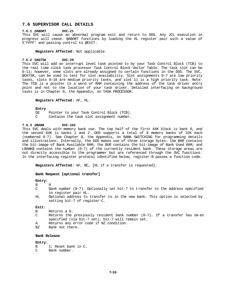# **7.6 SUPERVISOR CALL DETAILS**

#### **7.6.1 @ABORT SVC-21**

This SVC will cause an abnormal program exit and return to DOS. Any JCL execution in progress will cease. @ABORT functions by loading the HL register pair with a value of X'FFFF' and passing control to @EXIT.

**Registers Affected**: Not applicable.

#### **7.6.2 @ADTSK SVC-29**

This SVC will add an interrupt level task pointed to by your Task Control Block (TCB) to the real time clock task processor Task Control Block Vector Table. The task slot can be 0-11; however, some slots are already assigned to certain functions in the DOS. The SVC, @CKTSK, can be used to test for slot availability. Slot assignments 0-7 are low priority tasks, slots 8-10 are medium priority tasks, and slot 11 is a high priority task. Note: The TCB is a pointer to a word of RAM containing the address of the task driver entry point and not to the location of your task driver. Detailed interfacing on background tasks is in Chapter 8, the Appendix, on TASK PROCESSOR.

#### **Registers Affected**: AF, HL.

#### **Entry**

DE Pointer to your Task Control Block (TCB). C Contains the task slot assignment number.

# **7.6.3 @BANK SVC-102**

This SVC deals with memory bank use. The top half of the first 64K block is bank 0, and the second 64K is banks 1 and 2. DOS supports a total of 8 memory banks of 32K each (numbered 0-7). See Chapter 8, the Appendix, on BANK SWITCHING for programming details and illustrations. Internally, the DOS makes use of three storage bytes: the BAR contains the bit-image of Bank Available RAM; the BUR contains the bit-image of Bank Used RAM; and LBANK\$ contains the number  $(0-7)$  of the currently resident bank. These storage areas are not directly accessible to the programmer but are referenced through the SVC functions. In the interfacing register protocol identified below, register-B passes a function code.

**Registers Affected**: AF, BC, [HL if a transfer is requested].

#### **Bank Request [optional transfer]**

#### **Entry:**

#### B 0

- C Bank number (0-7). Optionally set bit-7 to transfer to the address specified in register pair HL.
- HL Optional address to transfer to in the new bank. This option is selected by setting bit-7 of register-C.

#### **Exit:**

- B Returns a 0.
- C Returns the previously resident bank number  $(0-7)$ . If a transfer has been specified (via bit-7 set), bit-7 will remain set.
- A Returns any error code if NZ condition.<br>NZ Rank not there
- Bank not there.

# **Bank Release**

#### **Entry:**

- B 1; Reset bank in C.<br>C Bank number.
- C Bank number.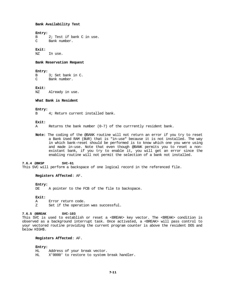#### **Bank Availability Test**

#### **Entry:**

B 2; Test if bank C in use.<br>C Bank number. Bank number.

# **Exit:**

In use.

### **Bank Reservation Request**

## **Entry:**

B 3; Set bank in C.<br>C Bank number. Bank number.

#### **Exit:**

NZ Already in use.

# **What Bank is Resident**

#### **Entry:**

B 4; Return current installed bank.

# **Exit:**

A Returns the bank number (0-7) of the currrently resident bank.

**Note:** The coding of the @BANK routine will not return an error if you try to reset a Bank Used RAM (BUR) that is "in-use" because it is not installed. The way in which bank-reset should be performed is to know which one you were using and made in-use. Note that even though @BANK permits you to reset a nonexistant bank, if you try to enable it, you will get an error since the enabling routine will not permit the selection of a bank not installed.

# **7.6.4 @BKSP SVC-61**

This SVC will perform a backspace of one logical record in the referenced file.

# **Registers Affected**: AF.

#### **Entry:**

DE A pointer to the FCB of the file to backspace.

# **Exit:**

- A Error return code.
- Z Set if the operation was successful.

## **7.6.5 @BREAK SVC-103**

This SVC is used to establish or reset a <BREAK> key vector. The <BREAK> condition is observed as a background interrupt task. Once activated, a <BREAK> will pass control to your vectored routine providing the current program counter is above the resident DOS and below HIGH\$.

# **Registers Affected**: AF.

#### **Entry:**

HL Address of your break vector. X'0000' to restore to system break handler.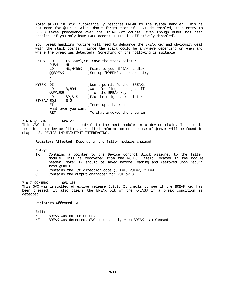**Note:** @EXIT in SYS1 automatically restores BREAK to the system handler. This is not done for @CMNDR. Also, don't forget that if DEBUG is enabled, then entry to DEBUG takes precedence over the BREAK (of course, even though DEBUG has been enabled, if you only have EXEC access, DEBUG is effectively disabled).

Your break handling routine will need to debounce the BREAK key and obviously deal with the stack pointer (since the stack could be anywhere depending on when and where the break was detected). Something of the following is suitable:

| F.NTRY       | ת ד     |                    | (STKSAV), SP ; Save the stack pointer |
|--------------|---------|--------------------|---------------------------------------|
|              | PUSH    | HL                 |                                       |
|              | LD      | HL, MYBRK          | Point to your BREAK handler           |
|              | @@BREAK |                    | Set up "MYBRK" as break entry         |
|              | ٠       |                    |                                       |
|              | ٠       |                    |                                       |
| <b>MYBRK</b> | DТ      |                    | ;Don't permit further BREAKs          |
|              | LD      | <b>B.80H</b>       | <i>N</i> ait for fingers to get off   |
|              | @@PAUSE |                    | ; of the BREAK key                    |
|              | LD      | $SP, S-S$          | $iP/u$ the orig stack pointer         |
| STKSAV       | EOU     | $S-2$              |                                       |
|              | ЕT      |                    | ;Interrupts back on                   |
|              |         | what ever you want |                                       |
|              | RET     |                    | ;To what invoked the program          |

# **7.6.6 @CHNIO SVC-20**

This SVC is used to pass control to the next module in a device chain. Its use is restricted to device filters. Detailed information on the use of @CHNIO will be found in chapter 3, DEVICE INPUT/OUTPUT INTERFACING.

**Registers Affected**: Depends on the filter modules chained.

#### **Entry:**

- IX Contains a pointer to the Device Control Block assigned to the filter module. This is recovered from the MODDCB field located in the module header. Note: IX should be saved before loading and restored upon return from @CHNIO.
- B Contains the I/O direction code (GET=1, PUT=2, CTL=4).
- C Contains the output character for PUT or GET.

# **7.6.7 @CKBRKC SVC-106**

This SVC was installed effective release 6.2.0. It checks to see if the BREAK key has been pressed. It also clears the BREAK bit of the KFLAG\$ if a break condition is detected.

# **Registers Affected**: AF.

#### **Exit:**

- Z BREAK was not detected.
- NZ BREAK was detected. SVC returns only when BREAK is released.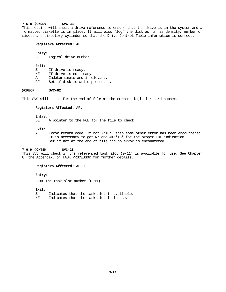# **7.6.8 @CKDRV SVC-33**

This routine will check a drive reference to ensure that the drive is in the system and a formatted diskette is in place. It will also "log" the disk as far as density, number of sides, and directory cylinder so that the Drive Control Table information is correct.

# **Registers Affected**: AF.

#### **Entry:**

C Logical drive number

#### **Exit:**

- Z If drive is ready.
- NZ If drive is not ready
- A Indeterminate and irrelevant.<br>CF Set if disk is write protecte
- Set if disk is write protected.

## **@CKEOF SVC-62**

This SVC will check for the end-of-file at the current logical record number.

#### **Registers Affected**: AF.

#### **Entry:**

DE A pointer to the FCB for the file to check.

## **Exit:**

A Error return code. If not X'1C', then some other error has been encountered. It is necessary to get NZ and A=X'1C' for the proper EOF indication. Z Set if not at the end of file and no error is encountered.

#### **7.6.9 @CKTSK SVC-28**

This SVC will check if the referenced task slot (0-11) is available for use. See Chapter 8, the Appendix, on TASK PROCESSOR for further details.

#### **Registers Affected**: AF, HL.

#### **Entry:**

 $C \Rightarrow$  The task slot number  $(0-11)$ .

#### **Exit:**

Z Indicates that the task slot is available. NZ Indicates that the task slot is in use.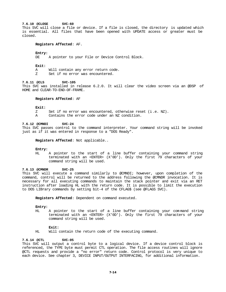#### **7.6.10 @CLOSE SVC-60**

This SVC will close a file or device. If a file is closed, the directory is updated which is essential. All files that have been opened with UPDATE access or greater must be closed.

# **Registers Affected**: AF.

#### **Entry:**

DE A pointer to your File or Device Control Block.

#### **Exit:**

- A Will contain any error return code.
- Z Set if no error was encountered.

# **7.6.11 @CLS SVC-105**

This SVC was installed in release 6.2.0. It will clear the video screen via an @DSP of HOME and CLEAR-TO-END-OF-FRAME.

#### **Registers Affected**: AF

#### **Exit:**

- Z Set if no error was encountered, otherwise reset (i .e. NZ).
- A Contains the error code under an NZ condition.

#### **7.6.12 @CMNDI SVC-24**

This SVC passes control to the command interpreter. Your command string will be invoked just as if it was entered in response to a "DOS Ready".

# **Registers Affected**: Not applicable..

#### **Entry:**

HL A pointer to the start of a line buffer containing your command string terminated with an <ENTER> (X'0D'). Only the first 79 characters of your command string will be used.

# **7.6.13 @CMNDR SVC-25**

This SVC will execute a command similarly to @CMNDI; however, upon completion of the command, control will be returned to the address following the @CMNDR invocation. It is necessary for all executing commands to maintain the stack pointer and exit via an RET instruction after loading HL with the return code. It is possible to limit the execution to DOS LIBrary commands by setting bit-4 of the CFLAG\$ (see @FLAGS SVC).

**Registers Affected**: Dependent on command executed.

#### **Entry:**

HL A pointer to the start of a line buffer containing your com mand string terminated with an <ENTER> (X'0D'). Only the first 79 characters of your command string will be used.

#### **Exit:**

HL Will contain the return code of the executing command.

#### **7.6.14 @CTL SVC-05**

This SVC will output a control byte to a logical device. If a device control block is referenced, the TYPE byte must permit CTL operation. The file access routines will ignore @CTL requests and provide a "no error" return code. Control protocol is very unique to each device. See chapter 3, DEVICE INPUT/OUTPUT INTERFACING, for additional information.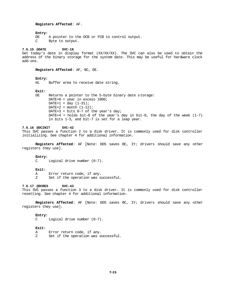# **Registers Affected**: AF.

#### **Entry:**

DE A pointer to the DCB or FCB to control output.<br>C Byte to output. Byte to output.

# **7.6.15 @DATE SVC-18**

Get today's date in display format (XX/XX/XX). The SVC can also be used to obtain the address of the binary storage for the system date. This may be useful for hardware clock add-ons.

#### **Registers Affected**: AF, BC, DE.

#### **Entry:**

HL Buffer area to receive date string.

#### **Exit:**

DE Returns a pointer to the 5-byte binary date storage:  $DATA = year in excess 1900;$  $DATA = day (1-31);$  $DATA = month (1-12);$  $\texttt{DATE+3}$  = bits 0-7 of the year's day; DATE+4 = holds bit-8 of the year's day in bit-0, the day of the week  $(1-7)$ in bits 1-3, and bit-7 is set for a leap year.

# **7.6.16 @DCINIT SVC-42**

This SVC passes a function 2 to a disk driver. It is commonly used for disk controller initializing. See chapter 4 for additional information.

**Registers Affected**: AF [Note: DOS saves BC, IY; drivers should save any other registers they use].

#### **Entry:**

C Logical drive number (0-7).

#### **Exit:**

A Error return code, if any.

Z Set if the operation was successful.

# **7.6.17 @DCRES SVC-43**

This SVC passes a function 3 to a disk driver. It is commonly used for disk controller resetting. See chapter 4 for additional information.

**Registers Affected**: AF [Note: DOS saves BC, IY; drivers should save any other registers they use].

# **Entry:**<br>C

Logical drive number  $(0-7)$ .

#### **Exit:**

- A Error return code, if any.
- Z Set if the operation was successful.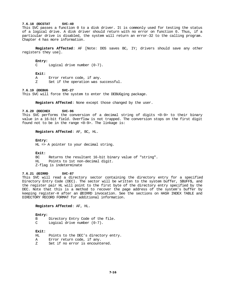# **7.6.18 @DCSTAT SVC-40**

This SVC passes a function 0 to a disk driver. It is commonly used for testing the status of a logical drive. A disk driver should return with no error on function 0. Thus, if a particular drive is disabled, the system will return an error-32 to the calling program. Chapter 4 has more information.

**Registers Affected**: AF [Note: DOS saves BC, IY; drivers should save any other registers they use].

#### **Entry:**

C Logical drive number (0-7).

#### **Exit:**

A Error return code, if any.

Z Set if the operation was successful.

### **7.6.19 @DEBUG SVC-27**

This SVC will force the system to enter the DEBUGging package.

**Registers Affected**: None except those changed by the user.

#### **7.6.20 @DECHEX SVC-96**

This SVC performs the conversion of a decimal string of digits <0-9> to their binary value in a 16-bit field. Overflow is not trapped. The conversion stops on the first digit found not to be in the range <0-9>. The linkage is:

# **Registers Affected**: AF, BC, HL.

#### **Entry:**

HL => A pointer to your decimal string.

#### **Exit:**

BC Returns the resultant 16-bit binary value of "string". HL Points to 1st non-decimal digit. Z-flag is indeterminate

# **7.6.21 @DIRRD SVC-87**

This SVC will read a directory sector containing the directory entry for a specified Directory Entry Code (DEC). The sector will be written to the system buffer, SBUFF\$, and the register pair HL will point to the first byte of the directory entry specified by the DEC. Note that this is a method to recover the page address of the system's buffer by keeping register-H after an @DIRRD invocation. See the sections on HASH INDEX TABLE and DIRECTORY RECORD FORMAT for additional information.

#### **Registers Affected**: AF, HL.

#### **Entry:**

- B Directory Entry Code of the file.
- C Logical drive number (0-7).

## **Exit:**

- HL Points to the DEC's directory entry.
- A Error return code, if any.
- Z Set if no error is encountered.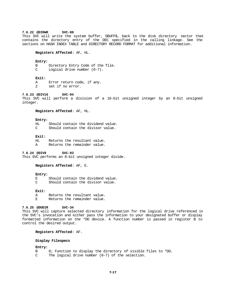#### **7.6.22 @DIRWR SVC-88**

This SVC will write the system buffer, SBUFF\$, back to the disk directory sector that contains the directory entry of the DEC specified in the calling linkage. See the sections on HASH INDEX TABLE and DIRECTORY RECORD FORMAT for additional information.

# **Registers Affected**: AF, HL.

#### **Entry:**

- B Directory Entry Code of the file.
- C Logical drive number (0-7).

#### **Exit:**

- A Error return code, if any.
- Z set if no error.

# **7.6.23 @DIV16 SVC-94**

This SVC will perform a division of a 16-bit unsigned integer by an 8-bit unsigned integer.

## **Registers Affected**: AF, HL.

**Entry:**

 $H<sub>L</sub>$  Should contain the dividend value. Should contain the divisor value.

#### **Exit:**

- HL Returns the resultant value.
- A Returns the remainder value.

**7.6.24 @DIV8 SVC-93** This SVC performs an 8-bit unsigned integer divide.

# **Registers Affected**: AF, E.

# **Entry:**

E Should contain the dividend value.<br>C Should contain the divisor value. Should contain the divisor value.

## **Exit:**

A Returns the resultant value.<br>R. Returns the remainder value. Returns the remainder value.

#### **7.6.25 @DODIR SVC-34**

This SVC will capture selected directory information for the logical drive referenced in the SVC's invocation and either pass the information to your designated buffer or display formatted information on the \*DO device. A function number is passed in register B to control the desired output.

# **Registers Affected**: AF.

# **Display Filespecs**

# **Entry:**

- B 0; Function to display the directory of visible files to \*DO.<br>C The logical drive number  $(0-7)$  of the selection.
- The logical drive number  $(0-7)$  of the selection.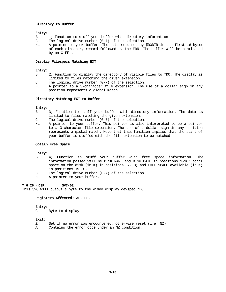# **Directory to Buffer**

# **Entry:**

- B 1; Function to stuff your buffer with directory information.
- C The logical drive number (0-7) of the selection.
- HL A pointer to your buffer. The data returned by @DODIR is the first 16-bytes of each directory record followed by the ERN. The buffer will be terminated by an X'FF'.

# **Display Filespecs Matching EXT**

# **Entry:**

- B 2; Function to display the directory of visible files to \*DO. The display is limited to files matching the given extension.
- C The logical drive number (0-7) of the selection.
- HL A pointer to a 3-character file extension. The use of a dollar sign in any position represents a global match.

# **Directory Matching EXT to Buffer**

# **Entry:**

- B 3; Function to stuff your buffer with directory information. The data is limited to files matching the given extension.
- C The logical drive number (0-7) of the selection.
- HL A pointer to your buffer. This pointer is also interpreted to be a pointer to a 3-character file extension. The use of a dollar sign in any position represents a global match. Note that this function implies that the start of your buffer is stuffed with the file extension to be matched.

#### **Obtain Free Space**

# **Entry:**

- B 4; Function to stuff your buffer with free space information. The information passed will be DISK NAME and DISK DATE in positions 1-16; total space on the disk (in K) in positions  $17-18$ ; and FREE SPACE available (in K) in positions 19-20.
- C The logical drive number (0-7) of the selection.
- HL A pointer to your buffer.

# **7.6.26 @DSP SVC-02**

This SVC will output a byte to the video display devspec \*DO.

**Registers Affected**: AF, DE.

# **Entry:**

C Byte to display

# **Exit:**

- Z Set if no error was encountered, otherwise reset (i.e. NZ). A Contains the error code under an NZ condition.
-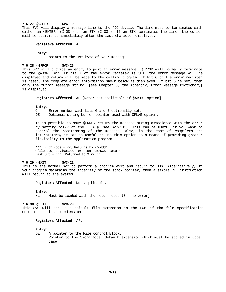# **7.6.27 @DSPLY SVC-10**

This SVC will display a message line to the \*DO device. The line must be terminated with either an <ENTER> (X'0D') or an ETX (X'03'). If an ETX terminates the line, the cursor will be positioned immediately after the last character displayed.

### **Registers Affected**: AF, DE.

#### **Entry:**

HL points to the 1st byte of your message.

#### **7.6.28 @ERROR SVC-26**

This SVC will provide an entry to post an error message. @ERROR will normally terminate to the @ABORT SVC. If bit 7 of the error register is SET, the error message will be displayed and return will be made to the calling program. If bit 6 of the error register is reset, the complete error information shown below is displayed. If bit 6 is set, then only the "Error message string" [see Chapter 8, the Appendix, Error Message Dictionary] is displayed.

**Registers Affected**: AF [Note: not applicable if @ABORT option].

#### **Entry:**

C Error number with bits 6 and 7 optionally set.

DE Optional string buffer pointer used with CFLAG option.

It is possible to have @ERROR return the message string associated with the error by setting bit-7 of the CFLAG\$ (see SVC-101). This can be useful if you want to control the positioning of the message. Also, in the case of compilers and interpreters, it can be useful to use this option as a means of providing greater flexibility to the application program.

\*\*\* Error code = xx, Returns to X'dddd' <filespec, devicespec, or open FCB/DCB status> Last SVC = nnn, Returned to X'rrrr'

# **7.6.29 @EXIT SVC-22**

This is the normal SVC to perform a program exit and return to DOS. Alternatively, if your program maintains the integrity of the stack pointer, then a simple RET instruction will return to the system.

**Registers Affected**: Not applicable.

#### **Entry:**

HL Must be loaded with the return code (0 = no error).

#### **7.6.30 @FEXT SVC-79**

This SVC will set up a default file extension in the FCB if the file specification entered contains no extension.

# **Registers Affected**: AF.

#### **Entry:**

- DE A pointer to the File Control Block.
- HL Pointer to the 3-character default extension which must be stored in upper case.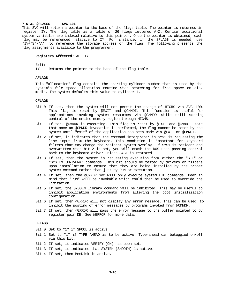# **7.6.31 @FLAGS\$ SVC-101**

This SVC will return a pointer to the base of the flags table. The pointer is returned in register IY. The flag table is a table of 26 flags lettered A-Z. Certain additional system variables are indexed relative to this pointer. Once the pointer is obtained, each flag may be referenced relative to IY. For instance, if the SFLAG\$ is needed, use "IY+'S'-'A'" to reference the storage address of the flag. The following presents the flag assignments available to the programmer:

## **Registers Affected**: AF, IY.

#### **Exit:**

IY Returns the pointer to the base of the flag table.

#### **AFLAG\$**

This "allocation" flag contains the starting cylinder number that is used by the system's file space allocation routine when searching for free space on disk media. The system defaults this value to cylinder 1.

#### **CFLAG\$**

- Bit 0 If set, then the system will not permit the change of HIGH\$ via SVC -100. This flag is reset by @EXIT and @CMNDI. This function is useful for applications invoking system resources via @CMNDR while still wanting control of the entire memory region through HIGH\$.
- Bit 1 If set, @CMNDR is executing. This flag is reset by @EXIT and @CMNDI. Note that once an @CMNDR invocation is performed, the flag cannot be reset by the system until "exit" of the application has been made via @EXIT or @CMNDI.
- Bit 2 If set, it indicates that the command interpreter in SYS1 is requesting the line input from the keyboard. This condition is important for keyboard filters that may change the resident system overlay. If SYS1 is resident and overwritten when bit-2 is set, you will crash the DOS upon passing control back to the keyboard driver unless SYS1 is restored.
- Bit 3 If set, then the system is requesting execution from either the "SET" or "SYSTEM (DRIVER=" commands. This bit should be tested by drivers or filters upon installation to ensure that they are being installed by the proper system command rather than just by RUN or execution.
- Bit 4 If set, then the @CMNDR SVC will only execute system LIB commands. Bear in mind that "RUN" will be invokable which could then be used to override the limitation.
- Bit 5 If set, the SYSGEN library command will be inhibited. This may be useful to inhibit application environments from altering the boot initialization configuration.
- Bit 6 If set, then @ERROR will not display any error message. This can be used to inhibit the posting of error messages by programs invoked from @CMNDR.
- Bit 7 If set, then @ERROR will pass the error message to the buffer pointed to by register pair DE. See @ERROR for more data.

# **DFLAG\$**

- Bit 0 Set to "1" if SPOOL is active
- Bit 1 Set to "1" if TYPE AHEAD is to be active. Type-ahead can betoggled on/off via this bit.
- Bit 2 If set, it indicates VERIFY (ON) has been set.
- Bit 3 If set, it indicates that SYSTEM (SMOOTH) is active.
- Bit 4 If set, then MemDisk is active.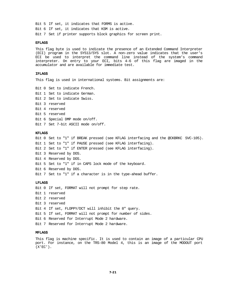Bit 5 If set, it indicates that FORMS is active. Bit 6 If set, it indicates that KSM is active. Bit 7 Set if printer supports block graphics for screen print.

#### **EFLAG\$**

This flag byte is used to indicate the presence of an Extended Command Interpreter (ECI) program in the SYS13/SYS slot. A non-zero value indicates that the user's ECI be used to interpret the command line instead of the system's command interpreter. On entry to your ECI, bits 4-6 of this flag are imaged in the accumulator and are available for immediate test.

# **IFLAG\$**

This flag is used in international systems. Bit assignments are:

Bit 0 Set to indicate French. Bit 1 Set to indicate German. Bit 2 Set to indicate Swiss. Bit 3 reserved Bit 4 reserved Bit 5 reserved Bit 6 Special DMP mode on/off. Bit 7 Set 7-bit ASCII mode on/off.

#### **KFLAG\$**

Bit 0 Set to "1" if BREAK pressed (see KFLAG interfacing and the @CKBRKC SVC-105). Bit 1 Set to "1" if PAUSE pressed (see KFLAG interfacing). Bit 2 Set to "1" if ENTER pressed (see KFLAG interfacing). Bit 3 Reserved by DOS. Bit 4 Reserved by DOS. Bit 5 Set to "1" if in CAPS lock mode of the keyboard. Bit 6 Reserved by DOS. Bit 7 Set to "1" if a character is in the type-ahead buffer.

# **LFLAG\$**

Bit 0 If set, FORMAT will not prompt for step rate. Bit 1 reserved Bit 2 reserved Bit 3 reserved Bit 4 If set, FLOPPY/DCT will inhibit the 8" query. Bit 5 If set, FORMAT will not prompt for number of sides. Bit 6 Reserved for Interrupt Mode 2 hardware. Bit 7 Reserved for Interrupt Mode 2 hardware.

#### **MFLAG\$**

This flag is machine specific. It is used to contain an image of a particular CPU port. For instance, on the TRS-80 Model 4, this is an image of the MODOUT port  $(X'EC')$ .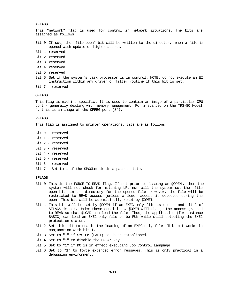# **NFLAG\$**

This "network" flag is used for control in network situations. The bits are assigned as follows:

Bit 0 If set, the "file-open" bit will be written to the directory when a file is opened with update or higher access.

- Bit 1 reserved
- Bit 2 reserved
- Bit 3 reserved
- Bit 4 reserved
- Bit 5 reserved
- Bit 6 Set if the system's task processor is in control. NOTE: do not execute an EI instruction within any driver or filter routine if this bit is set.
- Bit 7 reserved

# **OFLAG\$**

This flag is machine specific. It is used to contain an image of a particular CPU port - generally dealing with memory management. For instance, on the TRS-80 Model 4, this is an image of the OPREG port (84).

#### **PFLAG\$**

This flag is assigned to printer operations. Bits are as follows:

- Bit 0 reserved
- Bit 1 reserved
- Bit 2 reserved
- Bit 3 reserved
- Bit 4 reserved
- Bit 5 reserved
- Bit 6 reserved
- Bit 7 Set to 1 if the SPOOLer is in a paused state.

#### **SFLAG\$**

- Bit 0 This is the FORCE-TO-READ flag. If set prior to issuing an @OPEN , then the system will not check for matching LRL nor will the system set the "file open bit" in the directory for the opened file. However, the file will be restricted to READ access (unless a lower access is detected during the open. This bit will be automatically reset by @OPEN.
- Bit 1 This bit will be set by @OPEN if an EXEC-only file is opened and bit-2 of SFLAG\$ is set. Under these conditions, @OPEN will change the access granted to READ so that @LOAD can load the file. Thus, the application (for instance BASIC) can load an EXEC-only file to be RUN while still detecting the EXEC protection status.
- Bit 2 Set this bit to enable the loading of an EXEC-only file. This bit works in conjunction with bit-1.
- Bit 3 Set to "1" if SYSTEM (FAST) has been established.
- Bit 4 Set to "1" to disable the BREAK key.
- Bit 5 Set to "1" if DO is in effect executing Job Control Language.
- Bit 6 Set to "1" to force extended error messages. This is only practical in a debugging environment.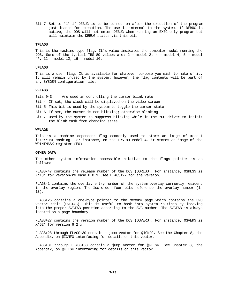Bit 7 Set to "1" if DEBUG is to be turned on after the execution of the program just loaded for execution. The use is internal to the system. If DEBUG is active, the DOS will not enter DEBUG when running an EXEC-only program but will maintain the DEBUG status via this bit.

# **TFLAG\$**

This is the machine type flag. It's value indicates the computer model running the DOS. Some of the typical TRS-80 values are:  $2 = \text{model } 2; 4 = \text{model } 4; 5 = \text{model}$ 4P; 12 = model 12; 16 = model 16.

## **UFLAG\$**

This is a user flag. It is available for whatever purpose you wish to make of it. It will remain unused by the system; however, the flag contents will be part of any SYSGEN configuration file.

#### **VFLAG\$**

Bits 0-3 Are used in controlling the cursor blink rate.

Bit 4 If set, the clock will be displayed on the video screen.

Bit 5 This bit is used by the system to toggle the cursor state.

Bit 6 If set, the cursor is non-blinking; otherwise blinking.

Bit 7 Used by the system to suppress blinking while in the \*DO driver to inhibit the blink task from changing state.

# **WFLAG\$**

This is a machine dependent flag commonly used to store an image of mode-1 interrupt masking. For instance, on the TRS-80 Model 4, it stores an image of the WRINTMASK register (E0).

#### **OTHER DATA**

The other system information accessible relative to the flags pointer is as follows:

FLAGS-47 contains the release number of the DOS (OSRLS\$). For instance, OSRLS\$ is X'10' for version/release 6.0.1 (see FLAGS+27 for the version).

FLAGS-1 contains the overlay entry number of the system overlay currently resident in the overlay region. The low-order four bits reference the overlay number (1- 13).

FLAGS+26 contains a one-byte pointer to the memory page which contains the SVC vector table (SVCTAB). This is useful to hook into system routines by indexing into the proper SVCTAB position according to the SVC number. The SVCTAB is always located on a page boundary.

FLAGS+27 contains the version number of the DOS (OSVER\$). For instance, OSVER\$ is X'62' for version 6.2.x

FLAGS+28 through FLAGS+30 contain a jump vector for @ICNFG. See the Chapter 8, the Appendix, on @ICNFG interfacing for details on this vector.

FLAGS+31 through FLAGS+33 contain a jump vector for @KITSK. See Chapter 8, the Appendix, on @KITSK interfacing for details on this vector.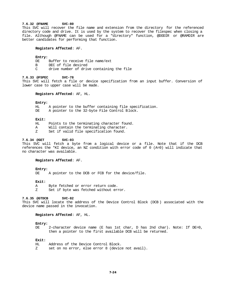#### **7.6.32 @FNAME SVC-80**

This SVC will recover the file name and extension from the directory for the referenced directory code and drive. It is used by the system to recover the filespec when closing a file. Although @FNAME can be used for a "directory" function, @DODIR or @RAMDIR are better candidates for performing that function.

# **Registers Affected**: AF.

#### **Entry:**

DE Buffer to receive file name/ext B DEC of file desired C drive number of drive containing the file

**7.6.33 @FSPEC SVC-78**

This SVC will fetch a file or device specification from an input buffer. Conversion of lower case to upper case will be made.

#### **Registers Affected**: AF, HL.

#### **Entry:**

HL A pointer to the buffer containing file specification.

DE A pointer to the 32-byte File Control Block.

# **Exit:**

- HL Points to the terminating character found.
- A Will contain the terminating character.
- Z Set if valid file specification found.

#### **7.6.34 @GET SVC-03**

This SVC will fetch a byte from a logical device or a file. Note that if the DCB references the \*KI device, an NZ condition with error code of 0 (A=0) will indicate that no character was available.

#### **Registers Affected**: AF.

#### **Entry:**

DE A pointer to the DCB or FCB for the device/file.

# **Exit:**

- A Byte fetched or error return code.
- Z Set if byte was fetched without error.

# **7.6.35 @GTDCB SVC-82**

This SVC will locate the address of the Device Control Block (DCB ) associated with the device name passed in the invocation.

#### **Registers Affected**: AF, HL.

#### **Entry:**

DE 2-character device name (E has 1st char, D has 2nd char). Note: If DE=0, then a pointer to the first available DCB will be returned.

#### **Exit:**

HL Address of the Device Control Block. Z set on no error, else error 8 (device not avail).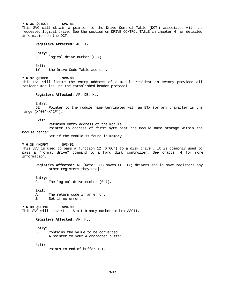# **7.6.36 @GTDCT SVC-81**

This SVC will obtain a pointer to the Drive Control Table (DCT ) associated with the requested logical drive. See the section on DRIVE CONTROL TABLE in chapter 4 for detailed information on the DCT.

# **Registers Affected**: AF, IY.

#### **Entry:**

C logical drive number (0-7).

#### **Exit:**

IY the Drive Code Table address.

# **7.6.37 @GTMOD SVC-83**

This SVC will locate the entry address of a module resident in memory provided all resident modules use the established header protocol.

## **Registers Affected**: AF, DE, HL.

# **Entry:**

DE Pointer to the module name terminated with an ETX (or any character in the range (X'00'-X'1F').

# **Exit:**

HL Returned entry address of the module.

DE Pointer to address of first byte past the module name storage within the module header.

Z Set if the module is found in memory.

# **7.6.38 @HDFMT SVC-52**

This SVC is used to pass a function 12 (X'0C') to a disk driver. It is commonly used to pass a "format drive" command to a hard disk controller. See chapter 4 for more information.

**Registers Affected**: AF [Note: DOS saves BC, IY; drivers should save registers any other registers they use].

#### **Entry:**

C The logical drive number (0-7).

#### **Exit:**

A The return code if an error. Z Set if no error.

**7.6.39 @HEX16 SVC-99**

This SVC will convert a 16-bit binary number to hex ASCII.

# **Registers Affected**: AF, HL.

#### **Entry:**

DE Contains the value to be converted. HL A pointer to your 4 character buffer.

# **Exit:**

HL Points to end of buffer + 1.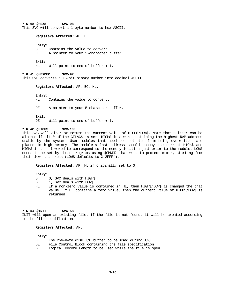**7.6.40 @HEX8 SVC-98** This SVC will convert a 1-byte number to hex ASCII.

#### **Registers Affected**: AF, HL.

#### **Entry:**

C Contains the value to convert.<br>HL A pointer to your 2-character A pointer to your 2-character buffer.

#### **Exit:**

HL Will point to end-of-buffer + 1.

**7.6.41 @HEXDEC SVC-97** This SVC converts a 16-bit binary number into decimal ASCII.

#### **Registers Affected**: AF, BC, HL.

# **Entry:**

Contains the value to convert.

DE A pointer to your 5-character buffer.

#### **Exit:**

DE Will point to end-of-buffer + 1.

#### **7.6.42 @HIGH\$ SVC-100**

This SVC will alter or return the current value of HIGH\$/LOW\$. Note that neither can be altered if bit-0 of the CFLAG\$ is set. HIGH\$ is a word containing the highest RAM address usable by the system. User modules that need be protected from being overwritten are placed in high memory. The module's last address should occupy the current HIGH\$ and HIGH\$ is then lowered to correspond to the memory location just prior to the module. LOW\$ needs to be set by those programs using @CMNDR that want to protect memory starting from their lowest address (LOW\$ defaults to X'2FFF').

**Registers Affected**: AF [HL if originally set to 0].

#### **Entry:**

- B 0, SVC deals with HIGH\$
- B 1, SVC deals with LOW\$
- HL If a non-zero value is contained in HL, then HIGH\$/LOW\$ is changed the that value. If HL contains a zero value, then the current value of HIGH\$/LOW\$ is returned.

# **7.6.43 @INIT SVC-58**

INIT will open an existing file. If the file is not found, it will be created according to the file specification.

# **Registers Affected**: AF.

## **Entry:**

| HL | The 256-byte disk $I/O$ buffer to be used during $I/O$ . |
|----|----------------------------------------------------------|
| DE | File Control Block containing the file specification.    |
| в  | Logical Record Length to be used while the file is open. |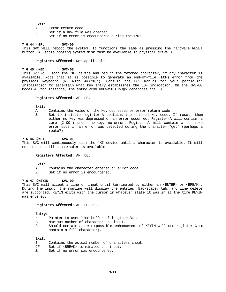# **Exit:**

| A  | Error return code                               |
|----|-------------------------------------------------|
| CF | Set if a new file was created                   |
|    | Set if no error is encountered during the INIT. |

# **7.6.44 @IPL SVC-00**

This SVC will reboot the system. It functions the same as pressing the hardware RESET button. A usable booting system disk must be available in physical drive 0.

#### **Registers Affected**: Not applicable

# **7.6.45 @KBD SVC-08**

This SVC will scan the \*KI device and return the fetched character, if any character is available. Note that it is possible to generate an end-of-file (EOF) error from the physical keyboard (NZ with A=X'1C'). Consult the DOS manual for your particular installation to ascertain what key entry establishes the EOF indication. On the TRS-80 Model 4, for instance, the entry <CONTROL><SHIFT><@> generates the EOF.

#### **Registers Affected**: AF, DE.

#### **Exit:**

- A Contains the value of the key depressed or error return code.
- Z Set to indicate register-A contains the entered key code. If reset, then either no key was depressed or an error occurred. Register-A will contain a zero (X'00') under no-key, no-error. Register-A will contain a non-zero error code if an error was detected during the character "get" (perhaps a route?).

#### **7.6.46 @KEY SVC-01**

This SVC will continuously scan the \*KI device until a character is available. It will not return until a character is available.

# **Registers Affected**: AF, DE.

#### **Exit:**

- A Contains the character entered or error code.
- Z Set if no error is encountered.

#### **7.6.47 @KEYIN SVC-09**

This SVC will accept a line of input until terminated by either an <ENTER> or <BREAK>. During the input, the routine will display the entries. Backspace, tab, and line delete are supported. KEYIN exits with the cursor in whatever state it was in at the time KEYIN was entered.

#### **Registers Affected**: AF, BC, DE.

#### **Entry:**

- HL Pointer to user line buffer of length = B+1.
- B Maximum number of characters to input.
- C Should contain a zero (possible enhancement of KEYIN will use register C to contain a fill character).

#### **Exit:**

B Contains the actual number of characters input. CF Set if <BREAK> terminated the input. Z Set if no error was encountered.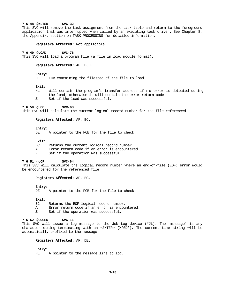## **7.6.48 @KLTSK SVC-32**

This SVC will remove the task assignment from the task table and return to the foreground application that was interrupted when called by an executing task driver. See Chapter 8, the Appendix, section on TASK PROCESSING for detailed information.

**Registers Affected**: Not applicable..

# **7.6.49 @LOAD SVC-76**

This SVC will load a program file (a file in load module format).

**Registers Affected**: AF, B, HL.

#### **Entry:**

DE FCB containing the filespec of the file to load.

# **Exit:**

HL Will contain the program's transfer address if no error is detected during the load; otherwise it will contain the error return code. Z Set if the load was successful.

# **7.6.50 @LOC SVC-63**

This SVC will calculate the current logical record number for the file referenced.

#### **Registers Affected**: AF, BC.

#### **Entry:**

DE A pointer to the FCB for the file to check.

#### **Exit:**

| BC | Returns the current logical record number.    |
|----|-----------------------------------------------|
| A  | Error return code if an error is encountered. |
| Z  | Set if the operation was successful.          |

#### **7.6.51 @LOF SVC-64**

This SVC will calculate the logical record number where an end-of-file (EOF) error would be encountered for the referenced file.

#### **Registers Affected**: AF, BC.

#### **Entry:**

DE A pointer to the FCB for the file to check.

#### **Exit:**

- BC Returns the EOF logical record number.
- A Error return code if an error is encountered.
- Z Set if the operation was successful.

#### **7.6.52 @LOGER SVC-11**

This SVC will issue a log message to the Job Log device (\*JL). The "message" is any character string terminating with an <ENTER> (X'0D'). The current time string will be automatically prefixed to the message.

# **Registers Affected**: AF, DE.

# **Entry:**

A pointer to the message line to log.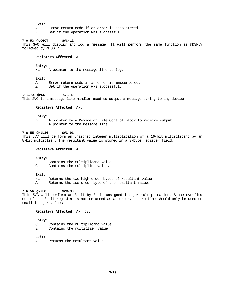#### **Exit:**

- A Error return code if an error is encountered.
- Z Set if the operation was successful.

# **7.6.53 @LOGOT SVC-12**

This SVC will display and log a message. It will perform the same function as @DSPLY followed by @LOGER.

# **Registers Affected**: AF, DE.

#### **Entry:**

HL A pointer to the message line to log.

# **Exit:**

A Error return code if an error is encountered.

Z Set if the operation was successful.

# **7.6.54 @MSG SVC-13**

This SVC is a message line handler used to output a message string to any device.

#### **Registers Affected**: AF.

#### **Entry:**

DE A pointer to a Device or File Control Block to receive output.

HL A pointer to the message line.

# **7.6.55 @MUL16 SVC-91**

This SVC will perform an unsigned integer multiplication of a 16-bit multiplicand by an 8-bit multiplier. The resultant value is stored in a 3-byte register field.

**Registers Affected**: AF, DE.

#### **Entry:**

HL Contains the multiplicand value.<br>C Contains the multiplier value. Contains the multiplier value.

#### **Exit:**

HL Returns the two high order bytes of resultant value.

A Returns the low-order byte of the resultant value.

# **7.6.56 @MUL8 SVC-90**

This SVC will perform an 8-bit by 8-bit unsigned integer multiplication. Since overflow out of the 8-bit register is not returned as an error, the routine should only be used on small integer values.

# **Registers Affected**: AF, DE.

#### **Entry:**

- C Contains the multiplicand value.
- E Contains the multiplier value.

# **Exit:**

A Returns the resultant value.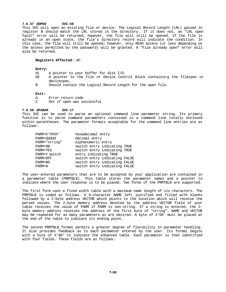# **7.6.57 @OPEN SVC-59**

This SVC will open an existing file or device. The Logical Record Length (LRL) passed in register B should match the LRL stored in the directory . If it does not, an "LRL open fault" error will be returned; however, the file will still be opened. If the file is already in an open state, the file's directory record will indicate the condition. In this case, the file will still be opened; however, only READ access (or less depending on the access permitted by the password) will be granted. A "File already open" error will also be returned.

# **Registers Affected**: AF.

**Entry:**

- HL A pointer to your buffer for disk I/O.
- A pointer to the File or Device Control Block containing the filespec or devicespec.
- B Should contain the Logical Record Length for the open file.

#### **Exit:**

- A Error return code<br>Z Set if open was su
- Set if open was successful

#### **7.6.58 @PARAM SVC-17**

This SVC can be used to parse an optional command line parameter string. Its primary function is to parse command parameters contained in a command line totally enclosed within parentheses. The parameter formats acceptable for the command line entries are as follows:

| PARM=X'hhhh'  | hexadecimal entry             |
|---------------|-------------------------------|
| PARM=ddddd    | decimal entry                 |
| PARM="string" | alphanumeric entry            |
| PARM=ON       | switch entry indicating TRUE  |
| PARM=YES      | switch entry indicating TRUE  |
| PARM=Y switch | entry indicating TRUE         |
| PARM=OFF      | switch entry indicating FALSE |
| PARM=NO       | switch entry indicating FALSE |
| PARM=N        | switch entry indicating FALSE |
|               |                               |

The user-entered parameters that are to be accepted by your application are contained in a parameter table (PRMTBL\$). This table stores the parameter names and a pointer to indicate where the user response is to be placed. Two forms of the PRMTBL\$ are supported.

The first form uses a fixed width table with a maximum name length of six characters. The PRMTBL\$ is coded as follows. A 6-character NAME left justified and filled with blanks followed by a 2-byte address VECTOR which points to the location which will receive the parsed values. The 2-byte memory address denoted by the address VECTOR field of your table receives the value of PARM if PARM is non-string. If a string is entered, the 2 byte memory address receives the address of the first byte of "string". NAME and VECTOR may be repeated for as many parameters as are desired. A byte of X'00' must be placed at the end of the table to indicate its ending point.

The second PRMTBL\$ format permits a greater degree of flexibility in parameter handling. It also provides feedback as to each parameter entered by the user. Its format begins with a byte of X'80' to indicate the enhanced table. Each parameter is then identified with four fields. These fields are as follows: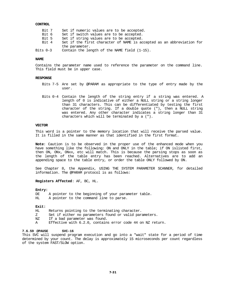# **CONTROL**

| Set if the first character of NAME is accepted as an abbreviation for |
|-----------------------------------------------------------------------|
|                                                                       |
|                                                                       |
|                                                                       |

#### **NAME**

Contains the parameter name used to reference the parameter on the command line. This field must be in upper case.

#### **RESPONSE**

- Bits 7-5 Are set by @PARAM as appropriate to the type of entry made by the user.
- Bits 0-4 Contain the length of the string entry if a string was entered. A length of 0 is indicative of either a NULL string or a string longer than 31 characters. This can be differentiated by testing the first character of the string. If a double quote ("), then a NULL string was entered. Any other character indicates a string longer than 31 characters which will be terminated by a (").

# **VECTOR**

This word is a pointer to the memory location that will receive the parsed value. It is filled in the same manner as that identified in the first format.

**Note**: Caution is to be observed in the proper use of the enhanced mode when you have something like the following: ON and ONLY in the table; if ON islisted first, then ON, ONx, ONxx, etc will match. This is because the parsing stops as soon as the length of the table entry has been reached. Alternatives are to add an appending space to the table entry, or order the table ONLY followed by ON.

See Chapter 8, the Appendix, USING THE SYSTEM PARAMETER SCANNER, for detailed information. The @PARAM protocol is as follows:

**Registers Affected**: AF, BC, HL.

# **Entry:**

DE A pointer to the beginning of your parameter table.

HL A pointer to the command line to parse.

# **Exit:**

Returns pointing to the terminating character.

- Z Set if either no parameters found or valid parameters.
- NZ If a bad parameter was found.
- A Effective with 6.2.0, contains error code 44 on NZ return.

# **7.6.59 @PAUSE SVC-16**

This SVC will suspend program execution and go into a "wait" state for a period of time determined by your count. The delay is approximately 15 microseconds per count regardless of the system FAST/SLOW option.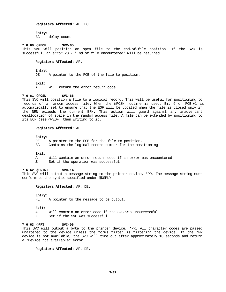#### **Registers Affected**: AF, BC.

#### **Entry:**

BC delay count

# **7.6.60 @PEOF SVC-65**

This SVC will position an open file to the end-of-file position. If the SVC is successful, an error 28 - "End of file encountered" will be returned.

#### **Registers Affected**: AF.

# **Entry:**

A pointer to the FCB of the file to position.

#### **Exit:**

A Will return the error return code.

# **7.6.61 @POSN SVC-66**

This SVC will position a file to a logical record. This will be useful for positioning to records of a random access file. When the @POSN routine is used, Bit 6 of FCB +1 is automatically set to ensure that the EOF will be updated when the file is closed only if the NRN exceeds the current ERN. This action will guard against any inadvertant deallocation of space in the random access file. A file can be extended by positioning to its EOF (see @PEOF) then writing to it.

# **Registers Affected**: AF.

# **Entry:**

DE A pointer to the FCB for the file to position. BC Contains the logical record number for the positioning.

#### **Exit:**

- A Will contain an error return code if an error was encountered.<br>Z Set if the operation was successful
- Set if the operation was successful

#### **7.6.62 @PRINT SVC-14**

This SVC will output a message string to the printer device, \*PR. The message string must conform to the syntax specified under @DSPLY.

# **Registers Affected**: AF, DE.

#### **Entry:**

HL A pointer to the message to be output.

#### **Exit:**

- A Will contain an error code if the SVC was unsuccessful.
- Z Set if the SVC was successful.

#### **7.6.63 @PRT SVC-06**

This SVC will output a byte to the printer device, \*PR. All character codes are passed unaltered to the device unless the forms filter is filtering the device. If the \*PR device is not available, the SVC will time out after approximately 10 seconds and return a "Device not available" error.

**Registers Affected**: AF, DE.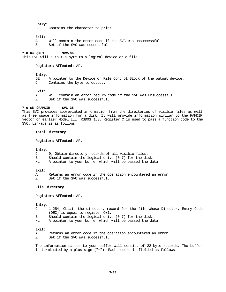#### **Entry:**

C Contains the character to print.

#### **Exit:**

- A Will contain the error code if the SVC was unsuccessful.
- Z Set if the SVC was successful.

#### **7.6.64 @PUT SVC-04**

This SVC will output a byte to a logical device or a file.

#### **Registers Affected**: AF.

# **Entry:**

DE A pointer to the Device or File Control Block of the output device. C Contains the byte to output.

#### **Exit:**

A Will contain an error return code if the SVC was unsuccessful. Z Set if the SVC was successful.

# **7.6.65 @RAMDIR SVC-35**

This SVC provides abbreviated information from the directories of visible files as well as free space information for a disk. It will provide information similar to the RAMDIR vector on earlier Model III TRSDOS 1.3. Register C is used to pass a function code to the SVC. Linkage is as follows:

#### **Total Directory**

**Registers Affected**: AF.

## **Entry:**

- C 0; Obtain directory records of all visible files.
- B Should contain the logical drive (0-7) for the disk.<br>HL A pointer to your buffer which will be passed the da
- A pointer to your buffer which will be passed the data.

#### **Exit:**

- A Returns an error code if the operation encountered an error.
- Z Set if the SVC was successful.

# **File Directory**

**Registers Affected**: AF.

# **Entry:**

- C 1-254; Obtain the directory record for the file whose Directory Entry Code (DEC) is equal to register C+1.
- B Should contain the logical drive (0-7) for the disk.
- HL A pointer to your buffer which will be passed the data.

#### **Exit:**

- A Returns an error code if the operation encountered an error.
- Z Set if the SVC was successful.

The information passed to your buffer will consist of 22-byte records. The buffer is terminated by a plus sign ("+"). Each record is fielded as follows: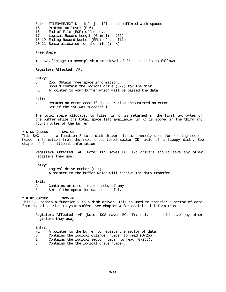0-14 FILENAME/EXT:D - left justified and buffered with spaces 15 Protection level (0-6) 16 End of File (EOF) offset byte 17 Logical Record Length (0 implies 256) 18-19 Ending Record Number (ERN) of the file 20-21 Space allocated for the file (in K)

# **Free Space**

The SVC linkage to accomplish a retrieval of free space is as follows:

#### **Registers Affected**: AF.

#### **Entry:**

- C 255; Obtain free space information.
- B Should contain the logical drive (0-7) for the disk.
- HL A pointer to your buffer which will be passed the data.

#### **Exit:**

A Returns an error code if the operation encountered an error. Z Set if the SVC was successful.

The total space allocated to files (in K) is returned in the first two bytes of the buffer while the total space left available (in K) is stored in the third and fourth bytes of the buffer.

#### **7.6.66 @RDHDR SVC-48**

This SVC passes a function 8 to a disk driver. It is commonly used for reading sector header information from the next encountered sector ID field of a floppy disk . See chapter 4 for additional information.

**Registers Affected**: AF [Note: DOS saves BC, IY; drivers should save any other registers they use].

#### **Entry:**

- C Logical drive number (0-7).
- HL A pointer to the buffer which will receive the data transfer.

#### **Exit:**

- A Contains an error return code, if any.
- Z Set if the operation was successful.

# **7.6.67 @RDSEC SVC-49**

This SVC passes a function 9 to a disk driver. This is used to transfer a sector of data from the disk drive to your buffer. See chapter 4 for additional information.

**Registers Affected**: AF [Note: DOS saves BC, IY; drivers should save any other registers they use].

#### **Entry:**

- HL A pointer to the buffer to receive the sector of data.
- D Contains the logical cylinder number to read (0-255).
- E Contains the logical sector number to read (0-255).
- C Contains the the logical drive number.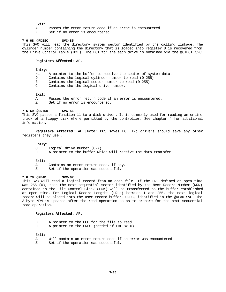#### **Exit:**

- A Passes the error return code if an error is encountered.
- Z Set if no error is encountered.

# **7.6.68 @RDSSC SVC-85**

This SVC will read the directory system sector identified by the calling linkage. The cylinder number containing the directory that is loaded into register D is recovered from the Drive Control Table (DCT). The DCT for the each drive is obtained via the @GTDCT SVC.

## **Registers Affected**: AF.

# **Entry:**

- HL A pointer to the buffer to receive the sector of system data.
- D Contains the logical cylinder number to read (0-255).
- E Contains the logical sector number to read (0-255).
- C Contains the the logical drive number.

#### **Exit:**

- A Passes the error return code if an error is encountered.
- Z Set if no error is encountered.

#### **7.6.69 @RDTRK SVC-51**

This SVC passes a function 11 to a disk driver. It is commonly used for reading an entire track of a floppy disk where permitted by the controller. See chapter 4 for additional information.

**Registers Affected**: AF [Note: DOS saves BC, IY; drivers should save any other registers they use].

## **Entry:**

- C Logical drive number (0-7).
- HL A pointer to the buffer which will receive the data tran sfer.

#### **Exit:**

- A Contains an error return code, if any.
- Z Set if the operation was successful.

## **7.6.70 @READ SVC-67**

This SVC will read a logical record from an open file. If the LRL defined at open time was 256 (0), then the next sequential sector identified by the Next Record Number (NRN) contained in the File Control Block (FCB) will be transferred to the buffer established at open time. For Logical Record Lengths (LRLs) between 1 and 255, the next logical record will be placed into the user record buffer, UREC, identified in the @READ SVC. The 3-byte NRN is updated after the read operation so as to prepare for the next sequential read operation.

#### **Registers Affected**: AF.

DE A pointer to the FCB for the file to read.<br>HI. A pointer to the IREC (needed if LRI, <> 0) A pointer to the UREC (needed if LRL  $\langle > 0 \rangle$ .

# **Exit:**

A Will contain an error return code if an error was encountered. Z Set if the operation was successful.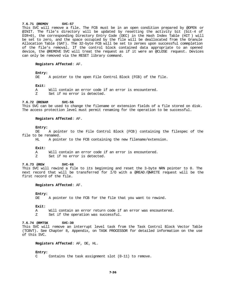#### **7.6.71 @REMOV SVC-57**

This SVC will remove a file. The FCB must be in an open condition prepared by @OPEN or @INIT. The file's directory will be updated by resetting the activity bit (bit-4 of DIR+0), the corresponding Directory Entry Code (DEC) in the Hash Index Table (HIT ) will be set to zero, and the space occupied by the file will be deallocated from the Granule Allocation Table (GAT). The 32-byte FCB will be set to zeroes upon successful commpletion of the file's removal. If the control block contained data appropriate to an opened device, the @REMOVE SVC will treat the request as if it were an @CLOSE request. Devices can only be removed via the RESET library command.

#### **Registers Affected**: AF.

# **Entry:**

DE A pointer to the open File Control Block (FCB) of the file.

#### **Exit:**

A Will contain an error code if an error is encountered.<br>Z Set if no error is detected

Set if no error is detected.

#### **7.6.72 @RENAM SVC-56**

This SVC can be used to change the filename or extension fields of a file stored on disk. The access protection level must permit renaming for the operation to be successful.

#### **Registers Affected**: AF.

## **Entry:**

DE A pointer to the File Control Block (FCB) containing the filespec of the file to be renamed.<br>HL A poin

A pointer to the FCB containing the new filename/extension.

#### **Exit:**

A Will contain an error code if an error is encountered.<br>Z Set if no error is detected

Set if no error is detected.

#### **7.6.73 @REW SVC-68**

This SVC will rewind a file to its beginning and reset the 3-byte NRN pointer to 0. The next record that will be transferred for I/O with a @READ /@WRITE request will be the first record of the file.

## **Registers Affected**: AF.

#### **Entry:**

DE A pointer to the FCB for the file that you want to rewind.

#### **Exit:**

A Will contain an error return code if an error was encountered.<br>Z Set if the operation was successful

Set if the operation was successful.

# **7.6.74 @RMTSK SVC-30**

This SVC will remove an interrupt level task from the Task Control Block Vector Table (TCBVT). See Chapter 8, Appendix, on TASK PROCESSOR for detailed information on the use of this SVC.

## **Registers Affected**: AF, DE, HL.

#### **Entry:**

C Contains the task assignment slot (0-11) to remove.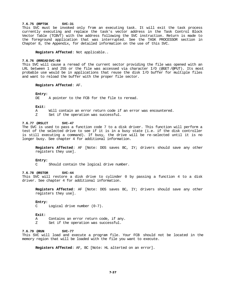# **7.6.75 @RPTSK SVC-31**

This SVC must be invoked only from an executing task. It will exit the task process currently executing and replace the task's vector address in the Task Control Block Vector Table (TCBVT) with the address following the SVC instruction. Return is made to the foreground application that was interrupted. See the TASK PROCESSOR section in Chapter 8, the Appendix, for detailed information on the use of this SVC.

**Registers Affected**: Not applicable..

#### **7.6.76 @RREAD SVC-69**

This SVC will cause a reread of the current sector providing the file was opened with an LRL between 1 and 255 or the file was accessed via character I/O (@GET /@PUT). Its most probable use would be in applications that reuse the disk I/O buffer for multiple files and want to reload the buffer with the proper file sector.

# **Registers Affected**: AF.

#### **Entry:**

DE A pointer to the FCB for the file to reread.

#### **Exit:**

- A Will contain an error return code if an error was encountered.
- Z Set if the operation was successful.

#### **7.6.77 @RSLCT SVC-47**

The SVC is used to pass a function code 7 to a disk driver. This function will perform a test of the selected drive to see if it is in a busy state (i.e. if the disk controller is still executing a command). If busy, the drive will be re-selected until it is no longer busy. See chapter 4 for additional information.

**Registers Affected**: AF [Note: DOS saves BC, IY; drivers should save any other registers they use].

#### **Entry:**

C Should contain the logical drive number.

## **7.6.78 @RSTOR SVC-44**

This SVC will restore a disk drive to cylinder 0 by passing a function 4 to a disk driver. See chapter 4 for additional information.

**Registers Affected**: AF [Note: DOS saves BC, IY; drivers should save any other registers they use].

#### **Entry:**

C Logical drive number (0-7).

#### **Exit:**

- A Contains an error return code, if any.
- Z Set if the operation was successful.

# **7.6.79 @RUN SVC-77**

This SVC will load and execute a program file. Your FCB should not be located in the memory region that will be loaded with the file you want to execute.

**Registers Affected**: AF, BC [Note: HL alterted on an error].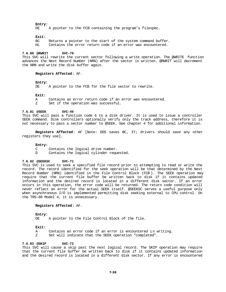# **Entry:**

A pointer to the FCB containing the program's filespec.

# **Exit:**

Returns a pointer to the start of the system command buffer.

HL Contains the error return code if an error was encountered.

#### **7.6.80 @RWRIT SVC-70**

This SVC will rewrite the current sector following a write operation. The @WRITE function advances the Next Record Number (NRN) after the sector is written. @RWRIT will decrement the NRN and write the disk buffer again.

#### **Registers Affected**: AF.

## **Entry:**

DE A pointer to the FCB for the file sector to rewrite.

#### **Exit:**

A Contains an error return code if an error was encountered.<br>Z Set if the operation was successful Set if the operation was successful.

#### **7.6.81 @SEEK SVC-46**

This SVC will pass a function code 6 to a disk driver. It is used to issue a controller SEEK command. Disk controllers optionally verify only the track address, therefore it is not necessary to pass a sector number to @SEEK. See chapter 4 for additional information.

**Registers Affected**: AF [Note: DOS saves BC, IY; drivers should save any other registers they use].

#### **Entry:**

- C Contains the logical drive number.
- D Contains the logical cylinder requested.

#### **7.6.82 @SEEKSC SVC-71**

This SVC is used to seek a specified file record prior to attempting to read or write the record. The record identified for the seek operation will be that determined by the Next Record Number (NRN) identified in the File Control Block (FCB ). The SEEK operation may require that the current file buffer be written back to disk if it contains updated information and the desired record is located in a different disk sector. If an error occurs in this operation, the error code will be returned. The return code condition will never reflect an error for the actual SEEK itself. @SEEKSC serves a useful purpose only when asynchronous I/O is implemented permitting disk seeking external to CPU control. On the TRS-80 Model 4, it is unnecessary.

## **Registers Affected**: AF.

# **Entry:**

DE A pointer to the File Control Block of the file.

# **Exit:**

- A Contains an error code if an error is encountered in writing.
- Z Set will indicate that the SEEK operation "completed".

#### **7.6.83 @SKIP SVC-72**

This SVC will cause a skip past the next logical record. The SKIP operation may require that the current file buffer be written back to disk if it contains updated information and the desired record is located in a different disk sector. If any error is encountered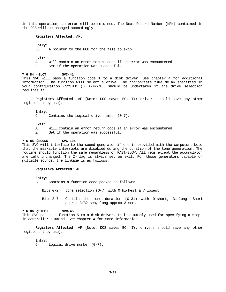in this operation, an error will be returned. The Next Record Number (NRN) contained in the FCB will be changed accordingly.

# **Registers Affected**: AF.

#### **Entry:**

DE A pointer to the FCB for the file to skip.

#### **Exit:**

- A Will contain an error return code if an error was encountered.
- Z Set if the operation was successful.

#### **7.6.84 @SLCT SVC-41**

This SVC will pass a function code 1 to a disk driver. See chapter 4 for additional information. The function will select a drive. The appropriate time delay specified in your configuration (SYSTEM (DELAY=Y/N)) should be undertaken if the drive selection requires it.

**Registers Affected**: AF [Note: DOS saves BC, IY; drivers should save any other registers they use].

#### **Entry:**

C Contains the logical drive number (0-7).

#### **Exit:**

- A Will contain an error return code if an error was encountered.
- Z Set if the operation was successful.

# **7.6.85 @SOUND SVC-104**

This SVC will interface to the sound generator if one is provided with the computer. Note that the maskable interrupts are disabled during the duration of the tone generation. The routine should function the same regardless of FAST/SLOW. All regs except the accumulator are left unchanged. The Z-flag is always set on exit. For those generators capable of multiple sounds, the linkage is as follows:

#### **Registers Affected**: AF.

#### **Entry:**

- B Contains a function code packed as follows:
	- Bits 0-2 tone selection (0-7) with 0=highest & 7=lowest.
	- Bits 3-7 Contain the tone duration (0-31) with 0=short, 31=long. Short approx 3/32 sec, long approx 3 sec.

#### **7.6.86 @STEPI SVC-45**

This SVC passes a function 5 to a disk driver. It is commonly used for specifying a stepin controller command. See chapter 4 for more information.

**Registers Affected**: AF [Note: DOS saves BC, IY; drivers should save any other registers they use].

#### **Entry:**

C Logical drive number (0-7).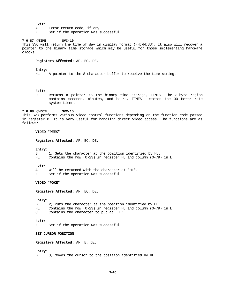### **Exit:**

- A Error return code, if any.
- Z Set if the operation was successful.

# **7.6.87 @TIME SVC-19**

This SVC will return the time of day in display format (HH:MM:SS). It also will recover a pointer to the binary time storage which may be useful for those implementing hardware clocks.

## **Registers Affected**: AF, BC, DE.

## **Entry:**

HL A pointer to the 8-character buffer to receive the time string.

# **Exit:**

DE Returns a pointer to the binary time storage, TIME\$. The 3-byte region contains seconds, minutes, and hours. TIME\$-1 stores the 30 Hertz rate system timer.

# **7.6.88 @VDCTL SVC-15**

This SVC performs various video control functions depending on the function code passed in register B. It is very useful for handling direct video access. The functions are as follows:

# **VIDEO "PEEK"**

**Registers Affected**: AF, BC, DE.

#### **Entry:**

B 1; Gets the character at the position identified by HL. HL Contains the row  $(0-23)$  in register H, and column  $(0-79)$  in L.

#### **Exit:**

A Will be returned with the character at "HL".

Z Set if the operation was successful.

# **VIDEO "POKE"**

**Registers Affected**: AF, BC, DE.

# **Entry:**

2; Puts the character at the position identified by HL. HL Contains the row (0-23) in register H, and column (0-79) in L.<br>C Contains the character to put at "HL". Contains the character to put at "HL".

# **Exit:**

Set if the operation was successful.

#### **SET CURSOR POSITION**

**Registers Affected**: AF, B, DE.

#### **Entry:**

B 3; Moves the cursor to the position identified by HL.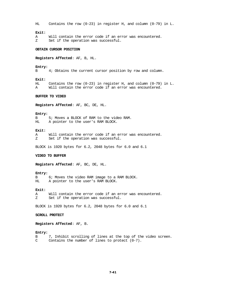HL Contains the row (0-23) in register H, and column (0-79) in L.

# **Exit:**

A Will contain the error code if an error was encountered. Z Set if the operation was successful.

# **OBTAIN CURSOR POSITION**

**Registers Affected**: AF, B, HL.

#### **Entry:**

B 4; Obtains the current cursor position by row and column.

#### **Exit:**

HL Contains the row (0-23) in register H, and column (0-79) in L. A Will contain the error code if an error was encountered.

#### **BUFFER TO VIDEO**

**Registers Affected**: AF, BC, DE, HL.

#### **Entry:**

B 5; Moves a BLOCK of RAM to the video RAM. HL A pointer to the user's RAM BLOCK.

#### **Exit:**

A Will contain the error code if an error was encountered.<br>
Z Set if the operation was successful. Set if the operation was successful.

BLOCK is 1920 bytes for 6.2, 2048 bytes for 6.0 and 6.1

#### **VIDEO TO BUFFER**

**Registers Affected**: AF, BC, DE, HL.

#### **Entry:**

B 6; Moves the video RAM image to a RAM BLOCK. HL A pointer to the user's RAM BLOCK.

#### **Exit:**

A Will contain the error code if an error was encountered. Z Set if the operation was successful.

BLOCK is 1920 bytes for 6.2, 2048 bytes for 6.0 and 6.1

# **SCROLL PROTECT**

**Registers Affected**: AF, B.

#### **Entry:**

B 7, Inhibit scrolling of lines at the top of the video screen. C Contains the number of lines to protect (0-7).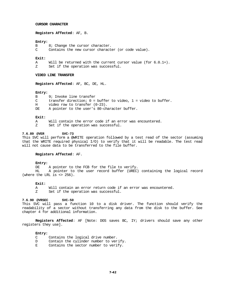### **CURSOR CHARACTER**

**Registers Affected**: AF, B.

#### **Entry:**

- B 8; Change the cursor character.
- C Contains the new cursor character (or code value).

## **Exit:**

- A Will be returned with the current cursor value (for  $6.0.1+)$ .<br>z Set if the operation was successful
- Set if the operation was successful.

# **VIDEO LINE TRANSFER**

**Registers Affected**: AF, BC, DE, HL.

#### **Entry:**

- B 9; Invoke line transfer
- C transfer direction; 0 = buffer to video, 1 = video to buffer.
- H video row to transfer (0-23).
- DE A pointer to the user's 80-character buffer.

# **Exit:**

- A Will contain the error code if an error was encountered.
- Z Set if the operation was successful.

## **7.6.89 @VER SVC-73**

This SVC will perform a @WRITE operation followed by a test read of the sector (assuming that the WRITE required physical I/O) to verify that it will be readable. The test read will not cause data to be transferred to the file buffer.

# **Registers Affected**: AF.

#### **Entry:**

DE A pointer to the FCB for the file to verify.

HL A pointer to the user record buffer (UREC) containing the logical record (where the LRL is  $\langle$  256).

#### **Exit:**

A Will contain an error return code if an error was encountered.

Z Set if the operation was successful.

#### **7.6.90 @VRSEC SVC-50**

This SVC will pass a function 10 to a disk driver. The function should verify the readability of a sector without transferring any data from the disk to the buffer. See chapter 4 for additional information.

**Registers Affected**: AF [Note: DOS saves BC, IY; drivers should save any other registers they use].

# **Entry:**

- C Contains the logical drive number.
- D Contain the cylinder number to verify.
- E Contains the sector number to verify.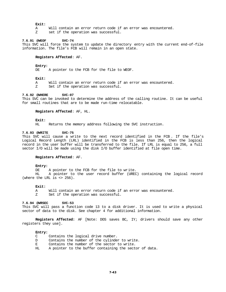## **Exit:**

- A Will contain an error return code if an error was encountered.
- Z set if the operation was successful.

# **7.6.91 @WEOF SVC-74**

This SVC will force the system to update the directory entry with the current end-of-file information. The file's FCB will remain in an open state.

# **Registers Affected**: AF.

## **Entry:**

DE A pointer to the FCB for the file to WEOF.

## **Exit:**

A Will contain an error return code if an error was encountered.

Z Set if the operation was successful.

# **7.6.92 @WHERE SVC-07**

This SVC can be invoked to determine the address of the calling routine. It can be useful for small routines that are to be made run-time relocatable.

# **Registers Affected**: AF, HL.

# **Exit:**

HL Returns the memory address following the SVC instruction.

#### **7.6.93 @WRITE SVC-75**

This SVC will cause a write to the next record identified in the FCB . If the file's Logical Record Length (LRL) identified in the FCB is less than 256, then the logical record in the user buffer will be transferred to the file. If LRL is equal to 256, a full sector I/O will be made using the disk I/O buffer identified at file open time.

#### **Registers Affected**: AF.

# **Entry:**

DE A pointer to the FCB for the file to write.<br>HL A pointer to the user record buffer (UREC

A pointer to the user record buffer (UREC) containing the logical record (where the LRL is  $\langle$  256).

## **Exit:**

A Will contain an error return code if an error was encountered. Z Set if the operation was successful.

## **7.6.94 @WRSEC SVC-53**

This SVC will pass a function code 13 to a disk driver. It is used to write a physical sector of data to the disk. See chapter 4 for additional information.

**Registers Affected:** AF [Note: DOS saves BC, IY; drivers should save any other registers they use].

#### **Entry:**

| C  | Contains the logical drive number.                     |
|----|--------------------------------------------------------|
| D  | Contains the number of the cylinder to write.          |
| E  | Contains the number of the sector to write.            |
| HL | A pointer to the buffer containing the sector of data. |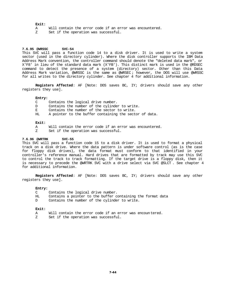# **Exit:**

- A Will contain the error code if an error was encountered.
- Z Set if the operation was successful.

## **7.6.95 @WRSSC SVC-54**

This SVC will pass a function code 14 to a disk driver. It is used to write a system sector (used in the directory cylinder). Where the disk controller supports the IBM Data Address Mark convention, the controller command should denote the "deleted data mark", or X'F8' in lieu of the standard data mark (X'FB'). This distinct mark is used in the @RDSEC command to detect the presence of a system (directory) sector. Other than this Data Address Mark variation, @WRSSC is the same as @WRSEC ; however, the DOS will use @WRSSC for all writes to the directory cylinder. See chapter 4 for additional information.

**Registers Affected**: AF [Note: DOS saves BC, IY; drivers should save any other registers they use].

#### **Entry:**

- C Contains the logical drive number.
- D Contains the number of the cylinder to write.
- E Contains the number of the sector to write.
- HL A pointer to the buffer containing the sector of data.

#### **Exit:**

- A Will contain the error code if an error was encountered.
- Z Set if the operation was successful.

# **7.6.96 @WRTRK SVC-55**

This SVC will pass a function code 15 to a disk driver. It is used to format a physical track on a disk drive. Where the data pattern is under software control (as is the case for floppy disk drives), the data format must conform to that identified in your controller's reference manual. Hard drives that are formatted by track may use this SVC to control the track to track formatting. If the target drive is a floppy disk, then it is necessary to precede the @WRTRK SVC with a drive select via SVC @SLCT . See chapter 4 for additional information.

**Registers Affected**: AF [Note: DOS saves BC, IY; drivers should save any other registers they use].

## **Entry:**

- C Contains the logical drive number.
- HL Contains a pointer to the buffer containing the format data
- D Contains the number of the cylinder to write.

## **Exit:**

- A Will contain the error code if an error was encoun tered.
- Z Set if the operation was successful.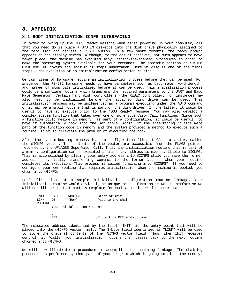# **8. APPENDIX**

# **8.1 BOOT INITIALIZATION ICNFG INTERFACING**

In order to bring up the "DOS Ready" message when first powering up your computer, all that you need do is place a SYSTEM diskette into the disk drive physically assigned to the zero slot and depress a RESET button. In a few short moments, the ready prompt appears on the display screen. Although, to the casual observer, not much appears to have taken place, the machine has executed many "behind-the-scenes" procedures in order to make the operating system available for your commands. The appendix section on SYSTEM DISK BOOTING covers the individual steps undertaken. Here we discuss one of the final steps - the execution of an initialization configuration routine.

Certain items of hardware require an initialization process before they can be used. For instance, the RS-232 hardware needs to have parameters such as baud rate, word length, and number of stop bits initialized before it can be used. This initialization process could be a software routine which transfers the required parameters to the UART and Baud Rate Generator. Certain hard disk controllers (the XEBEC controller, for instance) may also need to be initialized before the attached disk drive can be used. This initialization process may be implemented as a program executing under the AUTO command or it may be a small routine that is part of the disk driver. If the latter, it would be useful to have it execute prior to the "DOS Ready" message. You may also develop a complex system function that takes over one or more SuperVisor Call functions. Since such a function could reside in memory as part of a configuration, it would be useful to have it automatically hook into the SVC table. Again, if the interfacing routine were part of the function code in memory and the system provided a method to execute such a routine, it would alleviate the problem of executing the hook.

After the system booting process loads a configuration file, it CALLs a vector, called the @ICNFG vector. The contents of the vector are accessible from the FLAGS pointer returned by the @FLAGS\$ SuperVisor Call. Thus, any initialization routine that is part of a memory configuration can be executed if its entry address is made available to @ICNFG. This is accomplished by placing your entry address into @ICNFG while you save the former address - eventually transferring control to the former address when your routine completes its execution. This process is called "chaining into @ICNFG". If you need to configure your own routine that requires initialization when the machine is booted, you chain into @ICNFG.

Let's first look at a sample initialization configuration routine linkage. Your initialization routine would obviously be unique to the function it was to perform so we will not illustrate that part. A template for such a routine would appear as:

INIT CALL ROUTINE *;*Start of init<br>LINK DB 'Rov' *;Pass* to the cl 'Roy' **;Pass to the chain**  ROUTINE . Your initialization routine . . RET *i*End with a RET instruction!

The relocated address identified by the label "INIT" is the entry point that will be placed into the @ICNFG vector field. The 3-byte field identified as "LINK" will be used to store the original contents of the @ICNFG vector field. Thus, when INIT receives control, it "calls" your initialization routine then passes back to the next routine chained into @ICNFG.

We will now illustrate a procedure to accomplish the chaining linkage. The chaining procedure is performed by that part of your program which is going to place the memory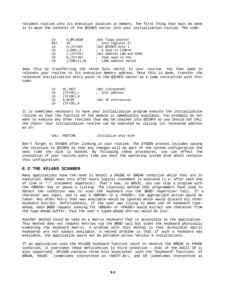resident routine into its execution location in memory. The first thing that must be done is to move the contents of the @ICNFG vector into your initialization routine. The code:

| LD         | A,@FLAGS\$     | Get flags pointer         |
|------------|----------------|---------------------------|
| <b>RST</b> | 40             | ; into register IY        |
| LD         | A, (IY+28)     | ;Get @ICNFG byte 1        |
| LD         | $(LINK)$ . A   | $:$ & save in LINK+0      |
| LD         | L, (IY+29)     | ;Get address LOW and HIGH |
| LD         | $H,(IY+30)$    | ; then save in the        |
| T .D       | $(LINK+1)$ .HL | ; LINK address vector     |
|            |                |                           |

does this by transferring the three byte vector to your routine. You then need to relocate your routine to its execution memory address. Once this is done, transfer the relocated initialization entry point to the @ICNFG vector as a jump instruction with this code:

| LD  | HL.INIT   | <i>i</i> Get (relocated) |
|-----|-----------|--------------------------|
| T D | (IY+29),L | ; init address           |
| T D | (IY+30).H |                          |
| LD  | A,0C3H    | ;Set JP instruction      |
| T D | (IY+28).A |                          |

It is sometimes necessary to have your initialization program execute the initialization routine so that the function of the module is immediately available. You probably do not want to execute any other routines that may be chained into @ICNFG so you should not CALL the chain! Your initialization routine can be executed by calling its relocated address as in:

## CALL ROUTINE : Initialize only mine

Don't forget to SYSGEN after linking in your routine. The SYSGEN process includes saving the revisions to @ICNFG so that any changes will be part of the system configuration the next time the disk is booted. By following these procedures, you can effect the invocation of your routine every time you boot the operating system disk which contains this configuration.

# **8.2 THE KFLAG\$ SCANNER**

Many applications have the need to detect a PAUSE or BREAK condition while they are in execution. BASIC does this after every logical statement is executed (i.e. after each end of line or ":" statement separator). That's how, in BASIC, you can stop a program with the <BREAK> key or pause a listing. The classical method that programmers have used to detect the condition was to scan the keyboard via the @KBD SuperVisor Call. If a character was input, and it was a <BREAK> or a <PAUSE>, the appropriate action would be taken. Any other entry that was available would be ignored which would discard all other keyboard entries. Unfortunately, if the user was trying to make use of keyboard typeahead, each @KBD request looking for <BREAK> or <PAUSE> would extract one character from the type-ahead buffer; thus the user's typed-ahead entries would be lost.

Another method could be used on a matrix keyboard that is accessible to the application. This method does not request entries via the @KBD call but scans the keyboard physically examining the keyboard matrix. A problem with this method is that accessible matrix keyboards are not always available. A second problem is that if such a keyboard was available, the application would not be portable across Version 6 installations.

If an application uses the KFLAG\$ keyboard function latch to observe the BREAK or PAUSE condition, it overcomes these deficiencies [a third condition - that of the ASCII CR is also supported]. KFLAG\$ contains three bits associated with the "keyboard" functions of BREAK, PAUSE (sometimes interpreted as <SHIFT-@>), and CR (sometimes interpreted as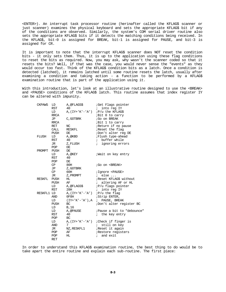<ENTER>). An interrupt task processor routine (herinafter called the KFLAG\$ scanner or just scanner) examines the physical keyboard and sets the appropriate KFLAG\$ bit if any of the conditions are observed. Similarly, the system's COM serial driver routine also sets the appropriate KFLAG\$ bits if it detects the matching conditions being received. In the KFLAG\$, bit-0 is assigned for BREAK, bit-1 is assigned for PAUSE, and bit-3 is assigned for CR.

It is important to note that the interrupt KFLAG\$ scanner does NOT reset the condition bits - it only sets them. Thus, it is up to the application using these flag conditions to reset the bits as required. Now, you may ask, why wasn't the scanner coded so that it resets the bits? Well, if that was the case, you would never sense the "events" as they would occur too fast. Think of the KFLAG\$ condition bits as a latch. Once a condition is detected (latched), it remains latched until some routine resets the latch, usually after examining a condition and taking action - a function to be performed by a KFLAG\$ examination routine that is part of the application using it.

With this introduction, let's look at an illustrative routine designed to use the <BREAK> and <PAUSE> conditions of the KFLAG\$ latch. This routine assumes that index register IY can be altered with impunity.

| <b>CKPAWS</b> | LD          | A,@FLAGS\$                        | <i>Get Flags pointer</i>                  |
|---------------|-------------|-----------------------------------|-------------------------------------------|
|               | RST         | 40                                | into reg IY<br>$\ddot{i}$                 |
|               | LD          | $A,(IY+'K'-'A')$                  | ; P/u the KFLAG\$                         |
|               | <b>RRCA</b> |                                   | ;Bit 0 to carry                           |
|               | JP          | C, GOTBRK                         | ;Go on BREAK                              |
|               | RRCA        |                                   | Bit 1 to carry                            |
|               | RET         | NC                                | ;Return if no pause                       |
|               | CALL        | RESKFL                            | Reset the flag                            |
|               | PUSH        | DE                                | ;Don't alter reg DE                       |
| FLUSH         | LD          | A,@KBD                            | ;Flush type-ahead                         |
|               | RST         | 40                                | ; buffer while                            |
|               | JR          | Z,FLUSH                           | <i>i</i> ignoring errors                  |
|               | POP         | DE                                |                                           |
| PROMPT        | PUSH        | DE                                |                                           |
|               | LD          | A,@KEY                            | ; Wait on key entry                       |
|               | RST         | 40                                |                                           |
|               | POP         | DE                                |                                           |
|               | CP          | 80H                               | ;Go on <break></break>                    |
|               | JP          | Z, GOTBRK                         |                                           |
|               | CP          | 60H                               | ; Iqnore <pause></pause>                  |
|               | JR          | Z, PROMPT                         | $i$ else                                  |
| RESKFL        | PUSH        | HL                                | Reset KFLAG\$ without                     |
|               | PUSH        | AF                                | <i>i</i> altering AF or HL                |
|               | LD          | A,@FLAGS\$                        | :P/u flags pointer                        |
|               | RST         | 28H                               | into reg IY<br>$\ddot{i}$                 |
| RESKFL1 LD    |             | $A,(IY+'K'-'A')$                  | <i>iP/u</i> the flag                      |
|               | AND         | 0F8H                              | ; Strip ENTER,                            |
|               | LD          | $(IY+'K'-'A')$ , A ; PAUSE, BREAK |                                           |
|               | PUSH        | BC                                | ;Don't alter register BC                  |
|               | LD          | B, 16                             |                                           |
|               | LD          | A, @PAUSE                         | ; Pause a bit to "debounce"               |
|               | RST         | 40                                | the key entry<br>$\ddot{i}$               |
|               | POP         | BC                                |                                           |
|               | LD          |                                   | $A$ , $(IY+'K'-'A')$ ; Check if finger is |
|               | AND         | 7                                 | still on key<br>$\ddot{i}$                |
|               | JR          | NZ,RESKFL1                        | Reset it again                            |
|               | POP         | AF                                | Restore registers                         |
|               | POP         | HL                                | ; and exit                                |
|               | <b>RET</b>  |                                   |                                           |
|               |             |                                   |                                           |

In order to understand this KFLAG\$ examination routine, the best thing to do would be to take apart the entire routine and explain each sub-routine. The first piece: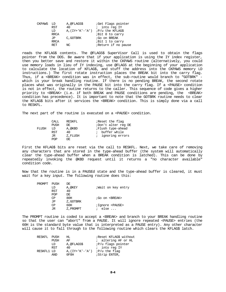| CKPAWS LD |             | A,@FLAGS\$                               | <i>Get</i> Flags pointer |
|-----------|-------------|------------------------------------------|--------------------------|
|           | <b>RST</b>  | 40                                       | ; into reg IY            |
|           | LD          | $A$ , $(IY+'K'-'A')$ ; $P/u$ the KFLAG\$ |                          |
|           | <b>RRCA</b> |                                          | ;Bit 0 to carry          |
|           | JP          | C, GOTBRK                                | ;Go on BREAK             |
|           | <b>RRCA</b> |                                          | <i>Bit 1 to carry</i>    |
|           | RET         | NC                                       | Return if no pause       |
|           |             |                                          |                          |

reads the KFLAG\$ contents. The @FLAGS\$ SuperVisor Call is used to obtain the flags pointer from the DOS. Be aware that if your application is using the IY index register, then you better save and restore it within the CKPAWS routine (alternatively, you could use memory loads in lieu of IY indexing, use @FLAGS at the beginning of your application to calculate the location of KFLAG\$, and stuff the address into the CKPAWS memory LD instructions.) The first rotate instruction places the BREAK bit into the carry flag. Thus, if a <BREAK> condition was in effect, the sub-routine would branch to "GOTBRK" which is your break handling routine. If there is no pending BREAK, the second rotate places what was originally in the PAUSE bit into the carry flag. If a <PAUSE> condition is not in effect, the routine returns to the caller. This sequence of code gives a higher priority to <BREAK> (i.e. if both BREAK and PAUSE conditions are pending, the <BREAK> condition has precedence). It is important to note that the GOTBRK routine needs to clear the KFLAG\$ bits after it services the <BREAK> condition. This is simply done via a call to RESKFL.

The next part of the routine is executed on a <PAUSE> condition.

| CALL | RESKFL  | Reset the flag      |
|------|---------|---------------------|
| PUSH | DE.     | ;Don't alter reg DE |
| LD   | A,@KBD  | ;Flush type-ahead   |
| RST  | 40      | ; buffer while      |
| JR.  | Z.FLUSH | ; ignoring errors   |
| POP  | DE.     |                     |
|      |         |                     |

First the KFLAG\$ bits are reset via the call to RESKFL. Next, we take care of removing any characters that are stored in the type-ahead buffer (the system will automatically clear the type-ahead buffer when a BREAK condition is latched). This can be done by repeatedly invoking the @KBD request until it returns a "no character available" condition code.

Now that the routine is in a PAUSEd state and the type-ahead buffer is cleared, it must wait for a key input. The following routine does this:

| PROMPT | PUSH       | DE        |                          |
|--------|------------|-----------|--------------------------|
|        | LD         | A,@KEY    | Wait on key entry        |
|        | <b>RST</b> | 40        |                          |
|        | POP        | DE        |                          |
|        | CP         | 80H       | ;Go on <break></break>   |
|        | JΡ         | Z, GOTBRK |                          |
|        | CP         | 60H       | ; Ignore <pause></pause> |
|        | JR         | Z, PROMPT | else $\ldots$            |
|        |            |           |                          |

The PROMPT routine is coded to accept a <BREAK> and branch to your BREAK handling routine so that the user can "abort" from a PAUSE. It will ignore repeated <PAUSE> entries (the 60H is the standard byte value that is interpreted as a PAUSE entry). Any other character will cause it to fall through to the following routine which clears the KFLAG\$ latch.

| RESKFL | PUSH       | HL                                    | Reset KFLAG\$ without     |
|--------|------------|---------------------------------------|---------------------------|
|        | PUSH       | AF                                    | ; altering AF or HL       |
|        | LD         | A, @FLAGS\$                           | <i>iP/u</i> flags pointer |
|        | <b>RST</b> | 40                                    | ; into reg IY             |
|        | RESKFL1 LD | $A$ , $(IY+'K'-'A')$ ; $P/u$ the flaq |                           |
|        | AND        | 0F8H                                  | ;Strip ENTER,             |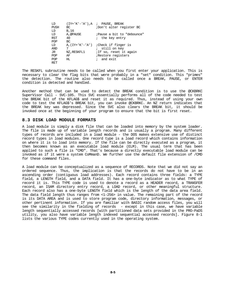|             | $(IY+'K'-'A')$ , A ; PAUSE, BREAK       |
|-------------|-----------------------------------------|
| BC          | ;Don't alter register BC                |
| B, 16       |                                         |
| A,@PAUSE    | ; Pause a bit to "debounce"             |
| 40          | ; the key entry                         |
| BC          |                                         |
|             | $A$ , $IY+'K'-'A'$ ; Check if finger is |
| 7           | ; still on key                          |
| NZ, RESKFL1 | <i>i</i> If so, reset it again          |
| AF          | Restore registers                       |
| HL.         | ; and exit                              |
|             |                                         |
|             |                                         |

The RESKFL subroutine needs to be called when you first enter your application. This is necessary to clear the flag bits that were probably in a "set" condition. This "primes" the detection. The routine also needs to be called once a BREAK, PAUSE, or ENTER condition is detected and handled.

Another method that can be used to detect the BREAK condition is to use the @CKBRKC SuperVisor Call - SVC-105. This SVC essentially performs all of the code needed to test the BREAK bit of the KFLAG\$ and reset it as required. Thus, instead of using your own code to test the KFLAG\$'s BREAK bit, you can invoke @CKBRKC. An NZ return indicates that the BREAK key was depressed. Since the SVC also clears the BREAK bit, it should be invoked once at the beginning of your program to ensure that the bit is first reset.

# **8.3 DISK LOAD MODULE FORMATS**

A load module is simply a disk file that can be loaded into memory by the system loader. The file is made up of variable length records and is usually a program. Many different types of records are included in a load module - the DOS makes extensive use of distinct record types in load modules. One record type is a load record which contains information on where it is to load into memory. If the file can be directly executed as a program, it then becomes known as an executable load module (ELM). The usual term that has been applied to such a file is "CMD". That's because a directly executable load module can be invoked as if it were a system CoMmanD. We further use the default file extension of /CMD for these command files.

A load module can be conceptualized as a sequence of RECORDS. Note that we did not say an ordered sequence. Thus, the implication is that the records do not have to be in an ascending order (contiguous load addresses). Each record contains three fields: a TYPE field, a LENGTH field, and a DATA field. It has a one-byte indicator as to what TYPE of record it is. This TYPE code is used to denote a record as a HEADER record, a TRANSFER record, an ISAM directory entry record, a LOAD record, or other meaningful structure. Each record also has a one-byte LENGTH field which is the length of the data area field. The data field length thus ranges from <1-256> in value. The remaining part of the record is its DATA AREA and is used to store program code, directory information, messages, or other pertinent information. If you are familiar with BASIC random access files, you will see the similarity in the fielding of records - except in this case, we have variable length sequentially accessed records [with partitioned data sets provided in the PRO-PaDS utility, you also have variable length indexed sequential accessed records]. Figure 8-1 lists the various TYPE codes currently used in the operating system.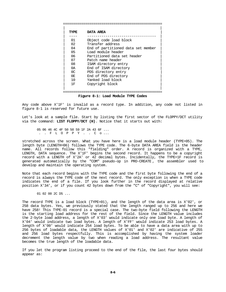| TYPE | DATA AREA                          |
|------|------------------------------------|
|      |                                    |
| 01   | Object code load block             |
| 02   | Transfer address                   |
| 04   | End of partitioned data set member |
| 05   | Load module header                 |
| 06   | Partitioned data set header        |
| 07   | Patch name header                  |
| 08   | ISAM directory entry               |
| 0Ā   | End of ISAM directory              |
| 0C   | PDS directory entry                |
| 0F.  | End of PDS directory               |
| 10   | Yanked load block                  |
| 1 F  | Copyright block                    |
|      |                                    |
|      |                                    |

**Figure 8-1: Load Module TYPE Codes**

Any code above X'1F' is invalid as a record type. In addition, any code not listed in figure 8-1 is reserved for future use.

Let's look at a sample file. Start by listing the first sector of the FLOPPY/DCT utility via the command: **LIST FLOPPY/DCT (H)**. Notice that it starts out with:

 05 06 46 4C 4F 50 50 59 1F 2A 43 6F ... . . F L O P P Y . . C o ...

stretched across the screen. What you have here is a load module header (TYPE=05). The length byte (LENGTH=06) follows the TYPE code. The 6-byte DATA AREA field is the header name. All records follow this "fielding" order. A record is organized with a TYPE, LENGTH, DATA sequence. The X'1F' begins the second record. It happens to be a copyright record with a LENGTH of X'2A' or 42 decimal bytes. Incidentally, the TYPE=1F record is generated automatically by the "COM" pseudo-op in PRO-CREATE , the assembler used to develop and maintain the operating system.

Note that each record begins with the TYPE code and the first byte following the end of a record is always the TYPE code of the next record. The only exception is when a TYPE code indicates the end of a file. If you look further in the record displayed at relative position X'34', or if you count 42 bytes down from the "C" of "Copyright", you will see:

01 02 00 2C D5 ...

The record TYPE is a load block (TYPE=01), and the length of the data area is X'02', or 258 data bytes. Yes, we previously stated that the length ranged up to 256 and here we have 258! This TYPE-01 record is a special case. The two-byte field following the LENGTH is the starting load address for the rest of the field. Since the LENGTH value includes the 2-byte load address, a length of X'03' would indicate only one load byte. A length of X'04' would indicate two load bytes. A length of X'FF' would indicate 253 load bytes. A length of X'00' would indicate 254 load bytes. To be able to have a data area with up to 256 bytes of loadable data, the LENGTH values of X'01' and X'02' are indicative of 255 and 256 load bytes respectfully. This is accomplished by having the system loader decrement the length value by two when reading a load address. The resultant value becomes the true length of the loadable data.

If you let the program listing proceed to the end of the file, the last four bytes should appear as: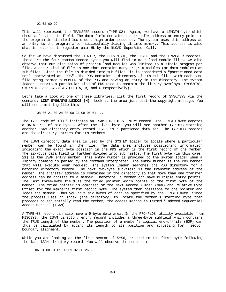02 02 00 2C

This will represent the TRANSFER record (TYPE=02). Again, we have a LENGTH byte which shows a 2-byte data field. The data field contains the transfer address or entry point to the program in standard low-order, high-order sequence. The system uses this address as an entry to the program after successfully loading it into memory. This address is also what is returned in register pair HL by the @LOAD SuperVisor Call.

So far we have discussed the HEADER, the COPYRIGHT, the LOAD, and the TRANSFER records. These are the four common record types you will find in most load module files. We also observe that our discussion of program load modules was limited to a single program per file. Another kind of file is one that contains many program modules (or data modules) as sub-files. Since the file is divided into sub-files, it is considered a "partitioned data set" abbreviated as "PDS". The PDS contains a directory of its sub-files with each subfile being termed a MEMBER of the PDS and having an entry in the directory. The system loader supports a particular kind of PDS used to contain the library overlays: SYS6/SYS, SYS7/SYS, and SYS8/SYS (LIB A, B, and C respectively).

Let's take a look at one of these libraries. List the first record of SYS6/SYS via the command: **LIST SYS6/SYS.LSIDOS (H)**. Look at the area just past the copyright message. You will see something like this:

08 06 21 00 24 00 00 CB 08 06 61 ...

The TYPE code of X'08' indicates an ISAM DIRECTORY ENTRY record. The LENGTH byte denotes a DATA area of six bytes. After the sixth byte, you will see another TYPE=08 starting another ISAM directory entry record. SYS6 is a partioned data set. The TYPE=08 records are the directory entries for its members.

The ISAM directory data area is used by the SYSTEM loader to locate where a particular member can be found in the file. The data area includes positioning information indicating the exact byte position in the PDS which is the first record of the member. The six-byte data field is further divided into sub fields. The first byte (in this case, 21) is the ISAM entry number. This entry number is provided to the system loader when a library command is parsed by the command interpreter. The entry number is the PDS member that will execute your request. The system loader searches the PDS directory for a matching directory record. The next two-byte sub-field is the transfer address of the member. The transfer address is contained in the directory so that more than one transfer address can be applied to a member. Therefore, a member can have multiple entry points. The last three-byte field is the triad pointer which points to the first byte of the member. The triad pointer is composed of the Next Record Number (NRN) and Relative Byte Offset for the member's first record byte. The system then positions to the pointer and loads the member. Thus you have six bytes of data as specified by the LENGTH byte. Since the process uses an index (the directory) to locate the member's starting byte then proceeds to sequentially read the member, the access method is termed "Indexed Sequential Access Method" (ISAM).

A TYPE-08 record can also have a 9-byte data area. In the PRO-PaDS utility available from MISOSYS, the ISAM directory entry record includes a three-byte subfield which contains the TRUE length of the member. The position of a member's logical end-of-file (EOF) can thus be calculated by adding its length to its position and adjusting for sector boundary alignment.

While you are looking at the first sector of SYS6, proceed to the first byte following the last ISAM directory record. You will observe the sequence:

0A 01 00 04 01 00 01 02 00 26 ...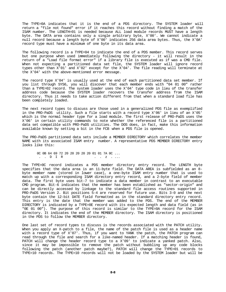The TYPE=0A indicates that it is the end of a PDS directory. The SYSTEM loader will return a "file not found" error if it reaches this record without finding a match of the ISAM number. The LENGTH=01 is needed because ALL load module records MUST have a length byte. The DATA area contains only a single arbitrary byte, X'00'. We cannot indicate a null record because a length byte of X'00' indicates 256 data area bytes. Thus, the X'0A' record type must have a minimum of one byte in its data area.

The following record is a TYPE=04 to indicate the end of a PDS member. This record serves but one purpose when used immediately following the directory - it will result in the return of a "Load file format error" if a library file is executed as if was a CMD file. When not expecting a partitioned data set file, the SYSTEM loader will ignore record types other than X'01' and X'02' except for the X'04'. The file reading will terminate at the X'04' with the above-mentioned error message.

The record type X'04' is usually used at the end of each partitioned data set member. If you list through SYS6, you will discover that each member ends with "04 01 00" rather than a TYPE=02 record. The system loader uses the X'04' type code in lieu of the transfer address code because the SYSTEM loader recovers the transfer address from the ISAM directory. Thus it needs to take action different from that when a standard load file has been completely loaded.

The next record types to discuss are those used in a generalized PDS file as exemplified in the PRO-PaDS utility. Such a file starts with a record type X'06' in lieu of an X'05' which is the normal header type for a load module. The first release of PRO-PaDS uses the X'06' in certain utility commands to note whether the referenced file is a partitioned data set compatible with PRO-PaDS utilities. The DOS does, in fact, make this information available known by setting a bit in the FCB when a PDS file is opened.

The PRO-PaDS partitioned data sets include a MEMBER DIRECTORY which correlates the member NAME with its associated ISAM entry number. A representative PDS MEMBER DIRECTORY entry looks like this:

 0C 0B 64 69 72 20 20 20 20 20 01 01 7A 0C ...  $\cdot$  .  $\cdot$   $\cdot$   $\cdot$   $\cdot$  .  $\cdot$ 

The TYPE=0C record indicates a PDS member directory entry record. The LENGTH byte specifies that the data area is an 11-byte field. The DATA AREA is subfielded as an 8 byte member name (stored in lower case), a one-byte ISAM entry number that is used to match up with a corresponding ISAM directory entry record, and a 2-byte field of member data. The first byte uses bit-7 to indicate a data member in contrast to an executable CMD program. Bit-6 indicates that the member has been established as "sector-origin" and can be directly accessed by linkage to the standard file access routines supported in PRO-PaDS Version 2. Bit positions 5-4 are reserved for future use. Bits 3-0 and the next byte contain the 12-bit DATE field formatted as in the standard directory entry record. This entry is the date that the member was added to the PDS. The end of the MEMBER DIRECTORY is indicated by a TYPE=0E record with its expected length and data field (as in "0E 01 00"). The purpose of this record is similar to the TYPE=0A record for the ISAM directory. It indicates the end of the MEMBER directory. The ISAM directory is positioned in the PDS to follow the MEMBER directory.

One last set of record types to discuss is the records associated with the PATCH utility. When you apply an X-patch to a file, the name of the patch file is used as a header name with a record type of X'07'. Thus, if you want to YANK the patch, the PATCH program can read through the file and search for a like-named header. If a matching header is found, PATCH will change the header record type to a X'09' to indicate a yanked patch. Also, since it may be impossible to remove the patch without bubbling up any code blocks following the patch (another patch maybe?), PATCH will change the TYPE=01 records to TYPE=10 records. The TYPE=10 records will not be loaded by the SYSTEM loader but will be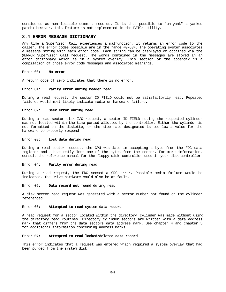considered as non loadable comment records. It is thus possible to "un-yank" a yanked patch; however, this feature is not implemented in the PATCH utility.

#### **8.4 ERROR MESSAGE DICTIONARY**

Any time a SuperVisor Call experiences a malfunction, it returns an error code to the caller. The error codes possible are in the range <0-63>. The operating system associates a message string with each error code. Each string can be displayed or obtained via the @ERROR SuperVisor Call request. The words contained in the messages are stored in an error dictionary which is in a system overlay. This section of the appendix is a compilation of those error code messages and associated meanings.

# Error 00: **No error**

A return code of zero indicates that there is no error.

# Error 01: **Parity error during header read**

During a read request, the sector ID FIELD could not be satisfactorily read. Repeated failures would most likely indicate media or hardware failure.

## Error 02: **Seek error during read**

During a read sector disk I/O request, a sector ID FIELD noting the requested cylinder was not located within the time period allotted by the controller. Either the cylinder is not formatted on the diskette, or the step rate designated is too low a value for the hardware to properly respond.

# Error 03: **Lost data during read**

During a read sector request, the CPU was late in accepting a byte from the FDC data register and subsequently lost one of the bytes from the sector. For more information, consult the reference manual for the floppy disk controller used in your disk controller.

# Error 04: **Parity error during read**

During a read request, the FDC sensed a CRC error. Possible media failure would be indicated. The Drive hardware could also be at fault.

#### Error 05: **Data record not found during read**

A disk sector read request was generated with a sector number not found on the cylinder referenced.

# Error 06: **Attempted to read system data record**

A read request for a sector located within the directory cylinder was made without using the directory read routines. Directory cylinder sectors are written with a data address mark that differs from the data sectors data address mark. See chapter 4 and chapter 5 for additional information concerning address marks.

## Error 07: **Attempted to read locked/deleted data record**

This error indicates that a request was entered which required a system overlay that had been purged from the system disk.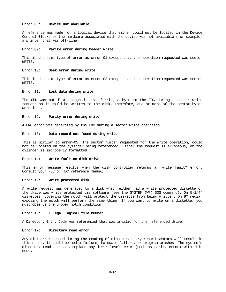#### Error 08: **Device not available**

A reference was made for a logical device that either could not be located in the Device Control Blocks or the hardware associated with the device was not available (for example, a printer that was off-line).

# Error 09: **Parity error during header write**

This is the same type of error as error-01 except that the operation requested was sector WRITE.

## Error 10: **Seek error during write**

This is the same type of error as error-02 except that the operation requested was sector WRITE.

# Error 11: **Lost data during write**

The CPU was not fast enough in transferring a byte to the FDC during a sector write request so it could be written to the disk. Therefore, one or more of the sector bytes were lost.

#### Error 12: **Parity error during write**

A CRC error was generated by the FDC during a sector write operation.

#### Error 13: **Data record not found during write**

This is similar to error-05. The sector number requested for the write operation, could not be located on the cylinder being referenced. Either the request is erroneous, or the cylinder is improperly formatted.

## Error 14: **Write fault on disk drive**

This error message results when the disk controller returns a "write fault" error. Consult your FDC or HDC reference manual.

## Error 15: **Write protected disk**

A write request was generated to a disk which either had a write protected diskette or the drive was write protected via software (see the SYSTEM (WP) DOS command). On 5-1/4" diskettes, covering the notch will protect the diskette from being written. On 8" media, exposing the notch will perform the same thing. If you want to write on a diskette, you must observe the proper notch condition.

## Error 16: **Illegal logical file number**

A Directory Entry Code was referenced that was invalid for the referenced drive.

## Error 17: **Directory read error**

Any disk error sensed during the reading of directory entry record sectors will result in this error. It could be media failure, hardware failure, or program crashes. The system's directory read accesses replace any lower level error (such as parity error) with this code.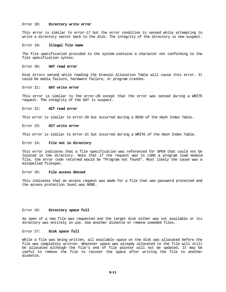### Error 18: **Directory write error**

This error is similar to error-17 but the error condition is sensed while attempting to write a directory sector back to the disk. The integrity of the directory is now suspect.

## Error 19: **Illegal file name**

The file specification provided to the system contains a character not conforming to the file specification syntax.

# Error 20: **GAT read error**

Disk errors sensed while reading the Granule Allocation Table will cause this error. It could be media failure, hardware failure, or program crashes.

## Error 21: **GAT write error**

This error is similar to the error-20 except that the error was sensed during a WRITE request. The integrity of the GAT is suspect.

## Error 22: **HIT read error**

This error is similar to error-20 but occurred during a READ of the Hash Index Table.

# Error 23: **HIT write error**

This error is similar to error-21 but occurred during a WRITE of the Hash Index Table.

#### Error 24: **File not in directory**

This error indicates that a file specification was referenced for OPEN that could not be located in the directory. Note that if the request was to LOAD a program load module file, the error code returned would be "Program not found". Most likely the cause was a misspelled filespec.

#### Error 25: **File access denied**

This indicates that an access request was made for a file that was password protected and the access protection level was NONE.

#### Error 26: **Directory space full**

An open of a new file was requested and the target disk either was not available or its directory was entirely in use. Use another diskette or remove uneeded files.

#### Error 27: **Disk space full**

While a file was being written, all available space on the disk was allocated before the file was completely written. Whatever space was already allocated to the file will still be allocated although the file's end of file pointer will not be updated. It may be useful to remove the file to recover the space after writing the file to another diskette.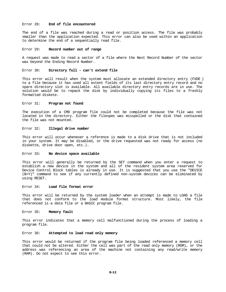#### Error 28: **End of file encountered**

The end of a file was reached during a read or position access. The file was probably smaller than the application expected. This error can also be used within an application to determine the end of a sequentially read file.

# Error 29: **Record number out of range**

A request was made to read a sector of a file where the Next Record Number of the sector was beyond the Ending Record Number.

## Error 30: **Directory full - can't extend file**

This error will result when the system must allocate an extended directory entry (FXDE ) to a file because it has used all extent fields of its last directory entry record and no spare directory slot is available. All available directory entry records are in use. The solution would be to repack the disk by individually copying its files to a freshly formatted diskete.

## Error 31: **Program not found**

The execution of a CMD program file could not be completed because the file was not located in the directory. Either the filespec was misspelled or the disk that contained the file was not mounted.

#### Error 32: **Illegal drive number**

This error will occur whenever a reference is made to a disk drive that is not included in your system. It may be disabled, or the drive requested was not ready for access (no diskette, drive door open, etc.).

## Error 33: **No device space available**

This error will generally be returned by the SET command when you enter a request to establish a new device in the system and all of the resident system area reserved for Device Control Block tables is already in use. It is suggested that you use the "DEVICE (B=Y)" command to see if any currently defined non-system devices can be eliminated by using RESET.

# Error 34: **Load file format error**

This error will be returned by the system loader when an attempt is made to LOAD a file that does not conform to the load module format structure. Most likely, the file referenced is a data file or a BASIC program file.

#### Error 35: **Memory fault**

This error indicates that a memory cell malfunctioned during the process of loading a program file.

# Error 36: **Attempted to load read only memory**

This error would be returned if the program file being loaded referenced a memory cell that could not be altered. Either the cell was part of the read only memory (ROM), or the address was referencing an area of the machine not containing any read/write memory (RAM). Do not expect to see this error.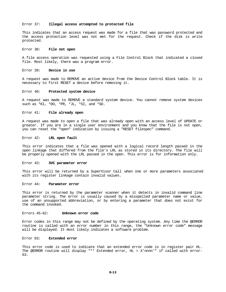## Error 37: **Illegal access attempted to protected file**

This indicates that an access request was made for a file that was password protected and the access protection level was not met for the request. Check if the disk is write protected.

#### Error 38: **File not open**

A file access operation was requested using a File Control Block that indicated a closed file. Most likely, there was a program error.

### Error 39: **Device in use**

A request was made to REMOVE an active device from the Device Control Block table. It is necessary to first RESET a device before removing it.

#### Error 40: **Protected system device**

A request was made to REMOVE a standard system device. You cannot remove system devices such as \*KI, \*DO, \*PR, \*JL, \*SI, and \*SO.

#### Error 41: **File already open**

A request was made to open a file that was already open with an access level of UPDATE or greater. If you are in a single user environment and you know that the file is not open, you can reset the "open" indication by issuing a "RESET filespec" command.

#### Error 42: **LRL open fault**

This error indicates that a file was opened with a logical record length passed in the open linkage that differed from the file's LRL as stored in its directory. The file will be properly opened with the LRL passed in the open. This error is for information only.

#### Error 43: **SVC parameter error**

This error will be returned by a SuperVisor Call when one or more parameters associated with its register linkage contain invalid values.

#### Error 44: **Parameter error**

This error is returned by the parameter scanner when it detects in invalid command line parameter string. The error is usually caused by a misspelled parameter name or value, use of an unsupported abbreviation, or by entering a parameter that does not exist for the command invoked.

## Errors 45-62: **Unknown error code**

Error codes in this range may not be defined by the operating system. Any time the @ERROR routine is called with an error number in this range, the "Unknown error code" message will be displayed. It most likely indicates a software problem.

#### Error 63: **Extended error**

This error code is used to indicate that an extended error code is in register pair HL. The @ERROR routine will display "\*\* Extended error, HL = X'nnnn'" if called with error-63.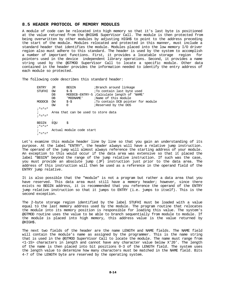# **8.5 HEADER PROTOCOL OF MEMORY MODULES**

A module of code can be relocated into high memory so that it's last byte is positioned at the value returned from the @HIGH\$ SuperVisor Call. The module is then protected from being overwritten by other modules by adjusting HIGH\$ to point to the address preceding the start of the module. Modules relocated and protected in this manner, must include a standard header that identifies the module. Modules placed into the low memory I/O driver region also must adhere to this standard. The header is used by the system to accomplish a number of important functions. First, it provides a locatable storage region for pointers used in the device independent library operations. Second, it provides a name string used by the @GTMOD SuperVisor Call to locate a specific module. Other data contained in the header provides the information needed to identify the entry address of each module so protected.

The following code describes this standard header:

| ENTRY         | JR. | <b>BEGIN</b>                        | ;Branch around linkage                     |
|---------------|-----|-------------------------------------|--------------------------------------------|
| STUFHI        | DW  | $$-$$                               | To contain last byte used                  |
|               | DB  |                                     | MODDCB-ENTRY-5 ;Calculate length of 'NAME' |
|               | DB  | ' MODNAME'                          | ;Name of this module                       |
| MODDCB        | DW  | $S-S$                               | To contain DCB pointer for module          |
|               | DW  | $\Omega$                            | Reserved by the DOS                        |
| $; * = * = *$ |     |                                     |                                            |
|               |     | Area that can be used to store data |                                            |
| $; * = * = *$ |     |                                     |                                            |
|               |     |                                     |                                            |
| <b>BEGIN</b>  | EOU | S                                   |                                            |
| $; * = * = *$ |     |                                     |                                            |
|               |     | Actual module code start            |                                            |
| $: * = * = *$ |     |                                     |                                            |

Let's examine this module header line by line so that you gain an understanding of its purpose. At the label "ENTRY", the header always will have a relative jump instruction. The operand of the jump will almost always reference the starting address of your module. An exception to this would occur if the data area was extensive so that it placed the label "BEGIN" beyond the range of the jump relative instruction. If such was the case, you must provide an absolute jump (JP) instruction just prior to the data area. The address of this instruction will then be used as a reference in the operand field of the ENTRY jump relative.

It is also possible that the "module" is not a program but rather a data area that you have reserved. This data area must still have a memory header; however, since there exists no BEGIN address, it is recommended that you reference the operand of the ENTRY jump relative instruction so that it jumps to ENTRY (i.e. jumps to itself). This is the second exception.

The 2-byte storage region identified by the label STUFHI must be loaded with a value equal to the last memory address used by the module. The program routine that relocates the module into its memory position is responsible for loading this value. The system's @GTMOD routine uses the value to be able to branch sequentially from module to module. If the module is placed into high memory, this address value is the value returned by @HIGH\$.

The next two fields of the header are the name LENGTH and NAME fields. The NAME field will contain the module's name as assigned by the programmer. This is the name string that is used in the @GTMOD SuperVisor Call to locate the module. The name must range from <1-15> characters in length and cannot have any character value below X'20'. The length of the name is then placed into bit positions 0-3 of the LENGTH field. The system uses the length value to determine how many characters must be matched in the NAME field. Bits 4-7 of the LENGTH byte are reserved by the operating system.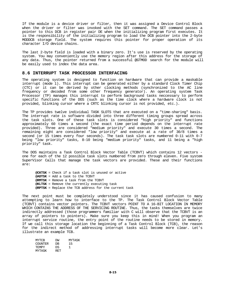If the module is a device driver or filter, then it was assigned a Device Control Block when the driver or filter was invoked with the SET command. The SET command passes a pointer to this DCB in register pair DE when the initializing program first executes. It is the responsibility of the initializing program to load the DCB pointer into the 2-byte MODDCB storage field. The system requires this pointer for proper operation of its character I/O device chains.

The last 2-byte field is loaded with a binary zero. It's use is reserved by the operating system. You may conveniently use the memory region after this address for the storage of any data. Thus, the pointer returned from a successful @GTMOD search for the module will be easily used to index the data area.

# **8.6 INTERRUPT TASK PROCESSOR INTERFACING**

The operating system is designed to function on hardware that can provide a maskable interrupt (mode 1). This interrupt can be generated either by a standard Clock Timer Chip (CTC) or it can be derived by other clocking methods (synchronized to the AC line frequency or decoded from some other frequency generator). An operating system Task Processor (TP) manages this interrupt to perform background tasks neccessary to perform specific functions of the DOS (such as the time clock where a hardware clock is not provided, blinking cursor where a CRTC blinking cursor is not provided, etc.).

The TP provides twelve individual TASK SLOTS that are executed on a "time-sharing" basis. The interrupt rate is software divided into three different timing groups spread across the task slots. One of these task slots is considered "high priority" and functions approximately 60 times a second (the exact time period depends on the interrupt rate provided). Three are considered "medium priority" and execute 30 times a second. The remaining eight are considered "low priority" and execute at a rate of 30/8 times a second (or 15 times every four seconds). The task task slots are numbered 0-11 with 0-7 being "low priority" tasks, 8-10 being "medium priority" tasks, and 11 being a "high priority" task.

The DOS maintains a Task Control Block Vector Table (TCBVT) which contains 12 vectors one for each of the 12 possible task slots numbered from zero through eleven. Five system SuperVisor Calls that manage the task vectors are provided. These and their functions are:

**@CKTSK** = Check if a task slot is unused or active **@ADTSK** = Add a task to the TCBVT **@RMTSK** = Remove a task from the TCBVT **@KLTSK** = Remove the currently executing task **@RPTSK** = Replace the TCB address for the current task

The next point must be completely understood since it has caused confusion to many attempting to learn how to interface to the TP. The Task Control Block Vector Table (TCBVT) contains vector pointers. The TCBVT vectors POINT TO A 16-BIT LOCATION IN MEMORY WHICH CONTAINS THE ADDRESS OF THE SERVICING ROUTINE. Thus, the tasks themselves are twice indirectly addressed (those programmers familiar with C will observe that the TCBVT is an array of pointers to pointers). Make sure you keep this in mind! When you program an interrupt service routine, the entry point of the routine needs to be stored in memory. If we call this storage location the beginning of a Task Control Block (TCB), the reason for the indirect method of addressing interrupt tasks will become more clear. Let's illustrate an example TCB.

| MYTCB          | DМ  | MYTASK |
|----------------|-----|--------|
| <b>COUNTER</b> | DR  | 15     |
| TF.MPY         | D.S | ÷.     |
| MYTASK         | RET |        |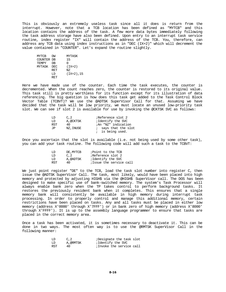This is obviously an extremely useless task since all it does is return from the interrupt. However, note that a TCB location has been defined as "MYTCB" and this location contains the address of the task. A few more data bytes immediately following the task address storage have also been defined. Upon entry to an interrupt task service routine, index register "IX" will contain the address of the TCB. You, therefore, can address any TCB data using index instructions as in "DEC (IX+2)" which will decrement the value contained in "COUNTER". Let's expand the routine slightly.

| MYTCB        | DМ  | MYTASK     |
|--------------|-----|------------|
| COUNTER DB   |     | 15         |
| <b>TEMPY</b> | DВ  |            |
| MYTASK DEC   |     | $(TX+2)$   |
|              | RET | NZ.        |
|              | T D | (IX+2), 15 |
|              | RET |            |
|              |     |            |

Here we have made use of the counter. Each time the task executes, the counter is decremented. When the count reaches zero, the counter is restored to its original value. This task still is pretty worthless for its function except for its illustration of data referencing. The big question is how does this task get added to the Task Control Block Vector Table (TCBVT)? We use the @ADTSK SuperVisor Call for that. Assuming we have decided that the task will be low priority, we must locate an unused low-priority task slot. We can see if slot 2 is available for use by invoking the @CKTSK SVC as follows:

| T D | C.2      | Reference slot 2            |
|-----|----------|-----------------------------|
| LD  | A.@CKTSK | ;Identify the SVC           |
| RST | 40       | <i>i</i> An "NZ" indication |
| ٦P، | NZ.INUSE | ; says that the slot        |
|     |          | ; is being used.            |

Once you ascertain that the slot is available (i.e. not being used by some other task), you can add your task routine. The following code will add such a task to the TCBVT:

| T D | DE MYTCB | ;Point to the TCB       |
|-----|----------|-------------------------|
| T.D | C.2      | Reference slot 2:       |
| T.D | A.@ADTSK | ;Identify the SVC       |
| RST | 40.      | ;Issue the service call |

We just point register "DE" to the TCB, load the task slot number into register C, then issue the @ADTSK SuperVisor Call. The task, most likely, would have been placed into high memory and protected by adjusting HIGH\$ via the @HIGH\$ SuperVisor call. The DOS has been designed to make specific use of bank-switched memory. The system's Task Processor will always enable bank zero when the TP takes control to perform background tasks. It restores the previously resident bank when it completes. This ensures that a single memory bank will consistently be available in high memory during interrupt task processing. In order to properly control and manage this additional memory, certain restrictions have been placed on tasks. Any and all tasks must be placed in either low memory (address X'0000' through X'7FFF') or in bank zero of high memory (address X'8000' through X'FFFF'). It is up to the assembly language programmer to ensure that tasks are placed in the correct memory area.

Once a task has been activated, it is sometimes necessary to deactivate it. This can be done in two ways. The most often way is to use the @RMTSK SuperVisor Call in the following manner:

| LD  | C.2      | Designate the task slot  |
|-----|----------|--------------------------|
| LD  | A,@RMTSK | iIdentify the SVC        |
| RST | 40       | ;Invoke the service call |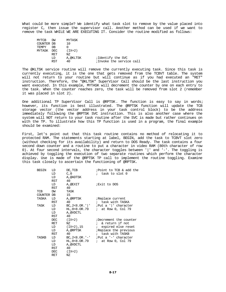What could be more simple? We identify what task slot to remove by the value placed into register C, then issue the supervisor call. Another method can be used if we want to remove the task WHILE WE ARE EXECUTING IT. Consider the routine modified as follows:

| MYTCB        | DW         | MYTASK   |                          |
|--------------|------------|----------|--------------------------|
| COUNTER DB   |            | 10       |                          |
| <b>TEMPY</b> | DВ         |          |                          |
| MYTASK DEC   |            | $(TX+2)$ |                          |
|              | RET        | N7.      |                          |
|              | LD         | A,@KLTSK | ;Identify the SVC        |
|              | <b>RST</b> | 40       | ;Invoke the service call |

The @KLTSK service routine will remove the currently executing task. Since this task is currently executing, it is the one that gets removed from the TCBVT table. The system will not return to your routine but will continue as if you had executed an "RET" instruction. Therefore, the "@KLTSK" SuperVisor Call should be the last instruction you want executed. In this example, MYTASK will decrement the counter by one on each entry to the task. When the counter reaches zero, the task will be removed from slot 2 (remember it was placed in slot 2).

One additional TP SuperVisor Call is @RPTSK. The function is easy to say in words; however, its function is best illustrated. The @RPTSK function will update the TCB storage vector (the vector address in your task control block) to be the address immediately following the @RPTSK SVC instruction. This is also another case where the system will NOT return to your task routine after the SVC is made but rather continues on with the TP. To illustrate how this TP function is used in a program, the final example should be examined:

First, let's point out that this task routine contains no method of relocating it to protected RAM. The statements starting at label, BEGIN, add the task to TCBVT slot zero (without checking for its availability) and return to DOS Ready. The task contains a four second down counter and a routine to put a character in video RAM (80th character of row 0). At four second intervals, the character toggles between '|' and '-'. The toggling is achieved by toggling the execution of two separate routines which perform the character display. Use is made of the @RPTSK TP call to implement the routine toggling. Examine this task closely to ascertain the functioning of @RPTSK.

| <b>BEGIN</b> | LD  | DE, TCB       | Point to TCB & add the                    |
|--------------|-----|---------------|-------------------------------------------|
|              | LD  | C, 0          | ; task to slot 0                          |
|              | LD  | A, @ADTSK     |                                           |
|              | RST | 40            |                                           |
|              | LD  | A,@EXIT       | <i>Exit</i> to DOS                        |
|              | RST | 40            |                                           |
| TCB          | DW  | TASK          |                                           |
| COUNTER DB   |     | 15            |                                           |
| TASKA        | LD  | A,@RPTSK      | Replace current                           |
|              | RST | 40            | ; task with TASKA                         |
| TASK         | LD  |               | $BC, 2<8.0R.$   ' ; Put a '   ' character |
|              | LD  | HL, 0<8.OR.79 | $:$ at Row 0, Col 79                      |
|              | LD  | A, @VDCTL     |                                           |
|              | RST | 40            |                                           |
|              | DEC | (IX+2)        | Decrement the counter                     |
|              | RET | NZ            | ; & return if not                         |
|              | LD  | (IX+2),15     | <i>i</i> expired else reset               |
|              | LD  | A,@RPTSK      | Replace the previous                      |
|              | RST | 40            | ; task with TASKB                         |
| TASKB        | LD  |               | $BC, 2<8.0R. '-''$ ; Put a '-' character  |
|              | LD  | HL,0<8.OR.79  | $:$ at Row 0, Col 79                      |
|              | LD  | A, @VDCTL     |                                           |
|              | RST | 40            |                                           |
|              | DEC | $(TX+2)$      |                                           |
|              | RET | ΝZ            |                                           |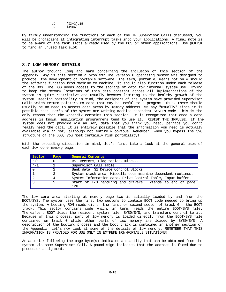LD (IX+2),15<br>JR TASKA TASKA

By firmly understanding the functions of each of the TP SuperVisor Calls discussed, you will be proficient at integrating interrupt tasks into your applications. A final note is to be aware of the task slots already used by the DOS or other applications. Use @CKTSK to find an unused task slot.

# **8.7 LOW MEMORY DETAILS**

The author thought long and hard concerning the inclusion of this section of the Appendix. Why is this section a problem? The Version 6 operating system was designed to promote the development of portable software. The term, portable, means not only should the software function from machine to machine, it should also function under each release of the DOS. The DOS needs access to the storage of data for internal system use. Trying to keep the memory locations of this data constant across all implementations of the system is quite restrictive and usually becomes limiting to the healthy growth of the system. Keeping portability in mind, the designers of the system have provided SuperVisor Calls which return pointers to data that may be useful to a program. Thus, there should usually be no need to access data areas by memory address. We say "usually" since it is possible that user's of the system are writing machine-dependent SYSTEM code. This is the only reason that the Appendix contains this section. It is recognized that once a data address is known, application programmers tend to use it. **RESIST THE IMPULSE**. If the system does not provide via an SVC, data that you think you need, perhaps you don't really need the data. It is entirely possible that the information you need is actually available via an SVC, although not entirely obvious. Remember, when you bypass the SVC structure of the DOS, you most certainly risk portability!

With the preceding discussion in mind, let's first take a look at the general uses of each low core memory page.

| Sector | Page | General Contents                                             |
|--------|------|--------------------------------------------------------------|
| n/a    |      | RST vectors, Flag tables, misc                               |
| n/a    |      | SuperVisor Call Table                                        |
|        |      | Bank data, 31 Device Control Blocks                          |
|        |      | System stack area, Miscellaneous machine dependent routines. |
|        | 4    | System Information data, Drive Control Table, Input buffer.  |
| ີ      | 5    | Start of I/O handling and drivers. Extends to end of page    |
|        |      | 12H.                                                         |

The low core area starting at memory page two is actually loaded by and from the BOOT/SYS. The system uses the first two sectors to contain BOOT code needed to bring up the system. A booting ROM reads either the first or second sector of track 0 - the BOOT track. This sector contains code which, in turn, reads the entire BOOT/SYS file. Thereafter, BOOT loads the resident system file, SYS0/SYS, and transfers control to it. Because of this process, part of low memory is loaded directly from the BOOT/SYS file contained on track 0 while other parts of low memory are loaded by SYS0/SYS. A description of the booting process and the boot track is contained in another section of the Appendix. Let's now look at some of the details of low memory. REMEMBER THAT THIS INFORMATION IS PROVIDED FOR USE ONLY IN EXTREME NON-PORTABLE SITUATIONS!

An asterisk following the page byte(s) indicates a quantity that can be obtained from the system via some SuperVisor Call. A pound sign indicates that the address is fixed due to processor assignment.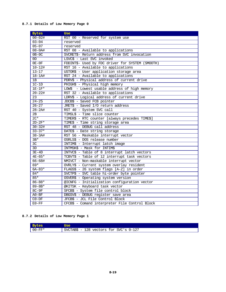# **8.7.1 Details of Low Memory Page 0**

| <b>Bytes</b>    | <b>Use</b>                                       |
|-----------------|--------------------------------------------------|
| $00 - 02$ #     | RST 00 - Reserved for system use                 |
| $03 - 04$       | reserved                                         |
| $05 - 07$       | reserved                                         |
| $08 - 0A#$      | RST 08 - Available to applications               |
| $0B-0C$         | SVCRET\$- Return address from SVC invocation     |
| 0D              | LSVC\$ - Last SVC invoked                        |
| $0E-0F$         | FDDINT\$- Used by FDC driver for SYSTEM (SMOOTH) |
| $10 - 12#$      | RST 16 - Available to applications               |
| $13 - 17$       | USTOR\$ - User application storage area          |
| $18 - 1A#$      | RST 24 - Available to applications               |
| 1B              | PDRV\$ - Physical address of current drive       |
| $1C-1D$         | PHIGH\$ - Physical high memory                   |
| $1E-1F*$        | LOW\$ - Lowest usable address of high memory     |
| $20 - 22#$      | RST 32 - Available to applications               |
| $\overline{23}$ | LDRV\$ - Logical address of current drive        |
| $24 - 25$       | JDCB\$ - Saved FCB pointer                       |
| $26 - 27$       | JRET\$ - Saved I/O return address                |
| $28 - 2A#$      | RST 40 - System SVC call                         |
| 2B              | TIMSL\$ - Time slice counter                     |
| $2C*$           | TIMER\$ - RTC counter [always precedes TIME\$]   |
| $2D-2F*$        | TIME\$ - Time string storage area                |
| $30 - 32#$      | RST 48 - DEBUG call address                      |
| $33 - 37*$      | DATE\$ - Date string storage                     |
| $38 - 3A#$      | RST 56 - Maskable interrupt vector               |
| $3B*$           | OSRLS\$ - DOS release number                     |
| 3C              | INTIM\$ - Interrupt latch image                  |
| 3D              | INTMSK\$ - Mask for INTIM\$                      |
| $3E-4D$         | INTVC\$ - Table of 8 interrupt latch vectors     |
| $4E - 65*$      | TCBVT\$ - Table of 12 interrupt task vectors     |
| $66 - 68$ #     | NMIVCT - Non-maskable interrupt vector           |
| $69*$           | OVRLY\$ - Current system overlay resident        |
| $6A-83*$        | FLAGS\$ - 26 system flags [A-Z] in order         |
| $84*$           | SVCTP\$ - SVC table hi-order byte pointer        |
| $85*$           | OSVER\$ - Operating system version               |
| $86 - 88*$      | @ICNFG - Initialization configuration vector     |
| $89 - 8B*$      | @KITSK - Keyboard task vector                    |
| $8C-9F$         | SFCB\$ - System file control block               |
| $A0-BF$         | DBGSV\$ - DEBUG register save area               |
| $CO-DF$         | JFCB\$ - JCL File Control Block                  |
| $E0-FF$         | CFCB\$ - Comand interpreter File Control Block   |

# **8.7.2 Details of Low Memory Page 1**

| Bytes      | Use                                      |
|------------|------------------------------------------|
| $00 - FF*$ | SVCTAB\$ - 128 vectors for SVC's $0-127$ |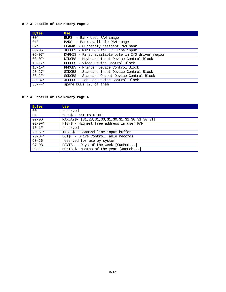# **8.7.3 Details of Low Memory Page 2**

| <b>Bytes</b> | <b>Use</b>                                          |
|--------------|-----------------------------------------------------|
| $00*$        | BUR\$ - Bank Used RAM image                         |
| $01*$        | BAR\$ - Bank available RAM image                    |
| $02*$        | LBANK\$ - Currently resident RAM bank               |
| $03 - 05$    | JCLCB\$ - Mini DCB for JCL line input               |
| $06 - 07*$   | DVRHI\$ - First available byte in I/O driver region |
| $08 - 0F*$   | KIDCB\$ - Keyboard Input Device Control Block       |
| $10 - 17*$   | DODCB\$ - Video Device Control Block                |
| $18 - 1F*$   | PRDCB\$ - Printer Device Control Block              |
| $20 - 27*$   | SIDCB\$ - Standard Input Device Control Block       |
| $38 - 2F*$   | SODCB\$ - Standard Output Device Control Block      |
| $30 - 37*$   | JLDCB\$ - Job Log Device Control Block              |
| $38 - FF*$   | spare DCBs [25 of them]                             |

# **8.7.4 Details of Low Memory Page 4**

| <b>Bytes</b> | <b>Use</b>                                                 |
|--------------|------------------------------------------------------------|
| 00           | reserved                                                   |
| 01           | $ZERO$$ - set to $X'00'$                                   |
| $02-0D$      | MAXDAY\$- [31, 28, 31, 30, 31, 30, 31, 31, 30, 31, 30, 31] |
| $0E-0F^*$    | HIGH\$ - Highest free address in user RAM                  |
| $10-1F$      | reserved                                                   |
| $20 - 6F*$   | INBUF\$ - Command line input buffer                        |
| $70 - BF*$   | DCT\$ - Drive Control Table records                        |
| $CO - C6$    | reserved for use by system                                 |
| $C7-DB$      | DAYTBL - Days of the week [SunMon]                         |
| $DC-FF$      | MONTBL\$- Months of the year [JanFeb]                      |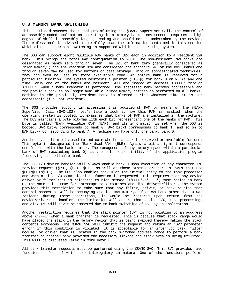# **8.8 MEMORY BANK SWITCHING**

This section discusses the techniques of using the @BANK SuperVisor Call. The control of an assembly-coded application operating in a memory banked environment requires a high degree of skill in assembly language coding and should not be undertaken by the novice. The professional is advised to carefully read the information contained in this section which discusses how bank switching is supported within the operating system.

The DOS can support eight multiple RAM banks of 32K each in addition to a resident 32K bank. This brings the total RAM configuration to 288K. The non-resident RAM banks are designated as banks zero through seven. The 32K of bank zero (generally considered as "high memory") and the resident 32K are considered the standard 64K of the DOS. Banks one through seven may be used for buffers or data storage. Through sophisticated techniques, they can even be used to store executable code. An entire bank is reserved for a particular function. The system maintains a pointer (HIGH\$) for bank 0 only. At any one time, only one of the banks are resident. All are imaged at address X'8000' through X'FFFF'. When a bank transfer is performed, the specified bank becomes addressable and the previous bank is no longer available. Since memory refresh is performed on all banks, nothing in the previously resident bank is altered during whatever time it is not addressable (i.e. not resident).

The DOS provides support in accessing this additional RAM by means of the @BANK SuperVisor Call (SVC-102). Let's take a look at how this RAM is handled. When the operating system is booted, it examines what banks of RAM are installed in the machine. The DOS maintains a byte bit-map with each bit representing one of the banks of RAM. This byte is called "Bank Available RAM" (BAR), and its information is set when the DOS is booted. BAR bit-0 corresponds to bank 0, BAR bit-1 corresponds to bank 1, and so on to BAR bit-7 corresponding to bank 7. A machine may have only one bank, bank 0.

Another byte bit-map is used to indicate whether a bank is reserved or available for use. This byte is designated the "Bank Used RAM" (BUR). Again, a bit assignment corresponds one-for-one with the bank number. The management of any memory space within a particular bank of RAM (excluding bank 0) is the sole responsibility of the application program "reserving" a particular bank.

The DOS I/O device handler will always enable bank 0 upon execution of any character I/O service request (@PUT, @GET, @CTL, as well as those other character I/O SVCs that use @PUT/@GET/@CTL). The DOS also enables bank 0 at the initial entry to the task processor and when a disk I/O communications function is requested. This requires that any device driver or filter that is relocated to high memory (X'8000'-X'FFFF') must reside in bank 0. The same holds true for interrupt task routines and disk drivers/filters. The system provides this restriction to make sure that any filter, driver, or task routine that control passes to will be occupying enabled RAM memory. If a RAM bank other than 0 was resident during these operations, it would be restored upon return from the device/drive/task handler. The limitation will ensure that device I/O, task processing, and disk I/O will never be impacted due to bank switching of RAM by an application.

Another restriction requires that the stack pointer (SP) is not pointing to an adddress above X'7FFE' when a bank transfer is requested. This is because that stack range would have placed the stack in the memory region that is being swapped thereby making the stack contents erroneous. The @BANK SVC will inhibit the request and return an "SVC parameter error" if this condition is violated. It is acceptable for an interrupt task, filter module, or driver that is located in the bank switched address range to perform a bank transfer to another bank provided the necessary linkage and stack area is being utilized. This will be discussed later in more detail.

All bank transfer requests must be performed using the @BANK SVC. This SVC provides five functions - four of which are interogatory in nature. One of the functions performs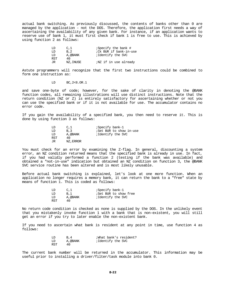actual bank switching. As previously discussed, the contents of banks other than 0 are managed by the application - not the DOS. Therefore, the application first needs a way of ascertaining the availability of any given bank. For instance, if an application wants to reserve use of bank 1, it must first check if bank 1 is free to use. This is achieved by using function 2 as follows:

| LD  | C.1      | ;Specify the bank #         |
|-----|----------|-----------------------------|
| LD  | B.2      | : Ck BUR if bank-in-use     |
| LD  | A, @BANK | ;Identify the SVC           |
| RST | 40       |                             |
| JR  | NZ.INUSE | <i>NZ</i> if in use already |

Astute programmers will recognize that the first two instructions could be combined to form one instruction as:

LD BC,2<8.OR.1

and save one-byte of code; however, for the sake of clarity in denoting the @BANK function codes, all remaining illustrations will use distinct instructions. Note that the return condition (NZ or Z) is entirely satisfactory for ascertaining whether or not you can use the specified bank or if it is not available for use. The accumulator contains no error code.

If you gain the availability of a specified bank, you then need to reserve it. This is done by using function 3 as follows:

| LD  | C.1      | ;Specify bank-1                 |
|-----|----------|---------------------------------|
| LD  | B.3      | <i>i</i> Set BUR to show in-use |
| LD  | A,@BANK  | ;Identify the SVC               |
| RST | 40       |                                 |
| JR  | NZ.ERROR |                                 |

You must check for an error by examining the Z-flag. In general, discounting a system error, an NZ condition returned means that the specified bank is already in use. In fact, if you had validly performed a function 2 (testing if the bank was available) and obtained a "not-in-use" indication but obtained an NZ condition on function 3, the @BANK SVC service routine has been altered and is most likely unusable.

Before actual bank switching is explained, let's look at one more function. When an application no longer requires a memory bank, it can return the bank to a "free" state by means of function 1. This is coded as follows:

| LD  | C.1     | ;Specify bank-1       |
|-----|---------|-----------------------|
| ת ד | B.1     | ;Set BUR to show free |
| T D | A.@BANK | ;Identify the SVC     |
| RST | 40      |                       |

No return code condition is checked as none is supplied by the DOS. In the unlikely event that you mistakenly invoke function 1 with a bank that is non-existent, you will still get an error if you try to later enable the non-existent bank.

If you need to ascertain what bank is resident at any point in time, use function 4 as follows:

| LD  | B.4     | ;What bank's resident? |
|-----|---------|------------------------|
| LD  | A.@BANK | ;Identify the SVC      |
| RST | 40      |                        |

The current bank number will be returned in the accumulator. This information may be useful prior to installing a driver/filter/task module into bank 0.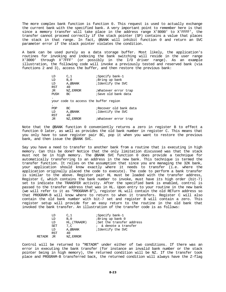The more complex bank function is function 0. This request is used to actually exchange the current bank with the specified bank. A very important point to remember here is that since a memory transfer will take place in the address range X'8000' to X'FFFF', the transfer cannot proceed correctly if the stack pointer (SP) contains a value that places the stack in that range. In fact, @BANK will inhibit function 0 and return an SVC parameter error if the stack pointer violates the condition.

A bank can be used purely as a data storage buffer. Most likely, the application's routines for invoking and indexing the bank switching will reside in the user range X'3000' through X'7FFF' (or possibly in the I/O driver range). As an example illustration, the following code will invoke a previously tested and reserved bank (via functions 2 and 3), access the buffer, and then restore the previous bank:

| LD         | C, 1      | ;Specify bank-1                       |
|------------|-----------|---------------------------------------|
| LD         | B, 0      | ;Bring up bank                        |
| LD         | A, @BANK  | ;Identify the SVC                     |
| <b>RST</b> | 40        |                                       |
| JR         | NZ, ERROR | Whatever error trap                   |
| PUSH       | BC        | ;Save old bank data                   |
| ٠          |           |                                       |
|            |           |                                       |
|            |           |                                       |
| POP        | BC.       | ;Recover old bank data                |
| LD         | A.@BANK   | ;Identify the SVC                     |
| <b>RST</b> | 40        |                                       |
| JR         | NZ, ERROR | Whatever error trap                   |
|            |           | your code to access the buffer region |

Note that the @BANK function 0 conveniently returns a zero in register B to effect a function 0 later, as well as provides the old bank number in register C. This means that you only have to save register pair BC, pop it when you want to restore the previous bank, and then issue the @BANK SVC.

Say you have a need to transfer to another bank from a routine that is executing in high memory. Can this be done? Notice that the only limitation discussed was that the stack must not be in high memory. The @BANK SVC function 0 does provide a technique for automatically transferring to an address in the new bank. This technique is termed the transfer function. It relies on the assumption that since you are managing the 32K bank, your application should know exactly where it needs to transfer (i.e. where the application originally placed the code to execute). The code to perform a bank transfer is similar to the above. Register pair HL must be loaded with the transfer address, Register C, which contains the bank number to invoke, must have its high order (bit-7) set to indicate the TRANSFER activity. After the specified bank is enabled, control is passed to the transfer address that was in HL. Upon entry to your routine in the new bank (we will refer to it as "PROGRAM-B"), register HL will contain the old RETurn address so that PROGRAM-B will know where to return to when it transfers. Register C will also contain the old bank number with bit-7 set and register B will contain a zero. This register setup will provide for an easy return to the routine in the old bank that invoked the bank transfer. An illustration of the transfer code is as follows:

|               | T JD<br>LD<br>LD<br>SET<br>LD<br>RST | C.1<br>B.0<br>HL, (TRAADR)<br>7.C<br>A,@BANK<br>40 | ;Specify bank-1<br>;Bring up bank 0<br>; Set the transfer address<br>; & denote a transfer<br>; Identify the SVC |
|---------------|--------------------------------------|----------------------------------------------------|------------------------------------------------------------------------------------------------------------------|
| <b>RETADR</b> | JR.                                  | NZ, ERROR                                          |                                                                                                                  |

Control will be returned to "RETADR" under either of two conditions. If there was an error in executing the bank transfer (for instance an invalid bank number or the stack pointer being in high memory), the returned condition will be NZ. If the transfer took place and PROGRAM-B transferred back, the returned condition will always have the Z-flag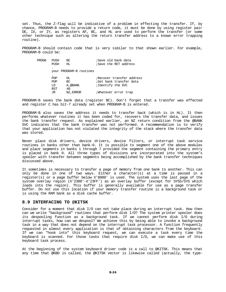set. Thus, the Z-flag will be indicative of a problem in effecting the transfer. If, by chance, PROGRAM-B needs to provide a return code, it must be done by using register pair DE, IX, or IY, as registers AF, BC, and HL are used to perform the transfer (or some other technique such as altering the return transfer address to a known error trapping routine).

PROGRAM-B should contain code that is very similar to that shown earlier. For example, PROGRAM-B could be:

| PROGB | PUSH       | BC                      | ;Save old bank data       |
|-------|------------|-------------------------|---------------------------|
|       | PUSH       | HL.                     | ; Save the RET address    |
|       |            |                         |                           |
|       |            | your PROGRAM-B routines |                           |
|       |            |                         |                           |
|       | POP        | HL.                     | ;Recover transfer address |
|       | POP        | BC                      | ;Get bank transfer data   |
|       | LD         | A, @BANK                | ;Identify the SVC         |
|       | <b>RST</b> | 40                      |                           |
|       | JR         | NZ, ERROR               | Whatever error trap       |
|       |            |                         |                           |

PROGRAM-B saves the bank data (register BC). Don't forget that a transfer was effected and register C has bit-7 already set when PROGRAM-B is entered.

PROGRAM-B also saves the address it needs to transfer back (which is in HL). It then performs whatever routines it has been coded for, recovers the transfer data, and issues the bank transfer request. As explained earlier, an NZ return condition from the @BANK SVC indicates that the bank transfer was not performed. A recommendation is to verify that your application has not violated the integrity of the stack where the transfer data was stored.

Never place disk drivers, device drivers, device filters, or interrupt task service routines in banks other than bank-0. It is possible to segment one of the above modules and place segments in banks 1 through 7 provided the segment containing the primary entry is placed in bank 0. All three types of divisions are incorporated into the system's spooler with transfer between segments being accomplished by the bank transfer techniques discussed above.

It sometimes is necessary to transfer a page of memory from one bank to another. This can only be done in one of two ways. Either a character(s) at a time is passed in a register(s) or a page buffer below X'8000' is used. The system uses the last page of the system overlay region (X'2300'-X'23FF') as an overlay buffer (except for SYS5/SYS which loads into the region). This buffer is generally available for use as a page transfer buffer. Do not use this location if your memory transfer routine is a background task or is using the RAM bank as a disk cache buffer.

# **8.9 INTERFACING TO @KITSK**

Consider for a moment that disk I/O can not take place during an interrupt task. How then can we write "background" routines that perform disk I/O? The system printer spooler does its despooling function as a background task. If we cannot perform disk I/O during interrupt tasks, how can we despool? We achieve this by being able to invoke a background task in a way that does not depend on the interrupt task processor. A function frequently requested in almost every application is that of obtaining characters from the keyboard. If we can "hook into" this keyboard request, we can execute a task every time the keyboard is scanned. For those tasks that require disk I/O, we can make use of this keyboard task process.

At the beginning of the system keyboard driver code is a call to @KITSK. This means that any time that @KBD is called, the @KITSK vector is likewise called (actually, the type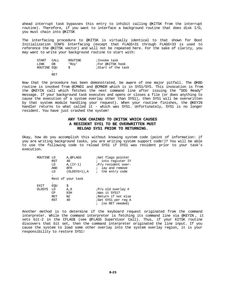ahead interrupt task bypasses this entry to inhibit calling @KITSK from the interrupt routine). Therefore, if you want to interface a background routine that does disk I/O, you must chain into @KITSK

The interfacing procedure to @KITSK is virtually identical to that shown for Boot Initialization ICNFG Interfacing (except that FLAGS+31 through FLAGS+33 is used to reference the @KITSK vector) and will not be repeated here. For the sake of clarity, you may want to write your background routine to start with:

| START       | CALL | ROUTINE | ;Invoke task       |
|-------------|------|---------|--------------------|
| T.TNK       | DB.  | 'Rov'   | For @KITSK hook    |
| ROUTINE EOU |      |         | ;Start of the task |
|             |      |         |                    |

RET

Now that the procedure has been demonstrated, be aware of one major pitfall. The @KBD routine is invoked from @CMNDI and @CMNDR which is in SYS1/SYS. This invocation is from the @KEYIN call which fetches the next command line after issuing the "DOS Ready" message. If your background task executes and opens or closes a file (or does anything to cause the execution of a system overlay other than SYS1), then SYS1 will be overwritten by that system module handling your request). When your routine finishes, the @KEYIN handler returns to what called it - which was SYS1. Unfortunately, SYS1 is no longer resident. You have just crashed the system!

# **ANY TASK CHAINED TO @KITSK WHICH CAUSES A RESIDENT SYS1 TO BE OVERWRITTEN MUST RELOAD SYS1 PRIOR TO RETURNING.**

Okay, how do you accomplish this without knowing system code (point of information: if you are writing background tasks, you are writing system support code!)? You will be able to use the following code to reload SYS1 if SYS1 was resident prior to your task's execution.

| ROUTINE LD    | RST<br>LD<br>AND | A,@FLAGS<br>40<br>$A,(IY-1)$<br>8FH | <i>Get flags pointer</i><br>into register IY<br><i>iP/u</i> resident over-<br>lay and remove |
|---------------|------------------|-------------------------------------|----------------------------------------------------------------------------------------------|
|               | LD               | $(OLDSYS+1)$ , A                    | the entry code                                                                               |
|               |                  | Rest of your task                   |                                                                                              |
| EXIT          | EQU              | \$                                  |                                                                                              |
| <b>OLDSYS</b> | LD<br>CP.        | A, 0<br>83H                         | $iP/u$ old overlay #<br>;Was it SYS1?                                                        |
|               | <b>RET</b>       | ΝZ<br>40                            | ;Return if not else                                                                          |
|               | RST              |                                     | ;Get SYS1 per reg A<br>(no RET needed)                                                       |

Another method is to determine if the keyboard request originated from the command interpreter. While the command interpreter is fetching its command line via @KEYIN , it sets bit-2 in the CFLAG\$ (see @FLAGS SuperVisor Call). Thus, if your KITSK routine discovers that bit set, then the command interpreter originated the line input. If you cause the system to load some other overlay into the system overlay region, it is your responsibility to restore SYS1!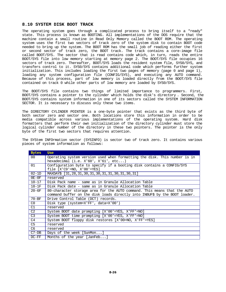## **8.10 SYSTEM DISK BOOT TRACK**

The operating system goes through a complicated process to bring itself to a "ready" state. This process is known as BOOTING. All implementations of the DOS require that the machine contain a small routine in Read Only Memory called the BOOT ROM. The operating system uses the first two sectors of track zero of the system disk to contain BOOT code needed to bring up the system. The BOOT ROM has the small job of reading either the first or second sector of track zero, the BOOT track. The track contains a core-image file called BOOT/SYS. The sector that is read contains code which, in turn, reads the entire BOOT/SYS file into low memory starting at memory page 2. The BOOT/SYS file occupies 16 sectors of track zero. Thereafter, BOOT/SYS loads the resident system file, SYS0/SYS, and transfers control to it. SYS0/SYS contains additional code which performs further system initialization. This includes loading the first two pages of memory (page 0 and page 1), loading any system configuration file (CONFIG/SYS), and executing any AUTO command. Because of this process, part of low memory is loaded directly from the BOOT/SYS file contained on track 0 while other parts of low memory are loaded by SYS0/SYS.

The BOOT/SYS file contains two things of limited importance to programmers. First, BOOT/SYS contains a pointer to the cylinder which holds the disk's directory . Second, the BOOT/SYS contains system information in one of its sectors called the SYSTEM INFORMATION SECTOR. It is necessary to discuss only these two items.

The DIRECTORY CYLINDER POINTER is a one-byte pointer that exists as the third byte of both sector zero and sector one. Both locations store this information in order to be media compatible across various implementations of the operating system. Hard disk formatters that perform their own initialization of the directory cylinder must store the logical cylinder number of the directory in these two pointers. The pointer is the only byte of the first two sectors that requires attention.

| <b>Bytes</b>   | <b>Use</b>                                                                                                                                             |  |  |  |  |  |
|----------------|--------------------------------------------------------------------------------------------------------------------------------------------------------|--|--|--|--|--|
| $00 \,$        | Operating system version used when formatting the disk. This number is in<br>hexadecimal $(i.e. X'60', X'61', etc)$                                    |  |  |  |  |  |
| 01             | Configuration byte to specify if a booting disk contains a CONFIG/SYS<br>file $[X'C9' = NO, X'00' = YES]$                                              |  |  |  |  |  |
| $02-1D$        | MAXDAY\$ [31,28,31,30,31,30,31,31,30,31,30,31]                                                                                                         |  |  |  |  |  |
| $0E-0F$        | reserved                                                                                                                                               |  |  |  |  |  |
| $10 - 17$      | Disk Pack name - same as in Granule Allocation Table                                                                                                   |  |  |  |  |  |
| $18-1F$        | Disk Pack date - same as in Granule Allocation Table                                                                                                   |  |  |  |  |  |
| $20 - 6F$      | 80-character storage area for the AUTO command. This means that the AUTO<br>command buffer on the disk loads directly into INBUF\$ by the BOOT loader. |  |  |  |  |  |
| $70 - BF$      | Drive Control Table (DCT) records.                                                                                                                     |  |  |  |  |  |
| CO             | Disk type $(system=X'FF', data=X'00')$                                                                                                                 |  |  |  |  |  |
| C1             | reserved                                                                                                                                               |  |  |  |  |  |
| C <sub>2</sub> | System BOOT date prompting [X'00'=YES, X'FF'=NO]                                                                                                       |  |  |  |  |  |
| C3             | System BOOT time prompting [X'00'=YES, X'FF'=NO]                                                                                                       |  |  |  |  |  |
| C4             | System BOOT floppy disk restores [X'00=NO, X'FF'=YES]                                                                                                  |  |  |  |  |  |
| C5             | reserved                                                                                                                                               |  |  |  |  |  |
| C <sub>6</sub> | reserved                                                                                                                                               |  |  |  |  |  |
| $C7-DB$        | Days of the week [SunMon]                                                                                                                              |  |  |  |  |  |
| $DC-FF$        | Months of the year [JanFeb]                                                                                                                            |  |  |  |  |  |

The SYStem INFOrmation sector (SYSINFO) is sector two of track zero. It contains various pieces of system information as follows: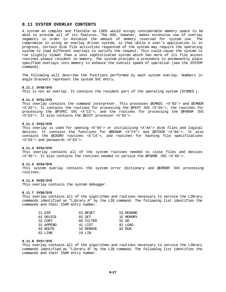## **8.11 SYSTEM OVERLAY CONTENTS**

A system as complex and flexible as LDOS would occupy considerable memory space to be able to provide all of its features. The DOS, however, makes extensive use of overlay segments in order to minimize the amount of memory reserved for system use. The compromize in using an overlay driven system, is that while a user's application is in progress, certain disk file activities requested of the system may require the operating system to load different overlays to satisfy the request. This could cause the system to run slightly slower than a less sophisticated system which has more of its file access routines always resident in memory. The system provides a procedure to permanently place specified overlays into memory to enhance the overall speed of operation (see the SYSTEM command).

The following will describe the functions performed by each system overlay. Numbers in angle brackets represent the system SVC entry.

#### **8.11.1 SYS0/SYS**

This is not an overlay. It contains the resident part of the operating system (SYSRES ).

#### **8.11.2 SYS1/SYS**

This overlay contains the command interpreter. This processes @CMNDI <X'B3'> and @CMNDR <X'A3'>. It contains the routines for processing the @FEXT SVC <X'D3'>, the routines for processing the @FSPEC SVC <X'C3'>, and the routines for processing the @PARAM SVC <X'E3'>. It also contains the @EXIT processor <X'93'>.

## **8.11.3 SYS2/SYS**

This overlay is used for opening <X'94'> or initializing <X'A4'> disk files and logical devices. It contains the functions for @RENAM <X'F4'> and @GTDCB <X'B4'>. It also contains the @CKDRV routines <X'C4'>, and routines for hashing file specifications <X'D4'> and passwords <X'E4'>.

## **8.11.4 SYS3/SYS**

This overlay contains all of the system routines needed to close files and devices <X'95'>. It also contains the routines needed to service the @FNAME SVC <X'A5'>.

#### **8.11.5 SYS4/SYS**

This system overlay contains the system error dictionary and @ERROR SVC processing routines.

## **8.11.6 SYS5/SYS**

This overlay contains the system debugger.

#### **8.11.7 SYS6/SYS**

This overlay contains all of the algorithms and routines necessary to service the LIBrary commands identified as "Library A" by the LIB command. The following list identifies the commands and their ISAM entry number.

| 21 DIR    | 63 RESET  | 53 RENAME |
|-----------|-----------|-----------|
| 61 DEVICE | 65 SET    | 1E MEMORY |
| 32 COPY   | 66 FILTER | 91 DO     |
| 31 APPEND | 41 LIST   | 81 LOAD   |
| 64 ROUTE  | 18 REMOVE | 82 RUN    |
| 62. LINK  | 19 T.TR   |           |

#### **8.11.8 SYS7/SYS**

This overlay contains all of the algorithms and routines necessary to service the LIBrary commands identified as "Library B" by the LIB command. The following list identifies the commands and their ISAM entry number.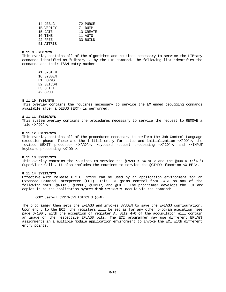| 14 DEBUG  | 72 PURGE  |
|-----------|-----------|
| 1B VERIFY | 71 DUMP   |
| 15 DATE   | 13 CREATE |
| 16 TIME   | 11 AUTO   |
| 22 FREE   | 33 BUILD  |
| 51 ATTRIB |           |

## **8.11.9 SYS8/SYS**

This overlay contains all of the algorithms and routines necessary to service the LIBrary commands identified as "Library C" by the LIB command. The following list identifies the commands and their ISAM entry number.

 A1 SYSTEM 1C SYSGEN B1 FORMS B2 SETCOM B3 SETKI

A2 SPOOL

#### **8.11.10 SYS9/SYS**

This overlay contains the routines necessary to service the EXTended debugging commands available after a DEBUG (EXT) is performed.

#### **8.11.11 SYS10/SYS**

This system overlay contains the procedures necessary to service the request to REMOVE a file <X'9C'>.

#### **8.11.12 SYS11/SYS**

This overlay contains all of the procedures necessary to perform the Job Control Language execution phase. These are the initial entry for setup and initialization <X'9D'>, the revised @EXIT processor <X'AD'>, keyboard request processing <X'CD'>, and //INPUT keyboard processing <X'DD'>.

#### **8.11.13 SYS12/SYS**

This overlay contains the routines to service the @RAMDIR <X'9E'> and the @DODIR <X'AE'> SuperVisor Calls. It also includes the routines to service the @GTMOD function <X'BE'>.

## **8.11.14 SYS13/SYS**

Effective with release 6.2.0, SYS13 can be used by an application environment for an Extended Command Interpreter (ECI). This ECI gains control from SYS1 on any of the following SVCs: @ABORT, @CMNDI, @CMNDR, and @EXIT. The programmer develops the ECI and copies it to the application system disk SYS13/SYS module via the command:

COPY usereci SYS13/SYS.LSIDOS:d (C=N)

The programmer then sets the EFLAG\$ and invokes SYSGEN to save the EFLAG\$ configuration. Upon entry to the ECI, the registers will be set as for any other program execution (see page 6-100), with the exception of register A. Bits 4-6 of the accumulator will contain an image of the respective EFLAG\$ bits. The ECI programmer may use different EFLAG\$ assignments in a multiple module application environment to invoke the ECI with different entry points.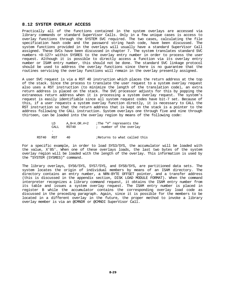## **8.12 SYSTEM OVERLAY ACCESS**

Practically all of the functions contained in the system overlays are accessed via library commands or standard SuperVisor Calls. Only in a few unique cases is access to overlay functions through the SYSTEM SVC required. The two cases, calculating the file specification hash code and the password string hash code, have been discussed. The system functions provided in the overlays will usually have a standard SuperVisor Call assigned. These SVCs have been discussed in chapter 7. The system translates standard SVC numbers <0-127> within SYSRES to the overlay entry number in order to process the user request. Although it is possible to directly access a function via its overlay entry number or ISAM entry number, this should not be done. The standard SVC linkage protocol should be used to address the overlay functions since there is no guarantee that the routines servicing the overlay functions will remain in the overlay presently assigned.

A user SVC request is via a RST 40 instruction which places the return address at the top of the stack. Since the process to translate the user request to a system overlay request also uses a RST instruction (to minimize the length of the translation code), an extra return address is placed on the stack. The SVC processor adjusts for this by popping the extraneous return address when it is processing a system overlay request. The system's request is easily identifiable since all system request codes have bit-7 set. Because of this, if a user requests a system overlay function directly, it is necessary to CALL the RST instruction so that the return address that is kept on the stack is a pointer to the address following the CALL instruction. System overlays one through five and nine through thirteen, can be loaded into the overlay region by means of the following code:

|       | T D.<br>CALL. | A,8<4.OR.#+2<br>RST40 | ;The "#" represents the<br>; number of the overlay |
|-------|---------------|-----------------------|----------------------------------------------------|
|       |               |                       |                                                    |
| RST40 | RST           | 40                    | Returns to what called this                        |

For a specific example, in order to load SYS3/SYS, the accumulator will be loaded with the value, X'85'. When one of these overlays loads, the last two bytes of the system overlay region will be loaded with the length of the overlay. This information is used by the "SYSTEM (SYSRES)" command.

The library overlays, SYS6/SYS, SYS7/SYS, and SYS8/SYS, are partitioned data sets. The system locates the origin of individual members by means of an ISAM directory. The directory contains an entry number, a NRN-BYTE OFFSET pointer, and a transfer address (this is discussed in the appendix section, DISK LOAD MODULE FORMAT). When the command interpreter recognizes a library command request, it obtains the ISAM entry number from its table and issues a system overlay request. The ISAM entry number is placed in register B while the accumulator contains the corresponding overlay load code as discussed in the preceding paragraph. Again, since it is possible for the members to be located in a different overlay in the future, the proper method to invoke a library overlay member is via an @CMNDR or @CMNDI SuperVisor Call.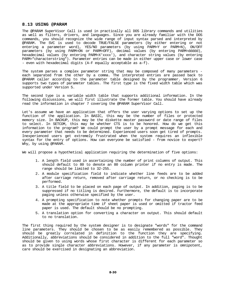## **8.13 USING @PARAM**

The @PARAM SuperVisor Call is used in practically all DOS library commands and utilities as well as filters, drivers, and languages. Since you are already familiar with the DOS commands, you should recognize the wide range of input syntax parsed and interpreted by @PARAM. The SVC is used to decode TRUE/FALSE parameters (by either entering or not entering a parameter word), YES/NO parameters (by using PARM=Y or PARM=N), ON/OFF parameters (by using PARM=ON or PARM=OFF), decimal values (by entering PARM=ddddd), hexadecimal values (by entering PARM=X'xxxx'), and character string values (by entering PARM="characterstring"). Parameter entries can be made in either upper case or lower case - even with hexadecimal digits (A-F equally acceptable as a-f).

The system parses a complex parameter string that may be composed of many parameters each separated from the other by a comma. The interpreted entries are passed back to @PARAM caller according to the parameter table designed by the programmer. Version 6 supports two types of parameter tables. The first type is the fixed width table which was supported under Version 5.

The second type is a variable width table that supports additional information. In the following discussions, we will first illustrate the former table. You should have already read the information in chapter 7 covering the @PARAM SuperVisor Call.

Let's assume we have an application that offers the user varying options to set up the function of the application. In BASIC, this may be the number of files or protected memory size. In BACKUP, this may be the diskette master password or date range of files to select. In SETCOM, this may be whether CTS is to be honored. How do we get this information to the program? We could prompt the user by a prompt message for each and every parameter that needs to be determined. Experienced users soon get tired of prompts. Inexperienced users get extremely frustrated when the system requires an inflexible syntax for the entry of options. How can everyone be satisfied - from novice to expert? Why, by using @PARAM.

We will propose a hypothetical application requiring the determination of five options:

- 1. A length field used in ascertaining the number of print columns of output. This should default to 80 to denote an 80 column printer if no entry is made. The range should be limited to 32-255.
- 2. A module specification field to indicate whether line feeds are to be added after carriage return, removed after carriage return, or no checking is to be performed.
- 3. A title field to be placed on each page of output. In addition, paging is to be suppressed if no titling is desired. Furthermore, the default is to incorporate paging unless otherwise specified by the user.
- 4. A prompting specification to note whether prompts for changing paper are to be made at the appropriate time if sheet paper is used or omitted if tractor feed paper is used. The default should be no prompting.
- 5. A translation option for converting a character on output. This should default to no translation.

The first thing required by the system designer is to designate "words" for the command line parameters. They should be chosen to be as easily remembered as possible. They should be greatly correlated in definition to the function they are specifying. Additionally, abbreviations should be considered in addition to the full "word". Thought should be given to using words whose first character is different for each parameter so as to provide single character abbreviations. However, if any parameter is omnipotent, care should be exercised in designating an abbreviation.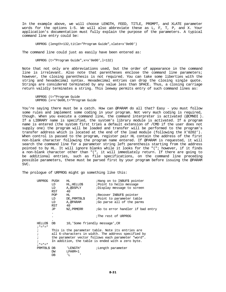In the example above, we will choose LENGTH, FEED, TITLE, PROMPT, and XLATE parameter words for the options 1-5. We will also abbreviate these as L, F, T, P, and X. Your application's documentation must fully explain the purpose of the parameters. A typical command line entry could be:

URPROG (length=132,title="Program Guide",xlate=x'0e00')

The command line could just as easily have been entered as:

URPROG (t="Program Guide",x=x'0e00',l=132)

Note that not only are abbreviations used, but the order of appearance in the command line is irrelevant. Also note that parentheses enclose the command line parameters; however, the closing parenthesis is not required. You can take some liberties with the string and hexadecimal syntax. Hexadecimal entries can drop the closing single quote. Strings are considered terminated by any value less than SPACE. Thus, a closing carriage return validly terminates a string. This leeway permits entry of such command lines as:

URPROG (t="Program Guide URPROG (x=x'0e00,t="Program Guide

You're saying there must be a catch. How can @PARAM do all that? Easy - you must follow some rules and implement some coding in your program. Not very much coding is required, though. When you execute a command line, the command interpreter is activated (@CMNDI ). If a LIBRARY name is specified, the system's library module is activated. If a program name is entered (the system first tries a default extension of /CMD if the user does not supply one) the program will be loaded and transfer will be performed to the program's transfer address which is located at the end of the load module (following the X'0202'). When control is passed to the program, register pair HL contain the address of the first non-blank character following the program name entered. If @PARAM is requested, it will search the command line for a parameter string left parenthesis starting from the address pointed to by HL. It will ignore blanks while it looks for the "("; however, if it finds a non-blank character other than "(", it will immediately return. If there are going to be additional entries, such as file specifications, on the command line preceding possible parameters, these must be parsed first by your program before issuing the @PARAM SVC.

The prologue of URPROG might go something like this:

| URPROG        | <b>PUSH</b> | НL                             | Hang on to INBUF\$ pointer                          |
|---------------|-------------|--------------------------------|-----------------------------------------------------|
|               | LD          | HL , HELLO\$                   | Point to hello message                              |
|               | LD          | A,@DSPLY                       | ;Display message to screen                          |
|               | RST         | 40                             |                                                     |
|               | POP         | HL                             | Recover INBUF\$ pointer                             |
|               | LD          | DE, PRMTBL\$                   | Point to parameter table                            |
|               | LD          | A,@PARAM                       | Go parse all of the parms                           |
|               | RST         | 40                             |                                                     |
|               | JP          | NZ , PRMERR                    | ;Go to error handler if bad entry                   |
|               |             |                                |                                                     |
|               |             |                                | The rest of URPROG                                  |
|               |             |                                |                                                     |
| HELLOS        | DB          | 10, Some friendly message', CR |                                                     |
| $: * = * = *$ |             |                                |                                                     |
| $\ddot{i}$    |             |                                | This is the parameter table. Note its entries are   |
| $\ddot{i}$    |             |                                | all 6-characters in width. The address specified by |
|               |             |                                | the parameter vector follows each parameter "word". |
|               |             |                                | In addition, the table is ended with a zero byte.   |
| $;* = * = *$  |             |                                |                                                     |
| PRMTBL\$ DB   |             | 'LENGTH'                       | ;Length parameter                                   |
|               | DW          | LPARM+1                        |                                                     |
|               | DB          | 'L                             |                                                     |
|               |             |                                |                                                     |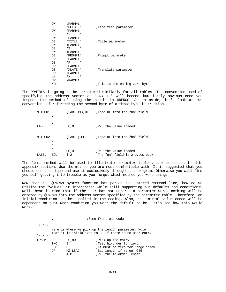| DW  | LPARM+1      |                              |
|-----|--------------|------------------------------|
| DB  | ' FEED       | <i>i</i> Line feed parameter |
| DW  | FPARM+1      |                              |
| DB  | 'F           |                              |
| DW  | FPARM+1      |                              |
| DB  | 'TITLE '     | <i>Title</i> parameter       |
| DW  | TPARM+1      |                              |
| DB  | 'Т           |                              |
| DW  | TPARM+1      |                              |
| DB  | ' PROMPT'    | ; Prompt parameter           |
| DW  | PPARM+1      |                              |
| DB  | $\mathbf{P}$ |                              |
| DW  | PPARM+1      |                              |
| DB  | 'XLATE '     | ;Translate parameter         |
| DW  | XPARM+1      |                              |
| DB  | 'X           |                              |
| DW  | XPARM+1      |                              |
| NOP |              | This is the ending zero byte |

The PRMTBL\$ is going to be structured similarly for all tables. The convention used of specifying the address vector as "LABEL+1" will become immediately obvious once you inspect the method of using the result in URPROG. As an aside, let's look at two conventions of referencing the second byte of a three-byte instruction.

| METHOD1 LD |           | $(LABEL+1)$ , HL | ;Load HL into the "nn" field                                    |
|------------|-----------|------------------|-----------------------------------------------------------------|
|            |           |                  |                                                                 |
|            |           |                  |                                                                 |
| LABEL      | LD        | BC, 0            | <i>IP/u</i> the value loaded                                    |
| METHOD2 LD |           | (LABEL), HL      | ;Load HL into the "nn" field                                    |
|            | ٠         |                  |                                                                 |
| LABEL      | LD<br>EOU | BC, 0<br>$$ -2$  | <i>IP/u</i> the value loaded<br>The "nn" field is 2-bytes back" |

The first method will be used to illustrate parameter table vector addresses in this appendix section. Use the method you are most comfortable with. It is suggested that you choose one technique and use it exclusively throughout a program. Otherwise you will find yourself getting into trouble as you forget which method you were using.

Now that the @PARAM system function has parsed the entered command line, how do we utilize the "values" it interpreted while still supporting our defaults and conditions? Well, bear in mind that if the user has not entered a parameter word, nothing will be entered by @PARAM into the address vector specified by the parameter table. Therefore, an initial condition can be supplied in the coding. Also, the initial value coded will be dependent on just what condition you want the default to be. Let's see how this would work.

|               |      |          | ;Some front end code                                   |
|---------------|------|----------|--------------------------------------------------------|
| $: * = * = *$ |      |          |                                                        |
| $\ddot{i}$    |      |          | Here is where we pick up the length parameter. Note    |
|               |      |          | that it is initialized to 80 if there is no user entry |
| $: * = * = *$ |      |          |                                                        |
| LPARM         | LD   | BC, 80   | Pick up the entry                                      |
|               | INC. | B        | Test hi-order for zero                                 |
|               | DEC. | B        | iIt must be zero for range check                       |
|               | JP   | NZ, LBAD | Bad length if range >255;                              |
|               | LD   | A,C      | $iP/u$ the lo-order length                             |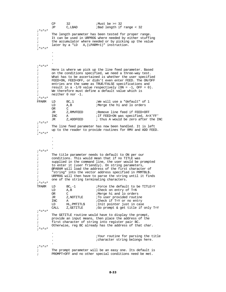|                          | CP   | 32                     | :Must be $>=$ 32                                                                                                   |
|--------------------------|------|------------------------|--------------------------------------------------------------------------------------------------------------------|
|                          | JΡ   | C,LBAD                 | ;Bad length if range < 32                                                                                          |
| $;* = * = *$             |      |                        |                                                                                                                    |
| ;                        |      |                        | The length parameter has been tested for proper range.                                                             |
| $\ddot{ }$               |      |                        | It can be used in URPROG where needed by either stuffing                                                           |
| $\ddot{i}$               |      |                        | the accumulator where needed or by picking up the value                                                            |
| $\ddot{ }$               |      |                        | later by a "LD A, (LPARM+1)" instruction.                                                                          |
| $7 * = * = *$            |      |                        |                                                                                                                    |
|                          |      |                        |                                                                                                                    |
|                          |      |                        |                                                                                                                    |
|                          |      |                        |                                                                                                                    |
|                          |      |                        |                                                                                                                    |
| $;* = * = *$             |      |                        |                                                                                                                    |
|                          |      |                        |                                                                                                                    |
| $\ddot{ }$               |      |                        | Here is where we pick up the line feed parameter. Based                                                            |
| $\ddot{i}$<br>$\ddot{i}$ |      |                        | on the conditions specified, we need a three-way test.<br>What has to be ascertained is whether the user specified |
|                          |      |                        |                                                                                                                    |
| $\ddot{i}$               |      |                        | FEED=ON, FEED=OFF, or didn't even enter FEED. The ON/OFF                                                           |
| $\ddot{i}$               |      |                        | entries are the same as TRUE/FALSE specifications and                                                              |
| $\ddot{i}$               |      |                        | result in a $-1/0$ value respectively (ON = $-1$ , OFF = 0).                                                       |
| $\ddot{i}$               |      |                        | We therefore must define a default value which is                                                                  |
| ÷                        |      | neither $0$ nor $-1$ . |                                                                                                                    |
|                          |      |                        |                                                                                                                    |
| FPARM                    | LD   | BC, 1                  | We will use a "default" of 1                                                                                       |
|                          | LD   | A, B                   | Merge the hi and lo orders                                                                                         |
|                          | OR   | C                      |                                                                                                                    |
|                          | JR   | Z , RMVFEED            | Remove line feed if FEED=OFF                                                                                       |
|                          | INC  | Α                      | ; If FEED=ON was specified, A=X'FF'                                                                                |
|                          | JR   | Z, ADDFEED             | ; thus A would be zero after the INC                                                                               |
| $; * = * = *$            |      |                        |                                                                                                                    |
| $\ddot{ }$               |      |                        | The line feed parameter has now been handled. It is left                                                           |
| $\ddot{i}$               |      |                        | up to the reader to provide routines for RMV and ADD FEED.                                                         |
| $;* = * = *$             |      |                        |                                                                                                                    |
|                          |      |                        |                                                                                                                    |
|                          |      |                        |                                                                                                                    |
|                          |      |                        |                                                                                                                    |
|                          |      |                        |                                                                                                                    |
| $;* = * = *$             |      |                        |                                                                                                                    |
| $\ddot{i}$               |      |                        | The title parameter needs to default to ON per our                                                                 |
| $\ddot{i}$               |      |                        | conditions. This would mean that if no TITLE was                                                                   |
| $\ddot{i}$               |      |                        | supplied in the command line, the user would be prompted                                                           |
| $\ddot{i}$               |      |                        | to enter it (user friendly). On string parameters,                                                                 |
| $\ddot{i}$               |      |                        | @PARAM will load the address of the first character of                                                             |
| $\ddot{i}$               |      |                        | "string" into the vector address specified in PRMTBL\$.                                                            |
| i                        |      |                        | URPROG will then have to parse the string until it finds                                                           |
| $7 * = * = *$            |      |                        | one of the string terminating characters.                                                                          |
|                          |      |                        |                                                                                                                    |
| TPARM                    | LD   | $BC, -1$               | Force the default to be TITLE=Y                                                                                    |
|                          | LD   | A, B                   | :Check on entry of T=N                                                                                             |
|                          | OR   | C                      | <i>I</i> Merge hi and lo orders                                                                                    |
|                          | JR   | Z, NOTITLE             | To user provided routine                                                                                           |
|                          | INC  | Α                      | :Check if T=Y or no entry                                                                                          |
|                          | LD   | HL, PMTITL\$           | ; Init pointer just in case                                                                                        |
|                          | CALL | Z, GETITLE             | <i>Go</i> prompt & get title if only T=Y                                                                           |
| $: * = * = *$            |      |                        |                                                                                                                    |
| i                        |      |                        | The GETITLE routine would have to display the prompt,                                                              |
| $\ddot{i}$               |      |                        | provide an input means, then place the address of the                                                              |
| $\ddot{i}$               |      |                        | first character of string into register pair BC.                                                                   |
| $\ddot{i}$               |      |                        | Otherwise, reg BC already has the address of that char.                                                            |
|                          |      |                        |                                                                                                                    |
|                          |      |                        |                                                                                                                    |
|                          |      |                        | Your routine for parsing the title                                                                                 |
|                          |      |                        | icharacter string belongs here.                                                                                    |
|                          |      |                        |                                                                                                                    |
| $;* = * = *$             |      |                        |                                                                                                                    |
|                          |      |                        | The prompt parameter will be an easy one. Its default is                                                           |
| $\ddot{i}$               |      |                        | PROMPT=OFF and no other special conditions need be met.                                                            |
|                          |      |                        |                                                                                                                    |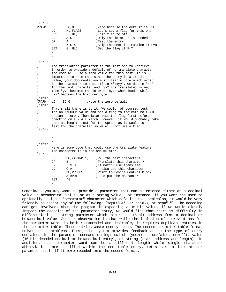|            | PPARM         | LD<br>LD<br><b>RES</b><br>LD<br>OR<br>JR<br>SET<br>$\ddot{\phantom{0}}$                                          | BC, 0<br>HL, FLAG\$<br>$0$ , $(HL)$<br>A, C<br>Α<br>$Z, \$+4$<br>$0$ , $(HL)$ | ;Zero because the default is OFF<br><i>i</i> Let's set a flag for this one<br>; Init flag to off<br>;Only the lo-order is needed<br>;Test the entry<br>;Skip the next instruction if P=N<br>;Set the flag if P=Y |  |  |
|------------|---------------|------------------------------------------------------------------------------------------------------------------|-------------------------------------------------------------------------------|------------------------------------------------------------------------------------------------------------------------------------------------------------------------------------------------------------------|--|--|
|            |               |                                                                                                                  |                                                                               |                                                                                                                                                                                                                  |  |  |
|            |               |                                                                                                                  |                                                                               |                                                                                                                                                                                                                  |  |  |
|            | $; * = * = *$ |                                                                                                                  |                                                                               |                                                                                                                                                                                                                  |  |  |
|            |               |                                                                                                                  |                                                                               | The translation parameter is the last one to retrieve.                                                                                                                                                           |  |  |
|            |               |                                                                                                                  |                                                                               | In order to provide a default of no translate character,<br>the code will use a zero value for this test. It is                                                                                                  |  |  |
|            |               |                                                                                                                  |                                                                               | important to note that since the entry is a 16-bit                                                                                                                                                               |  |  |
|            |               |                                                                                                                  |                                                                               | value, your documentation must clearly note which order                                                                                                                                                          |  |  |
|            |               |                                                                                                                  |                                                                               | is the character to test. If in X'xxyy', we denote "xx"                                                                                                                                                          |  |  |
|            |               |                                                                                                                  |                                                                               | for the test character and "yy" its translated value,<br>then "yy" becomes the lo-order byte when loaded while                                                                                                   |  |  |
|            |               |                                                                                                                  | "xx" becomes the hi-order byte.                                               |                                                                                                                                                                                                                  |  |  |
|            | $7* = * = *$  |                                                                                                                  |                                                                               |                                                                                                                                                                                                                  |  |  |
|            | XPARM         | LD                                                                                                               | BC, 0                                                                         | Note the zero default                                                                                                                                                                                            |  |  |
|            | $;* = * = *$  |                                                                                                                  |                                                                               |                                                                                                                                                                                                                  |  |  |
| $\ddot{i}$ |               | That's all there is to it. We could, of course, test<br>for an X'0000' value and set a flag to indicate no XLATE |                                                                               |                                                                                                                                                                                                                  |  |  |
|            |               |                                                                                                                  |                                                                               | option entered. Then later test the flag first before                                                                                                                                                            |  |  |
|            |               |                                                                                                                  |                                                                               | checking on a XLATE match. However, it would probably take                                                                                                                                                       |  |  |
|            |               |                                                                                                                  |                                                                               | just as long to test for the option as it would to                                                                                                                                                               |  |  |
|            | $: * = * = *$ |                                                                                                                  |                                                                               | test for the character so we will not use a flag.                                                                                                                                                                |  |  |
|            |               |                                                                                                                  |                                                                               |                                                                                                                                                                                                                  |  |  |
|            |               |                                                                                                                  |                                                                               |                                                                                                                                                                                                                  |  |  |
|            |               |                                                                                                                  |                                                                               |                                                                                                                                                                                                                  |  |  |
|            | $;* = * = *$  |                                                                                                                  |                                                                               |                                                                                                                                                                                                                  |  |  |
|            |               |                                                                                                                  |                                                                               | Here is some code that could use the translate feature                                                                                                                                                           |  |  |
|            | $;* = * = *$  | The character is in the accumulator.                                                                             |                                                                               |                                                                                                                                                                                                                  |  |  |
|            |               | LD                                                                                                               | BC, (XPARM+1)                                                                 | $iP/u$ the test characters                                                                                                                                                                                       |  |  |
|            |               | CP                                                                                                               | B                                                                             | Translate this character?                                                                                                                                                                                        |  |  |
|            |               | JR                                                                                                               | $Z, $+3$                                                                      | ; If match, use translate                                                                                                                                                                                        |  |  |
|            |               | LD<br>LD                                                                                                         | C, A<br>DE, PRDCB\$                                                           | ; else use this character<br>; Point to Device Control Block                                                                                                                                                     |  |  |
|            |               | LD<br><b>RST</b>                                                                                                 | A, @PUT<br>40                                                                 | ; and put the character                                                                                                                                                                                          |  |  |

.

Sometimes, you may want to provide a parameter that can be entered either as a decimal value, a hexadecimal value, or as a string value. For instance, if you want the user to optionally assign a "separator" character which defaults to a semicolon, it would be very friendly to accept any of the following: [sep=X'3A', or sep=58, or sep=":"]. The decoding can get involved. When the program is expecting a 16-bit value, if we would closely inspect the decoding of the parameter entry, we would find that there is difficulty in differentiating a string parameter which returns a 16-bit address from a decimal or hexadecimal value. Another observation is that while the inclusion of abbreviations for the parameter words is both recommended and desirable, it requires duplicate entries in the parameter table. These entries waste memory space. The second parameter table format solves these problems. First, the system provides feedback as to the type of entry contained in the parameter command string: switch (yes/no, true/false, on/off), value (16-bit decoded decimal or hexadecimal entry), or string (start address and length). In addition, each parameter word can be a different length while single character abbreviations are specified within the one table entry. Let's take a look at our parameter table if it were recoded into the second format.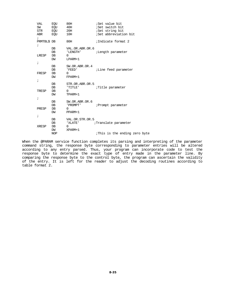| VAL                       | EQU         | 80H             | ;Set value bit               |
|---------------------------|-------------|-----------------|------------------------------|
|                           | SW EOU      | 40H             | ;Set switch bit              |
|                           | STR EQU 20H |                 | <i>Set</i> string bit        |
| $\ddot{i}$                | ABR EQU     | 10H             | ;Set abbreviation bit        |
| PRMTBL\$ DB<br>$\ddot{i}$ |             | 80H             | ;Indicate format 2           |
|                           | DB          | VAL.OR.ABR.OR.6 |                              |
|                           | DB          | 'LENGTH'        | ;Length parameter            |
| LRESP                     | DB          | $\Omega$        |                              |
|                           | DW          | LPARM+1         |                              |
| $\ddot{i}$                |             |                 |                              |
|                           | DB          | SW.OR.ABR.OR.4  |                              |
|                           | DB          | ' FEED '        | <i>i</i> Line feed parameter |
| FRESP                     | DB          | $\Omega$        |                              |
|                           | DW          | FPARM+1         |                              |
| $\cdot$                   |             |                 |                              |
|                           | DB          | STR.OR.ABR.OR.5 |                              |
|                           | DB          | 'TITLE'         | ;Title parameter             |
| TRESP                     | DB          | $\Omega$        |                              |
|                           | DW          | TPARM+1         |                              |
| $\cdot$                   |             |                 |                              |
|                           | DB          | SW.OR.ABR.OR.6  |                              |
|                           | DB          | ' PROMPT '      | ; Prompt parameter           |
| PRESP                     | DB          | $\Omega$        |                              |
|                           | DW          | PPARM+1         |                              |
| $\ddot{i}$                |             |                 |                              |
|                           | DB          | VAL.OR.STR.OR.5 |                              |
|                           | DB          | 'XLATE'         | ;Translate parameter         |
| XRESP                     | DB          | $\Omega$        |                              |
|                           | DW          | XPARM+1         |                              |
|                           | <b>NOP</b>  |                 | This is the ending zero byte |
|                           |             |                 |                              |

When the @PARAM service function completes its parsing and interpreting of the parameter command string, the response byte corresponding to parameter entries will be altered according to any entry parsed. Thus, your program can incorporate code to test the response byte to determine the exact type of entry made in the parameter line. By comparing the response byte to the control byte, the program can ascertain the validity of the entry. It is left for the reader to adjust the decoding routines according to table format 2.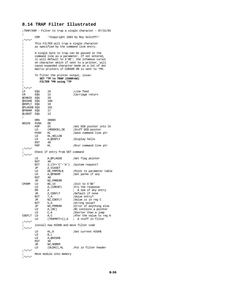## **8.14 TRAP Filter Illustrated**

;TRAP/ASM - Filter to trap a single character - 07/31/83 ; COM '<Copyright 1983 by Roy Soltoff>'  $; * = * = *$ ; This FILTER will trap a single character ; as specified by the command line entry. ; ; A single byte to trap can be passed in the ; command line as a parameter. If not entered, ; it will default to X'0E', the infamous cursor ; on character which if sent to a printer, will ; cause expanded character mode on a lot of dot<br>i matrix printers if CURSOR ON is sent to \*PR. matrix printers if CURSOR ON is sent to \*PR. ; ; To filter the printer output, issue: ; **SET \*TP to TRAP (CHAR=dd)** ; **FILTER \*PR using \*TP** ; ;\*=\*=\* EQU 10 ;Line feed<br>EQU 13 ;Carriage CR EQU 13 ;Carriage return<br>@CHNIO EOU 20 @CHNIO EQU 20<br>@HIGH\$ EQU 100 eHIGH\$ EQU 100<br>@DSPLY EOU 10 @DSPLY EQU 10  $@FLAGS$$  EQU @PARAM EQU 17<br>@LOGOT EQU 12  $@{\rm LOGOT}$  EQU ; ORG 3000H BEGIN PUSH DE POP IX POP IX ;Get DCB pointer into IX<br>
LD (MODDCB),DE ;Stuff DCB pointer LD (MODDCB), DE ; Stuff DCB pointer<br>PUSH HL ; Save command line PUSH HL ;Save command line ptr<br>
LD HL.HELLOS LD HL, HELLO\$<br>LD A, @DSPLY A,@DSPLY ;Display hello<br>40 RST 40<br>POP HL ; Rcvr command line ptr  $; * = * = *$ Check if entry from SET command  $; * = * = *$ LD A,@FLAGS\$ ;Get flag pointer<br>RST 40  $RST$ BIT 3, (IY+'C'-'A') ; System request? JP Z,VIASET<br>LD DE,PRMTBL\$ LD DE, PRMTBL\$ ; Point to parameter table<br>
LD A, @PARAM ; Get parms if any A, @PARAM ;Get parms if any 40  $RST$ JR NZ, PRMERR<br>CPARM LD BC, 14  $\begin{array}{lll} \text{LD} & \text{BC,14} & \text{.1init to X'OE'} \\ \text{LD} & \text{A, (CRESP)} & \text{.1} \end{array}$ LD  $A$ , (CRESP)  $iP/u$  the response<br>OR  $\overline{A}$   $i \overline{k}$  see if any ex-A  $; \& \text{see if any entry}$ JR Z, CDEFLT ;Default if none<br>BIT 7, A ;Value entry? BIT 7,A ;Value entry?<br>JR NZ.CDEFLT ;Value is in JR NZ, CDEFLT *;*Value is in reg C<br>RTT 5 A *:String value*? BIT 5, A ;String value?<br>JP NZ, PRMERR ;Error if anyt! JP NZ, PRMERR ; Error if anything else<br>
LD A, (BC) ; BC contains a pointer  $LD$   $A, (BC)$   $iBC$  contains a pointer<br> $LD$   $C.A$   $iShorter$  than a jump LD C,A ;Shorter than a jump<br>CDEFIT LD A.C ;Xfer the value to re LD  $A, C$  ; Xfer the value to reg A<br>
LD (TRAPBYT+1), A ; & stuff in filter  $;\;$  & stuff in filter  $;*=*=*$ ; install new HIGH\$ and move filter code ;\*=\*=\* LD HL, 0 ;Get current HIGH\$<br>LD B, L LD B,L A,@HIGH\$<br>40  $_{\mathrm{JR}}^{\mathrm{RST}}$ JR NZ, NOMEM<br>LD (OLDHI), HL ;Put in filter header  $; * = * = *$ Move module into memory  $; * = * = *$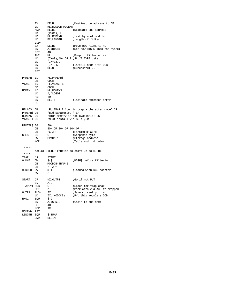|               | ЕX   | DE, HL                     | ;Destination address to DE                     |
|---------------|------|----------------------------|------------------------------------------------|
|               | LD   | HL, MODDCB-MODEND          |                                                |
|               | ADD  | HL, DE                     | Relocate one address                           |
|               | LD   | $(RX01)$ , HL              |                                                |
|               | LD   | HL , MODEND                | ;Last byte of module                           |
|               | LD   | BC, LENGTH                 | <i>i</i> Length of filter                      |
|               | LDDR |                            |                                                |
|               | ЕX   |                            | ;Move new HIGH\$ to HL                         |
|               |      | DE, HL                     |                                                |
|               | LD   | A,@HIGH\$                  | ;Set new HIGH\$ into the system                |
|               | RST  | 40                         |                                                |
|               | INC  | HЦ                         | ;Bump to filter entry                          |
|               | LD   |                            | (IX+0), 40H.OR.7 ; Stuff TYPE byte             |
|               | LD   | $(IX+1)$ ,L                |                                                |
|               | LD   | $(IX+2)$ , H               | ;Install addr into DCB                         |
|               | LD   | $HL$ , 0                   | ;Successful                                    |
|               | RET  |                            |                                                |
| i             |      |                            |                                                |
| PRMERR        | LD   | HL, PRMERR\$               |                                                |
|               | DB   | 0DDH                       |                                                |
| VIASET        | LD   | HL, VIASET\$               |                                                |
|               | DB   | 0DDH                       |                                                |
| NOMEM         | LD   | HL, NOMEMȘ                 |                                                |
|               | LD   | A, @LOGOT                  |                                                |
|               | RST  | 40                         |                                                |
|               | LD   | HL,-1                      | ;Indicate extended error                       |
|               | RET  |                            |                                                |
|               |      |                            |                                                |
| $\cdot$       |      |                            |                                                |
| HELLO\$       | DB   |                            | LF, 'TRAP filter to trap a character code', CR |
| PRMERR\$ DB   |      | 'Bad parameters!', CR      |                                                |
| NOMEM\$       | DB   |                            | 'High memory is not available!', CR            |
| VIASET\$ DB   |      | 'Must install via SET!',CR |                                                |
| i             |      |                            |                                                |
| PRMTBL\$ DB   |      | 80H                        |                                                |
|               | DB   | 80H.OR.20H.OR.10H.OR.4     |                                                |
|               | DB   | 'CHAR'                     | ;Parameter word                                |
| CRESP         | DB   | 0                          | Response byte                                  |
|               | DW   | CPARM+1                    | ;Storage address                               |
|               | NOP  |                            | ;Table end indicator                           |
| i             |      |                            |                                                |
| $;*****$      |      |                            |                                                |
| $\ddot{i}$    |      |                            | Actual FILTER routine to shift up to HIGH\$    |
| $;****$       |      |                            |                                                |
| TRAP          | JR   | START                      |                                                |
| OLDHI         | DW   | \$-\$                      | HIGH\$ before filtering                        |
|               |      |                            |                                                |
|               | DB   | MODDCB-TRAP-5              |                                                |
|               | DB   | 'TRAP'                     |                                                |
| <b>MODDCB</b> | DW   | \$-\$                      | <i>i</i> Loaded with DCB pointer               |
|               | DW   | 0                          |                                                |
| ï             |      |                            |                                                |
| START         | JR.  | NZ, OUTP1                  | ;Go if not PUT                                 |
|               | LD   | A,C                        |                                                |
| TRAPBYT SUB   |      | 0                          | Space for trap char                            |
|               | RET  | Ζ                          | ;Back with Z & A=0 if trapped                  |
| OUTP1         | PUSH | IΧ                         | Save current pointer                           |
|               | LD   | IX, (MODDCB)               | :P/u this module's DCB                         |
| RX01          | EQU  | \$-2                       |                                                |
|               | LD   | A,@CHNIO                   | Chain to the next                              |
|               | RST  | 40                         |                                                |
|               | POP  | ΙX                         |                                                |
| MODEND        | RET  |                            |                                                |
| LENGTH        | EQU  | \$-TRAP                    |                                                |
|               | END  | BEGIN                      |                                                |
|               |      |                            |                                                |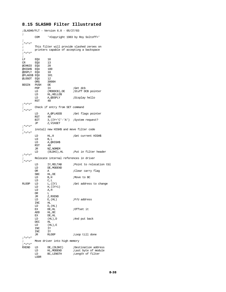# **8.15 SLASH0 Filter Illustrated**

| ÷                          |           | :SLASH0/FLT - Version 6.0 - 05/27/83    |                                                            |
|----------------------------|-----------|-----------------------------------------|------------------------------------------------------------|
| ï                          | COM       |                                         | ' <copyright 1983="" by="" roy="" soltoff="">'</copyright> |
| $7 * = * = *$              |           |                                         |                                                            |
| ï                          |           |                                         | This filter will provide slashed zeroes on                 |
| ÷                          |           |                                         | printers capable of accepting a backspace                  |
| ;*=*=*                     |           |                                         |                                                            |
| ï                          |           |                                         |                                                            |
| LF                         | EQU       | 10                                      |                                                            |
| CR                         | EQU       | 13                                      |                                                            |
| @CHNIO                     | EQU       | 20                                      |                                                            |
| @HIGH\$                    | EQU       | 100                                     |                                                            |
| @DSPLY EQU                 |           | 10<br>101                               |                                                            |
| @FLAGS\$ EQU<br>@LOGOT EQU |           | 12                                      |                                                            |
|                            | ORG       | 3000H                                   |                                                            |
| BEGIN                      | PUSH      | DE                                      |                                                            |
|                            | POP       | IΧ                                      | ;Get dcb                                                   |
|                            | LD        | (MODDCB), DE                            | ;Stuff DCB pointer                                         |
|                            | LD        | HL, HELLO\$                             |                                                            |
|                            | LD        | A,@DSPLY                                | ;Display hello                                             |
|                            | RST       | 40                                      |                                                            |
| ;*=*=*<br>÷                |           | Check if entry from SET command         |                                                            |
| ;*=*=*                     |           |                                         |                                                            |
|                            | LD        | A,@FLAGS\$                              | Get flags pointer                                          |
|                            | RST       | 40                                      |                                                            |
|                            | BIT       |                                         | $3.(IY+'C'-'A')$ ; System request?                         |
|                            | JP        | Z, VIASET                               |                                                            |
| ;*=*=*                     |           |                                         |                                                            |
| $\mathbf{r}$<br>;*=*=*     |           | install new HIGH\$ and move filter code |                                                            |
|                            | LD        | $HL$ , 0                                | ;Get current HIGH\$                                        |
|                            | LD        | B,L                                     |                                                            |
|                            | LD        | A,@HIGH\$                               |                                                            |
|                            | RST       | 40                                      |                                                            |
|                            | JR        | NZ, NOMEM                               |                                                            |
|                            | LD        |                                         | (OLDHI), HL : Put in filter header                         |
| $;* = * = *$               |           | Relocate internal references in driver  |                                                            |
| ;*=*=*                     |           |                                         |                                                            |
|                            | LD        | IY, RELTAB                              | Point to relocation tbl?                                   |
|                            | LD        | DE, MODEND                              |                                                            |
|                            | 0R        | Α                                       | ;Clear carry flag                                          |
|                            | SBC<br>LD | HL, DE<br>B,H                           | Move to BC                                                 |
|                            | LD        | C, L                                    |                                                            |
| <b>RLOOP</b>               | LD        | L, (IY)                                 | ;Get address to change                                     |
|                            | LD        | $H,(IY+1)$                              |                                                            |
|                            | LD        | A,H                                     |                                                            |
|                            | OR        | ⊥                                       |                                                            |
|                            | JR        | Z,RXEND                                 |                                                            |
|                            | LD        | $E$ , $(HL)$                            | P/U address;                                               |
|                            | INC       | ΗL                                      |                                                            |
|                            | LD<br>ЕX  | D, (HL)<br>DE, HL                       | Offset it                                                  |
|                            | ADD       | HL, BC                                  |                                                            |
|                            | ЕX        | DE, HL                                  |                                                            |
|                            | LD        | $(HL)$ , D                              | ; And put back                                             |
|                            | DEC       | ΗL                                      |                                                            |
|                            | LD        | $(HL)$ , $E$                            |                                                            |
|                            | INC       | IΥ                                      |                                                            |
|                            | INC       | IΥ                                      |                                                            |
|                            | JR        | <b>RLOOP</b>                            | ;Loop till done                                            |
| $7* = * = *$               |           |                                         |                                                            |
| i.<br>$7 * = * = *$        |           | Move driver into high memory            |                                                            |
| RXEND                      | LD        | DE, (OLDHI)                             | ;Destination address                                       |
|                            | LD        | HL , MODEND                             | ¡Last byte of module                                       |
|                            | LD        | BC, LENGTH                              | <i>i</i> Length of filter                                  |
|                            | LDDR      |                                         |                                                            |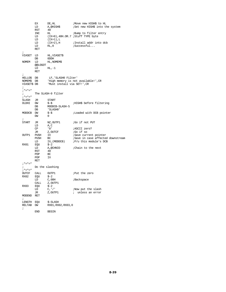EX DE, HL ; Move new HIGH\$ to HL<br>
LD A,@HIGH\$ ; Set new HIGH\$ into th A, $@$ HIGH\$  $\overline{5}$  ; Set new HIGH\$ into the system 40 RST 40<br>INC HL INC HL ;Bump to filter entry<br>LD (IX+0).40H.OR.7 ;Stuff TYPE byte  $(IX+0)$ , 40H.OR.7 ; Stuff TYPE byte LD (IX+1),L LD  $(IX+2),H$  ;Install addr into dcb<br>LD  $HL$ ,0 ;Successful...  $i$ Successful... RET ;<br>VIASET LD LD HL,VIASET\$<br>DB 0DDH DB 0DDH<br>NOMEM LD HL, NC HL, NOMEM\$ @@LOGOT  $HL$ , $-1$  RET ;<br>HELLO\$ DB HELLO\$ DB LF,'SLASHO Filter'<br>NOMEM\$ DB 'High memory is not NOMEM\$ DB 'High memory is not available!',CR 'Must install via SET!', CR ;  $; * = * = *$ <br>; The SLASH-0 filter  $; * = * = *$ SLASH JR START<br>OLDHI DW \$-\$ DW  $$-\$$ <br>DB MODDCB-SLASH-5 ;HIGH\$ before filtering DB MODDCB-SLASH-5<br>DB 'SLASH0' DB 'SLASH0'<br>MODDCB DW \$-\$ MODDCB DW \$-\$ ;Loaded with DCB pointer  ${\rm\textsf{DW}}$ ;<br>START JR NZ, OUTP1 ;Go if not PUT LD A, C  $\begin{array}{ccc}\nLD & A, C \\
CP & 0\n\end{array}$ CP  $'0'$  ;ASCII zero?<br>JR Z,OUTCF ;Go if so JR Z,OUTCF ;Go if so<br>OUTP1 PUSH IX ;Save curr PUSH IX ; Save current pointer<br>PUSH BC ; Save in case affected PUSH BC ; Save in case affected downstream<br>
LD IX, (MODDCB) ; P/u this module's DCB LD IX, (MODDCB)  $iP/u$  this module's DCB EOU  $S-2$  $RX01$  EQU  $\begin{array}{c} 2 \\ 5-2 \\$  LD  $A, \text{@CHNIO} \end{array}$ A, @CHNIO  $\therefore$  Chain to the next 40 RST 40<br>POP BC POP BC<br>POP IX **POP**  RET  $;* = * = *$ ; Do the slashing ; \*=\*=\*<br>OUTCF CALL OUTP1 ;<br>Put the zero  $EQU$   $\qquad$ <br> $\qquad$   $\qquad$   $\qquad$   $\qquad$ RX02 EQU \$-2  $\begin{tabular}{ll} \tt LD & C,08H & \tt iBackspace \\ \tt CALL & Z,OUTP1 & \tt \end{tabular}$ CALL  $Z$ , OUTP1<br>RX03 EQU  $$-2$  $\begin{array}{lll} \text{EQU} & \quad \ \ \, \${\text -}2 \\ \text{LD} & \quad \ \ \, {\text C}\, ,\, \text{'}\, / \text{'} \end{array}$ LD  $C,'/'$  ;Now put the slash JR  $Z,$  OUTP1 ; unless an error ; unless an error MODEND RET ; LENGTH EQU \$-SLASH<br>RELTAB DW RX01,RX0 RX01, RX02, RX03, 0 ; END BEGIN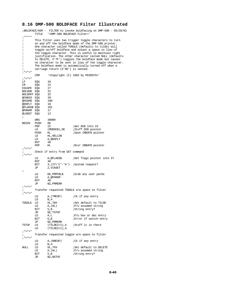# **8.16 DMP-500 BOLDFACE Filter Illustrated**

|                               | TITLE      | ' <dmp-500 boldface="" filter="">'</dmp-500> | ;BOLDFACE/ASM - FILTER to invoke boldfacing on DMP-500 - 03/20/83                                                  |
|-------------------------------|------------|----------------------------------------------|--------------------------------------------------------------------------------------------------------------------|
| $;*****$<br>$\cdot$           |            |                                              | This filter uses two trigger toggle characters to turn                                                             |
| $\ddot{ }$                    |            |                                              | on and off the boldface mode of the DMP-500 printer.                                                               |
| $\ddot{ }$                    |            |                                              | One character called TOGGLE (defaults to tilde) will                                                               |
| $\cdot$                       |            |                                              | toggle on/off boldface and output a space in lieu of                                                               |
| $\ddot{ }$                    |            |                                              | the toggle character. This is useful to maintain right                                                             |
| $\mathbf{\dot{.}}$<br>$\cdot$ |            |                                              | justification. The other character called NULL (defaults<br>to DELETE, X'7F') toggles the boldface mode but causes |
| ÷                             |            |                                              | no character to be sent in lieu of the toggle character.                                                           |
| $\cdot$                       |            |                                              | The boldface mode is automatically turned off when a                                                               |
| i                             |            | carriage return (X'OD') is sensed.           |                                                                                                                    |
| $7* = * = *$                  |            |                                              |                                                                                                                    |
| $7* = * = *$                  | <b>COM</b> |                                              | ' <copyright (c)="" 1983="" by="" misosys="">'</copyright>                                                         |
| LF                            | EQU        | 10                                           |                                                                                                                    |
| CR                            | EQU        | 13                                           |                                                                                                                    |
| ESCAPE                        | EQU        | 27                                           |                                                                                                                    |
| BOLDON EQU                    |            | 31                                           |                                                                                                                    |
| BOLDOFF EQU                   |            | 32                                           |                                                                                                                    |
| @CHNIO                        | EQU        | 20<br>100                                    |                                                                                                                    |
| @HIGH\$<br>@DSPLY EQU         | EQU        | 10                                           |                                                                                                                    |
| @FLAGS\$ EQU                  |            | 101                                          |                                                                                                                    |
| @PARAM EQU                    |            | 17                                           |                                                                                                                    |
| @LOGOT                        | EQU        | 12                                           |                                                                                                                    |
| i                             | ORG        | 3000H                                        |                                                                                                                    |
| BEGIN                         | PUSH       | DE                                           |                                                                                                                    |
|                               | POP        | IΧ                                           | ;Get DCB into IX                                                                                                   |
|                               | LD         | (MODDCB), DE                                 | Stuff DCB pointer                                                                                                  |
|                               | PUSH       | HЦ                                           | ;Save INBUF\$ pointer                                                                                              |
|                               | LD         | HL, HELLOȘ                                   |                                                                                                                    |
|                               | LD         | A,@DSPLY                                     |                                                                                                                    |
|                               | RST        | 40                                           |                                                                                                                    |
| $7* = * = *$                  | POP        | HЬ                                           | ;Rcvr INBUF\$ pointer                                                                                              |
| $\ddot{i}$                    |            | Check if entry from SET command              |                                                                                                                    |
|                               |            |                                              |                                                                                                                    |
|                               | LD         | A,@FLAGS\$                                   | <i>Get</i> flags pointer into IY                                                                                   |
|                               | RST<br>BIT | 40                                           | $3$ , $(IV+IC'-'A')$ ; System request?                                                                             |
|                               | JΡ         | Z, VIASET                                    |                                                                                                                    |
| $\cdot$                       |            |                                              |                                                                                                                    |
|                               | LD         | DE, PRMTBL\$                                 | ;Grab any user parms                                                                                               |
|                               | LD         | A, @PARAM                                    |                                                                                                                    |
|                               | RST        | 40                                           |                                                                                                                    |
|                               | JΡ         | NZ, PRMERR                                   |                                                                                                                    |
| $7* = * = *$                  |            |                                              |                                                                                                                    |
| ;*=*=*                        |            |                                              | Transfer requested TOGGLE e/w space to filter                                                                      |
|                               | LD<br>LD   | A, (TRESP)<br>B,A                            | ;Ck if any entry                                                                                                   |
| TOGGLE                        | LD         | HL, 7EH                                      | Set default to TILDE                                                                                               |
|                               | LD         | A, (HL)                                      | $iP/u$ assumed string                                                                                              |
|                               | BIT        | 5, B                                         | ;String entry?                                                                                                     |
|                               | JR         | NZ, TSTUF                                    |                                                                                                                    |
|                               | LD<br>BIT  | A,L<br>6, B                                  | $iP/u$ hex or dec entry<br>; Error if switch entry                                                                 |
|                               | JP         | NZ, PRMERR                                   |                                                                                                                    |
| TSTUF                         | LD         | (TILDE1+1),A                                 | ;Stuff it in there                                                                                                 |
|                               | LD         | $(TILDE2+1)$ , A                             |                                                                                                                    |
| $7* = * = *$                  |            |                                              |                                                                                                                    |
| ÷<br>$7* = * = *$             |            |                                              | Transfer requested toggle w/o space to filter                                                                      |
|                               | LD         | A, (NRESP)                                   | :Ck if any entry                                                                                                   |
|                               | LD         | B,A                                          |                                                                                                                    |
| NULL                          | LD         | HL,7FH                                       | Set default to DELETE                                                                                              |
|                               | LD         | A, (HL)                                      | $iP/u$ assumed string                                                                                              |
|                               | BIT        | 5, B                                         | ;String entry?                                                                                                     |
|                               | JR         | NZ,NSTUF                                     |                                                                                                                    |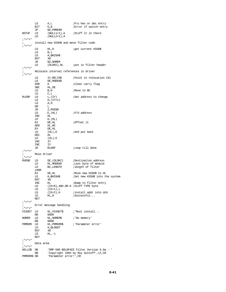|                              | LD<br>BIT   | A,L<br>6, B                             | iP/u hex or dec entry<br>Error if switch entry                 |
|------------------------------|-------------|-----------------------------------------|----------------------------------------------------------------|
|                              | JP          | NZ, PRMERR                              |                                                                |
| NSTUF                        | LD<br>LD    | (NULL1+1),A<br>$(MULL2+1)$ , A          | ;Stuff it in there                                             |
| $7* = * = *$                 |             |                                         |                                                                |
| $\mathbf{r}$<br>$7* = * = *$ |             | install new HIGH\$ and move filter code |                                                                |
|                              | LD          | HL,0                                    | <i>i</i> get current HIGH\$                                    |
|                              | LD          | B,L                                     |                                                                |
|                              | LD          | A,@HIGH\$                               |                                                                |
|                              | RST<br>JR   | 40                                      |                                                                |
|                              | LD          | NZ, NOMEM                               |                                                                |
| $7* = * = *$                 |             |                                         |                                                                |
| $\ddot{i}$<br>$7* = * = *$   |             | Relocate internal references in driver  |                                                                |
|                              | LD          | IY, RELTAB                              | Point to relocation tbl                                        |
|                              | LD<br>XOR   | DE, MODEND<br>Α                         | ;Clear carry flag                                              |
|                              | SBC         | HL, DE                                  |                                                                |
|                              | LD          | B,H                                     | <i>i</i> Move to BC                                            |
|                              | LD          | C,L                                     |                                                                |
| <b>RLOOP</b>                 | LD          | L, (IY)                                 | ;Get address to change                                         |
|                              | LD          | $H, (IY+1)$                             |                                                                |
|                              | LD          | A,H                                     |                                                                |
|                              | OR.         | L                                       |                                                                |
|                              | JR          | Z, RXEND                                |                                                                |
|                              | LD          | $E$ , $(HL)$                            | ;P/U address                                                   |
|                              | INC         | HЬ                                      |                                                                |
|                              | LD          | $D$ , $(HL)$                            |                                                                |
|                              | ЕX          | DE, HL                                  | :Offset it                                                     |
|                              | ADD         | HL, BC                                  |                                                                |
|                              | ЕX          | DE, HL                                  |                                                                |
|                              | LD          | $(HL)$ , $D$                            | ; And put back                                                 |
|                              | DEC         | ΗL                                      |                                                                |
|                              | LD          | $(HL)$ , $E$<br>IY                      |                                                                |
|                              | INC<br>INC  | IY                                      |                                                                |
|                              | JR          | <b>RLOOP</b>                            | <i>i</i> Loop till done                                        |
| $7* = * = *$                 |             |                                         |                                                                |
| i.                           | Move driver |                                         |                                                                |
| $7 * = * = *$                |             |                                         |                                                                |
| RXEND                        | LD          | DE,(OLDHI)                              | ;Destination address                                           |
|                              | LD          | HL , MODEND                             | <i>i</i> Last byte of module                                   |
|                              | LD          | BC, LENGTH                              | ilength of filter                                              |
|                              | LDDR        |                                         |                                                                |
|                              | ЕX          | DE, HL                                  | ;Move new HIGH\$ to HL                                         |
|                              | LD          | A,@HIGH\$                               | ;Set new HIGH\$ into the system                                |
|                              | RST<br>INC  | 40<br>HЬ                                |                                                                |
|                              | LD          |                                         | ;Bump to filter entry<br>$(IX+0)$ , 40H.OR.6 ; Stuff TYPE byte |
|                              | LD          | $(LX+1)$ , L                            |                                                                |
|                              | LD          | $(IX+2)$ , H                            | ;install addr into dcb                                         |
|                              | LD          | HL,0                                    | ;Successful                                                    |
|                              | RET         |                                         |                                                                |
| $7* = * = *$                 |             |                                         |                                                                |
| $\ddot{i}$                   |             | Error message handling                  |                                                                |
| $7 * = * = *$                |             |                                         |                                                                |
| VIASET                       | LD<br>DB    | HL, VIASETȘ<br>0DDH                     | ; Must install                                                 |
| <b>NOMEM</b>                 | LD          | HL, NOMEMȘ                              | ; 'No memory'                                                  |
|                              | DB          | 0DDH                                    |                                                                |
| PRMERR                       | LD          | HL, PRMERR\$                            | ; 'Parameter error'                                            |
|                              | LD          | A, @LOGOT                               |                                                                |
|                              | RST         | 40                                      |                                                                |
|                              | LD          | $HL, -1$                                |                                                                |
|                              | RET         |                                         |                                                                |
| $7* = * = *$<br>$\ddot{i}$   |             |                                         |                                                                |
| $7* = * = *$                 | Data area   |                                         |                                                                |
| HELLO\$                      | DB          |                                         | 'DMP-500 BOLDFACE Filter Version 6.0a - '                      |
|                              | DB          |                                         | 'Copyright 1983 by Roy Soltoff', LF, CR                        |
| PRMERR\$ DB                  |             | 'Parameter error!', CR                  |                                                                |
|                              |             |                                         |                                                                |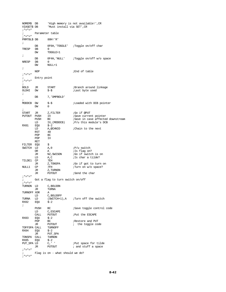| NOMEM\$<br>$7 * = * = *$                    | DB              | VIASET\$ DB     'Must install via SET',CR | 'High memory is not available!',CR                         |
|---------------------------------------------|-----------------|-------------------------------------------|------------------------------------------------------------|
| $\mathbf{r}$<br>$7* = * = *$                | Parameter table |                                           |                                                            |
| PRMTBL\$DB<br>$\ddot{i}$                    |                 | 80H!'R'                                   |                                                            |
|                                             | DB              |                                           | 0F6H, 'TOGGLE' ;Toggle on/off char                         |
| TRESP                                       | DB<br>DW        | 0<br>TOGGLE+1                             |                                                            |
| $\ddot{ }$                                  |                 |                                           |                                                            |
| NRESP                                       | DB<br>DB        | 0                                         | OF4H, 'NULL' :Toggle on/off w/o space                      |
|                                             | DW              | NULL+1                                    |                                                            |
| $\ddot{i}$                                  |                 |                                           |                                                            |
|                                             | NOP             |                                           | ;End of table                                              |
| $7* = * = *$                                |                 |                                           |                                                            |
| $\mathbf{r}$<br>$7 * = * = *$<br>$\ddot{i}$ | Entry point     |                                           |                                                            |
| BOLD                                        | JR              | START                                     | ;Branch around linkage                                     |
| OLDHI<br>ï                                  | DW              | $$-$$                                     | Last byte used                                             |
| ï                                           | DB              | 7, 'DMPBOLD'                              |                                                            |
| MODDCB                                      | DW              | \$-\$                                     | <i>loaded</i> with DCB pointer                             |
|                                             | DW              | 0                                         |                                                            |
| ï                                           |                 |                                           |                                                            |
| START                                       | JR              | Z,FILTER                                  | ;Go if @PUT                                                |
| PUTOUT                                      | PUSH<br>PUSH    | IΧ<br>BC                                  | ;Save current pointer<br>;Save in case affected downstream |
|                                             | LD              | IX, (MODDCB)                              | :P/u this module's DCB                                     |
| RX01                                        | EQU             | $$ -2$                                    |                                                            |
|                                             | LD              | A,@CHNIO                                  | :Chain to the next                                         |
|                                             | RST             | 40                                        |                                                            |
|                                             | POP             | BC                                        |                                                            |
|                                             | POP             | ΙX                                        |                                                            |
| FILTER EQU                                  | RET             | \$                                        |                                                            |
| SWITCH LD                                   |                 | A, 0                                      | <i>i</i> P/u switch                                        |
|                                             | OR              | Α                                         | ;Is flag on?                                               |
|                                             | JR              | NZ,SWISON                                 | ;Go if switch is on                                        |
|                                             | LD              | A,C                                       | ;Is char a tilde?                                          |
| TILDE1                                      | CP              | 7EH                                       |                                                            |
| NULL1                                       | JR<br>CP.       | Z,TONSPA<br>7FH                           | <i>i</i> Go if got to turn on<br>:Turn on w/o space?       |
|                                             | JR              | Z, TURNON                                 |                                                            |
|                                             | JR              | PUTOUT                                    | ;Send the char                                             |
|                                             |                 |                                           |                                                            |
| i.                                          |                 | Got a flag to turn switch on/off          |                                                            |
| $7 * = * = *$                               |                 |                                           |                                                            |
| TURNON                                      | LD<br>JR        | C, BOLDON<br>TURNA                        |                                                            |
| TURNOFF XOR                                 |                 | Α                                         |                                                            |
|                                             | LD              | C, BOLDOFF                                |                                                            |
| TURNA                                       | LD              |                                           | (SWITCH+1), A ; Turn off the switch                        |
| RX02                                        | EOU             | $$-2$                                     |                                                            |
| ÷                                           |                 |                                           |                                                            |
|                                             | PUSH<br>LD      | BC<br>C, ESCAPE                           | ;Save toggle control code                                  |
|                                             | CALL            | PUTOUT                                    | Put the ESCAPE                                             |
| RX03                                        | EQU             | $$-2$                                     |                                                            |
|                                             | POP             | BC                                        | Restore and PUT                                            |
|                                             | JR              | PUTOUT                                    | ; the toggle code                                          |
| TOFFSPA CALL                                |                 | TURNOFF                                   |                                                            |
| RX04                                        | EQU             | $$-2$                                     |                                                            |
| TONSPA                                      | JR<br>CALL      | PUT_SPA<br>TURNON                         |                                                            |
| RX05                                        | EQU             | $$ -2$                                    |                                                            |
| PUT_SPA LD                                  |                 | C, '                                      | Put space for tilde                                        |
|                                             | JR              | PUTOUT                                    | ; and stuff a space                                        |
| $7* = * = *$                                |                 |                                           |                                                            |
| $\mathbf{r}$<br>$7 * = * = *$               |                 | Flag is on - what should we do?           |                                                            |
|                                             |                 |                                           |                                                            |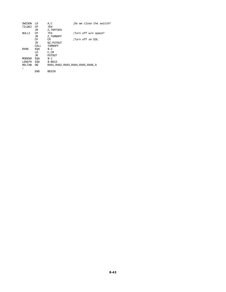| SWISON        | LD    | A,C           | ;Do we close the switch?              |
|---------------|-------|---------------|---------------------------------------|
| TILDE2        | CP    | 7EH           |                                       |
|               | JR    | Z, TOFFSPA    |                                       |
| NULL2         | CP    | 7FH           | ;Turn off w/o space?                  |
|               | JR    | Z, TURNOFF    |                                       |
|               | CP    | CR.           | ;Turn off on EOL                      |
|               | JR    | NZ, PUTOUT    |                                       |
|               | CALL. | TURNOFF       |                                       |
| RX06          | EOU   | $S - 2$       |                                       |
|               | LD    | C,CR          |                                       |
|               | JR.   | <b>PUTOUT</b> |                                       |
| MODEND        | EOU   | $S-1$         |                                       |
| LENGTH        | EOU   | $$-BOLD$      |                                       |
| <b>RELTAB</b> | DW    |               | RX01, RX02, RX03, RX04, RX05, RX06, 0 |
| ÷             |       |               |                                       |
|               | END   | <b>BEGIN</b>  |                                       |
|               |       |               |                                       |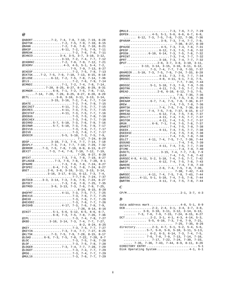# *@*

| @ABORT 7-2, 7-4, 7-8, 7-10, 7-19,                            |  |  |  |  |  |  |           |           |                  |           |                      |
|--------------------------------------------------------------|--|--|--|--|--|--|-----------|-----------|------------------|-----------|----------------------|
|                                                              |  |  |  |  |  |  |           |           |                  |           | $8 - 28$             |
| @ADTSK7-2, 7-5, 7-9, 7-10,                                   |  |  |  |  |  |  |           |           |                  |           | 8-15                 |
| @BANK 7-2, 7-6, 7-8, 7-10,                                   |  |  |  |  |  |  |           |           |                  |           | 8-21                 |
|                                                              |  |  |  |  |  |  |           |           |                  |           |                      |
|                                                              |  |  |  |  |  |  |           |           |                  |           | $7 - 11$             |
| @BREAK7-2, 7-6, 7-8,                                         |  |  |  |  |  |  |           |           |                  |           | 7-11                 |
| @CHNIO 3-4, 3-5, 3-7, 3-10,                                  |  |  |  |  |  |  |           |           |                  |           | $3 - 12$ ,           |
|                                                              |  |  |  |  |  |  |           |           |                  |           |                      |
| . 3-13, 7-2, 7-4, 7-7,                                       |  |  |  |  |  |  |           |           |                  |           | $7 - 12$             |
| @CKBRKC7-2, 7-6, 7-9, 7-12,<br>@CKDRV4-3, 4-5, 5-1, 5-4,     |  |  |  |  |  |  |           |           |                  |           | $7 - 21$             |
|                                                              |  |  |  |  |  |  |           |           |                  |           | $7 - 2$ ,            |
|                                                              |  |  |  |  |  |  |           |           |                  |           |                      |
|                                                              |  |  |  |  |  |  |           |           |                  |           | $8 - 27$             |
|                                                              |  |  |  |  |  |  |           |           |                  | $7 - 8$ , | $7 - 13$             |
| @CKTSK7-2, 7-5, 7-9, 7-10, 7-13,                             |  |  |  |  |  |  |           |           | $8 - 15$ ,       |           | $8 - 18$             |
|                                                              |  |  |  |  |  |  |           |           |                  |           |                      |
| @CLOSE $6-12$ , $7-2$ , $7-5$ , $7-8$ ,                      |  |  |  |  |  |  |           |           | $7 - 14$ ,       |           | $7 - 36$             |
|                                                              |  |  |  |  |  |  |           |           |                  |           | $7 - 14$             |
| @CMNDI 7-1, 7-2, 7-4, 7-8,                                   |  |  |  |  |  |  |           |           |                  |           | $7 - 14$ ,           |
| $\ldots \ldots \ldots \ldots 7-20$ , 8-25, 8-27, 8-28, 8-29, |  |  |  |  |  |  |           |           |                  |           |                      |
|                                                              |  |  |  |  |  |  |           |           |                  |           | 8-31                 |
| @CMNDR6-8, 7-1, 7-2, 7-5, 7-8,                               |  |  |  |  |  |  |           |           |                  |           | $7 - 12$ ,           |
| 7-14, 7-20, 7-26, 8-25, 8-27, 8-28,                          |  |  |  |  |  |  |           |           |                  |           | $8 - 29$             |
| @CTL3-8, 3-10, 3-11, 3-13,                                   |  |  |  |  |  |  |           |           |                  |           | $3 - 14$ ,           |
|                                                              |  |  |  |  |  |  |           |           |                  |           |                      |
| $\ldots \ldots \ldots \ldots 3-15, 3-16, 7-2, 7-4, 7-7,$     |  |  |  |  |  |  |           |           |                  |           | $7 - 14$             |
|                                                              |  |  |  |  |  |  |           | $7 - 4$ , |                  | $7 - 9$ , | $7 - 15$             |
| $@DCINIT \ldots \ldots \ldots \ldots \ldots 4-11, 7-2,$      |  |  |  |  |  |  |           | $7 - 5$ , |                  | $7 - 7$ , | $7 - 15$             |
| $@DCRES$ 4-11,                                               |  |  |  |  |  |  | $7 - 3$ , | $7 - 5$ , |                  | $7 - 7$ , |                      |
|                                                              |  |  |  |  |  |  |           |           |                  |           | $7 - 15$             |
| @DCSTAT 4-11, 7-3,                                           |  |  |  |  |  |  |           | $7 - 5$ , |                  | $7 - 7$ , | $7 - 16$             |
| @DEBUG7-3,                                                   |  |  |  |  |  |  |           | $7 - 5$ , |                  | $7 - 8$ , | $7 - 16$             |
|                                                              |  |  |  |  |  |  |           | $7 - 6$ , |                  | $7 - 7$ , | $7 - 16$             |
|                                                              |  |  |  |  |  |  |           |           |                  |           |                      |
| @DIRRD5-7, 5-10, 7-3,                                        |  |  |  |  |  |  |           | $7 - 6$ , |                  | $7 - 9$ , | $7 - 16$             |
| @DIRWR5-7, 5-10, 7-3,                                        |  |  |  |  |  |  |           | $7 - 6$ , |                  | $7 - 9$ , | $7 - 17$             |
| $@DIV16 \ldots \ldots \ldots \ldots \ldots \ldots \ 7-3,$    |  |  |  |  |  |  |           | $7 - 6$ , |                  | $7 - 7$ , | $7 - 17$             |
|                                                              |  |  |  |  |  |  |           | $7 - 6$ , |                  | $7 - 7$ , | $7 - 17$             |
|                                                              |  |  |  |  |  |  |           |           |                  |           |                      |
| @DODIR5-5, 5-10, 7-3, 7-5,                                   |  |  |  |  |  |  |           |           |                  |           | $7 - 9$ ,            |
|                                                              |  |  |  |  |  |  |           |           | $7 - 24$ ,       |           | $8 - 28$             |
|                                                              |  |  |  |  |  |  |           |           |                  |           | $7 - 18$             |
|                                                              |  |  |  |  |  |  |           |           |                  |           | $7 - 32$             |
|                                                              |  |  |  |  |  |  |           |           |                  |           |                      |
|                                                              |  |  |  |  |  |  |           |           |                  |           | $8 - 27$             |
|                                                              |  |  |  |  |  |  |           |           |                  |           |                      |
|                                                              |  |  |  |  |  |  |           |           |                  |           | $7 - 19,$            |
|                                                              |  |  |  |  |  |  |           |           |                  |           |                      |
|                                                              |  |  |  |  |  |  |           |           |                  |           | $8 - 28$             |
| @FEXT7-3, 7-5, 7-8,                                          |  |  |  |  |  |  |           |           | $7 - 19$ ,       |           | $8 - 27$             |
| @FLAGS\$ 7-3, 7-6, 7-8, 7-9, 7-20, 8-1                       |  |  |  |  |  |  |           |           |                  |           |                      |
|                                                              |  |  |  |  |  |  |           |           |                  |           |                      |
| @FNAME7-3, 7-6, 7-8, 7-24,                                   |  |  |  |  |  |  |           |           |                  |           | $8 - 27$             |
| @FSPEC6-4, 7-3, 7-5, 7-8, 7-24,                              |  |  |  |  |  |  |           |           |                  |           | $8 - 27$             |
|                                                              |  |  |  |  |  |  |           |           |                  |           | $3 - 14$ ,           |
| @GET 2-6, 3-8, 3-10, 3-11, 3-13,                             |  |  |  |  |  |  |           |           |                  |           | $7 - 4$ ,            |
| $\ldots \ldots \ldots \ldots 3-16, 3-17, 6-11,$              |  |  |  |  |  |  |           |           | $6 - 12, 7 - 3,$ |           |                      |
|                                                              |  |  |  |  |  |  |           |           |                  |           | $7 - 37$             |
| @GTDCB3-3, 3-14, 7-3, 7-6, 7-9, 7-24,                        |  |  |  |  |  |  |           |           |                  |           | $8 - 27$             |
| @GTDCT7-3, 7-6, 7-9, 7-25,                                   |  |  |  |  |  |  |           |           |                  |           | 7-35                 |
|                                                              |  |  |  |  |  |  |           |           |                  |           |                      |
| @GTMOD3-6, 3-13, 7-3, 7-6, 7-9, 7-25,                        |  |  |  |  |  |  |           |           |                  |           |                      |
|                                                              |  |  |  |  |  |  |           |           |                  |           | 8-14, 8-15, 8-28     |
| @HDFMT4-11, 7-3, 7-5, 7-7,                                   |  |  |  |  |  |  |           |           |                  |           | $7 - 25$             |
|                                                              |  |  |  |  |  |  |           |           | $7-6, 7-7,$      |           | $7 - 25$             |
|                                                              |  |  |  |  |  |  |           |           |                  |           |                      |
| @HEX8 7-3,                                                   |  |  |  |  |  |  |           | $7 - 6$ , |                  | $7 - 7$ , | $7 - 26$             |
| @HEXDEC                                                      |  |  |  |  |  |  |           |           |                  |           | $7 - 26$             |
| @HIGH\$ 4-17, 7-3, 7-6, 7-8,                                 |  |  |  |  |  |  |           |           |                  |           | $7 - 9$ ,            |
|                                                              |  |  |  |  |  |  |           |           |                  |           | $8 - 16$             |
|                                                              |  |  |  |  |  |  |           |           |                  |           |                      |
| @INIT5-1, 5-6, 5-12, 6-5, 6-6,                               |  |  |  |  |  |  |           |           |                  |           | $6 - 7$ ,            |
| . 6-8, 7-3, 7-5, 7-8,                                        |  |  |  |  |  |  |           |           | $7 - 26$ ,       |           | $7 - 36$             |
| @IPL  7-3, 7-4, 7-8,                                         |  |  |  |  |  |  |           |           |                  |           | $7 - 27$             |
|                                                              |  |  |  |  |  |  |           |           |                  |           |                      |
| @KBD3-10, 3-14, 7-3, 7-4, 7-7, 7-27,                         |  |  |  |  |  |  |           |           |                  |           |                      |
|                                                              |  |  |  |  |  |  |           |           | $8 - 24$ ,       |           | $8 - 25$             |
| @KEY7-3, 7-4, 7-7,                                           |  |  |  |  |  |  |           |           |                  |           | $7 - 27$             |
| @KEYIN7-3, 7-4, 7-7,                                         |  |  |  |  |  |  |           |           | $7 - 27$ ,       |           | $8 - 25$             |
|                                                              |  |  |  |  |  |  |           |           |                  |           | $8 - 17$             |
| @KLTSK7-3, 7-5, 7-9, 7-28, 8-15,                             |  |  |  |  |  |  |           |           |                  |           |                      |
| @LOAD6-9, 7-3, 7-5, 7-8, 7-22,                               |  |  |  |  |  |  |           |           |                  |           | $7 - 28, 8 - 7$      |
|                                                              |  |  |  |  |  |  |           |           |                  |           | $7 - 28$             |
| @LOF  7-3, 7-5, 7-8,                                         |  |  |  |  |  |  |           |           |                  |           | $7 - 28$             |
|                                                              |  |  |  |  |  |  |           |           |                  |           |                      |
| @LOGER 7-3, 7-4, 7-7, 7-28,                                  |  |  |  |  |  |  |           |           |                  |           | $7 - 29$             |
|                                                              |  |  |  |  |  |  |           |           |                  |           | $7 - 29$             |
| @MUL167-3, 7-6, 7-7,                                         |  |  |  |  |  |  |           |           |                  |           | $7 - 29$<br>$7 - 29$ |

| @MUL87-3, 7-6, 7-7,<br>@OPEN 4-5, 5-1,<br>$\ldots \ldots 6-12, 7-3, 7-5, 7-8,$ |            |                                              |                          | $5 - 6$ ,            | $6 - 6$ ,<br>$7 - 22$ , | $6 - 7$ .<br>$7 - 30$ , | $7 - 29$<br>$6 - 8$ ,<br>$7 - 36$ |
|--------------------------------------------------------------------------------|------------|----------------------------------------------|--------------------------|----------------------|-------------------------|-------------------------|-----------------------------------|
| @PARAM3-9, 7-3,                                                                |            |                                              |                          |                      | $7 - 4$ .               | $7 - 7$ ,<br>$8 - 27$ , | $7 - 9$ ,<br>$8 - 30$             |
| @PAUSE4-5, 7-3,                                                                |            |                                              |                          |                      | $7 - 4$ ,<br>$7 - 5$ ,  | $7 - 8$ .<br>$7 - 8$ ,  | $7 - 31$<br>$7 - 32$              |
| @POSN6-10, 6-14,                                                               |            |                                              |                          | $7 - 3$ ,            | $7 - 5$ ,               | $7 - 8$ ,               | $7 - 32$                          |
|                                                                                |            |                                              |                          |                      | $7 - 4$ ,               | $7 - 7$ ,               | $7 - 32$                          |
| @PRT3-10, 7-3,                                                                 |            |                                              |                          |                      |                         | $7 - 4$ , $7 - 7$ .     | $7 - 32$                          |
| @PUT2-6, $3-7$ , $3-8$ ,                                                       |            |                                              |                          |                      |                         | $3 - 10$ ,              | $3 - 11$ ,                        |
| .                                                                              |            | $3-13$ , $3-14$ , $3-15$ , $3-16$ , $6-11$ , |                          |                      |                         |                         | $6 - 12$ .                        |
| 7-3, 7-4, 7-7, 7-8, 7-33,                                                      |            |                                              |                          |                      |                         |                         | $7 - 37$                          |
| @RAMDIR5-10, 7-3, 7-5, 7-9,                                                    |            |                                              |                          |                      | $7 - 24, 7 - 33,$       | $7 - 5$ , $7 - 7$ ,     | $8 - 28$                          |
| @RDHDR4-11, 7-3,<br>@RDSEC4-8, 4-11, 5-1,                                      |            |                                              |                          |                      |                         | $7 - 3$ ,               | $7 - 34$<br>$7 - 5$ ,             |
|                                                                                |            |                                              |                          |                      |                         | $7 - 34$ ,              | $7 - 44$                          |
| @RDSSC5-1, 5-10,                                                               |            |                                              |                          |                      | $7 - 3$ , $7 - 6$ ,     | $7 - 9$ .               | $7 - 35$                          |
| @RDTRK4-11, 7-3, 7-5,                                                          |            |                                              |                          |                      |                         | $7 - 7$ ,               | $7 - 35$                          |
| @READ 2-6, 6-10, 6-12,                                                         |            |                                              |                          |                      |                         | $7 - 3$ ,               | $7 - 5$ ,                         |
| @REMOV7-3, 7-5,                                                                |            |                                              |                          |                      | $7 - 8$ ,               | $7 - 35.$<br>$7 - 8$ ,  | $7 - 36$                          |
| @RENAM6-7, 7-4, 7-5,                                                           |            |                                              |                          |                      | $7 - 8$ ,               | $7 - 36.$               | $7 - 36$<br>$8 - 27$              |
| @REW7-4, 7-5,                                                                  |            |                                              |                          |                      |                         | $7 - 8$ ,               | $7 - 36$                          |
| @RMTSK7-4, 7-5, 7-9,                                                           |            |                                              |                          |                      |                         | $7 - 36$ .              | $8 - 15$                          |
| @RPTSK7-4, 7-5, 7-9, 7-37,                                                     |            |                                              |                          |                      |                         | $8 - 15$ ,              | $8 - 17$                          |
| @RREAD  6-12, 7-4,                                                             |            |                                              |                          |                      | $7 - 5$ ,               | $7 - 8$ ,               | $7 - 37$                          |
| $@RSLCT \ldots \ldots \ldots \ldots \ldots 4-11,$                              |            |                                              |                          | $7 - 4,$             | $7 - 5$ .               | $7 - 7$ .               | $7 - 37$                          |
| $@RSTOR$ 4-11,<br>@RUN6-9, 7-1,                                                |            |                                              |                          | $7 - 4,$<br>$7 - 4,$ | $7 - 5$ .<br>$7 - 5$ .  | $7 - 7$ ,<br>$7 - 8$ ,  | $7 - 37$<br>$7 - 37$              |
|                                                                                |            |                                              |                          |                      | $7 - 5$ ,               | $7 - 8$ .               | $7 - 38$                          |
| @SEEK4-11, 7-4,                                                                |            |                                              |                          |                      | $7 - 5,$                | $7 - 7$ .               | $7 - 38$                          |
| @SEEKSC7-4,                                                                    |            |                                              |                          |                      | $7 - 5$ ,               | $7 - 8$ .               | $7 - 38$                          |
| @SKIP7-4,                                                                      |            |                                              |                          |                      | $7 - 5$ ,               | $7 - 8$ ,               | $7 - 38$                          |
| @SLCT4-11, 7-4, 7-5, 7-7,                                                      |            |                                              |                          |                      |                         | $7 - 39,$               | $7 - 44$                          |
| @STEPI 4-11, 7-4, 7-5,                                                         |            |                                              |                          |                      |                         | $7 - 6$ .               | $7 - 39$                          |
|                                                                                |            |                                              |                          |                      |                         | $7 - 7$ ,<br>$7 - 9$ .  | $7 - 39$<br>$7 - 40$              |
| @VDCTL 3-15, 7-4, 7-7, 7-8,                                                    |            |                                              |                          |                      |                         |                         | $7 - 9$                           |
|                                                                                |            |                                              |                          |                      | $7 - 5$ ,               | $7 - 8$ .               | $7 - 42$                          |
| @VRSEC $4-8$ .                                                                 | $4 - 11$ . |                                              | $5-2$ , $5-10$ , $7-4$ , |                      | $7 - 5$ ,               | $7 - 7$ .               | $7 - 42$                          |
| @WEOF 6-12, 7-4, 7-5,                                                          |            |                                              |                          |                      |                         | $7 - 8$ ,               | $7 - 43$                          |
|                                                                                |            |                                              |                          |                      |                         | $7 - 9$ ,               | $7 - 43$                          |
| @WRITE 2-6, 7-4, 7-5,                                                          |            |                                              |                          |                      | $7 - 38,$               | $7 - 8$ ,<br>$7 - 42,$  | $7 - 36$ ,<br>$7 - 43$            |
| @WRSEC4-11, 7-4, 7-5, 7-8,                                                     |            |                                              |                          |                      |                         | $7 - 43$ ,              | $7 - 44$                          |
| @WRSSC4-11, 5-1, 5-10, 7-4, 7-5, 7-8,                                          |            |                                              |                          |                      |                         |                         | $7 - 44$                          |
| @WRTRK4-11, 7-4, 7-5,                                                          |            |                                              |                          |                      |                         | $7 - 8$ ,               | $7 - 44$                          |
|                                                                                |            |                                              |                          |                      |                         |                         |                                   |

# *C*

```
CP/M .............................. 2-1, 3-7, 4-3
```
# *D*

| data address mark4-8, 5-1, 8-9                            |
|-----------------------------------------------------------|
| DCB2-2, 2-4, 3-1, 3-4, 3-7, 3-8,                          |
| $\ldots \ldots \ldots$ 3-9, 3-10, 3-11, 3-12, 3-14, 6-13, |
| 7-3, 7-6, 7-9, 7-15, 7-24, 8-15, 8-27                     |
| DCT2-2, 3-1, 4-1, 4-3, 4-14, 5-3,                         |
| 5-5, 6-10, 7-3, 7-6, 7-9, 7-21,                           |
|                                                           |
| directory $2-3$ , $4-7$ , $5-1$ , $5-2$ , $5-4$ , $5-6$ , |
| 5-7, 5-8, 5-9, 5-10, 5-11, 5-13,                          |
| 6-2, 6-3, 6-14, 7-3, 7-4, 7-5,                            |
| 7-6, 7-8, 7-9, 7-13, 7-14, 7-16,                          |
| 7-17, 7-22, 7-24, 7-30, 7-33,                             |
| $\ldots$ 7-35, 7-36, 7-43, 7-44, 8-9, 8-11, 8-26          |
| DIRECTORY ENTRY 5-1                                       |
| Disk Operating System 4-1, 6-1                            |
|                                                           |